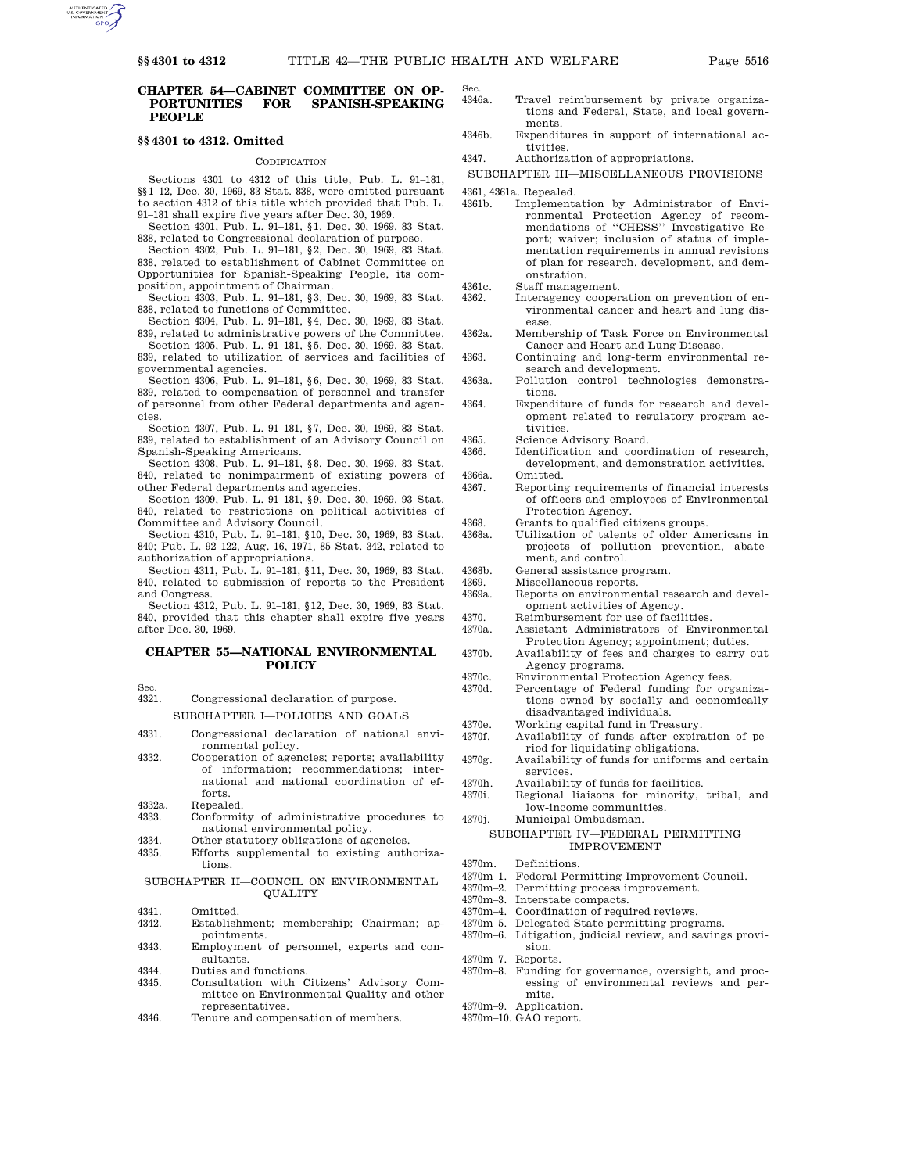Sec.

### **CHAPTER 54—CABINET COMMITTEE ON OP-SPANISH-SPEAKING PEOPLE**

# **§§ 4301 to 4312. Omitted**

#### **CODIFICATION**

Sections 4301 to 4312 of this title, Pub. L. 91–181, §§1–12, Dec. 30, 1969, 83 Stat. 838, were omitted pursuant to section 4312 of this title which provided that Pub. L. 91–181 shall expire five years after Dec. 30, 1969.

Section 4301, Pub. L. 91–181, §1, Dec. 30, 1969, 83 Stat. 838, related to Congressional declaration of purpose.

Section 4302, Pub. L. 91–181, §2, Dec. 30, 1969, 83 Stat. 838, related to establishment of Cabinet Committee on Opportunities for Spanish-Speaking People, its composition, appointment of Chairman.

Section 4303, Pub. L. 91–181, §3, Dec. 30, 1969, 83 Stat. 838, related to functions of Committee.

Section 4304, Pub. L. 91–181, §4, Dec. 30, 1969, 83 Stat. 839, related to administrative powers of the Committee.

Section 4305, Pub. L. 91–181, §5, Dec. 30, 1969, 83 Stat. 839, related to utilization of services and facilities of governmental agencies.

Section 4306, Pub. L. 91–181, §6, Dec. 30, 1969, 83 Stat. 839, related to compensation of personnel and transfer of personnel from other Federal departments and agencies.

Section 4307, Pub. L. 91–181, §7, Dec. 30, 1969, 83 Stat. 839, related to establishment of an Advisory Council on Spanish-Speaking Americans.

Section 4308, Pub. L. 91–181, §8, Dec. 30, 1969, 83 Stat. 840, related to nonimpairment of existing powers of other Federal departments and agencies.

Section 4309, Pub. L. 91–181, §9, Dec. 30, 1969, 93 Stat. 840, related to restrictions on political activities of Committee and Advisory Council.

Section 4310, Pub. L. 91–181, §10, Dec. 30, 1969, 83 Stat. 840; Pub. L. 92–122, Aug. 16, 1971, 85 Stat. 342, related to authorization of appropriations.

Section 4311, Pub. L. 91–181, §11, Dec. 30, 1969, 83 Stat. 840, related to submission of reports to the President and Congress.

Section 4312, Pub. L. 91–181, §12, Dec. 30, 1969, 83 Stat. 840, provided that this chapter shall expire five years after Dec. 30, 1969.

# **CHAPTER 55—NATIONAL ENVIRONMENTAL POLICY**

- Sec.<br>4321.
- Congressional declaration of purpose.

SUBCHAPTER I—POLICIES AND GOALS

- 4331. Congressional declaration of national environmental policy.
- 4332. Cooperation of agencies; reports; availability of information; recommendations; international and national coordination of efforts.
- 4332a. Repealed.
- 4333. Conformity of administrative procedures to national environmental policy.
- 4334. Other statutory obligations of agencies.<br>4335 Ferrors supplemental to existing authority
- Efforts supplemental to existing authorizations.

SUBCHAPTER II—COUNCIL ON ENVIRONMENTAL **QUALITY** 

- 4341. Omitted.
- 4342. Establishment; membership; Chairman; appointments.
- 4343. Employment of personnel, experts and consultants.
- 4344. Duties and functions.<br>4345. Consultation with C
- 4345. Consultation with Citizens' Advisory Committee on Environmental Quality and other representatives.
- 4346. Tenure and compensation of members.
- 4346a. Travel reimbursement by private organizations and Federal, State, and local governments.
- 4346b. Expenditures in support of international activities.
- 4347. Authorization of appropriations.

SUBCHAPTER III—MISCELLANEOUS PROVISIONS 4361, 4361a. Repealed.

4361b. Implementation by Administrator of Environmental Protection Agency of recommendations of ''CHESS'' Investigative Report; waiver; inclusion of status of implementation requirements in annual revisions of plan for research, development, and demonstration.

4361c. Staff management.

- 4362. Interagency cooperation on prevention of environmental cancer and heart and lung disease.
- 4362a. Membership of Task Force on Environmental Cancer and Heart and Lung Disease.
- 4363. Continuing and long-term environmental research and development.
- 4363a. Pollution control technologies demonstrations.
- 4364. Expenditure of funds for research and development related to regulatory program activities.
- 4365. Science Advisory Board.
- 4366. Identification and coordination of research, development, and demonstration activities.
- 4366a. Omitted. 4367. Reporting requirements of financial interests of officers and employees of Environmental Protection Agency.
- 4368. Grants to qualified citizens groups.
- 4368a. Utilization of talents of older Americans in projects of pollution prevention, abatement, and control.
- 4368b. General assistance program.
- 4369. Miscellaneous reports.<br>4369a. Reports on environmer
	- Reports on environmental research and development activities of Agency.
	-
- 4370. Reimbursement for use of facilities.<br>4370a. Assistant Administrators of Envi Assistant Administrators of Environmental Protection Agency; appointment; duties.
- 4370b. Availability of fees and charges to carry out Agency programs.
- 4370c. Environmental Protection Agency fees.<br>4370d. Percentage of Federal funding for org
	- Percentage of Federal funding for organizations owned by socially and economically disadvantaged individuals.
- 4370e. Working capital fund in Treasury.
	- Availability of funds after expiration of period for liquidating obligations.
- 4370g. Availability of funds for uniforms and certain services.
- 4370h. Availability of funds for facilities.
- Regional liaisons for minority, tribal, and low-income communities.
- 4370j. Municipal Ombudsman. SUBCHAPTER IV—FEDERAL PERMITTING IMPROVEMENT
- 
- 4370m. Definitions.<br>4370m-1. Federal Per Federal Permitting Improvement Council.
- 4370m–2. Permitting process improvement.
- 
- 4370m–3. Interstate compacts. Coordination of required reviews.
- 4370m–5. Delegated State permitting programs.
- 4370m–6. Litigation, judicial review, and savings provision.
- 4370m–7. Reports.
- 4370m–8. Funding for governance, oversight, and processing of environmental reviews and permits.
- 4370m–9. Application.
- 4370m–10. GAO report.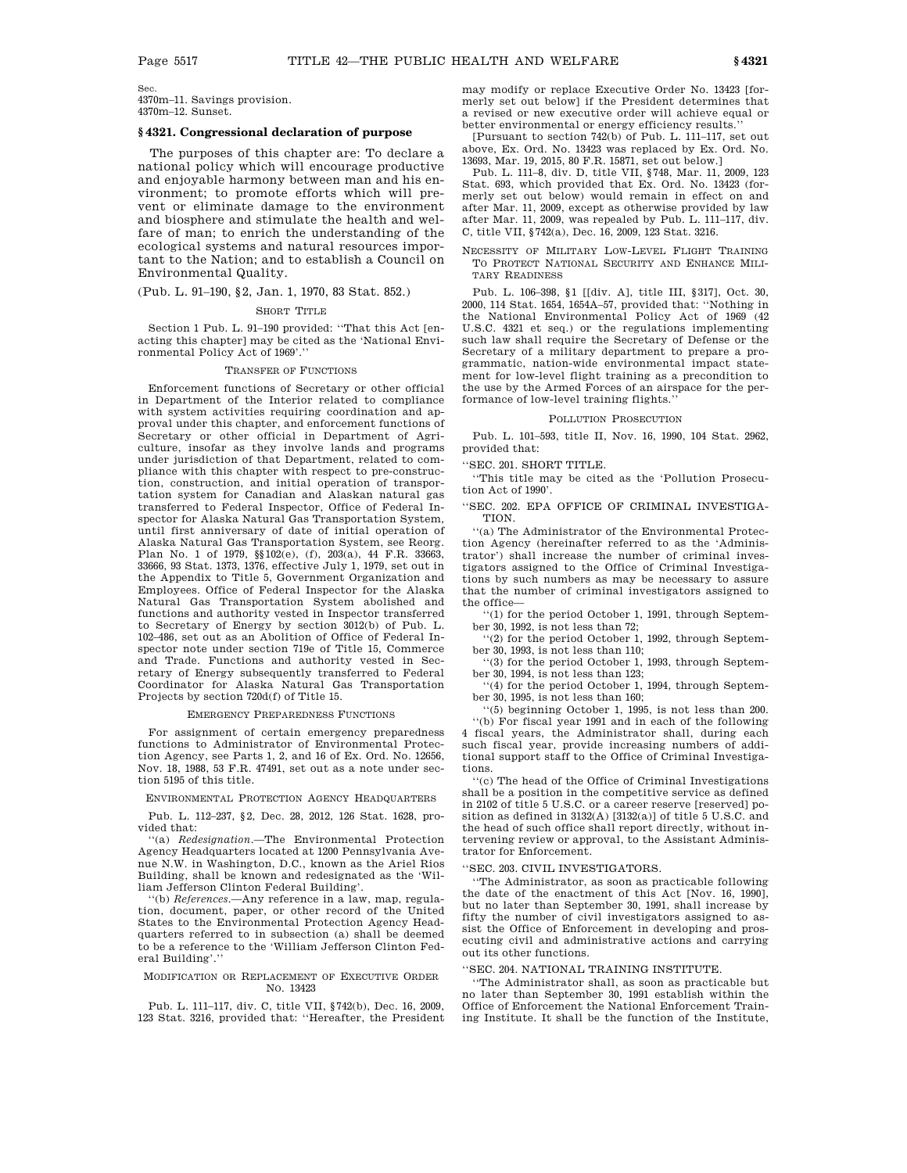Sec. 4370m–11. Savings provision. 4370m–12. Sunset.

#### **§ 4321. Congressional declaration of purpose**

The purposes of this chapter are: To declare a national policy which will encourage productive and enjoyable harmony between man and his environment; to promote efforts which will prevent or eliminate damage to the environment and biosphere and stimulate the health and welfare of man; to enrich the understanding of the ecological systems and natural resources important to the Nation; and to establish a Council on Environmental Quality.

# (Pub. L. 91–190, §2, Jan. 1, 1970, 83 Stat. 852.)

#### SHORT TITLE

Section 1 Pub. L. 91–190 provided: ''That this Act [enacting this chapter] may be cited as the 'National Environmental Policy Act of 1969'.''

#### TRANSFER OF FUNCTIONS

Enforcement functions of Secretary or other official in Department of the Interior related to compliance with system activities requiring coordination and approval under this chapter, and enforcement functions of Secretary or other official in Department of Agriculture, insofar as they involve lands and programs under jurisdiction of that Department, related to compliance with this chapter with respect to pre-construction, construction, and initial operation of transportation system for Canadian and Alaskan natural gas transferred to Federal Inspector, Office of Federal Inspector for Alaska Natural Gas Transportation System, until first anniversary of date of initial operation of Alaska Natural Gas Transportation System, see Reorg. Plan No. 1 of 1979, §§102(e), (f), 203(a), 44 F.R. 33663, 33666, 93 Stat. 1373, 1376, effective July 1, 1979, set out in the Appendix to Title 5, Government Organization and Employees. Office of Federal Inspector for the Alaska Natural Gas Transportation System abolished and functions and authority vested in Inspector transferred to Secretary of Energy by section 3012(b) of Pub. L. 102–486, set out as an Abolition of Office of Federal Inspector note under section 719e of Title 15, Commerce and Trade. Functions and authority vested in Secretary of Energy subsequently transferred to Federal Coordinator for Alaska Natural Gas Transportation Projects by section 720d(f) of Title 15.

### EMERGENCY PREPAREDNESS FUNCTIONS

For assignment of certain emergency preparedness functions to Administrator of Environmental Protection Agency, see Parts 1, 2, and 16 of Ex. Ord. No. 12656, Nov. 18, 1988, 53 F.R. 47491, set out as a note under section 5195 of this title.

### ENVIRONMENTAL PROTECTION AGENCY HEADQUARTERS

Pub. L. 112–237, §2, Dec. 28, 2012, 126 Stat. 1628, provided that:

''(a) *Redesignation*.—The Environmental Protection Agency Headquarters located at 1200 Pennsylvania Avenue N.W. in Washington, D.C., known as the Ariel Rios Building, shall be known and redesignated as the 'William Jefferson Clinton Federal Building'.

''(b) *References*.—Any reference in a law, map, regulation, document, paper, or other record of the United States to the Environmental Protection Agency Headquarters referred to in subsection (a) shall be deemed to be a reference to the 'William Jefferson Clinton Federal Building'.''

### MODIFICATION OR REPLACEMENT OF EXECUTIVE ORDER NO. 13423

Pub. L. 111–117, div. C, title VII, §742(b), Dec. 16, 2009, 123 Stat. 3216, provided that: ''Hereafter, the President may modify or replace Executive Order No. 13423 [formerly set out below] if the President determines that a revised or new executive order will achieve equal or better environmental or energy efficiency results.''

[Pursuant to section 742(b) of Pub. L. 111–117, set out above, Ex. Ord. No. 13423 was replaced by Ex. Ord. No. 13693, Mar. 19, 2015, 80 F.R. 15871, set out below.]

Pub. L. 111–8, div. D, title VII, §748, Mar. 11, 2009, 123 Stat. 693, which provided that Ex. Ord. No. 13423 (formerly set out below) would remain in effect on and after Mar. 11, 2009, except as otherwise provided by law after Mar. 11, 2009, was repealed by Pub. L. 111–117, div. C, title VII, §742(a), Dec. 16, 2009, 123 Stat. 3216.

NECESSITY OF MILITARY LOW-LEVEL FLIGHT TRAINING TO PROTECT NATIONAL SECURITY AND ENHANCE MILI-TARY READINESS

Pub. L. 106–398, §1 [[div. A], title III, §317], Oct. 30, 2000, 114 Stat. 1654, 1654A–57, provided that: ''Nothing in the National Environmental Policy Act of 1969 (42 U.S.C. 4321 et seq.) or the regulations implementing such law shall require the Secretary of Defense or the Secretary of a military department to prepare a programmatic, nation-wide environmental impact statement for low-level flight training as a precondition to the use by the Armed Forces of an airspace for the performance of low-level training flights.''

#### POLLUTION PROSECUTION

Pub. L. 101–593, title II, Nov. 16, 1990, 104 Stat. 2962, provided that:

''SEC. 201. SHORT TITLE.

''This title may be cited as the 'Pollution Prosecution Act of 1990'.

''SEC. 202. EPA OFFICE OF CRIMINAL INVESTIGA-TION.

''(a) The Administrator of the Environmental Protection Agency (hereinafter referred to as the 'Administrator') shall increase the number of criminal investigators assigned to the Office of Criminal Investigations by such numbers as may be necessary to assure that the number of criminal investigators assigned to the office—

''(1) for the period October 1, 1991, through September 30, 1992, is not less than 72;

''(2) for the period October 1, 1992, through September 30, 1993, is not less than 110;

''(3) for the period October 1, 1993, through September 30, 1994, is not less than 123;

''(4) for the period October 1, 1994, through September 30, 1995, is not less than 160;

''(5) beginning October 1, 1995, is not less than 200. ''(b) For fiscal year 1991 and in each of the following 4 fiscal years, the Administrator shall, during each such fiscal year, provide increasing numbers of additional support staff to the Office of Criminal Investigations.

''(c) The head of the Office of Criminal Investigations shall be a position in the competitive service as defined in 2102 of title 5 U.S.C. or a career reserve [reserved] position as defined in 3132(A) [3132(a)] of title 5 U.S.C. and the head of such office shall report directly, without intervening review or approval, to the Assistant Administrator for Enforcement.

#### 'SEC. 203. CIVIL INVESTIGATORS.

''The Administrator, as soon as practicable following the date of the enactment of this Act [Nov. 16, 1990], but no later than September 30, 1991, shall increase by fifty the number of civil investigators assigned to assist the Office of Enforcement in developing and prosecuting civil and administrative actions and carrying out its other functions.

### ''SEC. 204. NATIONAL TRAINING INSTITUTE.

''The Administrator shall, as soon as practicable but no later than September 30, 1991 establish within the Office of Enforcement the National Enforcement Training Institute. It shall be the function of the Institute,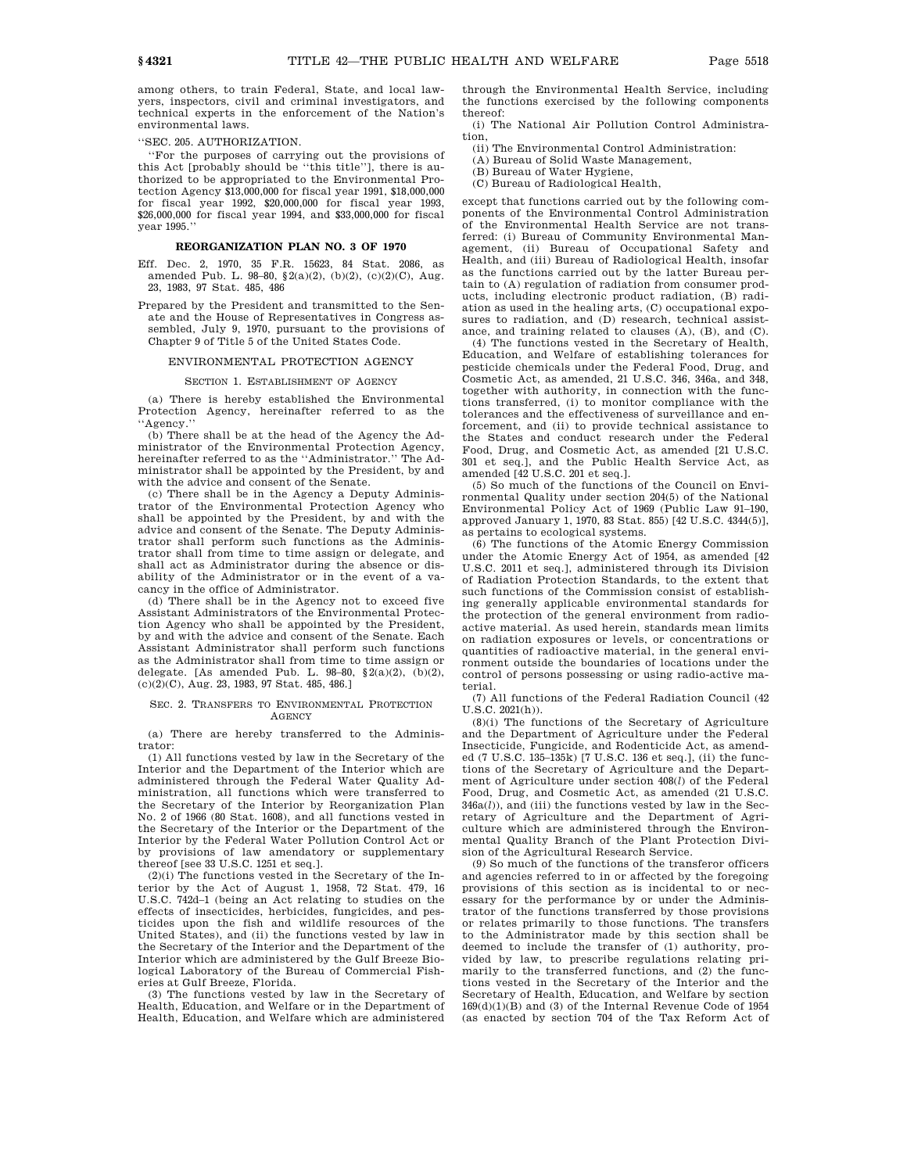among others, to train Federal, State, and local lawyers, inspectors, civil and criminal investigators, and technical experts in the enforcement of the Nation's environmental laws.

### ''SEC. 205. AUTHORIZATION.

''For the purposes of carrying out the provisions of this Act [probably should be ''this title''], there is authorized to be appropriated to the Environmental Protection Agency \$13,000,000 for fiscal year 1991, \$18,000,000 for fiscal year 1992, \$20,000,000 for fiscal year 1993, \$26,000,000 for fiscal year 1994, and \$33,000,000 for fiscal year 1995.''

# **REORGANIZATION PLAN NO. 3 OF 1970**

Eff. Dec. 2, 1970, 35 F.R. 15623, 84 Stat. 2086, as amended Pub. L. 98–80, §2(a)(2), (b)(2), (c)(2)(C), Aug. 23, 1983, 97 Stat. 485, 486

Prepared by the President and transmitted to the Senate and the House of Representatives in Congress assembled, July 9, 1970, pursuant to the provisions of Chapter 9 of Title 5 of the United States Code.

#### ENVIRONMENTAL PROTECTION AGENCY

#### SECTION 1. ESTABLISHMENT OF AGENCY

(a) There is hereby established the Environmental Protection Agency, hereinafter referred to as the 'Agency.'

(b) There shall be at the head of the Agency the Administrator of the Environmental Protection Agency, hereinafter referred to as the ''Administrator.'' The Administrator shall be appointed by the President, by and with the advice and consent of the Senate.

(c) There shall be in the Agency a Deputy Administrator of the Environmental Protection Agency who shall be appointed by the President, by and with the advice and consent of the Senate. The Deputy Administrator shall perform such functions as the Administrator shall from time to time assign or delegate, and shall act as Administrator during the absence or disability of the Administrator or in the event of a vacancy in the office of Administrator.

(d) There shall be in the Agency not to exceed five Assistant Administrators of the Environmental Protection Agency who shall be appointed by the President, by and with the advice and consent of the Senate. Each Assistant Administrator shall perform such functions as the Administrator shall from time to time assign or delegate. [As amended Pub. L.  $98-80$ ,  $\S 2(a)(2)$ ,  $(b)(2)$ , (c)(2)(C), Aug. 23, 1983, 97 Stat. 485, 486.]

#### SEC. 2. TRANSFERS TO ENVIRONMENTAL PROTECTION AGENCY

(a) There are hereby transferred to the Administrator:

(1) All functions vested by law in the Secretary of the Interior and the Department of the Interior which are administered through the Federal Water Quality Administration, all functions which were transferred to the Secretary of the Interior by Reorganization Plan No. 2 of 1966 (80 Stat. 1608), and all functions vested in the Secretary of the Interior or the Department of the Interior by the Federal Water Pollution Control Act or by provisions of law amendatory or supplementary thereof [see 33 U.S.C. 1251 et seq.].

 $(2)(i)$  The functions vested in the Secretary of the Interior by the Act of August 1, 1958, 72 Stat. 479, 16 U.S.C. 742d–1 (being an Act relating to studies on the effects of insecticides, herbicides, fungicides, and pesticides upon the fish and wildlife resources of the United States), and (ii) the functions vested by law in the Secretary of the Interior and the Department of the Interior which are administered by the Gulf Breeze Biological Laboratory of the Bureau of Commercial Fisheries at Gulf Breeze, Florida.

(3) The functions vested by law in the Secretary of Health, Education, and Welfare or in the Department of Health, Education, and Welfare which are administered

through the Environmental Health Service, including the functions exercised by the following components thereof:

(i) The National Air Pollution Control Administration,

- (ii) The Environmental Control Administration:
- (A) Bureau of Solid Waste Management,
- (B) Bureau of Water Hygiene,
- (C) Bureau of Radiological Health,

except that functions carried out by the following components of the Environmental Control Administration of the Environmental Health Service are not transferred: (i) Bureau of Community Environmental Management, (ii) Bureau of Occupational Safety and Health, and (iii) Bureau of Radiological Health, insofar as the functions carried out by the latter Bureau pertain to (A) regulation of radiation from consumer products, including electronic product radiation, (B) radiation as used in the healing arts, (C) occupational exposures to radiation, and (D) research, technical assistance, and training related to clauses (A), (B), and (C).

(4) The functions vested in the Secretary of Health, Education, and Welfare of establishing tolerances for pesticide chemicals under the Federal Food, Drug, and Cosmetic Act, as amended, 21 U.S.C. 346, 346a, and 348, together with authority, in connection with the functions transferred, (i) to monitor compliance with the tolerances and the effectiveness of surveillance and enforcement, and (ii) to provide technical assistance to the States and conduct research under the Federal Food, Drug, and Cosmetic Act, as amended [21 U.S.C. 301 et seq.], and the Public Health Service Act, as amended [42 U.S.C. 201 et seq.].

(5) So much of the functions of the Council on Environmental Quality under section 204(5) of the National Environmental Policy Act of 1969 (Public Law 91–190, approved January 1, 1970, 83 Stat. 855) [42 U.S.C. 4344(5)], as pertains to ecological systems.

(6) The functions of the Atomic Energy Commission under the Atomic Energy Act of 1954, as amended [42 U.S.C. 2011 et seq.], administered through its Division of Radiation Protection Standards, to the extent that such functions of the Commission consist of establishing generally applicable environmental standards for the protection of the general environment from radioactive material. As used herein, standards mean limits on radiation exposures or levels, or concentrations or quantities of radioactive material, in the general environment outside the boundaries of locations under the control of persons possessing or using radio-active material.

(7) All functions of the Federal Radiation Council (42 U.S.C. 2021(h)).

(8)(i) The functions of the Secretary of Agriculture and the Department of Agriculture under the Federal Insecticide, Fungicide, and Rodenticide Act, as amended (7 U.S.C. 135–135k) [7 U.S.C. 136 et seq.], (ii) the functions of the Secretary of Agriculture and the Department of Agriculture under section 408(*l*) of the Federal Food, Drug, and Cosmetic Act, as amended (21 U.S.C. 346a(*l*)), and (iii) the functions vested by law in the Secretary of Agriculture and the Department of Agriculture which are administered through the Environmental Quality Branch of the Plant Protection Division of the Agricultural Research Service.

(9) So much of the functions of the transferor officers and agencies referred to in or affected by the foregoing provisions of this section as is incidental to or necessary for the performance by or under the Administrator of the functions transferred by those provisions or relates primarily to those functions. The transfers to the Administrator made by this section shall be deemed to include the transfer of (1) authority, provided by law, to prescribe regulations relating primarily to the transferred functions, and (2) the functions vested in the Secretary of the Interior and the Secretary of Health, Education, and Welfare by section 169(d)(1)(B) and (3) of the Internal Revenue Code of 1954 (as enacted by section 704 of the Tax Reform Act of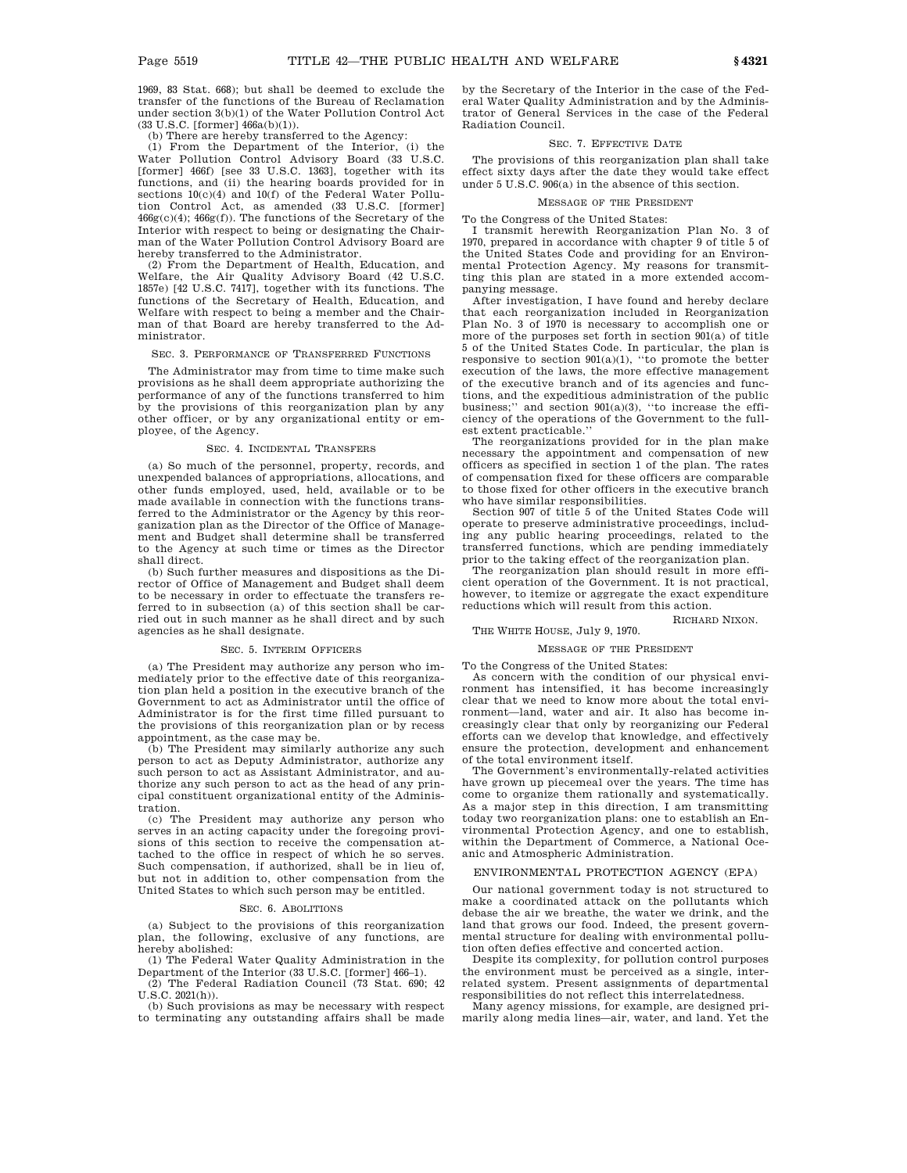1969, 83 Stat. 668); but shall be deemed to exclude the transfer of the functions of the Bureau of Reclamation under section 3(b)(1) of the Water Pollution Control Act (33 U.S.C. [former] 466a(b)(1)).

(b) There are hereby transferred to the Agency:

(1) From the Department of the Interior, (i) the Water Pollution Control Advisory Board (33 U.S.C. [former] 466f) [see 33 U.S.C. 1363], together with its functions, and (ii) the hearing boards provided for in sections  $10(c)(4)$  and  $10(f)$  of the Federal Water Pollution Control Act, as amended (33 U.S.C. [former] 466g(c)(4); 466g(f)). The functions of the Secretary of the Interior with respect to being or designating the Chairman of the Water Pollution Control Advisory Board are hereby transferred to the Administrator.

(2) From the Department of Health, Education, and Welfare, the Air Quality Advisory Board (42 U.S.C. 1857e) [42 U.S.C. 7417], together with its functions. The functions of the Secretary of Health, Education, and Welfare with respect to being a member and the Chairman of that Board are hereby transferred to the Administrator.

SEC. 3. PERFORMANCE OF TRANSFERRED FUNCTIONS

The Administrator may from time to time make such provisions as he shall deem appropriate authorizing the performance of any of the functions transferred to him by the provisions of this reorganization plan by any other officer, or by any organizational entity or employee, of the Agency.

### SEC. 4. INCIDENTAL TRANSFERS

(a) So much of the personnel, property, records, and unexpended balances of appropriations, allocations, and other funds employed, used, held, available or to be made available in connection with the functions transferred to the Administrator or the Agency by this reorganization plan as the Director of the Office of Management and Budget shall determine shall be transferred to the Agency at such time or times as the Director shall direct.

(b) Such further measures and dispositions as the Director of Office of Management and Budget shall deem to be necessary in order to effectuate the transfers referred to in subsection (a) of this section shall be carried out in such manner as he shall direct and by such agencies as he shall designate.

### SEC. 5. INTERIM OFFICERS

(a) The President may authorize any person who immediately prior to the effective date of this reorganization plan held a position in the executive branch of the Government to act as Administrator until the office of Administrator is for the first time filled pursuant to the provisions of this reorganization plan or by recess appointment, as the case may be.

(b) The President may similarly authorize any such person to act as Deputy Administrator, authorize any such person to act as Assistant Administrator, and authorize any such person to act as the head of any principal constituent organizational entity of the Administration.

(c) The President may authorize any person who serves in an acting capacity under the foregoing provisions of this section to receive the compensation attached to the office in respect of which he so serves. Such compensation, if authorized, shall be in lieu of, but not in addition to, other compensation from the United States to which such person may be entitled.

#### SEC. 6. ABOLITIONS

(a) Subject to the provisions of this reorganization plan, the following, exclusive of any functions, are hereby abolished:

(1) The Federal Water Quality Administration in the Department of the Interior (33 U.S.C. [former] 466–1).

(2) The Federal Radiation Council (73 Stat. 690; 42  $U.S.C. 2021(h)$ .

(b) Such provisions as may be necessary with respect to terminating any outstanding affairs shall be made by the Secretary of the Interior in the case of the Federal Water Quality Administration and by the Administrator of General Services in the case of the Federal Radiation Council.

# SEC. 7. EFFECTIVE DATE

The provisions of this reorganization plan shall take effect sixty days after the date they would take effect under 5 U.S.C. 906(a) in the absence of this section.

#### MESSAGE OF THE PRESIDENT

To the Congress of the United States:

I transmit herewith Reorganization Plan No. 3 of 1970, prepared in accordance with chapter 9 of title 5 of the United States Code and providing for an Environmental Protection Agency. My reasons for transmitting this plan are stated in a more extended accompanying message.

After investigation, I have found and hereby declare that each reorganization included in Reorganization Plan No. 3 of 1970 is necessary to accomplish one or more of the purposes set forth in section 901(a) of title 5 of the United States Code. In particular, the plan is responsive to section 901(a)(1), ''to promote the better execution of the laws, the more effective management of the executive branch and of its agencies and functions, and the expeditious administration of the public business;'' and section 901(a)(3), ''to increase the efficiency of the operations of the Government to the fullest extent practicable.''

The reorganizations provided for in the plan make necessary the appointment and compensation of new officers as specified in section 1 of the plan. The rates of compensation fixed for these officers are comparable to those fixed for other officers in the executive branch who have similar responsibilities.

Section 907 of title 5 of the United States Code will operate to preserve administrative proceedings, including any public hearing proceedings, related to the transferred functions, which are pending immediately prior to the taking effect of the reorganization plan.

The reorganization plan should result in more efficient operation of the Government. It is not practical, however, to itemize or aggregate the exact expenditure reductions which will result from this action.

RICHARD NIXON.

# THE WHITE HOUSE, July 9, 1970.

# MESSAGE OF THE PRESIDENT

To the Congress of the United States:

As concern with the condition of our physical environment has intensified, it has become increasingly clear that we need to know more about the total environment—land, water and air. It also has become increasingly clear that only by reorganizing our Federal efforts can we develop that knowledge, and effectively ensure the protection, development and enhancement of the total environment itself.

The Government's environmentally-related activities have grown up piecemeal over the years. The time has come to organize them rationally and systematically. As a major step in this direction, I am transmitting today two reorganization plans: one to establish an Environmental Protection Agency, and one to establish, within the Department of Commerce, a National Oceanic and Atmospheric Administration.

# ENVIRONMENTAL PROTECTION AGENCY (EPA)

Our national government today is not structured to make a coordinated attack on the pollutants which debase the air we breathe, the water we drink, and the land that grows our food. Indeed, the present governmental structure for dealing with environmental pollution often defies effective and concerted action.

Despite its complexity, for pollution control purposes the environment must be perceived as a single, interrelated system. Present assignments of departmental responsibilities do not reflect this interrelatedness.

Many agency missions, for example, are designed primarily along media lines—air, water, and land. Yet the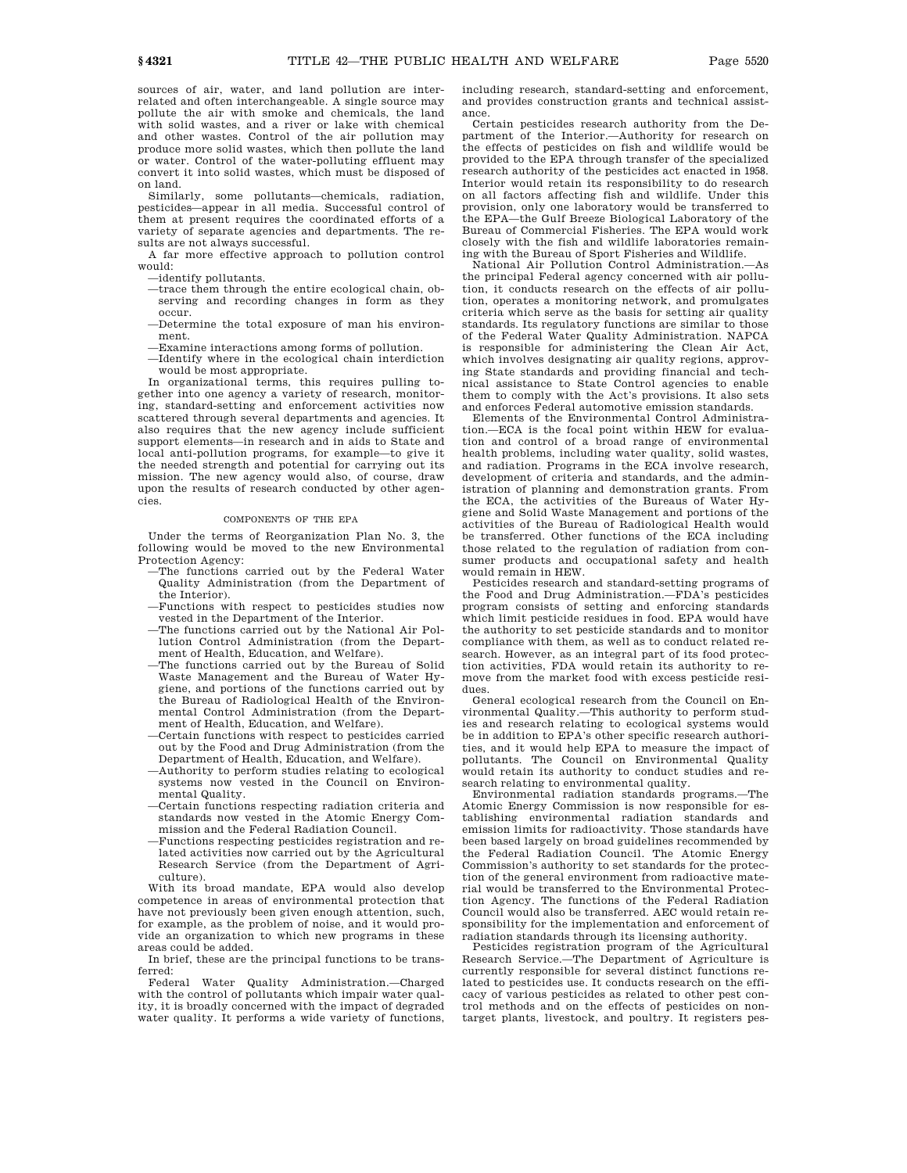sources of air, water, and land pollution are interrelated and often interchangeable. A single source may pollute the air with smoke and chemicals, the land with solid wastes, and a river or lake with chemical and other wastes. Control of the air pollution may produce more solid wastes, which then pollute the land or water. Control of the water-polluting effluent may convert it into solid wastes, which must be disposed of on land.

Similarly, some pollutants—chemicals, radiation, pesticides—appear in all media. Successful control of them at present requires the coordinated efforts of a variety of separate agencies and departments. The results are not always successful.

A far more effective approach to pollution control would:

- —identify pollutants.
- —trace them through the entire ecological chain, observing and recording changes in form as they occur.
- —Determine the total exposure of man his environment.
- —Examine interactions among forms of pollution.
- —Identify where in the ecological chain interdiction would be most appropriate.

In organizational terms, this requires pulling together into one agency a variety of research, monitoring, standard-setting and enforcement activities now scattered through several departments and agencies. It also requires that the new agency include sufficient support elements—in research and in aids to State and local anti-pollution programs, for example—to give it the needed strength and potential for carrying out its mission. The new agency would also, of course, draw upon the results of research conducted by other agencies.

#### COMPONENTS OF THE EPA

Under the terms of Reorganization Plan No. 3, the following would be moved to the new Environmental Protection Agency:

- —The functions carried out by the Federal Water Quality Administration (from the Department of the Interior).
- —Functions with respect to pesticides studies now vested in the Department of the Interior.
- —The functions carried out by the National Air Pollution Control Administration (from the Department of Health, Education, and Welfare).
- —The functions carried out by the Bureau of Solid Waste Management and the Bureau of Water Hygiene, and portions of the functions carried out by the Bureau of Radiological Health of the Environmental Control Administration (from the Department of Health, Education, and Welfare).
- —Certain functions with respect to pesticides carried out by the Food and Drug Administration (from the Department of Health, Education, and Welfare).
- —Authority to perform studies relating to ecological systems now vested in the Council on Environmental Quality.
- —Certain functions respecting radiation criteria and standards now vested in the Atomic Energy Commission and the Federal Radiation Council.
- —Functions respecting pesticides registration and related activities now carried out by the Agricultural Research Service (from the Department of Agriculture).

With its broad mandate, EPA would also develop competence in areas of environmental protection that have not previously been given enough attention, such, for example, as the problem of noise, and it would provide an organization to which new programs in these areas could be added.

In brief, these are the principal functions to be transferred:

Federal Water Quality Administration.—Charged with the control of pollutants which impair water quality, it is broadly concerned with the impact of degraded water quality. It performs a wide variety of functions, including research, standard-setting and enforcement, and provides construction grants and technical assistance.

Certain pesticides research authority from the Department of the Interior.—Authority for research on the effects of pesticides on fish and wildlife would be provided to the EPA through transfer of the specialized research authority of the pesticides act enacted in 1958. Interior would retain its responsibility to do research on all factors affecting fish and wildlife. Under this provision, only one laboratory would be transferred to the EPA—the Gulf Breeze Biological Laboratory of the Bureau of Commercial Fisheries. The EPA would work closely with the fish and wildlife laboratories remaining with the Bureau of Sport Fisheries and Wildlife.

National Air Pollution Control Administration.the principal Federal agency concerned with air pollution, it conducts research on the effects of air pollution, operates a monitoring network, and promulgates criteria which serve as the basis for setting air quality standards. Its regulatory functions are similar to those of the Federal Water Quality Administration. NAPCA is responsible for administering the Clean Air Act, which involves designating air quality regions, approving State standards and providing financial and technical assistance to State Control agencies to enable them to comply with the Act's provisions. It also sets and enforces Federal automotive emission standards.

Elements of the Environmental Control Administration.—ECA is the focal point within HEW for evaluation and control of a broad range of environmental health problems, including water quality, solid wastes, and radiation. Programs in the ECA involve research, development of criteria and standards, and the administration of planning and demonstration grants. From the ECA, the activities of the Bureaus of Water Hygiene and Solid Waste Management and portions of the activities of the Bureau of Radiological Health would be transferred. Other functions of the ECA including those related to the regulation of radiation from consumer products and occupational safety and health would remain in HEW.

Pesticides research and standard-setting programs of the Food and Drug Administration.—FDA's pesticides program consists of setting and enforcing standards which limit pesticide residues in food. EPA would have the authority to set pesticide standards and to monitor compliance with them, as well as to conduct related research. However, as an integral part of its food protection activities, FDA would retain its authority to remove from the market food with excess pesticide residues.

General ecological research from the Council on Environmental Quality.—This authority to perform studies and research relating to ecological systems would be in addition to EPA's other specific research authorities, and it would help EPA to measure the impact of pollutants. The Council on Environmental Quality would retain its authority to conduct studies and research relating to environmental quality. Environmental radiation standards programs.—The

Atomic Energy Commission is now responsible for establishing environmental radiation standards and emission limits for radioactivity. Those standards have been based largely on broad guidelines recommended by the Federal Radiation Council. The Atomic Energy Commission's authority to set standards for the protection of the general environment from radioactive material would be transferred to the Environmental Protection Agency. The functions of the Federal Radiation Council would also be transferred. AEC would retain responsibility for the implementation and enforcement of radiation standards through its licensing authority.

Pesticides registration program of the Agricultural Research Service.—The Department of Agriculture is currently responsible for several distinct functions related to pesticides use. It conducts research on the efficacy of various pesticides as related to other pest control methods and on the effects of pesticides on nontarget plants, livestock, and poultry. It registers pes-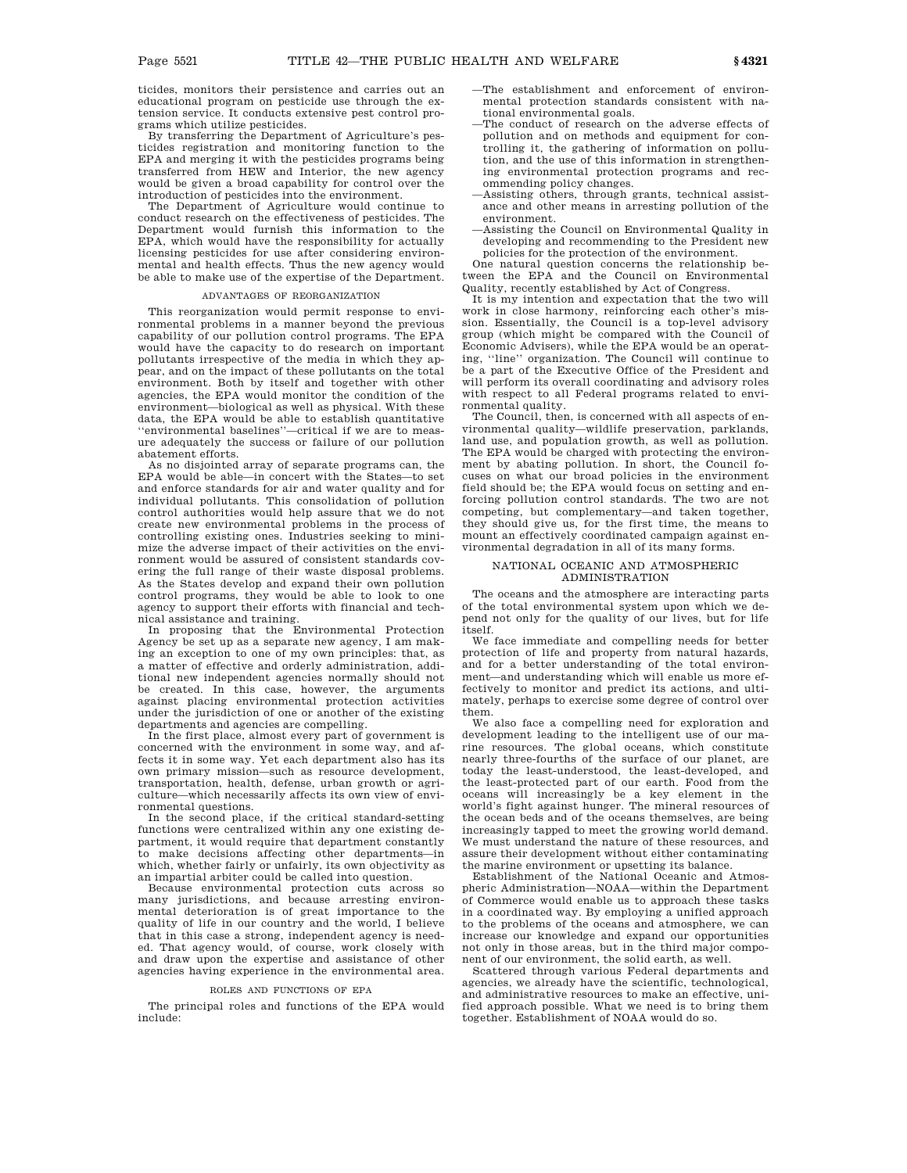ticides, monitors their persistence and carries out an educational program on pesticide use through the extension service. It conducts extensive pest control programs which utilize pesticides.

By transferring the Department of Agriculture's pesticides registration and monitoring function to the EPA and merging it with the pesticides programs being transferred from HEW and Interior, the new agency would be given a broad capability for control over the introduction of pesticides into the environment.

The Department of Agriculture would continue to conduct research on the effectiveness of pesticides. The Department would furnish this information to the EPA, which would have the responsibility for actually licensing pesticides for use after considering environmental and health effects. Thus the new agency would be able to make use of the expertise of the Department.

#### ADVANTAGES OF REORGANIZATION

This reorganization would permit response to environmental problems in a manner beyond the previous capability of our pollution control programs. The EPA would have the capacity to do research on important pollutants irrespective of the media in which they appear, and on the impact of these pollutants on the total environment. Both by itself and together with other agencies, the EPA would monitor the condition of the environment—biological as well as physical. With these data, the EPA would be able to establish quantitative ''environmental baselines''—critical if we are to measure adequately the success or failure of our pollution abatement efforts.

As no disjointed array of separate programs can, the EPA would be able—in concert with the States—to set and enforce standards for air and water quality and for individual pollutants. This consolidation of pollution control authorities would help assure that we do not create new environmental problems in the process of controlling existing ones. Industries seeking to minimize the adverse impact of their activities on the environment would be assured of consistent standards covering the full range of their waste disposal problems. As the States develop and expand their own pollution control programs, they would be able to look to one agency to support their efforts with financial and technical assistance and training.

In proposing that the Environmental Protection Agency be set up as a separate new agency, I am making an exception to one of my own principles: that, as a matter of effective and orderly administration, additional new independent agencies normally should not be created. In this case, however, the arguments against placing environmental protection activities under the jurisdiction of one or another of the existing departments and agencies are compelling.

In the first place, almost every part of government is concerned with the environment in some way, and affects it in some way. Yet each department also has its own primary mission—such as resource development, transportation, health, defense, urban growth or agriculture—which necessarily affects its own view of environmental questions.

In the second place, if the critical standard-setting functions were centralized within any one existing department, it would require that department constantly to make decisions affecting other departments—in which, whether fairly or unfairly, its own objectivity as an impartial arbiter could be called into question.

Because environmental protection cuts across so many jurisdictions, and because arresting environmental deterioration is of great importance to the quality of life in our country and the world, I believe that in this case a strong, independent agency is needed. That agency would, of course, work closely with and draw upon the expertise and assistance of other agencies having experience in the environmental area.

#### ROLES AND FUNCTIONS OF EPA

The principal roles and functions of the EPA would include:

—The establishment and enforcement of environmental protection standards consistent with national environmental goals.

- —The conduct of research on the adverse effects of pollution and on methods and equipment for controlling it, the gathering of information on pollution, and the use of this information in strengthening environmental protection programs and recommending policy changes.
- —Assisting others, through grants, technical assistance and other means in arresting pollution of the environment.
- —Assisting the Council on Environmental Quality in developing and recommending to the President new policies for the protection of the environment.

One natural question concerns the relationship between the EPA and the Council on Environmental Quality, recently established by Act of Congress.

It is my intention and expectation that the two will work in close harmony, reinforcing each other's mission. Essentially, the Council is a top-level advisory group (which might be compared with the Council of Economic Advisers), while the EPA would be an operating, ''line'' organization. The Council will continue to be a part of the Executive Office of the President and will perform its overall coordinating and advisory roles with respect to all Federal programs related to environmental quality.

The Council, then, is concerned with all aspects of environmental quality—wildlife preservation, parklands, land use, and population growth, as well as pollution. The EPA would be charged with protecting the environment by abating pollution. In short, the Council focuses on what our broad policies in the environment field should be; the EPA would focus on setting and enforcing pollution control standards. The two are not competing, but complementary—and taken together, they should give us, for the first time, the means to mount an effectively coordinated campaign against environmental degradation in all of its many forms.

#### NATIONAL OCEANIC AND ATMOSPHERIC ADMINISTRATION

The oceans and the atmosphere are interacting parts of the total environmental system upon which we depend not only for the quality of our lives, but for life itself.

We face immediate and compelling needs for better protection of life and property from natural hazards, and for a better understanding of the total environment—and understanding which will enable us more effectively to monitor and predict its actions, and ultimately, perhaps to exercise some degree of control over them.

We also face a compelling need for exploration and development leading to the intelligent use of our marine resources. The global oceans, which constitute nearly three-fourths of the surface of our planet, are today the least-understood, the least-developed, and the least-protected part of our earth. Food from the oceans will increasingly be a key element in the world's fight against hunger. The mineral resources of the ocean beds and of the oceans themselves, are being increasingly tapped to meet the growing world demand. We must understand the nature of these resources, and assure their development without either contaminating the marine environment or upsetting its balance.

Establishment of the National Oceanic and Atmospheric Administration—NOAA—within the Department of Commerce would enable us to approach these tasks in a coordinated way. By employing a unified approach to the problems of the oceans and atmosphere, we can increase our knowledge and expand our opportunities not only in those areas, but in the third major component of our environment, the solid earth, as well.

Scattered through various Federal departments and agencies, we already have the scientific, technological, and administrative resources to make an effective, unified approach possible. What we need is to bring them together. Establishment of NOAA would do so.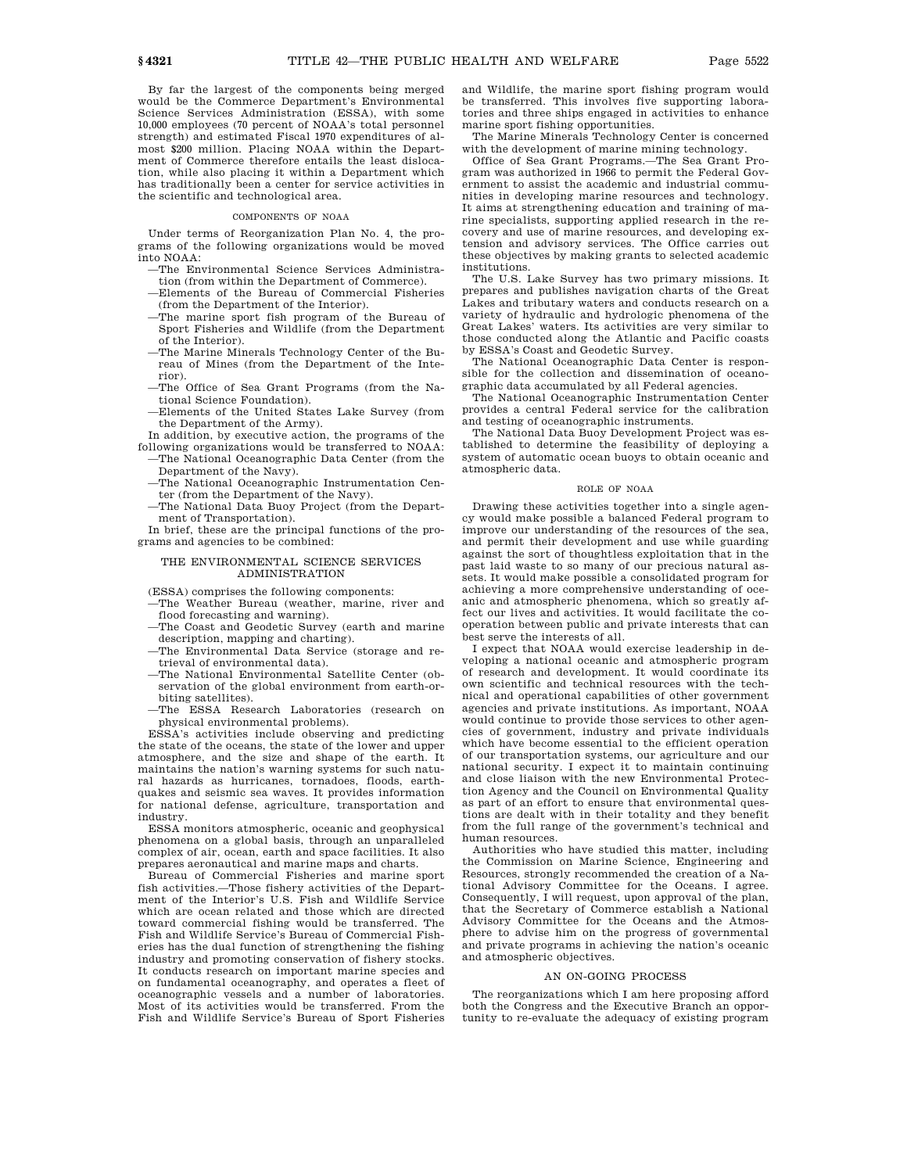By far the largest of the components being merged would be the Commerce Department's Environmental Science Services Administration (ESSA), with some 10,000 employees (70 percent of NOAA's total personnel strength) and estimated Fiscal 1970 expenditures of almost \$200 million. Placing NOAA within the Department of Commerce therefore entails the least dislocation, while also placing it within a Department which has traditionally been a center for service activities in the scientific and technological area.

#### COMPONENTS OF NOAA

Under terms of Reorganization Plan No. 4, the programs of the following organizations would be moved into NOAA:

- —The Environmental Science Services Administration (from within the Department of Commerce).
- —Elements of the Bureau of Commercial Fisheries (from the Department of the Interior).
- —The marine sport fish program of the Bureau of Sport Fisheries and Wildlife (from the Department of the Interior).
- —The Marine Minerals Technology Center of the Bureau of Mines (from the Department of the Interior).
- —The Office of Sea Grant Programs (from the National Science Foundation).
- —Elements of the United States Lake Survey (from the Department of the Army).
- In addition, by executive action, the programs of the following organizations would be transferred to NOAA:
- —The National Oceanographic Data Center (from the
- Department of the Navy). —The National Oceanographic Instrumentation Cen-
- ter (from the Department of the Navy). —The National Data Buoy Project (from the Depart-
- ment of Transportation).

In brief, these are the principal functions of the programs and agencies to be combined:

# THE ENVIRONMENTAL SCIENCE SERVICES ADMINISTRATION

(ESSA) comprises the following components:

- —The Weather Bureau (weather, marine, river and
- flood forecasting and warning). —The Coast and Geodetic Survey (earth and marine
- description, mapping and charting). —The Environmental Data Service (storage and re-
- trieval of environmental data). —The National Environmental Satellite Center (ob-
- servation of the global environment from earth-orbiting satellites).
- —The ESSA Research Laboratories (research on physical environmental problems).

ESSA's activities include observing and predicting the state of the oceans, the state of the lower and upper atmosphere, and the size and shape of the earth. It maintains the nation's warning systems for such natural hazards as hurricanes, tornadoes, floods, earthquakes and seismic sea waves. It provides information for national defense, agriculture, transportation and industry.

ESSA monitors atmospheric, oceanic and geophysical phenomena on a global basis, through an unparalleled complex of air, ocean, earth and space facilities. It also prepares aeronautical and marine maps and charts.

Bureau of Commercial Fisheries and marine sport fish activities.—Those fishery activities of the Department of the Interior's U.S. Fish and Wildlife Service which are ocean related and those which are directed toward commercial fishing would be transferred. The Fish and Wildlife Service's Bureau of Commercial Fisheries has the dual function of strengthening the fishing industry and promoting conservation of fishery stocks. It conducts research on important marine species and on fundamental oceanography, and operates a fleet of oceanographic vessels and a number of laboratories. Most of its activities would be transferred. From the Fish and Wildlife Service's Bureau of Sport Fisheries and Wildlife, the marine sport fishing program would be transferred. This involves five supporting laboratories and three ships engaged in activities to enhance marine sport fishing opportunities.

The Marine Minerals Technology Center is concerned with the development of marine mining technology.

Office of Sea Grant Programs.—The Sea Grant Program was authorized in 1966 to permit the Federal Government to assist the academic and industrial communities in developing marine resources and technology. It aims at strengthening education and training of marine specialists, supporting applied research in the recovery and use of marine resources, and developing extension and advisory services. The Office carries out these objectives by making grants to selected academic institutions.

The U.S. Lake Survey has two primary missions. It prepares and publishes navigation charts of the Great Lakes and tributary waters and conducts research on a variety of hydraulic and hydrologic phenomena of the Great Lakes' waters. Its activities are very similar to those conducted along the Atlantic and Pacific coasts by ESSA's Coast and Geodetic Survey.

The National Oceanographic Data Center is responsible for the collection and dissemination of oceanographic data accumulated by all Federal agencies.

The National Oceanographic Instrumentation Center provides a central Federal service for the calibration and testing of oceanographic instruments.

The National Data Buoy Development Project was established to determine the feasibility of deploying a system of automatic ocean buoys to obtain oceanic and atmospheric data.

#### ROLE OF NOAA

Drawing these activities together into a single agency would make possible a balanced Federal program to improve our understanding of the resources of the sea, and permit their development and use while guarding against the sort of thoughtless exploitation that in the past laid waste to so many of our precious natural assets. It would make possible a consolidated program for achieving a more comprehensive understanding of oceanic and atmospheric phenomena, which so greatly affect our lives and activities. It would facilitate the cooperation between public and private interests that can best serve the interests of all.

I expect that NOAA would exercise leadership in developing a national oceanic and atmospheric program of research and development. It would coordinate its own scientific and technical resources with the technical and operational capabilities of other government agencies and private institutions. As important, NOAA would continue to provide those services to other agencies of government, industry and private individuals which have become essential to the efficient operation of our transportation systems, our agriculture and our national security. I expect it to maintain continuing and close liaison with the new Environmental Protection Agency and the Council on Environmental Quality as part of an effort to ensure that environmental questions are dealt with in their totality and they benefit from the full range of the government's technical and human resources.

Authorities who have studied this matter, including the Commission on Marine Science, Engineering and Resources, strongly recommended the creation of a National Advisory Committee for the Oceans. I agree. Consequently, I will request, upon approval of the plan, that the Secretary of Commerce establish a National Advisory Committee for the Oceans and the Atmosphere to advise him on the progress of governmental and private programs in achieving the nation's oceanic and atmospheric objectives.

### AN ON-GOING PROCESS

The reorganizations which I am here proposing afford both the Congress and the Executive Branch an opportunity to re-evaluate the adequacy of existing program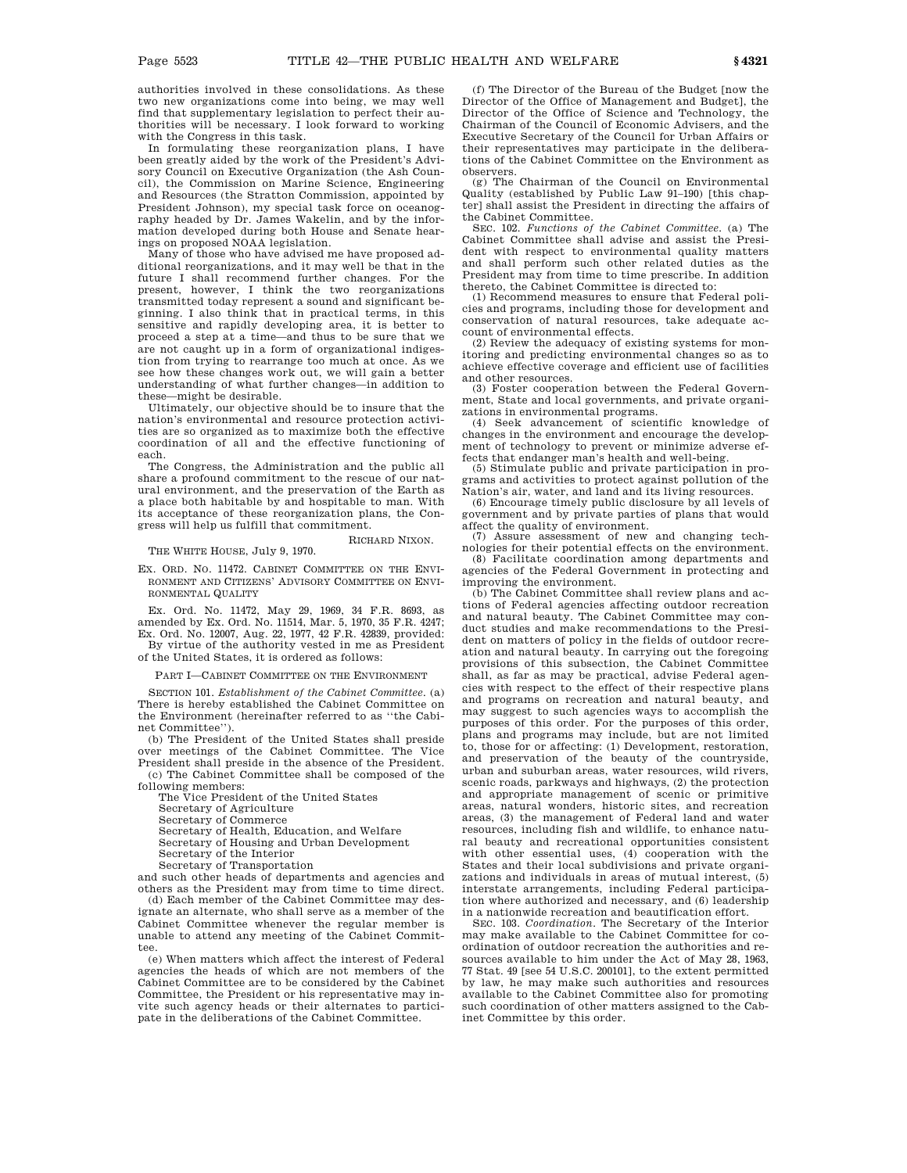authorities involved in these consolidations. As these two new organizations come into being, we may well find that supplementary legislation to perfect their authorities will be necessary. I look forward to working with the Congress in this task.

In formulating these reorganization plans, I have been greatly aided by the work of the President's Advisory Council on Executive Organization (the Ash Council), the Commission on Marine Science, Engineering and Resources (the Stratton Commission, appointed by President Johnson), my special task force on oceanography headed by Dr. James Wakelin, and by the information developed during both House and Senate hearings on proposed NOAA legislation.

Many of those who have advised me have proposed additional reorganizations, and it may well be that in the future I shall recommend further changes. For the present, however, I think the two reorganizations transmitted today represent a sound and significant beginning. I also think that in practical terms, in this sensitive and rapidly developing area, it is better to proceed a step at a time—and thus to be sure that we are not caught up in a form of organizational indigestion from trying to rearrange too much at once. As we see how these changes work out, we will gain a better understanding of what further changes—in addition to these—might be desirable.

Ultimately, our objective should be to insure that the nation's environmental and resource protection activities are so organized as to maximize both the effective coordination of all and the effective functioning of each.

The Congress, the Administration and the public all share a profound commitment to the rescue of our natural environment, and the preservation of the Earth as a place both habitable by and hospitable to man. With its acceptance of these reorganization plans, the Congress will help us fulfill that commitment.

RICHARD NIXON.

THE WHITE HOUSE, July 9, 1970.

EX. ORD. NO. 11472. CABINET COMMITTEE ON THE ENVI-RONMENT AND CITIZENS' ADVISORY COMMITTEE ON ENVI-RONMENTAL QUALITY

Ex. Ord. No. 11472, May 29, 1969, 34 F.R. 8693, as amended by Ex. Ord. No. 11514, Mar. 5, 1970, 35 F.R. 4247; Ex. Ord. No. 12007, Aug. 22, 1977, 42 F.R. 42839, provided:

By virtue of the authority vested in me as President of the United States, it is ordered as follows:

PART I—CABINET COMMITTEE ON THE ENVIRONMENT

SECTION 101. *Establishment of the Cabinet Committee*. (a) There is hereby established the Cabinet Committee on the Environment (hereinafter referred to as ''the Cabinet Committee'').

(b) The President of the United States shall preside over meetings of the Cabinet Committee. The Vice President shall preside in the absence of the President.

(c) The Cabinet Committee shall be composed of the following members:

The Vice President of the United States

Secretary of Agriculture

Secretary of Commerce

Secretary of Health, Education, and Welfare

Secretary of Housing and Urban Development

Secretary of the Interior

Secretary of Transportation

and such other heads of departments and agencies and others as the President may from time to time direct.

(d) Each member of the Cabinet Committee may designate an alternate, who shall serve as a member of the Cabinet Committee whenever the regular member is unable to attend any meeting of the Cabinet Committee.

(e) When matters which affect the interest of Federal agencies the heads of which are not members of the Cabinet Committee are to be considered by the Cabinet Committee, the President or his representative may invite such agency heads or their alternates to participate in the deliberations of the Cabinet Committee.

(f) The Director of the Bureau of the Budget [now the Director of the Office of Management and Budget], the Director of the Office of Science and Technology, the Chairman of the Council of Economic Advisers, and the Executive Secretary of the Council for Urban Affairs or their representatives may participate in the deliberations of the Cabinet Committee on the Environment as observers.

(g) The Chairman of the Council on Environmental Quality (established by Public Law 91–190) [this chapter] shall assist the President in directing the affairs of the Cabinet Committee.

SEC. 102. *Functions of the Cabinet Committee*. (a) The Cabinet Committee shall advise and assist the President with respect to environmental quality matters and shall perform such other related duties as the President may from time to time prescribe. In addition thereto, the Cabinet Committee is directed to:

(1) Recommend measures to ensure that Federal policies and programs, including those for development and conservation of natural resources, take adequate account of environmental effects.

(2) Review the adequacy of existing systems for monitoring and predicting environmental changes so as to achieve effective coverage and efficient use of facilities and other resources.

(3) Foster cooperation between the Federal Government, State and local governments, and private organizations in environmental programs.

(4) Seek advancement of scientific knowledge of changes in the environment and encourage the development of technology to prevent or minimize adverse effects that endanger man's health and well-being.

(5) Stimulate public and private participation in programs and activities to protect against pollution of the Nation's air, water, and land and its living resources.

(6) Encourage timely public disclosure by all levels of government and by private parties of plans that would affect the quality of environment. (7) Assure assessment of new and changing tech-

nologies for their potential effects on the environment. (8) Facilitate coordination among departments and

agencies of the Federal Government in protecting and improving the environment.

(b) The Cabinet Committee shall review plans and actions of Federal agencies affecting outdoor recreation and natural beauty. The Cabinet Committee may conduct studies and make recommendations to the President on matters of policy in the fields of outdoor recreation and natural beauty. In carrying out the foregoing provisions of this subsection, the Cabinet Committee shall, as far as may be practical, advise Federal agencies with respect to the effect of their respective plans and programs on recreation and natural beauty, and may suggest to such agencies ways to accomplish the purposes of this order. For the purposes of this order, plans and programs may include, but are not limited to, those for or affecting: (1) Development, restoration, and preservation of the beauty of the countryside, urban and suburban areas, water resources, wild rivers, scenic roads, parkways and highways, (2) the protection and appropriate management of scenic or primitive areas, natural wonders, historic sites, and recreation areas, (3) the management of Federal land and water resources, including fish and wildlife, to enhance natural beauty and recreational opportunities consistent with other essential uses, (4) cooperation with the States and their local subdivisions and private organizations and individuals in areas of mutual interest, (5) interstate arrangements, including Federal participation where authorized and necessary, and (6) leadership in a nationwide recreation and beautification effort.

SEC. 103. *Coordination*. The Secretary of the Interior may make available to the Cabinet Committee for coordination of outdoor recreation the authorities and resources available to him under the Act of May 28, 1963, 77 Stat. 49 [see 54 U.S.C. 200101], to the extent permitted by law, he may make such authorities and resources available to the Cabinet Committee also for promoting such coordination of other matters assigned to the Cabinet Committee by this order.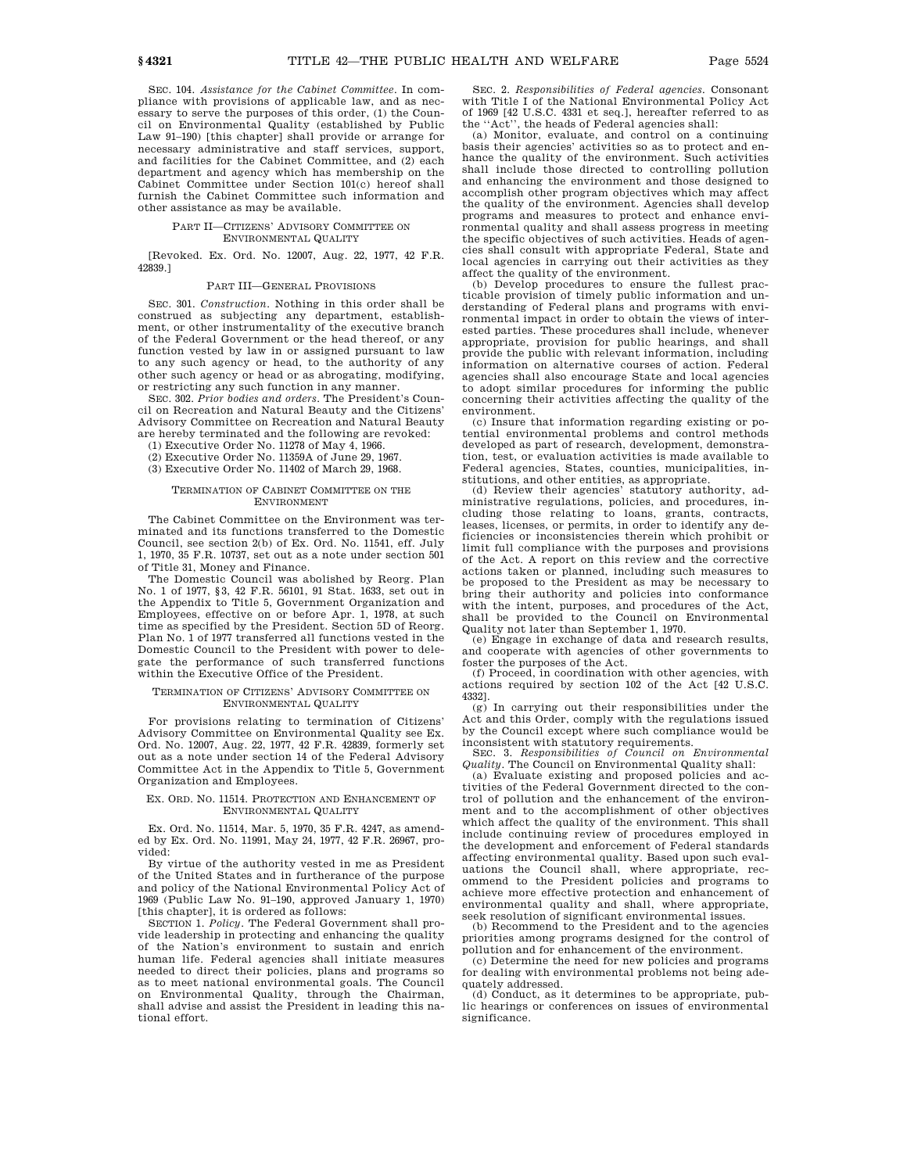SEC. 104. *Assistance for the Cabinet Committee*. In compliance with provisions of applicable law, and as necessary to serve the purposes of this order, (1) the Council on Environmental Quality (established by Public Law 91–190) [this chapter] shall provide or arrange for necessary administrative and staff services, support, and facilities for the Cabinet Committee, and (2) each department and agency which has membership on the Cabinet Committee under Section 101(c) hereof shall furnish the Cabinet Committee such information and other assistance as may be available.

# PART II—CITIZENS' ADVISORY COMMITTEE ON ENVIRONMENTAL QUALITY

[Revoked. Ex. Ord. No. 12007, Aug. 22, 1977, 42 F.R. 42839.]

### PART III—GENERAL PROVISIONS

SEC. 301. *Construction*. Nothing in this order shall be construed as subjecting any department, establishment, or other instrumentality of the executive branch of the Federal Government or the head thereof, or any function vested by law in or assigned pursuant to law to any such agency or head, to the authority of any other such agency or head or as abrogating, modifying, or restricting any such function in any manner.

SEC. 302. *Prior bodies and orders*. The President's Council on Recreation and Natural Beauty and the Citizens' Advisory Committee on Recreation and Natural Beauty are hereby terminated and the following are revoked:

- (1) Executive Order No. 11278 of May 4, 1966.
- (2) Executive Order No. 11359A of June 29, 1967.
- (3) Executive Order No. 11402 of March 29, 1968.

### TERMINATION OF CABINET COMMITTEE ON THE **ENVIRONMENT**

The Cabinet Committee on the Environment was terminated and its functions transferred to the Domestic Council, see section 2(b) of Ex. Ord. No. 11541, eff. July 1, 1970, 35 F.R. 10737, set out as a note under section 501 of Title 31, Money and Finance.

The Domestic Council was abolished by Reorg. Plan No. 1 of 1977, §3, 42 F.R. 56101, 91 Stat. 1633, set out in the Appendix to Title 5, Government Organization and Employees, effective on or before Apr. 1, 1978, at such time as specified by the President. Section 5D of Reorg. Plan No. 1 of 1977 transferred all functions vested in the Domestic Council to the President with power to delegate the performance of such transferred functions within the Executive Office of the President.

### TERMINATION OF CITIZENS' ADVISORY COMMITTEE ON ENVIRONMENTAL QUALITY

For provisions relating to termination of Citizens' Advisory Committee on Environmental Quality see Ex. Ord. No. 12007, Aug. 22, 1977, 42 F.R. 42839, formerly set out as a note under section 14 of the Federal Advisory Committee Act in the Appendix to Title 5, Government Organization and Employees.

#### EX. ORD. NO. 11514. PROTECTION AND ENHANCEMENT OF ENVIRONMENTAL QUALITY

Ex. Ord. No. 11514, Mar. 5, 1970, 35 F.R. 4247, as amended by Ex. Ord. No. 11991, May 24, 1977, 42 F.R. 26967, provided:

By virtue of the authority vested in me as President of the United States and in furtherance of the purpose and policy of the National Environmental Policy Act of 1969 (Public Law No. 91–190, approved January 1, 1970) [this chapter], it is ordered as follows:

SECTION 1. *Policy*. The Federal Government shall provide leadership in protecting and enhancing the quality of the Nation's environment to sustain and enrich human life. Federal agencies shall initiate measures needed to direct their policies, plans and programs so as to meet national environmental goals. The Council on Environmental Quality, through the Chairman, shall advise and assist the President in leading this national effort.

SEC. 2. *Responsibilities of Federal agencies*. Consonant with Title I of the National Environmental Policy Act of 1969 [42 U.S.C. 4331 et seq.], hereafter referred to as the ''Act'', the heads of Federal agencies shall:

(a) Monitor, evaluate, and control on a continuing basis their agencies' activities so as to protect and enhance the quality of the environment. Such activities shall include those directed to controlling pollution and enhancing the environment and those designed to accomplish other program objectives which may affect the quality of the environment. Agencies shall develop programs and measures to protect and enhance environmental quality and shall assess progress in meeting the specific objectives of such activities. Heads of agencies shall consult with appropriate Federal, State and local agencies in carrying out their activities as they affect the quality of the environment.

(b) Develop procedures to ensure the fullest practicable provision of timely public information and understanding of Federal plans and programs with environmental impact in order to obtain the views of interested parties. These procedures shall include, whenever appropriate, provision for public hearings, and shall provide the public with relevant information, including information on alternative courses of action. Federal agencies shall also encourage State and local agencies to adopt similar procedures for informing the public concerning their activities affecting the quality of the environment.

(c) Insure that information regarding existing or potential environmental problems and control methods developed as part of research, development, demonstration, test, or evaluation activities is made available to Federal agencies, States, counties, municipalities, institutions, and other entities, as appropriate. (d) Review their agencies' statutory authority, ad-

ministrative regulations, policies, and procedures, including those relating to loans, grants, contracts, leases, licenses, or permits, in order to identify any deficiencies or inconsistencies therein which prohibit or limit full compliance with the purposes and provisions of the Act. A report on this review and the corrective actions taken or planned, including such measures to be proposed to the President as may be necessary to bring their authority and policies into conformance with the intent, purposes, and procedures of the Act, shall be provided to the Council on Environmental Quality not later than September 1, 1970.

(e) Engage in exchange of data and research results, and cooperate with agencies of other governments to foster the purposes of the Act.

(f) Proceed, in coordination with other agencies, with actions required by section 102 of the Act [42 U.S.C. 4332].

(g) In carrying out their responsibilities under the Act and this Order, comply with the regulations issued by the Council except where such compliance would be inconsistent with statutory requirements.

SEC. 3. *Responsibilities of Council on Environmental Quality*. The Council on Environmental Quality shall:

(a) Evaluate existing and proposed policies and ac-tivities of the Federal Government directed to the control of pollution and the enhancement of the environment and to the accomplishment of other objectives which affect the quality of the environment. This shall include continuing review of procedures employed in the development and enforcement of Federal standards affecting environmental quality. Based upon such evaluations the Council shall, where appropriate, recommend to the President policies and programs to achieve more effective protection and enhancement of environmental quality and shall, where appropriate, seek resolution of significant environmental issues.

(b) Recommend to the President and to the agencies priorities among programs designed for the control of pollution and for enhancement of the environment.

(c) Determine the need for new policies and programs for dealing with environmental problems not being adequately addressed.

(d) Conduct, as it determines to be appropriate, public hearings or conferences on issues of environmental significance.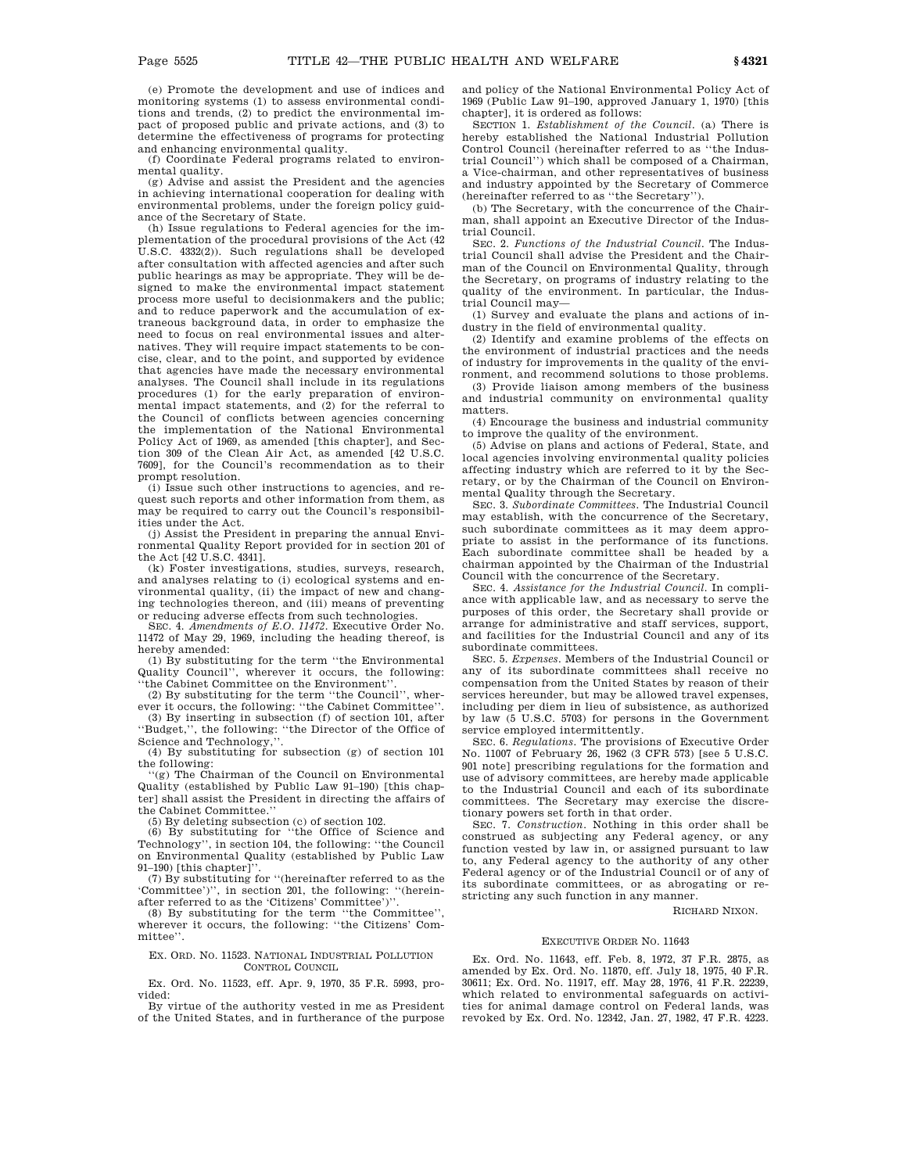(e) Promote the development and use of indices and monitoring systems (1) to assess environmental conditions and trends, (2) to predict the environmental impact of proposed public and private actions, and (3) to determine the effectiveness of programs for protecting and enhancing environmental quality.

(f) Coordinate Federal programs related to environmental quality.

(g) Advise and assist the President and the agencies in achieving international cooperation for dealing with environmental problems, under the foreign policy guidance of the Secretary of State.

(h) Issue regulations to Federal agencies for the implementation of the procedural provisions of the Act (42 U.S.C. 4332(2)). Such regulations shall be developed after consultation with affected agencies and after such public hearings as may be appropriate. They will be designed to make the environmental impact statement process more useful to decisionmakers and the public; and to reduce paperwork and the accumulation of extraneous background data, in order to emphasize the need to focus on real environmental issues and alternatives. They will require impact statements to be concise, clear, and to the point, and supported by evidence that agencies have made the necessary environmental analyses. The Council shall include in its regulations procedures (1) for the early preparation of environmental impact statements, and (2) for the referral to the Council of conflicts between agencies concerning the implementation of the National Environmental Policy Act of 1969, as amended [this chapter], and Section 309 of the Clean Air Act, as amended [42 U.S.C. 7609], for the Council's recommendation as to their prompt resolution.

(i) Issue such other instructions to agencies, and request such reports and other information from them, as may be required to carry out the Council's responsibilities under the Act.

(j) Assist the President in preparing the annual Environmental Quality Report provided for in section 201 of the Act [42 U.S.C. 4341].

(k) Foster investigations, studies, surveys, research, and analyses relating to (i) ecological systems and environmental quality, (ii) the impact of new and changing technologies thereon, and (iii) means of preventing

or reducing adverse effects from such technologies. SEC. 4. *Amendments of E.O. 11472*. Executive Order No. 11472 of May 29, 1969, including the heading thereof, is hereby amended:

(1) By substituting for the term ''the Environmental Quality Council'', wherever it occurs, the following: ''the Cabinet Committee on the Environment''.

(2) By substituting for the term ''the Council'', wherever it occurs, the following: ''the Cabinet Committee''.

(3) By inserting in subsection (f) of section 101, after ''Budget,'', the following: ''the Director of the Office of Science and Technology,'

(4) By substituting for subsection (g) of section 101 the following:

(g) The Chairman of the Council on Environmental Quality (established by Public Law 91–190) [this chapter] shall assist the President in directing the affairs of the Cabinet Committee.''

(5) By deleting subsection (c) of section 102.

(6) By substituting for ''the Office of Science and Technology'', in section 104, the following: ''the Council on Environmental Quality (established by Public Law 91-190) [this chapter]'

(7) By substituting for ''(hereinafter referred to as the 'Committee')'', in section 201, the following: ''(herein-

after referred to as the 'Citizens' Committee')''. (8) By substituting for the term ''the Committee'', wherever it occurs, the following: "the Citizens' Committee''.

#### EX. ORD. NO. 11523. NATIONAL INDUSTRIAL POLLUTION CONTROL COUNCIL

Ex. Ord. No. 11523, eff. Apr. 9, 1970, 35 F.R. 5993, provided:

By virtue of the authority vested in me as President of the United States, and in furtherance of the purpose

and policy of the National Environmental Policy Act of 1969 (Public Law 91–190, approved January 1, 1970) [this chapter], it is ordered as follows:

SECTION 1. *Establishment of the Council*. (a) There is hereby established the National Industrial Pollution Control Council (hereinafter referred to as ''the Industrial Council'') which shall be composed of a Chairman, a Vice-chairman, and other representatives of business and industry appointed by the Secretary of Commerce (hereinafter referred to as ''the Secretary'').

(b) The Secretary, with the concurrence of the Chairman, shall appoint an Executive Director of the Industrial Council.

SEC. 2. *Functions of the Industrial Council*. The Industrial Council shall advise the President and the Chairman of the Council on Environmental Quality, through the Secretary, on programs of industry relating to the quality of the environment. In particular, the Industrial Council may—

(1) Survey and evaluate the plans and actions of industry in the field of environmental quality.

(2) Identify and examine problems of the effects on the environment of industrial practices and the needs of industry for improvements in the quality of the environment, and recommend solutions to those problems.

(3) Provide liaison among members of the business and industrial community on environmental quality matters.

(4) Encourage the business and industrial community to improve the quality of the environment.

(5) Advise on plans and actions of Federal, State, and local agencies involving environmental quality policies affecting industry which are referred to it by the Secretary, or by the Chairman of the Council on Environmental Quality through the Secretary.

SEC. 3. *Subordinate Committees*. The Industrial Council may establish, with the concurrence of the Secretary, such subordinate committees as it may deem appropriate to assist in the performance of its functions. Each subordinate committee shall be headed by a chairman appointed by the Chairman of the Industrial Council with the concurrence of the Secretary.

SEC. 4. *Assistance for the Industrial Council*. In compliance with applicable law, and as necessary to serve the purposes of this order, the Secretary shall provide or arrange for administrative and staff services, support, and facilities for the Industrial Council and any of its subordinate committees.

SEC. 5. *Expenses*. Members of the Industrial Council or any of its subordinate committees shall receive no compensation from the United States by reason of their services hereunder, but may be allowed travel expenses, including per diem in lieu of subsistence, as authorized by law (5 U.S.C. 5703) for persons in the Government service employed intermittently.

SEC. 6. *Regulations*. The provisions of Executive Order No. 11007 of February 26, 1962 (3 CFR 573) [see 5 U.S.C. 901 note] prescribing regulations for the formation and use of advisory committees, are hereby made applicable to the Industrial Council and each of its subordinate committees. The Secretary may exercise the discretionary powers set forth in that order.

SEC. 7. *Construction*. Nothing in this order shall be construed as subjecting any Federal agency, or any function vested by law in, or assigned pursuant to law to, any Federal agency to the authority of any other Federal agency or of the Industrial Council or of any of its subordinate committees, or as abrogating or restricting any such function in any manner.

RICHARD NIXON.

#### EXECUTIVE ORDER NO. 11643

Ex. Ord. No. 11643, eff. Feb. 8, 1972, 37 F.R. 2875, as amended by Ex. Ord. No. 11870, eff. July 18, 1975, 40 F.R. 30611; Ex. Ord. No. 11917, eff. May 28, 1976, 41 F.R. 22239, which related to environmental safeguards on activi-ties for animal damage control on Federal lands, was revoked by Ex. Ord. No. 12342, Jan. 27, 1982, 47 F.R. 4223.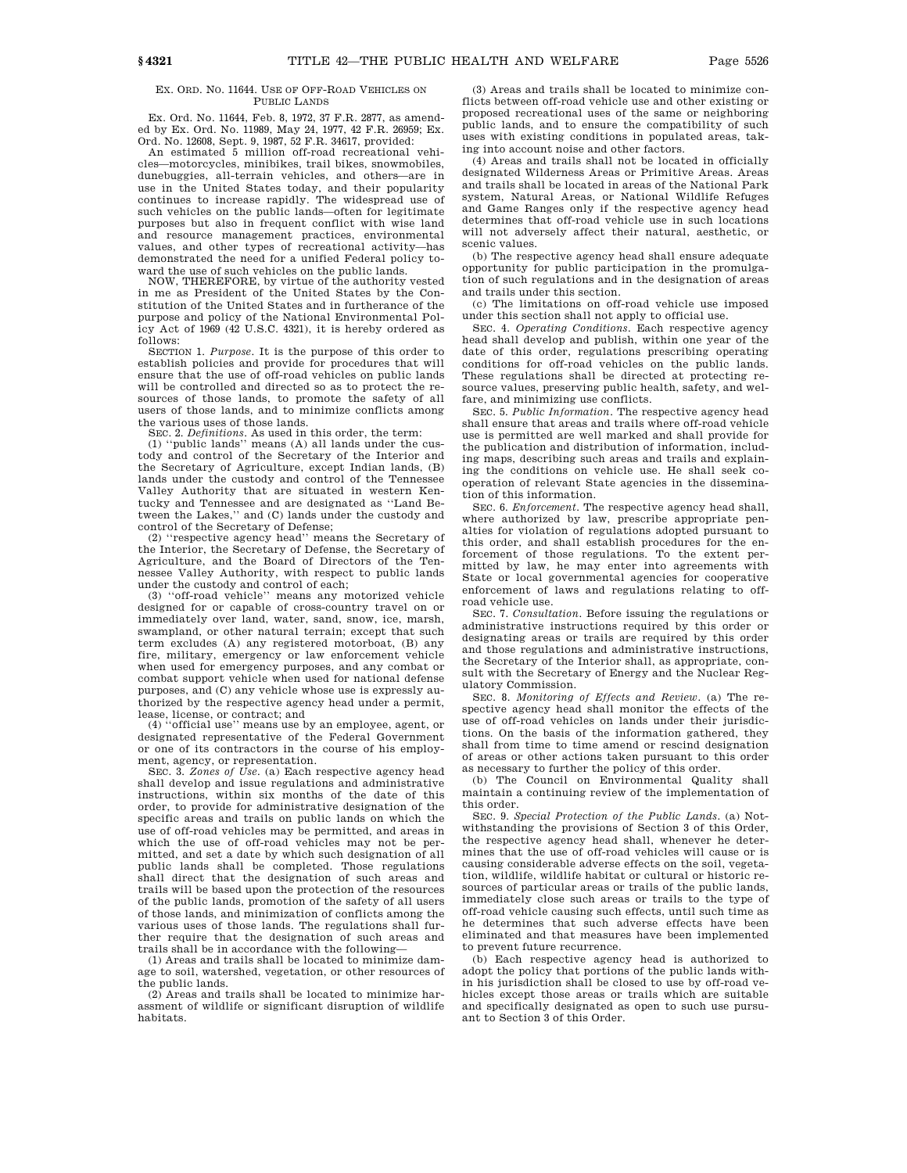# EX. ORD. NO. 11644. USE OF OFF-ROAD VEHICLES ON PUBLIC LANDS

Ex. Ord. No. 11644, Feb. 8, 1972, 37 F.R. 2877, as amended by Ex. Ord. No. 11989, May 24, 1977, 42 F.R. 26959; Ex. Ord. No. 12608, Sept. 9, 1987, 52 F.R. 34617, provided:

An estimated 5 million off-road recreational vehicles—motorcycles, minibikes, trail bikes, snowmobiles, dunebuggies, all-terrain vehicles, and others—are in use in the United States today, and their popularity continues to increase rapidly. The widespread use of such vehicles on the public lands—often for legitimate purposes but also in frequent conflict with wise land and resource management practices, environmental values, and other types of recreational activity—has demonstrated the need for a unified Federal policy toward the use of such vehicles on the public lands.

NOW, THEREFORE, by virtue of the authority vested in me as President of the United States by the Constitution of the United States and in furtherance of the purpose and policy of the National Environmental Policy Act of 1969 (42 U.S.C. 4321), it is hereby ordered as follows:

SECTION 1. *Purpose*. It is the purpose of this order to establish policies and provide for procedures that will ensure that the use of off-road vehicles on public lands will be controlled and directed so as to protect the resources of those lands, to promote the safety of all users of those lands, and to minimize conflicts among the various uses of those lands.

SEC. 2. *Definitions*. As used in this order, the term:<br>(1) "public lands" means (A) all lands under the cus-

tody and control of the Secretary of the Interior and the Secretary of Agriculture, except Indian lands, (B) lands under the custody and control of the Tennessee Valley Authority that are situated in western Kentucky and Tennessee and are designated as ''Land Between the Lakes,'' and (C) lands under the custody and

control of the Secretary of Defense; (2) ''respective agency head'' means the Secretary of the Interior, the Secretary of Defense, the Secretary of Agriculture, and the Board of Directors of the Tennessee Valley Authority, with respect to public lands under the custody and control of each;

(3) ''off-road vehicle'' means any motorized vehicle designed for or capable of cross-country travel on or immediately over land, water, sand, snow, ice, marsh, swampland, or other natural terrain; except that such term excludes (A) any registered motorboat, (B) any fire, military, emergency or law enforcement vehicle when used for emergency purposes, and any combat or combat support vehicle when used for national defense purposes, and (C) any vehicle whose use is expressly authorized by the respective agency head under a permit,

lease, license, or contract; and (4) ''official use'' means use by an employee, agent, or designated representative of the Federal Government or one of its contractors in the course of his employment, agency, or representation.

SEC. 3. *Zones of Use*. (a) Each respective agency head shall develop and issue regulations and administrative instructions, within six months of the date of this order, to provide for administrative designation of the specific areas and trails on public lands on which the use of off-road vehicles may be permitted, and areas in which the use of off-road vehicles may not be permitted, and set a date by which such designation of all public lands shall be completed. Those regulations shall direct that the designation of such areas and trails will be based upon the protection of the resources of the public lands, promotion of the safety of all users of those lands, and minimization of conflicts among the various uses of those lands. The regulations shall further require that the designation of such areas and trails shall be in accordance with the following—

(1) Areas and trails shall be located to minimize damage to soil, watershed, vegetation, or other resources of the public lands.

(2) Areas and trails shall be located to minimize harassment of wildlife or significant disruption of wildlife habitats.

(3) Areas and trails shall be located to minimize conflicts between off-road vehicle use and other existing or proposed recreational uses of the same or neighboring public lands, and to ensure the compatibility of such uses with existing conditions in populated areas, taking into account noise and other factors.

(4) Areas and trails shall not be located in officially designated Wilderness Areas or Primitive Areas. Areas and trails shall be located in areas of the National Park system, Natural Areas, or National Wildlife Refuges and Game Ranges only if the respective agency head determines that off-road vehicle use in such locations will not adversely affect their natural, aesthetic, or scenic values.

(b) The respective agency head shall ensure adequate opportunity for public participation in the promulgation of such regulations and in the designation of areas and trails under this section.

(c) The limitations on off-road vehicle use imposed under this section shall not apply to official use.

SEC. 4. *Operating Conditions*. Each respective agency head shall develop and publish, within one year of the date of this order, regulations prescribing operating conditions for off-road vehicles on the public lands. These regulations shall be directed at protecting resource values, preserving public health, safety, and welfare, and minimizing use conflicts.

SEC. 5. *Public Information*. The respective agency head shall ensure that areas and trails where off-road vehicle use is permitted are well marked and shall provide for the publication and distribution of information, including maps, describing such areas and trails and explaining the conditions on vehicle use. He shall seek cooperation of relevant State agencies in the dissemination of this information.

SEC. 6. *Enforcement*. The respective agency head shall, where authorized by law, prescribe appropriate penalties for violation of regulations adopted pursuant to this order, and shall establish procedures for the enforcement of those regulations. To the extent permitted by law, he may enter into agreements with State or local governmental agencies for cooperative enforcement of laws and regulations relating to offroad vehicle use.

SEC. 7. *Consultation*. Before issuing the regulations or administrative instructions required by this order or designating areas or trails are required by this order and those regulations and administrative instructions, the Secretary of the Interior shall, as appropriate, consult with the Secretary of Energy and the Nuclear Regulatory Commission.

SEC. 8. *Monitoring of Effects and Review*. (a) The respective agency head shall monitor the effects of the use of off-road vehicles on lands under their jurisdictions. On the basis of the information gathered, they shall from time to time amend or rescind designation of areas or other actions taken pursuant to this order as necessary to further the policy of this order.

(b) The Council on Environmental Quality shall maintain a continuing review of the implementation of this order.

SEC. 9. *Special Protection of the Public Lands*. (a) Notwithstanding the provisions of Section 3 of this Order, the respective agency head shall, whenever he determines that the use of off-road vehicles will cause or is causing considerable adverse effects on the soil, vegetation, wildlife, wildlife habitat or cultural or historic resources of particular areas or trails of the public lands, immediately close such areas or trails to the type of off-road vehicle causing such effects, until such time as he determines that such adverse effects have been eliminated and that measures have been implemented to prevent future recurrence.

(b) Each respective agency head is authorized to adopt the policy that portions of the public lands within his jurisdiction shall be closed to use by off-road vehicles except those areas or trails which are suitable and specifically designated as open to such use pursuant to Section 3 of this Order.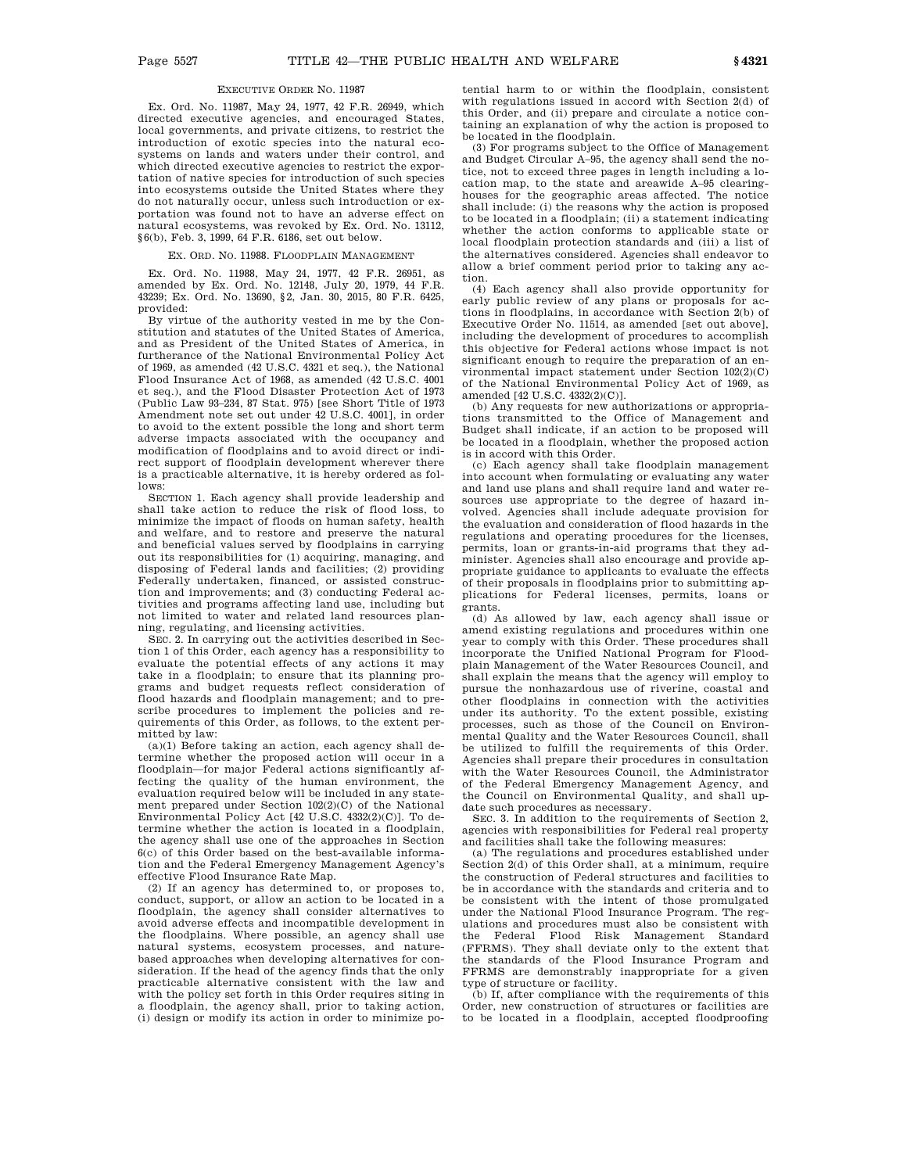# EXECUTIVE ORDER NO. 11987

Ex. Ord. No. 11987, May 24, 1977, 42 F.R. 26949, which directed executive agencies, and encouraged States, local governments, and private citizens, to restrict the introduction of exotic species into the natural ecosystems on lands and waters under their control, and which directed executive agencies to restrict the exportation of native species for introduction of such species into ecosystems outside the United States where they do not naturally occur, unless such introduction or exportation was found not to have an adverse effect on natural ecosystems, was revoked by Ex. Ord. No. 13112, §6(b), Feb. 3, 1999, 64 F.R. 6186, set out below.

#### EX. ORD. NO. 11988. FLOODPLAIN MANAGEMENT

Ex. Ord. No. 11988, May 24, 1977, 42 F.R. 26951, as amended by Ex. Ord. No. 12148, July 20, 1979, 44 F.R. 43239; Ex. Ord. No. 13690, §2, Jan. 30, 2015, 80 F.R. 6425, provided:

By virtue of the authority vested in me by the Constitution and statutes of the United States of America, and as President of the United States of America, in furtherance of the National Environmental Policy Act of 1969, as amended (42 U.S.C. 4321 et seq.), the National Flood Insurance Act of 1968, as amended (42 U.S.C. 4001 et seq.), and the Flood Disaster Protection Act of 1973 (Public Law 93–234, 87 Stat. 975) [see Short Title of 1973 Amendment note set out under 42 U.S.C. 4001], in order to avoid to the extent possible the long and short term adverse impacts associated with the occupancy and modification of floodplains and to avoid direct or indirect support of floodplain development wherever there is a practicable alternative, it is hereby ordered as follows:

SECTION 1. Each agency shall provide leadership and shall take action to reduce the risk of flood loss, to minimize the impact of floods on human safety, health and welfare, and to restore and preserve the natural and beneficial values served by floodplains in carrying out its responsibilities for (1) acquiring, managing, and disposing of Federal lands and facilities; (2) providing Federally undertaken, financed, or assisted construction and improvements; and (3) conducting Federal activities and programs affecting land use, including but not limited to water and related land resources planning, regulating, and licensing activities.

SEC. 2. In carrying out the activities described in Section 1 of this Order, each agency has a responsibility to evaluate the potential effects of any actions it may take in a floodplain; to ensure that its planning programs and budget requests reflect consideration of flood hazards and floodplain management; and to prescribe procedures to implement the policies and requirements of this Order, as follows, to the extent permitted by law:

(a)(1) Before taking an action, each agency shall determine whether the proposed action will occur in a floodplain—for major Federal actions significantly affecting the quality of the human environment, the evaluation required below will be included in any statement prepared under Section 102(2)(C) of the National Environmental Policy Act [42 U.S.C. 4332(2)(C)]. To determine whether the action is located in a floodplain, the agency shall use one of the approaches in Section 6(c) of this Order based on the best-available information and the Federal Emergency Management Agency's effective Flood Insurance Rate Map.

(2) If an agency has determined to, or proposes to, conduct, support, or allow an action to be located in a floodplain, the agency shall consider alternatives to avoid adverse effects and incompatible development in the floodplains. Where possible, an agency shall use natural systems, ecosystem processes, and naturebased approaches when developing alternatives for consideration. If the head of the agency finds that the only practicable alternative consistent with the law and with the policy set forth in this Order requires siting in a floodplain, the agency shall, prior to taking action, (i) design or modify its action in order to minimize potential harm to or within the floodplain, consistent with regulations issued in accord with Section 2(d) of this Order, and (ii) prepare and circulate a notice containing an explanation of why the action is proposed to be located in the floodplain.

(3) For programs subject to the Office of Management and Budget Circular A–95, the agency shall send the notice, not to exceed three pages in length including a location map, to the state and areawide A–95 clearinghouses for the geographic areas affected. The notice shall include: (i) the reasons why the action is proposed to be located in a floodplain; (ii) a statement indicating whether the action conforms to applicable state or local floodplain protection standards and (iii) a list of the alternatives considered. Agencies shall endeavor to allow a brief comment period prior to taking any action.

(4) Each agency shall also provide opportunity for early public review of any plans or proposals for actions in floodplains, in accordance with Section 2(b) of Executive Order No. 11514, as amended [set out above], including the development of procedures to accomplish this objective for Federal actions whose impact is not significant enough to require the preparation of an environmental impact statement under Section 102(2)(C) of the National Environmental Policy Act of 1969, as amended [42 U.S.C. 4332(2)(C)].

(b) Any requests for new authorizations or appropriations transmitted to the Office of Management and Budget shall indicate, if an action to be proposed will be located in a floodplain, whether the proposed action is in accord with this Order.

(c) Each agency shall take floodplain management into account when formulating or evaluating any water and land use plans and shall require land and water resources use appropriate to the degree of hazard involved. Agencies shall include adequate provision for the evaluation and consideration of flood hazards in the regulations and operating procedures for the licenses, permits, loan or grants-in-aid programs that they administer. Agencies shall also encourage and provide appropriate guidance to applicants to evaluate the effects of their proposals in floodplains prior to submitting applications for Federal licenses, permits, loans or grants.

(d) As allowed by law, each agency shall issue or amend existing regulations and procedures within one year to comply with this Order. These procedures shall incorporate the Unified National Program for Floodplain Management of the Water Resources Council, and shall explain the means that the agency will employ to pursue the nonhazardous use of riverine, coastal and other floodplains in connection with the activities under its authority. To the extent possible, existing processes, such as those of the Council on Environmental Quality and the Water Resources Council, shall be utilized to fulfill the requirements of this Order. Agencies shall prepare their procedures in consultation with the Water Resources Council, the Administrator of the Federal Emergency Management Agency, and the Council on Environmental Quality, and shall up-

date such procedures as necessary. SEC. 3. In addition to the requirements of Section 2, agencies with responsibilities for Federal real property and facilities shall take the following measures:

(a) The regulations and procedures established under Section 2(d) of this Order shall, at a minimum, require the construction of Federal structures and facilities to be in accordance with the standards and criteria and to be consistent with the intent of those promulgated under the National Flood Insurance Program. The regulations and procedures must also be consistent with the Federal Flood Risk Management Standard (FFRMS). They shall deviate only to the extent that the standards of the Flood Insurance Program and FFRMS are demonstrably inappropriate for a given type of structure or facility.

(b) If, after compliance with the requirements of this Order, new construction of structures or facilities are to be located in a floodplain, accepted floodproofing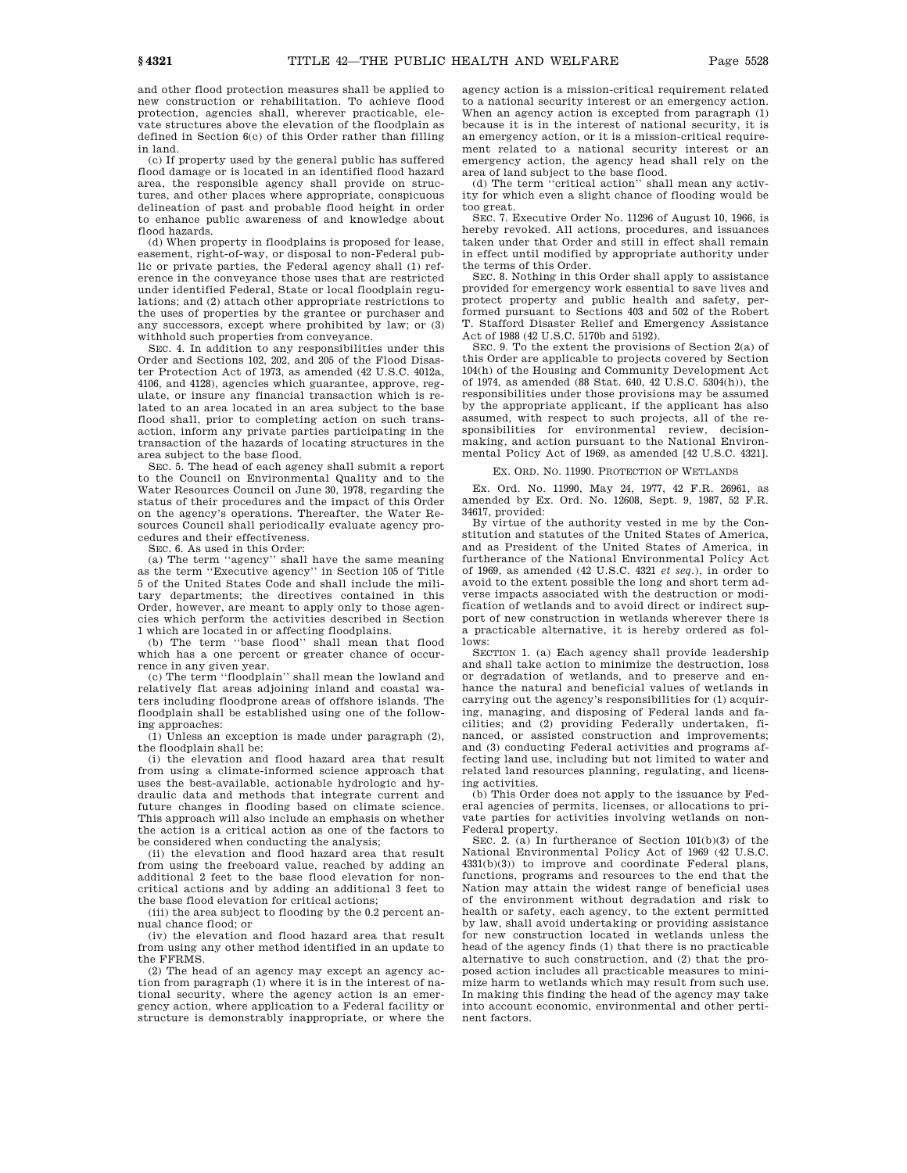and other flood protection measures shall be applied to new construction or rehabilitation. To achieve flood protection, agencies shall, wherever practicable, elevate structures above the elevation of the floodplain as defined in Section 6(c) of this Order rather than filling in land.

(c) If property used by the general public has suffered flood damage or is located in an identified flood hazard area, the responsible agency shall provide on structures, and other places where appropriate, conspicuous delineation of past and probable flood height in order to enhance public awareness of and knowledge about flood hazards.

(d) When property in floodplains is proposed for lease, easement, right-of-way, or disposal to non-Federal public or private parties, the Federal agency shall (1) reference in the conveyance those uses that are restricted under identified Federal, State or local floodplain regulations; and (2) attach other appropriate restrictions to the uses of properties by the grantee or purchaser and any successors, except where prohibited by law; or (3) withhold such properties from conveyance.

SEC. 4. In addition to any responsibilities under this Order and Sections 102, 202, and 205 of the Flood Disaster Protection Act of 1973, as amended (42 U.S.C. 4012a, 4106, and 4128), agencies which guarantee, approve, regulate, or insure any financial transaction which is related to an area located in an area subject to the base flood shall, prior to completing action on such transaction, inform any private parties participating in the transaction of the hazards of locating structures in the area subject to the base flood.

SEC. 5. The head of each agency shall submit a report to the Council on Environmental Quality and to the Water Resources Council on June 30, 1978, regarding the status of their procedures and the impact of this Order on the agency's operations. Thereafter, the Water Resources Council shall periodically evaluate agency procedures and their effectiveness.

SEC. 6. As used in this Order:

(a) The term ''agency'' shall have the same meaning as the term ''Executive agency'' in Section 105 of Title 5 of the United States Code and shall include the military departments; the directives contained in this Order, however, are meant to apply only to those agencies which perform the activities described in Section 1 which are located in or affecting floodplains.

(b) The term ''base flood'' shall mean that flood which has a one percent or greater chance of occurrence in any given year.

(c) The term ''floodplain'' shall mean the lowland and relatively flat areas adjoining inland and coastal waters including floodprone areas of offshore islands. The floodplain shall be established using one of the following approaches:

(1) Unless an exception is made under paragraph (2), the floodplain shall be:

(i) the elevation and flood hazard area that result from using a climate-informed science approach that uses the best-available, actionable hydrologic and hydraulic data and methods that integrate current and future changes in flooding based on climate science. This approach will also include an emphasis on whether the action is a critical action as one of the factors to be considered when conducting the analysis;

(ii) the elevation and flood hazard area that result from using the freeboard value, reached by adding an additional 2 feet to the base flood elevation for noncritical actions and by adding an additional 3 feet to the base flood elevation for critical actions;

(iii) the area subject to flooding by the 0.2 percent annual chance flood; or

(iv) the elevation and flood hazard area that result from using any other method identified in an update to the FFRMS.

(2) The head of an agency may except an agency action from paragraph (1) where it is in the interest of national security, where the agency action is an emergency action, where application to a Federal facility or structure is demonstrably inappropriate, or where the

agency action is a mission-critical requirement related to a national security interest or an emergency action. When an agency action is excepted from paragraph (1) because it is in the interest of national security, it is an emergency action, or it is a mission-critical requirement related to a national security interest or an emergency action, the agency head shall rely on the area of land subject to the base flood.

(d) The term ''critical action'' shall mean any activity for which even a slight chance of flooding would be too great.

SEC. 7. Executive Order No. 11296 of August 10, 1966, is hereby revoked. All actions, procedures, and issuances taken under that Order and still in effect shall remain in effect until modified by appropriate authority under the terms of this Order.

SEC. 8. Nothing in this Order shall apply to assistance provided for emergency work essential to save lives and protect property and public health and safety, performed pursuant to Sections 403 and 502 of the Robert T. Stafford Disaster Relief and Emergency Assistance Act of 1988 (42 U.S.C. 5170b and 5192).

SEC. 9. To the extent the provisions of Section 2(a) of this Order are applicable to projects covered by Section 104(h) of the Housing and Community Development Act of 1974, as amended (88 Stat. 640, 42 U.S.C. 5304(h)), the responsibilities under those provisions may be assumed by the appropriate applicant, if the applicant has also assumed, with respect to such projects, all of the responsibilities for environmental review, decisionmaking, and action pursuant to the National Environmental Policy Act of 1969, as amended [42 U.S.C. 4321].

### EX. ORD. NO. 11990. PROTECTION OF WETLANDS

Ex. Ord. No. 11990, May 24, 1977, 42 F.R. 26961, as amended by Ex. Ord. No. 12608, Sept. 9, 1987, 52 F.R. 34617, provided:

By virtue of the authority vested in me by the Constitution and statutes of the United States of America, and as President of the United States of America, in furtherance of the National Environmental Policy Act of 1969, as amended (42 U.S.C. 4321 *et seq*.), in order to avoid to the extent possible the long and short term adverse impacts associated with the destruction or modification of wetlands and to avoid direct or indirect support of new construction in wetlands wherever there is a practicable alternative, it is hereby ordered as follows:

SECTION 1. (a) Each agency shall provide leadership and shall take action to minimize the destruction, loss or degradation of wetlands, and to preserve and enhance the natural and beneficial values of wetlands in carrying out the agency's responsibilities for (1) acquiring, managing, and disposing of Federal lands and facilities; and (2) providing Federally undertaken, financed, or assisted construction and improvements; and (3) conducting Federal activities and programs affecting land use, including but not limited to water and related land resources planning, regulating, and licensing activities.

(b) This Order does not apply to the issuance by Federal agencies of permits, licenses, or allocations to private parties for activities involving wetlands on non-Federal property.

SEC. 2. (a) In furtherance of Section 101(b)(3) of the National Environmental Policy Act of 1969 (42 U.S.C. 4331(b)(3)) to improve and coordinate Federal plans, functions, programs and resources to the end that the Nation may attain the widest range of beneficial uses of the environment without degradation and risk to health or safety, each agency, to the extent permitted by law, shall avoid undertaking or providing assistance for new construction located in wetlands unless the head of the agency finds (1) that there is no practicable alternative to such construction, and (2) that the proposed action includes all practicable measures to minimize harm to wetlands which may result from such use. In making this finding the head of the agency may take into account economic, environmental and other pertinent factors.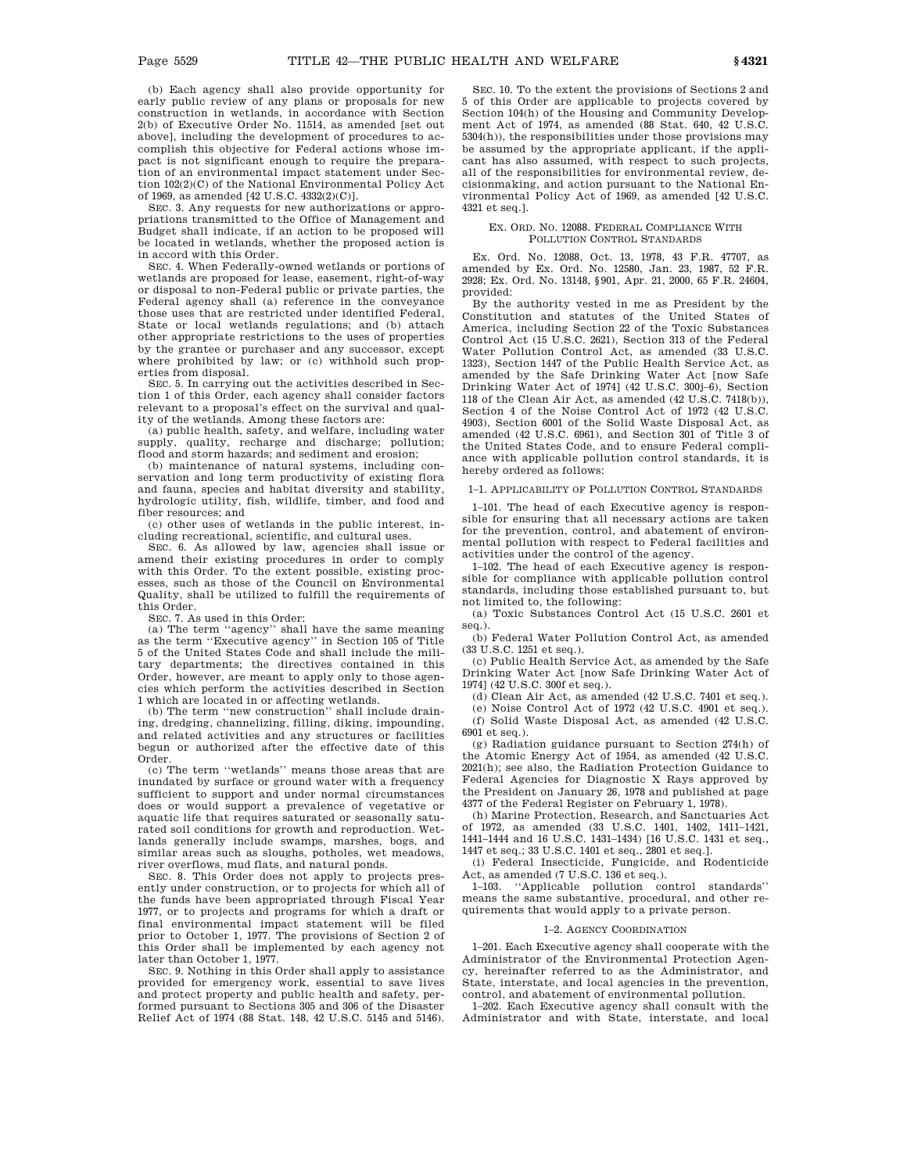(b) Each agency shall also provide opportunity for early public review of any plans or proposals for new construction in wetlands, in accordance with Section 2(b) of Executive Order No. 11514, as amended [set out above], including the development of procedures to accomplish this objective for Federal actions whose impact is not significant enough to require the preparation of an environmental impact statement under Section 102(2)(C) of the National Environmental Policy Act of 1969, as amended [42 U.S.C. 4332(2)(C)].

SEC. 3. Any requests for new authorizations or appropriations transmitted to the Office of Management and Budget shall indicate, if an action to be proposed will be located in wetlands, whether the proposed action is in accord with this Order.

SEC. 4. When Federally-owned wetlands or portions of wetlands are proposed for lease, easement, right-of-way or disposal to non-Federal public or private parties, the Federal agency shall (a) reference in the conveyance those uses that are restricted under identified Federal, State or local wetlands regulations; and (b) attach other appropriate restrictions to the uses of properties by the grantee or purchaser and any successor, except where prohibited by law; or (c) withhold such properties from disposal.

SEC. 5. In carrying out the activities described in Section 1 of this Order, each agency shall consider factors relevant to a proposal's effect on the survival and quality of the wetlands. Among these factors are:

(a) public health, safety, and welfare, including water supply, quality, recharge and discharge; pollution; flood and storm hazards; and sediment and erosion;

(b) maintenance of natural systems, including conservation and long term productivity of existing flora and fauna, species and habitat diversity and stability, hydrologic utility, fish, wildlife, timber, and food and fiber resources; and

(c) other uses of wetlands in the public interest, including recreational, scientific, and cultural uses.

SEC. 6. As allowed by law, agencies shall issue or amend their existing procedures in order to comply with this Order. To the extent possible, existing processes, such as those of the Council on Environmental Quality, shall be utilized to fulfill the requirements of this Order.

SEC. 7. As used in this Order:

(a) The term ''agency'' shall have the same meaning as the term ''Executive agency'' in Section 105 of Title 5 of the United States Code and shall include the military departments; the directives contained in this Order, however, are meant to apply only to those agencies which perform the activities described in Section 1 which are located in or affecting wetlands.

(b) The term ''new construction'' shall include draining, dredging, channelizing, filling, diking, impounding, and related activities and any structures or facilities begun or authorized after the effective date of this Order.

(c) The term ''wetlands'' means those areas that are inundated by surface or ground water with a frequency sufficient to support and under normal circumstances does or would support a prevalence of vegetative or aquatic life that requires saturated or seasonally saturated soil conditions for growth and reproduction. Wetlands generally include swamps, marshes, bogs, and similar areas such as sloughs, potholes, wet meadows, river overflows, mud flats, and natural ponds.

SEC. 8. This Order does not apply to projects presently under construction, or to projects for which all of the funds have been appropriated through Fiscal Year 1977, or to projects and programs for which a draft or final environmental impact statement will be filed prior to October 1, 1977. The provisions of Section 2 of this Order shall be implemented by each agency not later than October 1, 1977.

SEC. 9. Nothing in this Order shall apply to assistance provided for emergency work, essential to save lives and protect property and public health and safety, performed pursuant to Sections 305 and 306 of the Disaster Relief Act of 1974 (88 Stat. 148, 42 U.S.C. 5145 and 5146).

SEC. 10. To the extent the provisions of Sections 2 and 5 of this Order are applicable to projects covered by Section 104(h) of the Housing and Community Development Act of 1974, as amended (88 Stat. 640, 42 U.S.C. 5304(h)), the responsibilities under those provisions may be assumed by the appropriate applicant, if the applicant has also assumed, with respect to such projects, all of the responsibilities for environmental review, decisionmaking, and action pursuant to the National Environmental Policy Act of 1969, as amended [42 U.S.C. 4321 et seq.].

#### EX. ORD. NO. 12088. FEDERAL COMPLIANCE WITH POLLUTION CONTROL STANDARDS

Ex. Ord. No. 12088, Oct. 13, 1978, 43 F.R. 47707, as amended by Ex. Ord. No. 12580, Jan. 23, 1987, 52 F.R. 2928; Ex. Ord. No. 13148, §901, Apr. 21, 2000, 65 F.R. 24604, provided:

By the authority vested in me as President by the Constitution and statutes of the United States of America, including Section 22 of the Toxic Substances Control Act (15 U.S.C. 2621), Section 313 of the Federal Water Pollution Control Act, as amended (33 U.S.C. 1323), Section 1447 of the Public Health Service Act, as amended by the Safe Drinking Water Act [now Safe Drinking Water Act of 1974] (42 U.S.C. 300j–6), Section 118 of the Clean Air Act, as amended (42 U.S.C. 7418(b)), Section 4 of the Noise Control Act of 1972 (42 U.S.C. 4903), Section 6001 of the Solid Waste Disposal Act, as amended (42 U.S.C. 6961), and Section 301 of Title 3 of the United States Code, and to ensure Federal compliance with applicable pollution control standards, it is hereby ordered as follows:

1–1. APPLICABILITY OF POLLUTION CONTROL STANDARDS

1–101. The head of each Executive agency is responsible for ensuring that all necessary actions are taken for the prevention, control, and abatement of environmental pollution with respect to Federal facilities and activities under the control of the agency.

1–102. The head of each Executive agency is responsible for compliance with applicable pollution control standards, including those established pursuant to, but not limited to, the following:

(a) Toxic Substances Control Act (15 U.S.C. 2601 et seq.).

(b) Federal Water Pollution Control Act, as amended (33 U.S.C. 1251 et seq.).

(c) Public Health Service Act, as amended by the Safe Drinking Water Act [now Safe Drinking Water Act of 1974] (42 U.S.C. 300f et seq.).

(d) Clean Air Act, as amended (42 U.S.C. 7401 et seq.).

(e) Noise Control Act of 1972 (42 U.S.C. 4901 et seq.). (f) Solid Waste Disposal Act, as amended (42 U.S.C.

6901 et seq.). (g) Radiation guidance pursuant to Section 274(h) of the Atomic Energy Act of 1954, as amended (42 U.S.C. 2021(h); see also, the Radiation Protection Guidance to Federal Agencies for Diagnostic X Rays approved by the President on January 26, 1978 and published at page 4377 of the Federal Register on February 1, 1978).

(h) Marine Protection, Research, and Sanctuaries Act of 1972, as amended (33 U.S.C. 1401, 1402, 1411–1421, 1441–1444 and 16 U.S.C. 1431–1434) [16 U.S.C. 1431 et seq., 1447 et seq.; 33 U.S.C. 1401 et seq., 2801 et seq.].

(i) Federal Insecticide, Fungicide, and Rodenticide Act, as amended (7 U.S.C. 136 et seq.).

1–103. ''Applicable pollution control standards'' means the same substantive, procedural, and other requirements that would apply to a private person.

### 1–2. AGENCY COORDINATION

1–201. Each Executive agency shall cooperate with the Administrator of the Environmental Protection Agency, hereinafter referred to as the Administrator, and State, interstate, and local agencies in the prevention, control, and abatement of environmental pollution.

1–202. Each Executive agency shall consult with the Administrator and with State, interstate, and local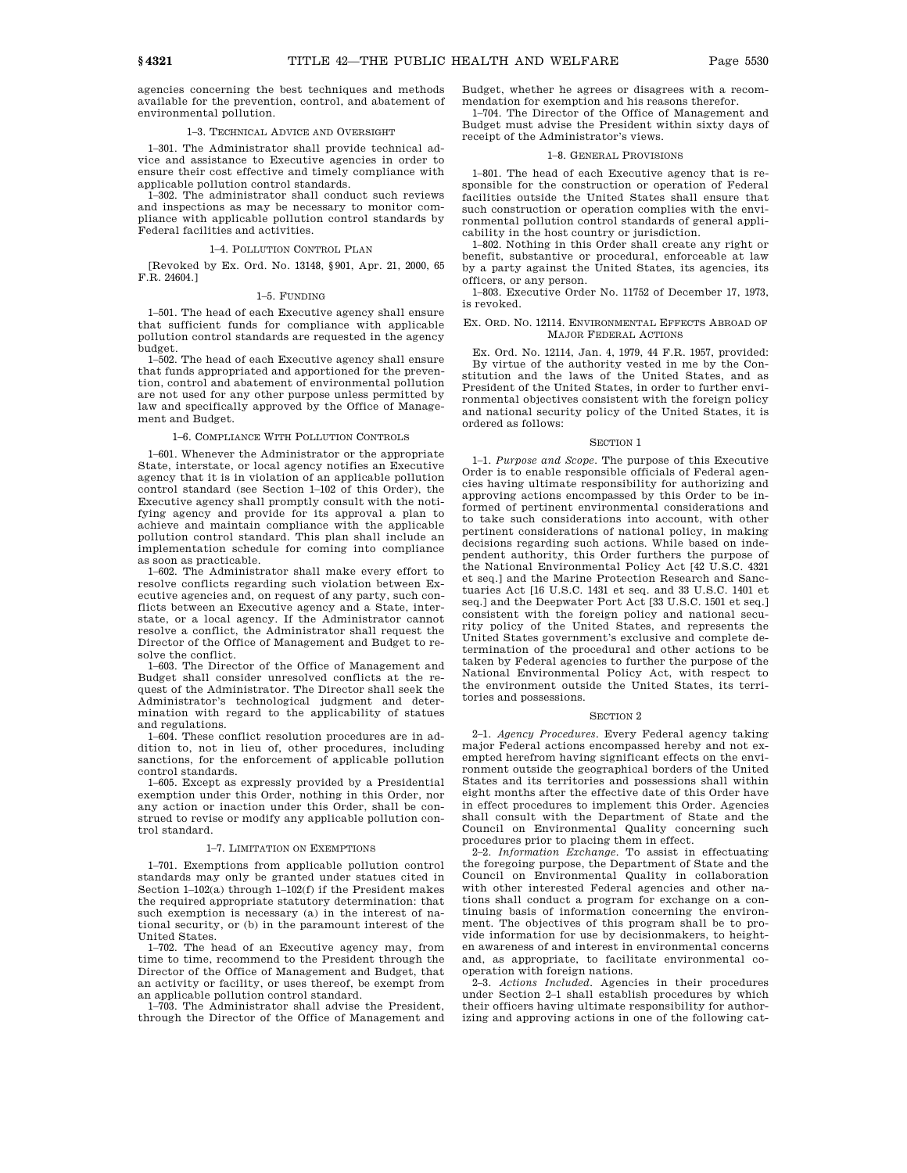agencies concerning the best techniques and methods available for the prevention, control, and abatement of environmental pollution.

### 1–3. TECHNICAL ADVICE AND OVERSIGHT

1–301. The Administrator shall provide technical advice and assistance to Executive agencies in order to ensure their cost effective and timely compliance with applicable pollution control standards.

1–302. The administrator shall conduct such reviews and inspections as may be necessary to monitor compliance with applicable pollution control standards by Federal facilities and activities.

#### 1–4. POLLUTION CONTROL PLAN

[Revoked by Ex. Ord. No. 13148, §901, Apr. 21, 2000, 65 F.R. 24604.]

#### 1–5. FUNDING

1–501. The head of each Executive agency shall ensure that sufficient funds for compliance with applicable pollution control standards are requested in the agency budget.

1–502. The head of each Executive agency shall ensure that funds appropriated and apportioned for the prevention, control and abatement of environmental pollution are not used for any other purpose unless permitted by law and specifically approved by the Office of Management and Budget.

# 1–6. COMPLIANCE WITH POLLUTION CONTROLS

1–601. Whenever the Administrator or the appropriate State, interstate, or local agency notifies an Executive agency that it is in violation of an applicable pollution control standard (see Section 1–102 of this Order), the Executive agency shall promptly consult with the notifying agency and provide for its approval a plan to achieve and maintain compliance with the applicable pollution control standard. This plan shall include an implementation schedule for coming into compliance as soon as practicable.

1–602. The Administrator shall make every effort to resolve conflicts regarding such violation between Executive agencies and, on request of any party, such conflicts between an Executive agency and a State, interstate, or a local agency. If the Administrator cannot resolve a conflict, the Administrator shall request the Director of the Office of Management and Budget to resolve the conflict.

1–603. The Director of the Office of Management and Budget shall consider unresolved conflicts at the request of the Administrator. The Director shall seek the Administrator's technological judgment and determination with regard to the applicability of statues and regulations.

1–604. These conflict resolution procedures are in addition to, not in lieu of, other procedures, including sanctions, for the enforcement of applicable pollution control standards.

1–605. Except as expressly provided by a Presidential exemption under this Order, nothing in this Order, nor any action or inaction under this Order, shall be construed to revise or modify any applicable pollution control standard.

### 1–7. LIMITATION ON EXEMPTIONS

1–701. Exemptions from applicable pollution control standards may only be granted under statues cited in Section 1–102(a) through 1–102(f) if the President makes the required appropriate statutory determination: that such exemption is necessary (a) in the interest of national security, or (b) in the paramount interest of the United States.

1–702. The head of an Executive agency may, from time to time, recommend to the President through the Director of the Office of Management and Budget, that an activity or facility, or uses thereof, be exempt from an applicable pollution control standard.

1–703. The Administrator shall advise the President, through the Director of the Office of Management and Budget, whether he agrees or disagrees with a recommendation for exemption and his reasons therefor.

1–704. The Director of the Office of Management and Budget must advise the President within sixty days of receipt of the Administrator's views.

#### 1–8. GENERAL PROVISIONS

1–801. The head of each Executive agency that is responsible for the construction or operation of Federal facilities outside the United States shall ensure that such construction or operation complies with the environmental pollution control standards of general applicability in the host country or jurisdiction.

1–802. Nothing in this Order shall create any right or benefit, substantive or procedural, enforceable at law by a party against the United States, its agencies, its officers, or any person.

1–803. Executive Order No. 11752 of December 17, 1973, is revoked.

### EX. ORD. NO. 12114. ENVIRONMENTAL EFFECTS ABROAD OF MAJOR FEDERAL ACTIONS

Ex. Ord. No. 12114, Jan. 4, 1979, 44 F.R. 1957, provided: By virtue of the authority vested in me by the Constitution and the laws of the United States, and as President of the United States, in order to further environmental objectives consistent with the foreign policy and national security policy of the United States, it is ordered as follows:

#### SECTION 1

1–1. *Purpose and Scope*. The purpose of this Executive Order is to enable responsible officials of Federal agencies having ultimate responsibility for authorizing and approving actions encompassed by this Order to be informed of pertinent environmental considerations and to take such considerations into account, with other pertinent considerations of national policy, in making decisions regarding such actions. While based on independent authority, this Order furthers the purpose of the National Environmental Policy Act [42 U.S.C. 4321 et seq.] and the Marine Protection Research and Sanctuaries Act [16 U.S.C. 1431 et seq. and 33 U.S.C. 1401 et seq.] and the Deepwater Port Act [33 U.S.C. 1501 et seq.] consistent with the foreign policy and national security policy of the United States, and represents the United States government's exclusive and complete determination of the procedural and other actions to be taken by Federal agencies to further the purpose of the National Environmental Policy Act, with respect to the environment outside the United States, its territories and possessions.

### SECTION 2

2–1. *Agency Procedures*. Every Federal agency taking major Federal actions encompassed hereby and not exempted herefrom having significant effects on the environment outside the geographical borders of the United States and its territories and possessions shall within eight months after the effective date of this Order have in effect procedures to implement this Order. Agencies shall consult with the Department of State and the Council on Environmental Quality concerning such procedures prior to placing them in effect.

2–2. *Information Exchange*. To assist in effectuating the foregoing purpose, the Department of State and the Council on Environmental Quality in collaboration with other interested Federal agencies and other nations shall conduct a program for exchange on a continuing basis of information concerning the environment. The objectives of this program shall be to provide information for use by decisionmakers, to heighten awareness of and interest in environmental concerns and, as appropriate, to facilitate environmental cooperation with foreign nations.

2–3. *Actions Included*. Agencies in their procedures under Section 2–1 shall establish procedures by which their officers having ultimate responsibility for authorizing and approving actions in one of the following cat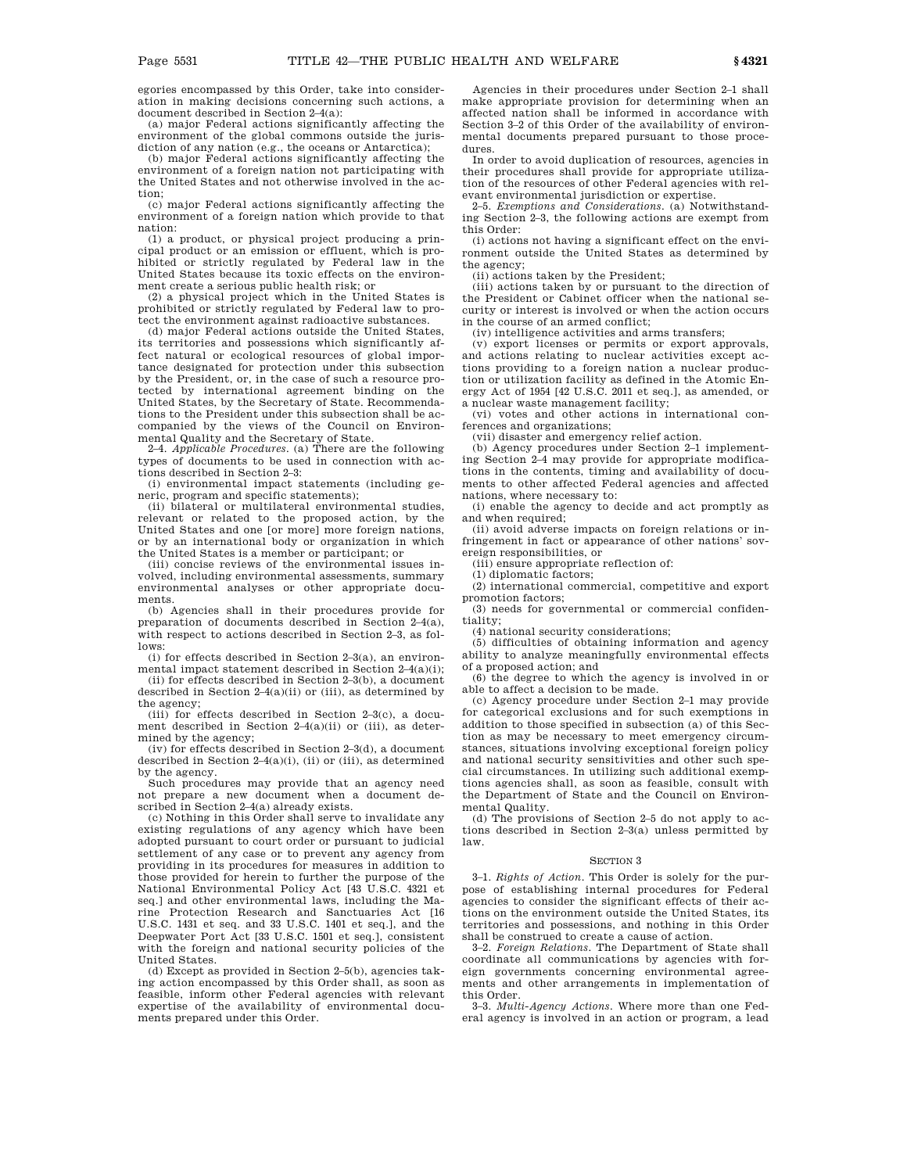egories encompassed by this Order, take into consideration in making decisions concerning such actions, a document described in Section 2–4(a):

(a) major Federal actions significantly affecting the environment of the global commons outside the jurisdiction of any nation (e.g., the oceans or Antarctica);

(b) major Federal actions significantly affecting the environment of a foreign nation not participating with the United States and not otherwise involved in the action;

(c) major Federal actions significantly affecting the environment of a foreign nation which provide to that nation:

(1) a product, or physical project producing a principal product or an emission or effluent, which is prohibited or strictly regulated by Federal law in the United States because its toxic effects on the environment create a serious public health risk; or

(2) a physical project which in the United States is prohibited or strictly regulated by Federal law to protect the environment against radioactive substances.

(d) major Federal actions outside the United States, its territories and possessions which significantly affect natural or ecological resources of global importance designated for protection under this subsection by the President, or, in the case of such a resource protected by international agreement binding on the United States, by the Secretary of State. Recommendations to the President under this subsection shall be accompanied by the views of the Council on Environmental Quality and the Secretary of State.

2–4. *Applicable Procedures*. (a) There are the following types of documents to be used in connection with actions described in Section 2–3:

(i) environmental impact statements (including generic, program and specific statements);

(ii) bilateral or multilateral environmental studies, relevant or related to the proposed action, by the United States and one [or more] more foreign nations, or by an international body or organization in which the United States is a member or participant; or

(iii) concise reviews of the environmental issues involved, including environmental assessments, summary environmental analyses or other appropriate documents.

(b) Agencies shall in their procedures provide for preparation of documents described in Section 2–4(a), with respect to actions described in Section 2–3, as follows:

(i) for effects described in Section 2–3(a), an environmental impact statement described in Section 2–4(a)(i);

(ii) for effects described in Section 2–3(b), a document described in Section 2–4(a)(ii) or (iii), as determined by the agency;

(iii) for effects described in Section 2–3(c), a document described in Section 2–4(a)(ii) or (iii), as determined by the agency;

(iv) for effects described in Section 2–3(d), a document described in Section  $2-4(a)(i)$ , (ii) or (iii), as determined by the agency.

Such procedures may provide that an agency need not prepare a new document when a document described in Section 2–4(a) already exists.

(c) Nothing in this Order shall serve to invalidate any existing regulations of any agency which have been adopted pursuant to court order or pursuant to judicial settlement of any case or to prevent any agency from providing in its procedures for measures in addition to those provided for herein to further the purpose of the National Environmental Policy Act [43 U.S.C. 4321 et seq.] and other environmental laws, including the Marine Protection Research and Sanctuaries Act [16 U.S.C. 1431 et seq. and 33 U.S.C. 1401 et seq.], and the Deepwater Port Act [33 U.S.C. 1501 et seq.], consistent with the foreign and national security policies of the United States.

(d) Except as provided in Section 2–5(b), agencies taking action encompassed by this Order shall, as soon as feasible, inform other Federal agencies with relevant expertise of the availability of environmental documents prepared under this Order.

Agencies in their procedures under Section 2–1 shall make appropriate provision for determining when an affected nation shall be informed in accordance with Section 3–2 of this Order of the availability of environmental documents prepared pursuant to those procedures.

In order to avoid duplication of resources, agencies in their procedures shall provide for appropriate utilization of the resources of other Federal agencies with relevant environmental jurisdiction or expertise.

2–5. *Exemptions and Considerations*. (a) Notwithstanding Section 2–3, the following actions are exempt from this Order:

(i) actions not having a significant effect on the environment outside the United States as determined by the agency;

(ii) actions taken by the President;

(iii) actions taken by or pursuant to the direction of the President or Cabinet officer when the national security or interest is involved or when the action occurs in the course of an armed conflict;

(iv) intelligence activities and arms transfers;

(v) export licenses or permits or export approvals, and actions relating to nuclear activities except actions providing to a foreign nation a nuclear production or utilization facility as defined in the Atomic Energy Act of 1954 [42 U.S.C. 2011 et seq.], as amended, or a nuclear waste management facility;

(vi) votes and other actions in international conferences and organizations;

(vii) disaster and emergency relief action.

(b) Agency procedures under Section 2–1 implementing Section 2–4 may provide for appropriate modifications in the contents, timing and availability of documents to other affected Federal agencies and affected nations, where necessary to:

(i) enable the agency to decide and act promptly as and when required;

(ii) avoid adverse impacts on foreign relations or infringement in fact or appearance of other nations' sovereign responsibilities, or

(iii) ensure appropriate reflection of:

(1) diplomatic factors;

(2) international commercial, competitive and export promotion factors;

(3) needs for governmental or commercial confidentiality;

(4) national security considerations;

(5) difficulties of obtaining information and agency ability to analyze meaningfully environmental effects of a proposed action; and

(6) the degree to which the agency is involved in or able to affect a decision to be made.

(c) Agency procedure under Section 2–1 may provide for categorical exclusions and for such exemptions in addition to those specified in subsection (a) of this Section as may be necessary to meet emergency circumstances, situations involving exceptional foreign policy and national security sensitivities and other such special circumstances. In utilizing such additional exemptions agencies shall, as soon as feasible, consult with the Department of State and the Council on Environmental Quality.

(d) The provisions of Section 2–5 do not apply to actions described in Section 2–3(a) unless permitted by law.

#### SECTION 3

3–1. *Rights of Action*. This Order is solely for the purpose of establishing internal procedures for Federal agencies to consider the significant effects of their actions on the environment outside the United States, its territories and possessions, and nothing in this Order shall be construed to create a cause of action.

3–2. *Foreign Relations*. The Department of State shall coordinate all communications by agencies with foreign governments concerning environmental agreements and other arrangements in implementation of this Order.

3–3. *Multi-Agency Actions*. Where more than one Federal agency is involved in an action or program, a lead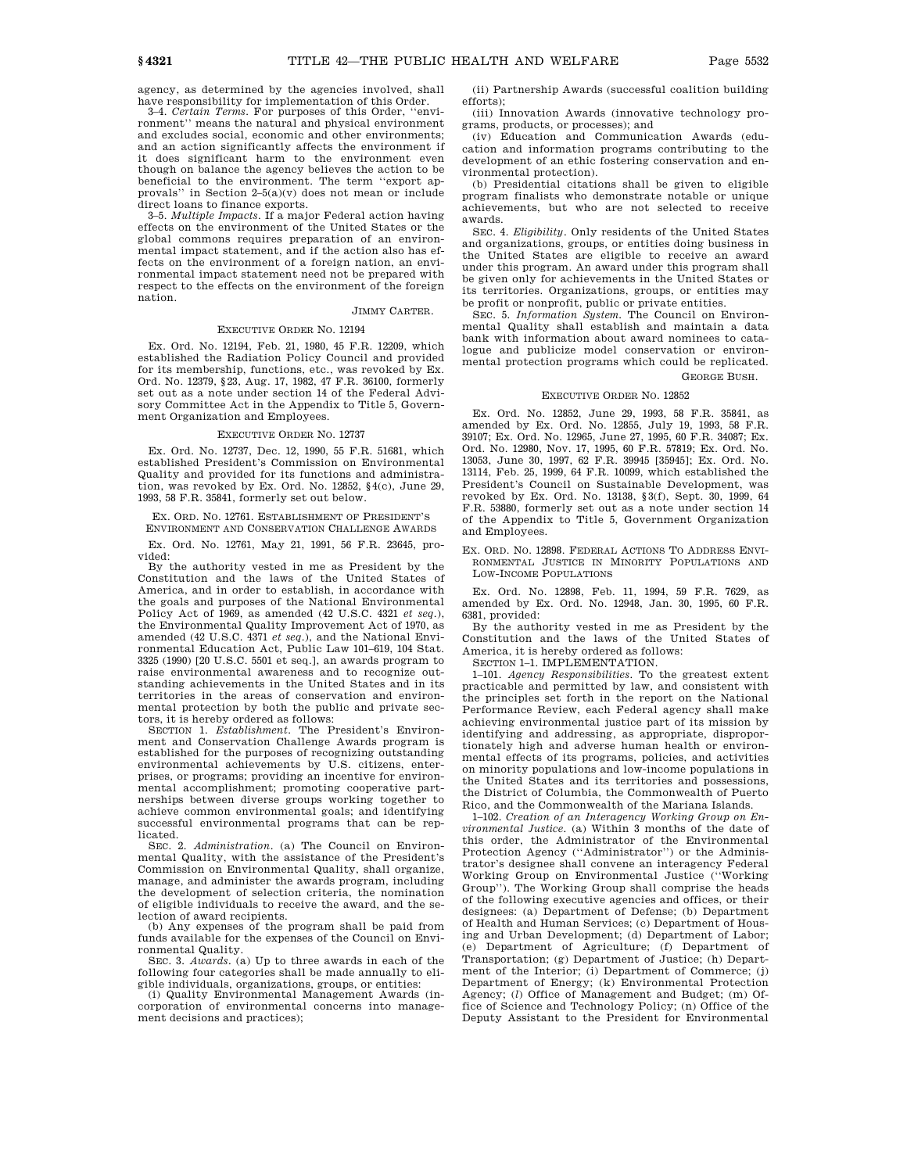agency, as determined by the agencies involved, shall have responsibility for implementation of this Order.

3–4. *Certain Terms*. For purposes of this Order, ''environment'' means the natural and physical environment and excludes social, economic and other environments; and an action significantly affects the environment if it does significant harm to the environment even though on balance the agency believes the action to be beneficial to the environment. The term ''export approvals'' in Section 2–5(a)(v) does not mean or include

direct loans to finance exports. 3–5. *Multiple Impacts*. If a major Federal action having effects on the environment of the United States or the global commons requires preparation of an environmental impact statement, and if the action also has effects on the environment of a foreign nation, an environmental impact statement need not be prepared with respect to the effects on the environment of the foreign nation.

#### JIMMY CARTER.

#### EXECUTIVE ORDER NO. 12194

Ex. Ord. No. 12194, Feb. 21, 1980, 45 F.R. 12209, which established the Radiation Policy Council and provided for its membership, functions, etc., was revoked by Ex. Ord. No. 12379, §23, Aug. 17, 1982, 47 F.R. 36100, formerly set out as a note under section 14 of the Federal Advisory Committee Act in the Appendix to Title 5, Government Organization and Employees.

#### EXECUTIVE ORDER NO. 12737

Ex. Ord. No. 12737, Dec. 12, 1990, 55 F.R. 51681, which established President's Commission on Environmental Quality and provided for its functions and administration, was revoked by Ex. Ord. No. 12852, §4(c), June 29, 1993, 58 F.R. 35841, formerly set out below.

EX. ORD. NO. 12761. ESTABLISHMENT OF PRESIDENT'S ENVIRONMENT AND CONSERVATION CHALLENGE AWARDS

Ex. Ord. No. 12761, May 21, 1991, 56 F.R. 23645, provided:

By the authority vested in me as President by the Constitution and the laws of the United States of America, and in order to establish, in accordance with the goals and purposes of the National Environmental Policy Act of 1969, as amended (42 U.S.C. 4321 *et seq*.), the Environmental Quality Improvement Act of 1970, as amended (42 U.S.C. 4371 *et seq*.), and the National Environmental Education Act, Public Law 101–619, 104 Stat. 3325 (1990) [20 U.S.C. 5501 et seq.], an awards program to raise environmental awareness and to recognize outstanding achievements in the United States and in its territories in the areas of conservation and environmental protection by both the public and private sectors, it is hereby ordered as follows:

SECTION 1. *Establishment*. The President's Environment and Conservation Challenge Awards program is established for the purposes of recognizing outstanding environmental achievements by U.S. citizens, enterprises, or programs; providing an incentive for environmental accomplishment; promoting cooperative partnerships between diverse groups working together to achieve common environmental goals; and identifying successful environmental programs that can be replicated.

SEC. 2. *Administration*. (a) The Council on Environmental Quality, with the assistance of the President's Commission on Environmental Quality, shall organize, manage, and administer the awards program, including the development of selection criteria, the nomination of eligible individuals to receive the award, and the selection of award recipients.

(b) Any expenses of the program shall be paid from funds available for the expenses of the Council on Environmental Quality.

SEC. 3. *Awards*. (a) Up to three awards in each of the following four categories shall be made annually to eligible individuals, organizations, groups, or entities:

(i) Quality Environmental Management Awards (incorporation of environmental concerns into management decisions and practices);

(ii) Partnership Awards (successful coalition building efforts);

(iii) Innovation Awards (innovative technology programs, products, or processes); and

(iv) Education and Communication Awards (education and information programs contributing to the development of an ethic fostering conservation and environmental protection).

(b) Presidential citations shall be given to eligible program finalists who demonstrate notable or unique achievements, but who are not selected to receive awards.

SEC. 4. *Eligibility*. Only residents of the United States and organizations, groups, or entities doing business in the United States are eligible to receive an award under this program. An award under this program shall be given only for achievements in the United States or its territories. Organizations, groups, or entities may be profit or nonprofit, public or private entities.

SEC. 5. *Information System*. The Council on Environmental Quality shall establish and maintain a data bank with information about award nominees to catalogue and publicize model conservation or environmental protection programs which could be replicated.

# GEORGE BUSH.

#### EXECUTIVE ORDER NO. 12852

Ex. Ord. No. 12852, June 29, 1993, 58 F.R. 35841, as amended by Ex. Ord. No. 12855, July 19, 1993, 58 F.R. 39107; Ex. Ord. No. 12965, June 27, 1995, 60 F.R. 34087; Ex. Ord. No. 12980, Nov. 17, 1995, 60 F.R. 57819; Ex. Ord. No. 13053, June 30, 1997, 62 F.R. 39945 [35945]; Ex. Ord. No. 13114, Feb. 25, 1999, 64 F.R. 10099, which established the President's Council on Sustainable Development, was revoked by Ex. Ord. No. 13138, §3(f), Sept. 30, 1999, 64 F.R. 53880, formerly set out as a note under section 14 of the Appendix to Title 5, Government Organization and Employees.

EX. ORD. NO. 12898. FEDERAL ACTIONS TO ADDRESS ENVI-RONMENTAL JUSTICE IN MINORITY POPULATIONS AND LOW-INCOME POPULATIONS

Ex. Ord. No. 12898, Feb. 11, 1994, 59 F.R. 7629, as amended by Ex. Ord. No. 12948, Jan. 30, 1995, 60 F.R. 6381, provided:

By the authority vested in me as President by the Constitution and the laws of the United States of America, it is hereby ordered as follows:

SECTION 1–1. IMPLEMENTATION.

1–101. *Agency Responsibilities*. To the greatest extent practicable and permitted by law, and consistent with the principles set forth in the report on the National Performance Review, each Federal agency shall make achieving environmental justice part of its mission by identifying and addressing, as appropriate, disproportionately high and adverse human health or environmental effects of its programs, policies, and activities on minority populations and low-income populations in the United States and its territories and possessions, the District of Columbia, the Commonwealth of Puerto Rico, and the Commonwealth of the Mariana Islands.

1–102. *Creation of an Interagency Working Group on Environmental Justice*. (a) Within 3 months of the date of this order, the Administrator of the Environmental Protection Agency (''Administrator'') or the Administrator's designee shall convene an interagency Federal Working Group on Environmental Justice (''Working Group''). The Working Group shall comprise the heads of the following executive agencies and offices, or their designees: (a) Department of Defense; (b) Department of Health and Human Services; (c) Department of Housing and Urban Development; (d) Department of Labor; (e) Department of Agriculture; (f) Department of Transportation; (g) Department of Justice; (h) Department of the Interior; (i) Department of Commerce; (j) Department of Energy; (k) Environmental Protection Agency; (*l*) Office of Management and Budget; (m) Office of Science and Technology Policy; (n) Office of the Deputy Assistant to the President for Environmental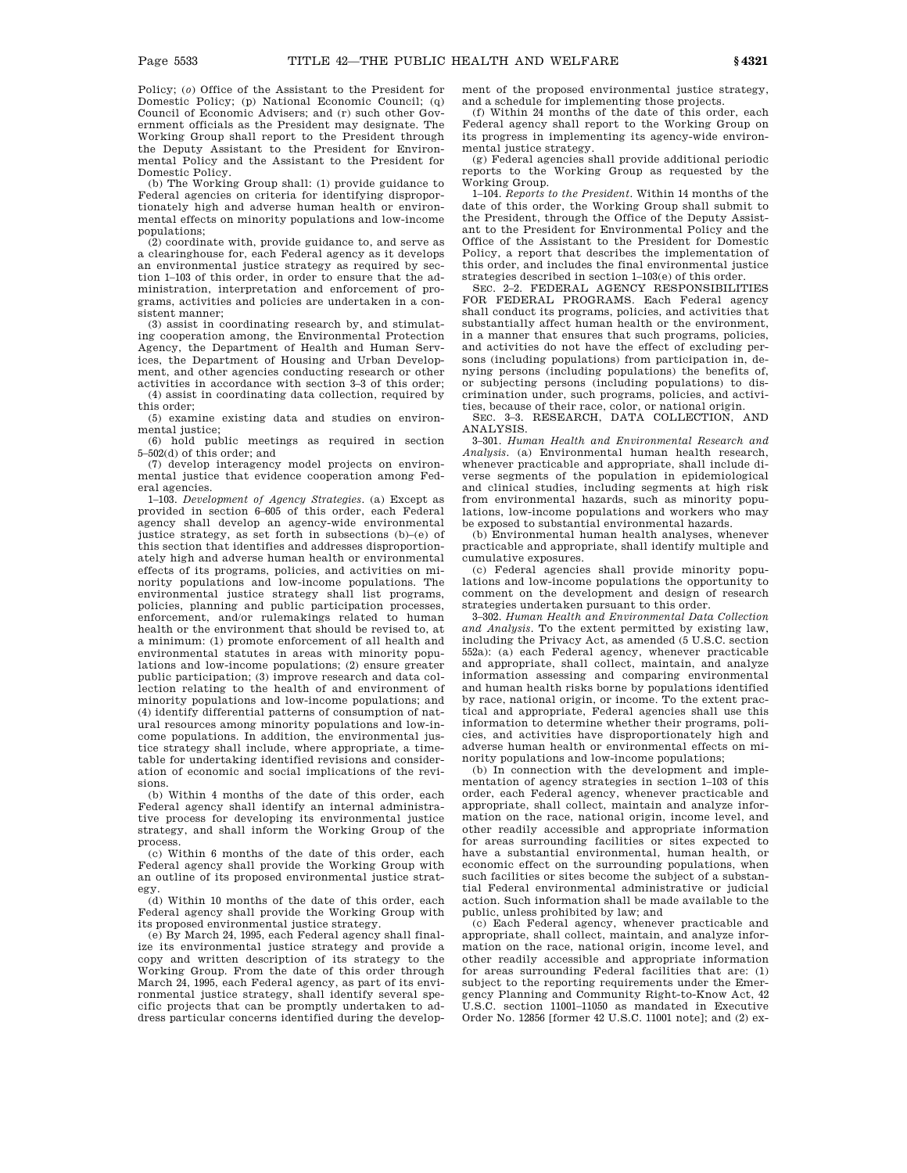Policy; (*o*) Office of the Assistant to the President for Domestic Policy; (p) National Economic Council; (q) Council of Economic Advisers; and (r) such other Government officials as the President may designate. The Working Group shall report to the President through the Deputy Assistant to the President for Environmental Policy and the Assistant to the President for Domestic Policy.

(b) The Working Group shall: (1) provide guidance to Federal agencies on criteria for identifying disproportionately high and adverse human health or environmental effects on minority populations and low-income populations;

(2) coordinate with, provide guidance to, and serve as a clearinghouse for, each Federal agency as it develops an environmental justice strategy as required by section 1–103 of this order, in order to ensure that the administration, interpretation and enforcement of programs, activities and policies are undertaken in a consistent manner;

(3) assist in coordinating research by, and stimulating cooperation among, the Environmental Protection Agency, the Department of Health and Human Services, the Department of Housing and Urban Development, and other agencies conducting research or other activities in accordance with section 3–3 of this order; (4) assist in coordinating data collection, required by

this order; (5) examine existing data and studies on environmental justice;

(6) hold public meetings as required in section 5–502(d) of this order; and

(7) develop interagency model projects on environmental justice that evidence cooperation among Federal agencies.

1–103. *Development of Agency Strategies*. (a) Except as provided in section 6–605 of this order, each Federal agency shall develop an agency-wide environmental justice strategy, as set forth in subsections (b)–(e) of this section that identifies and addresses disproportionately high and adverse human health or environmental effects of its programs, policies, and activities on minority populations and low-income populations. The environmental justice strategy shall list programs, policies, planning and public participation processes, enforcement, and/or rulemakings related to human health or the environment that should be revised to, at a minimum: (1) promote enforcement of all health and environmental statutes in areas with minority populations and low-income populations; (2) ensure greater public participation; (3) improve research and data collection relating to the health of and environment of minority populations and low-income populations; and (4) identify differential patterns of consumption of natural resources among minority populations and low-income populations. In addition, the environmental justice strategy shall include, where appropriate, a timetable for undertaking identified revisions and consideration of economic and social implications of the revisions.

(b) Within 4 months of the date of this order, each Federal agency shall identify an internal administrative process for developing its environmental justice strategy, and shall inform the Working Group of the process.

(c) Within 6 months of the date of this order, each Federal agency shall provide the Working Group with an outline of its proposed environmental justice strategy.

(d) Within 10 months of the date of this order, each Federal agency shall provide the Working Group with its proposed environmental justice strategy.

(e) By March 24, 1995, each Federal agency shall finalize its environmental justice strategy and provide a copy and written description of its strategy to the Working Group. From the date of this order through March 24, 1995, each Federal agency, as part of its environmental justice strategy, shall identify several specific projects that can be promptly undertaken to address particular concerns identified during the development of the proposed environmental justice strategy, and a schedule for implementing those projects.

(f) Within 24 months of the date of this order, each Federal agency shall report to the Working Group on its progress in implementing its agency-wide environmental justice strategy.

(g) Federal agencies shall provide additional periodic reports to the Working Group as requested by the Working Group.

1–104. *Reports to the President*. Within 14 months of the date of this order, the Working Group shall submit to the President, through the Office of the Deputy Assistant to the President for Environmental Policy and the Office of the Assistant to the President for Domestic Policy, a report that describes the implementation of this order, and includes the final environmental justice strategies described in section 1–103(e) of this order.

SEC. 2–2. FEDERAL AGENCY RESPONSIBILITIES FOR FEDERAL PROGRAMS. Each Federal agency shall conduct its programs, policies, and activities that substantially affect human health or the environment, in a manner that ensures that such programs, policies, and activities do not have the effect of excluding persons (including populations) from participation in, denying persons (including populations) the benefits of, or subjecting persons (including populations) to discrimination under, such programs, policies, and activities, because of their race, color, or national origin.

SEC. 3–3. RESEARCH, DATA COLLECTION, AND ANALYSIS.

3–301. *Human Health and Environmental Research and Analysis*. (a) Environmental human health research, whenever practicable and appropriate, shall include diverse segments of the population in epidemiological and clinical studies, including segments at high risk from environmental hazards, such as minority populations, low-income populations and workers who may be exposed to substantial environmental hazards.

(b) Environmental human health analyses, whenever practicable and appropriate, shall identify multiple and cumulative exposures.

(c) Federal agencies shall provide minority populations and low-income populations the opportunity to comment on the development and design of research strategies undertaken pursuant to this order.

3–302. *Human Health and Environmental Data Collection and Analysis*. To the extent permitted by existing law, including the Privacy Act, as amended (5 U.S.C. section 552a): (a) each Federal agency, whenever practicable and appropriate, shall collect, maintain, and analyze information assessing and comparing environmental and human health risks borne by populations identified by race, national origin, or income. To the extent practical and appropriate, Federal agencies shall use this information to determine whether their programs, policies, and activities have disproportionately high and adverse human health or environmental effects on minority populations and low-income populations;

(b) In connection with the development and implementation of agency strategies in section 1–103 of this order, each Federal agency, whenever practicable and appropriate, shall collect, maintain and analyze information on the race, national origin, income level, and other readily accessible and appropriate information for areas surrounding facilities or sites expected to have a substantial environmental, human health, or economic effect on the surrounding populations, when such facilities or sites become the subject of a substantial Federal environmental administrative or judicial action. Such information shall be made available to the public, unless prohibited by law; and

(c) Each Federal agency, whenever practicable and appropriate, shall collect, maintain, and analyze information on the race, national origin, income level, and other readily accessible and appropriate information for areas surrounding Federal facilities that are: (1) subject to the reporting requirements under the Emergency Planning and Community Right-to-Know Act, 42 U.S.C. section 11001–11050 as mandated in Executive Order No. 12856 [former 42 U.S.C. 11001 note]; and (2) ex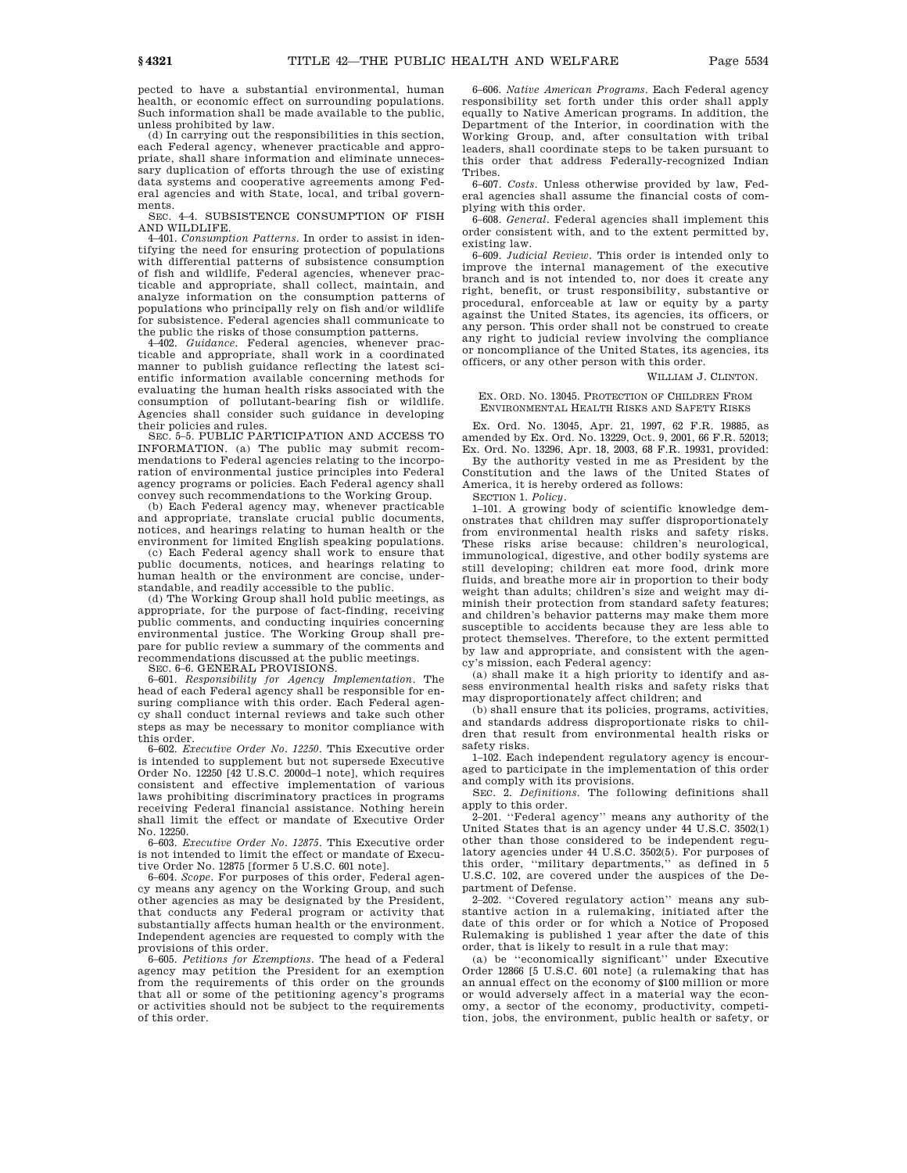pected to have a substantial environmental, human health, or economic effect on surrounding populations. Such information shall be made available to the public, unless prohibited by law.

(d) In carrying out the responsibilities in this section, each Federal agency, whenever practicable and appropriate, shall share information and eliminate unnecessary duplication of efforts through the use of existing data systems and cooperative agreements among Federal agencies and with State, local, and tribal govern-

ments. SEC. 4–4. SUBSISTENCE CONSUMPTION OF FISH AND WILDLIFE.

4–401. *Consumption Patterns*. In order to assist in identifying the need for ensuring protection of populations with differential patterns of subsistence consumption of fish and wildlife, Federal agencies, whenever practicable and appropriate, shall collect, maintain, and analyze information on the consumption patterns of populations who principally rely on fish and/or wildlife for subsistence. Federal agencies shall communicate to the public the risks of those consumption patterns.

4–402. *Guidance*. Federal agencies, whenever practicable and appropriate, shall work in a coordinated manner to publish guidance reflecting the latest scientific information available concerning methods for evaluating the human health risks associated with the consumption of pollutant-bearing fish or wildlife. Agencies shall consider such guidance in developing their policies and rules.

SEC. 5–5. PUBLIC PARTICIPATION AND ACCESS TO INFORMATION. (a) The public may submit recommendations to Federal agencies relating to the incorporation of environmental justice principles into Federal agency programs or policies. Each Federal agency shall convey such recommendations to the Working Group.

(b) Each Federal agency may, whenever practicable and appropriate, translate crucial public documents, notices, and hearings relating to human health or the environment for limited English speaking populations.

(c) Each Federal agency shall work to ensure that public documents, notices, and hearings relating to human health or the environment are concise, understandable, and readily accessible to the public. (d) The Working Group shall hold public meetings, as

appropriate, for the purpose of fact-finding, receiving public comments, and conducting inquiries concerning environmental justice. The Working Group shall prepare for public review a summary of the comments and recommendations discussed at the public meetings. SEC. 6–6. GENERAL PROVISIONS.

6–601. *Responsibility for Agency Implementation*. The head of each Federal agency shall be responsible for ensuring compliance with this order. Each Federal agency shall conduct internal reviews and take such other steps as may be necessary to monitor compliance with this order.

6–602. *Executive Order No. 12250*. This Executive order is intended to supplement but not supersede Executive Order No. 12250 [42 U.S.C. 2000d–1 note], which requires consistent and effective implementation of various laws prohibiting discriminatory practices in programs receiving Federal financial assistance. Nothing herein shall limit the effect or mandate of Executive Order No. 12250.

6–603. *Executive Order No. 12875*. This Executive order is not intended to limit the effect or mandate of Executive Order No. 12875 [former 5 U.S.C. 601 note].

6–604. *Scope*. For purposes of this order, Federal agency means any agency on the Working Group, and such other agencies as may be designated by the President, that conducts any Federal program or activity that substantially affects human health or the environment. Independent agencies are requested to comply with the provisions of this order.

6–605. *Petitions for Exemptions*. The head of a Federal agency may petition the President for an exemption from the requirements of this order on the grounds that all or some of the petitioning agency's programs or activities should not be subject to the requirements of this order.

6–606. *Native American Programs*. Each Federal agency responsibility set forth under this order shall apply equally to Native American programs. In addition, the Department of the Interior, in coordination with the Working Group, and, after consultation with tribal leaders, shall coordinate steps to be taken pursuant to this order that address Federally-recognized Indian Tribes.

6–607. *Costs*. Unless otherwise provided by law, Federal agencies shall assume the financial costs of complying with this order.

6–608. *General*. Federal agencies shall implement this order consistent with, and to the extent permitted by, existing law.

6–609. *Judicial Review*. This order is intended only to improve the internal management of the executive branch and is not intended to, nor does it create any right, benefit, or trust responsibility, substantive or procedural, enforceable at law or equity by a party against the United States, its agencies, its officers, or any person. This order shall not be construed to create any right to judicial review involving the compliance or noncompliance of the United States, its agencies, its officers, or any other person with this order.

#### WILLIAM J. CLINTON.

EX. ORD. NO. 13045. PROTECTION OF CHILDREN FROM ENVIRONMENTAL HEALTH RISKS AND SAFETY RISKS

Ex. Ord. No. 13045, Apr. 21, 1997, 62 F.R. 19885, as amended by Ex. Ord. No. 13229, Oct. 9, 2001, 66 F.R. 52013; Ex. Ord. No. 13296, Apr. 18, 2003, 68 F.R. 19931, provided: By the authority vested in me as President by the Constitution and the laws of the United States of America, it is hereby ordered as follows:

SECTION 1. *Policy.*

1–101. A growing body of scientific knowledge demonstrates that children may suffer disproportionately from environmental health risks and safety risks. These risks arise because: children's neurological, immunological, digestive, and other bodily systems are still developing; children eat more food, drink more fluids, and breathe more air in proportion to their body weight than adults; children's size and weight may diminish their protection from standard safety features; and children's behavior patterns may make them more susceptible to accidents because they are less able to protect themselves. Therefore, to the extent permitted by law and appropriate, and consistent with the agency's mission, each Federal agency:

(a) shall make it a high priority to identify and assess environmental health risks and safety risks that may disproportionately affect children; and

(b) shall ensure that its policies, programs, activities, and standards address disproportionate risks to children that result from environmental health risks or safety risks.

1–102. Each independent regulatory agency is encouraged to participate in the implementation of this order and comply with its provisions.

SEC. 2. *Definitions*. The following definitions shall apply to this order.

2–201. ''Federal agency'' means any authority of the United States that is an agency under 44 U.S.C. 3502(1) other than those considered to be independent regulatory agencies under 44 U.S.C. 3502(5). For purposes of this order, ''military departments,'' as defined in 5 U.S.C. 102, are covered under the auspices of the Department of Defense.

2–202. ''Covered regulatory action'' means any substantive action in a rulemaking, initiated after the date of this order or for which a Notice of Proposed Rulemaking is published 1 year after the date of this order, that is likely to result in a rule that may:

(a) be ''economically significant'' under Executive Order 12866 [5 U.S.C. 601 note] (a rulemaking that has an annual effect on the economy of \$100 million or more or would adversely affect in a material way the economy, a sector of the economy, productivity, competition, jobs, the environment, public health or safety, or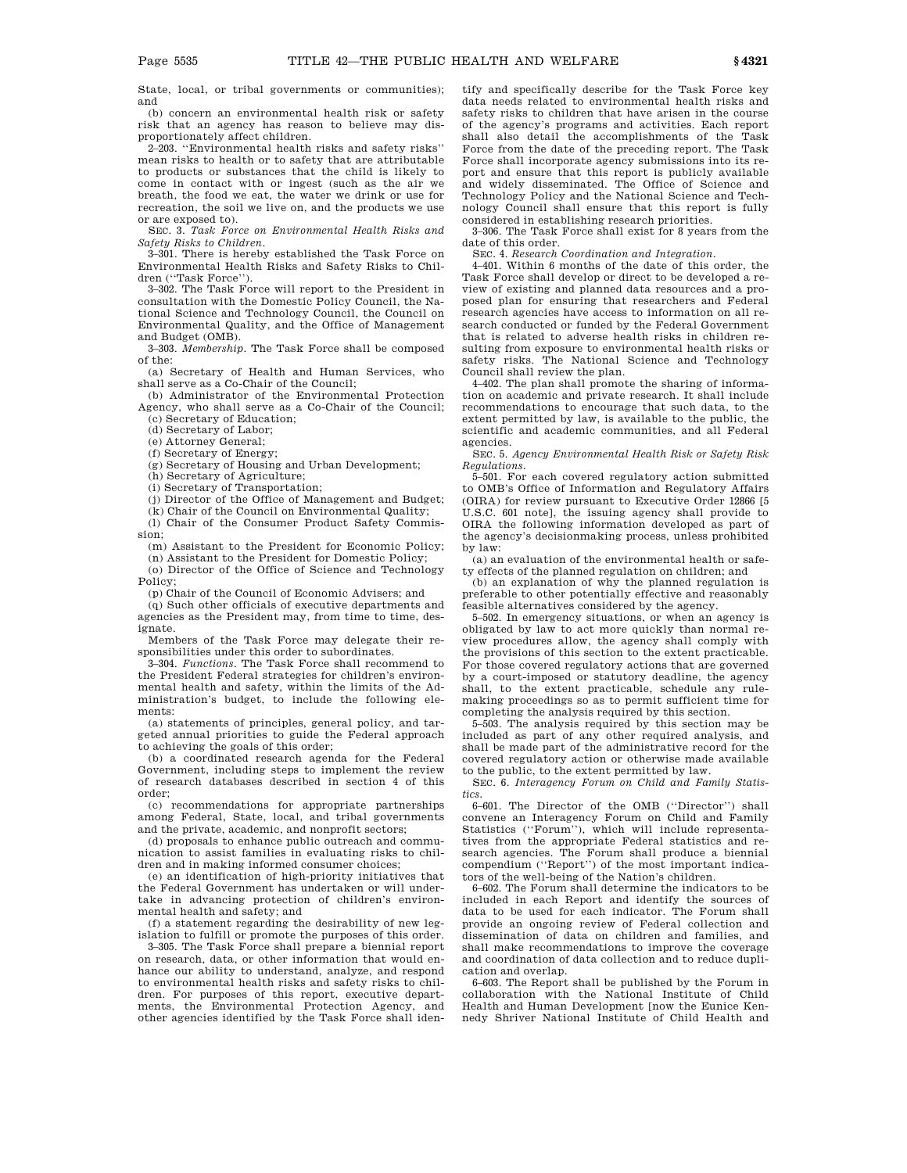State, local, or tribal governments or communities); and

(b) concern an environmental health risk or safety risk that an agency has reason to believe may disproportionately affect children.

2–203. ''Environmental health risks and safety risks'' mean risks to health or to safety that are attributable to products or substances that the child is likely to come in contact with or ingest (such as the air we breath, the food we eat, the water we drink or use for recreation, the soil we live on, and the products we use or are exposed to).

SEC. 3. *Task Force on Environmental Health Risks and Safety Risks to Children.*

3–301. There is hereby established the Task Force on Environmental Health Risks and Safety Risks to Children (''Task Force'').

3–302. The Task Force will report to the President in consultation with the Domestic Policy Council, the National Science and Technology Council, the Council on Environmental Quality, and the Office of Management and Budget (OMB).

3–303. *Membership*. The Task Force shall be composed of the:

(a) Secretary of Health and Human Services, who shall serve as a Co-Chair of the Council;

(b) Administrator of the Environmental Protection Agency, who shall serve as a Co-Chair of the Council; (c) Secretary of Education;

(d) Secretary of Labor; (e) Attorney General;

(f) Secretary of Energy;

(g) Secretary of Housing and Urban Development;

(h) Secretary of Agriculture;

(i) Secretary of Transportation;

(j) Director of the Office of Management and Budget;

(k) Chair of the Council on Environmental Quality; (l) Chair of the Consumer Product Safety Commis-

sion; (m) Assistant to the President for Economic Policy;

(n) Assistant to the President for Domestic Policy; (o) Director of the Office of Science and Technology Policy;

(p) Chair of the Council of Economic Advisers; and

(q) Such other officials of executive departments and agencies as the President may, from time to time, designate.

Members of the Task Force may delegate their responsibilities under this order to subordinates.

3–304. *Functions*. The Task Force shall recommend to the President Federal strategies for children's environmental health and safety, within the limits of the Administration's budget, to include the following elements:

(a) statements of principles, general policy, and targeted annual priorities to guide the Federal approach to achieving the goals of this order;

(b) a coordinated research agenda for the Federal Government, including steps to implement the review of research databases described in section 4 of this order;

(c) recommendations for appropriate partnerships among Federal, State, local, and tribal governments and the private, academic, and nonprofit sectors;

(d) proposals to enhance public outreach and communication to assist families in evaluating risks to children and in making informed consumer choices;

(e) an identification of high-priority initiatives that the Federal Government has undertaken or will undertake in advancing protection of children's environmental health and safety; and

(f) a statement regarding the desirability of new legislation to fulfill or promote the purposes of this order.

3–305. The Task Force shall prepare a biennial report on research, data, or other information that would enhance our ability to understand, analyze, and respond to environmental health risks and safety risks to children. For purposes of this report, executive depart-ments, the Environmental Protection Agency, and other agencies identified by the Task Force shall identify and specifically describe for the Task Force key data needs related to environmental health risks and safety risks to children that have arisen in the course of the agency's programs and activities. Each report shall also detail the accomplishments of the Task Force from the date of the preceding report. The Task Force shall incorporate agency submissions into its report and ensure that this report is publicly available and widely disseminated. The Office of Science and Technology Policy and the National Science and Technology Council shall ensure that this report is fully considered in establishing research priorities.

3–306. The Task Force shall exist for 8 years from the date of this order.

SEC. 4. *Research Coordination and Integration.*

4–401. Within 6 months of the date of this order, the Task Force shall develop or direct to be developed a review of existing and planned data resources and a proposed plan for ensuring that researchers and Federal research agencies have access to information on all research conducted or funded by the Federal Government that is related to adverse health risks in children resulting from exposure to environmental health risks or safety risks. The National Science and Technology Council shall review the plan.

4–402. The plan shall promote the sharing of information on academic and private research. It shall include recommendations to encourage that such data, to the extent permitted by law, is available to the public, the scientific and academic communities, and all Federal agencies.

SEC. 5. *Agency Environmental Health Risk or Safety Risk Regulations.*

5–501. For each covered regulatory action submitted to OMB's Office of Information and Regulatory Affairs (OIRA) for review pursuant to Executive Order 12866 [5 U.S.C. 601 note], the issuing agency shall provide to OIRA the following information developed as part of the agency's decisionmaking process, unless prohibited by law:

(a) an evaluation of the environmental health or safety effects of the planned regulation on children; and

(b) an explanation of why the planned regulation is preferable to other potentially effective and reasonably feasible alternatives considered by the agency.

5–502. In emergency situations, or when an agency is obligated by law to act more quickly than normal review procedures allow, the agency shall comply with the provisions of this section to the extent practicable. For those covered regulatory actions that are governed by a court-imposed or statutory deadline, the agency shall, to the extent practicable, schedule any rulemaking proceedings so as to permit sufficient time for completing the analysis required by this section.

5–503. The analysis required by this section may be included as part of any other required analysis, and shall be made part of the administrative record for the covered regulatory action or otherwise made available to the public, to the extent permitted by law.

SEC. 6. *Interagency Forum on Child and Family Statistics.*

6–601. The Director of the OMB (''Director'') shall convene an Interagency Forum on Child and Family Statistics (''Forum''), which will include representatives from the appropriate Federal statistics and research agencies. The Forum shall produce a biennial compendium (''Report'') of the most important indicators of the well-being of the Nation's children.

6–602. The Forum shall determine the indicators to be included in each Report and identify the sources of data to be used for each indicator. The Forum shall provide an ongoing review of Federal collection and dissemination of data on children and families, and shall make recommendations to improve the coverage and coordination of data collection and to reduce duplication and overlap.

6–603. The Report shall be published by the Forum in collaboration with the National Institute of Child Health and Human Development [now the Eunice Kennedy Shriver National Institute of Child Health and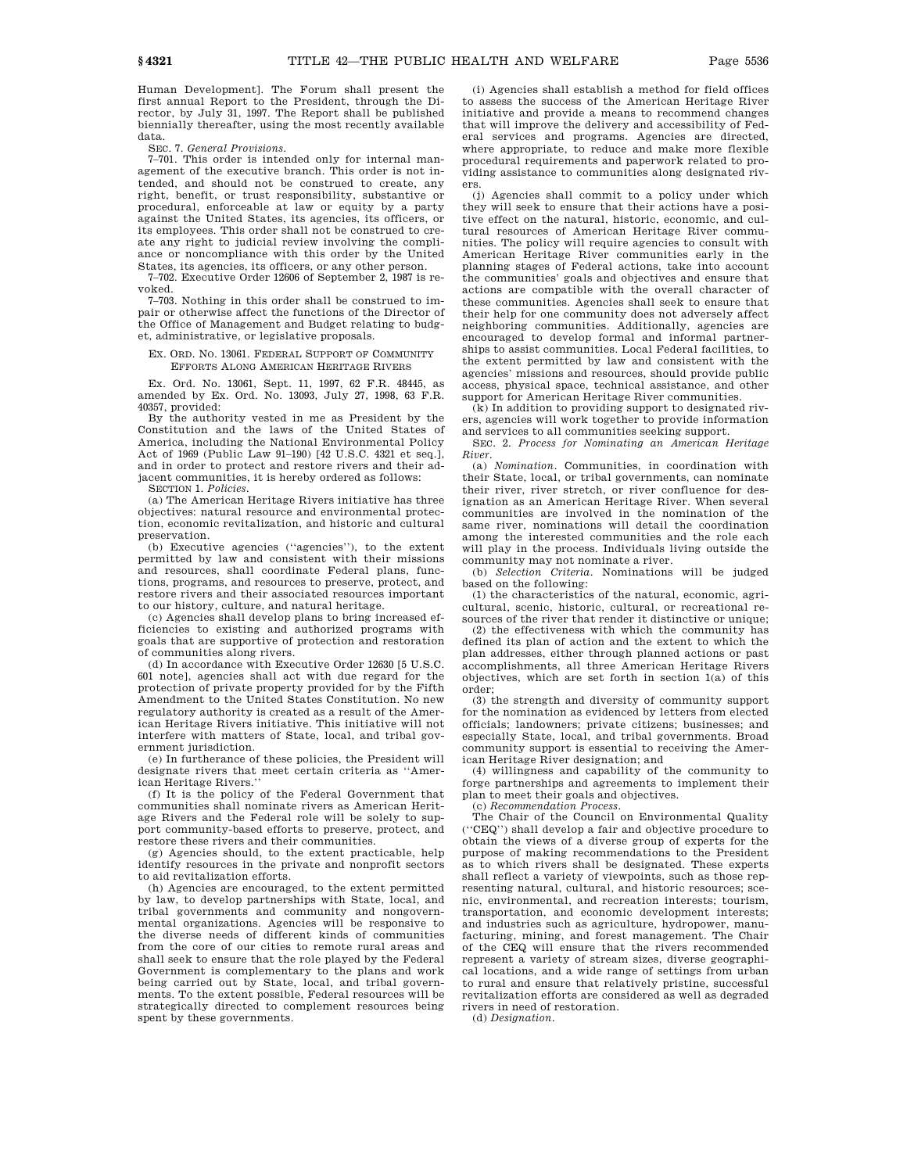Human Development]. The Forum shall present the first annual Report to the President, through the Director, by July 31, 1997. The Report shall be published biennially thereafter, using the most recently available data.

SEC. 7. *General Provisions.*

7–701. This order is intended only for internal management of the executive branch. This order is not intended, and should not be construed to create, any right, benefit, or trust responsibility, substantive or procedural, enforceable at law or equity by a party against the United States, its agencies, its officers, or its employees. This order shall not be construed to create any right to judicial review involving the compliance or noncompliance with this order by the United States, its agencies, its officers, or any other person.

7–702. Executive Order 12606 of September 2, 1987 is revoked.

7–703. Nothing in this order shall be construed to impair or otherwise affect the functions of the Director of the Office of Management and Budget relating to budget, administrative, or legislative proposals.

EX. ORD. NO. 13061. FEDERAL SUPPORT OF COMMUNITY EFFORTS ALONG AMERICAN HERITAGE RIVERS

Ex. Ord. No. 13061, Sept. 11, 1997, 62 F.R. 48445, as amended by Ex. Ord. No. 13093, July 27, 1998, 63 F.R. 40357, provided:

By the authority vested in me as President by the Constitution and the laws of the United States of America, including the National Environmental Policy Act of 1969 (Public Law 91–190) [42 U.S.C. 4321 et seq.], and in order to protect and restore rivers and their adjacent communities, it is hereby ordered as follows:

SECTION 1. *Policies.*

(a) The American Heritage Rivers initiative has three objectives: natural resource and environmental protection, economic revitalization, and historic and cultural preservation.

(b) Executive agencies (''agencies''), to the extent permitted by law and consistent with their missions and resources, shall coordinate Federal plans, functions, programs, and resources to preserve, protect, and restore rivers and their associated resources important to our history, culture, and natural heritage.

(c) Agencies shall develop plans to bring increased efficiencies to existing and authorized programs with goals that are supportive of protection and restoration of communities along rivers.

(d) In accordance with Executive Order 12630 [5 U.S.C. 601 note], agencies shall act with due regard for the protection of private property provided for by the Fifth Amendment to the United States Constitution. No new regulatory authority is created as a result of the American Heritage Rivers initiative. This initiative will not interfere with matters of State, local, and tribal government jurisdiction.

(e) In furtherance of these policies, the President will designate rivers that meet certain criteria as ''American Heritage Rivers.

(f) It is the policy of the Federal Government that communities shall nominate rivers as American Heritage Rivers and the Federal role will be solely to support community-based efforts to preserve, protect, and restore these rivers and their communities.

(g) Agencies should, to the extent practicable, help identify resources in the private and nonprofit sectors to aid revitalization efforts.

(h) Agencies are encouraged, to the extent permitted by law, to develop partnerships with State, local, and tribal governments and community and nongovernmental organizations. Agencies will be responsive to the diverse needs of different kinds of communities from the core of our cities to remote rural areas and shall seek to ensure that the role played by the Federal Government is complementary to the plans and work being carried out by State, local, and tribal governments. To the extent possible, Federal resources will be strategically directed to complement resources being spent by these governments.

(i) Agencies shall establish a method for field offices to assess the success of the American Heritage River initiative and provide a means to recommend changes that will improve the delivery and accessibility of Federal services and programs. Agencies are directed, where appropriate, to reduce and make more flexible procedural requirements and paperwork related to providing assistance to communities along designated rivers.

(j) Agencies shall commit to a policy under which they will seek to ensure that their actions have a positive effect on the natural, historic, economic, and cultural resources of American Heritage River communities. The policy will require agencies to consult with American Heritage River communities early in the planning stages of Federal actions, take into account the communities' goals and objectives and ensure that actions are compatible with the overall character of these communities. Agencies shall seek to ensure that their help for one community does not adversely affect neighboring communities. Additionally, agencies are encouraged to develop formal and informal partnerships to assist communities. Local Federal facilities, to the extent permitted by law and consistent with the agencies' missions and resources, should provide public access, physical space, technical assistance, and other support for American Heritage River communities.

(k) In addition to providing support to designated rivers, agencies will work together to provide information and services to all communities seeking support.

SEC. 2. *Process for Nominating an American Heritage River.*

(a) *Nomination*. Communities, in coordination with their State, local, or tribal governments, can nominate their river, river stretch, or river confluence for designation as an American Heritage River. When several communities are involved in the nomination of the same river, nominations will detail the coordination among the interested communities and the role each will play in the process. Individuals living outside the community may not nominate a river.

(b) *Selection Criteria*. Nominations will be judged based on the following:

(1) the characteristics of the natural, economic, agricultural, scenic, historic, cultural, or recreational resources of the river that render it distinctive or unique;

(2) the effectiveness with which the community has defined its plan of action and the extent to which the plan addresses, either through planned actions or past accomplishments, all three American Heritage Rivers objectives, which are set forth in section 1(a) of this order;

(3) the strength and diversity of community support for the nomination as evidenced by letters from elected officials; landowners; private citizens; businesses; and especially State, local, and tribal governments. Broad community support is essential to receiving the American Heritage River designation; and

(4) willingness and capability of the community to forge partnerships and agreements to implement their plan to meet their goals and objectives.

(c) *Recommendation Process.*

The Chair of the Council on Environmental Quality "CEQ") shall develop a fair and objective procedure to obtain the views of a diverse group of experts for the purpose of making recommendations to the President as to which rivers shall be designated. These experts shall reflect a variety of viewpoints, such as those representing natural, cultural, and historic resources; scenic, environmental, and recreation interests; tourism, transportation, and economic development interests; and industries such as agriculture, hydropower, manufacturing, mining, and forest management. The Chair of the CEQ will ensure that the rivers recommended represent a variety of stream sizes, diverse geographical locations, and a wide range of settings from urban to rural and ensure that relatively pristine, successful revitalization efforts are considered as well as degraded rivers in need of restoration.

(d) *Designation.*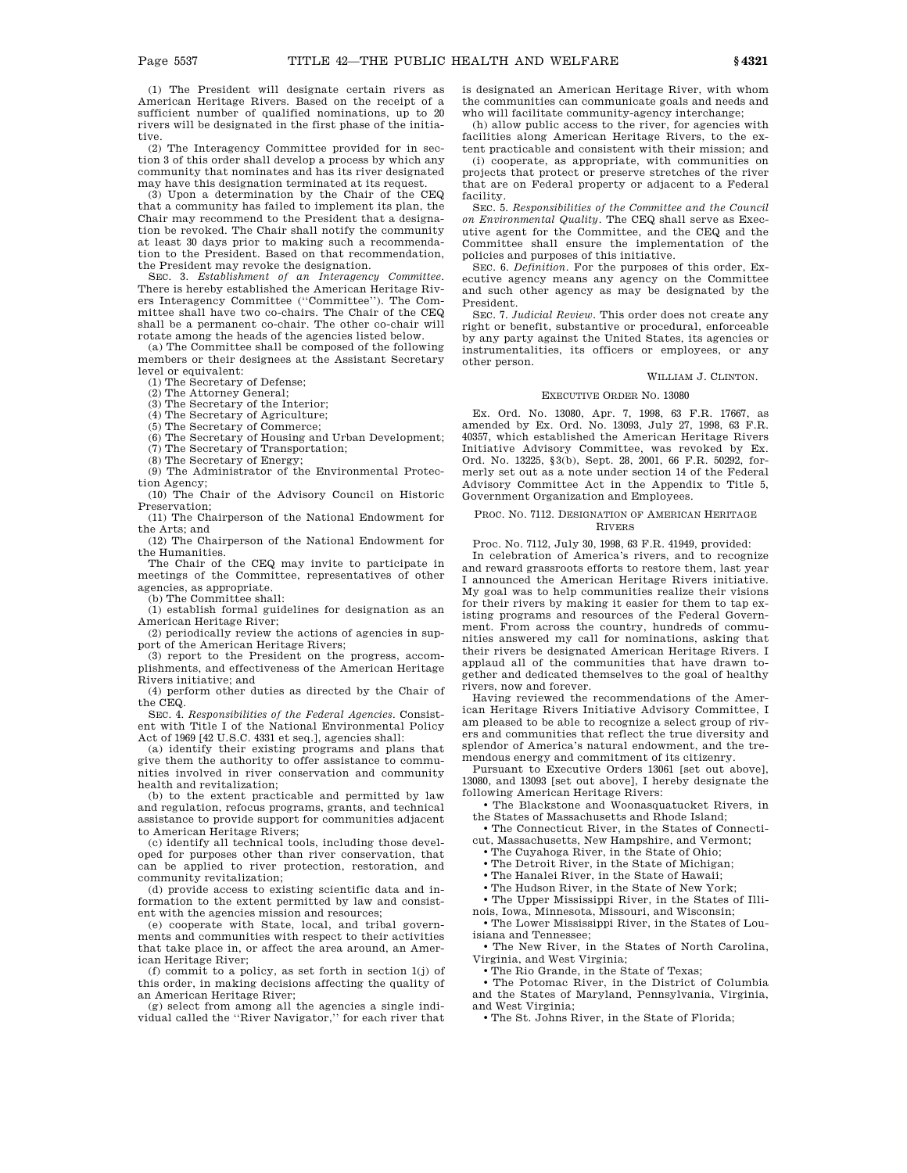(1) The President will designate certain rivers as American Heritage Rivers. Based on the receipt of a sufficient number of qualified nominations, up to 20 rivers will be designated in the first phase of the initiative.

(2) The Interagency Committee provided for in section 3 of this order shall develop a process by which any community that nominates and has its river designated may have this designation terminated at its request.

(3) Upon a determination by the Chair of the CEQ that a community has failed to implement its plan, the Chair may recommend to the President that a designation be revoked. The Chair shall notify the community at least 30 days prior to making such a recommendation to the President. Based on that recommendation, the President may revoke the designation.

SEC. 3. *Establishment of an Interagency Committee*. There is hereby established the American Heritage Rivers Interagency Committee (''Committee''). The Committee shall have two co-chairs. The Chair of the CEQ shall be a permanent co-chair. The other co-chair will rotate among the heads of the agencies listed below.

(a) The Committee shall be composed of the following members or their designees at the Assistant Secretary level or equivalent:

(1) The Secretary of Defense;

(2) The Attorney General;

(3) The Secretary of the Interior;

(4) The Secretary of Agriculture; (5) The Secretary of Commerce;

(6) The Secretary of Housing and Urban Development;

(7) The Secretary of Transportation;

(8) The Secretary of Energy;

(9) The Administrator of the Environmental Protection Agency;

(10) The Chair of the Advisory Council on Historic Preservation;

(11) The Chairperson of the National Endowment for the Arts; and

(12) The Chairperson of the National Endowment for the Humanities.

The Chair of the CEQ may invite to participate in meetings of the Committee, representatives of other agencies, as appropriate.

(b) The Committee shall:

(1) establish formal guidelines for designation as an American Heritage River;

(2) periodically review the actions of agencies in support of the American Heritage Rivers;

(3) report to the President on the progress, accomplishments, and effectiveness of the American Heritage Rivers initiative; and

(4) perform other duties as directed by the Chair of the CEQ.

SEC. 4. *Responsibilities of the Federal Agencies*. Consistent with Title I of the National Environmental Policy Act of 1969 [42 U.S.C. 4331 et seq.], agencies shall:

(a) identify their existing programs and plans that give them the authority to offer assistance to communities involved in river conservation and community health and revitalization;

(b) to the extent practicable and permitted by law and regulation, refocus programs, grants, and technical assistance to provide support for communities adjacent to American Heritage Rivers;

(c) identify all technical tools, including those developed for purposes other than river conservation, that can be applied to river protection, restoration, and community revitalization;

(d) provide access to existing scientific data and information to the extent permitted by law and consistent with the agencies mission and resources;

(e) cooperate with State, local, and tribal governments and communities with respect to their activities that take place in, or affect the area around, an American Heritage River;

(f) commit to a policy, as set forth in section 1(j) of this order, in making decisions affecting the quality of an American Heritage River;

(g) select from among all the agencies a single individual called the ''River Navigator,'' for each river that is designated an American Heritage River, with whom the communities can communicate goals and needs and who will facilitate community-agency interchange;

(h) allow public access to the river, for agencies with facilities along American Heritage Rivers, to the extent practicable and consistent with their mission; and

(i) cooperate, as appropriate, with communities on projects that protect or preserve stretches of the river that are on Federal property or adjacent to a Federal facility.

SEC. 5. *Responsibilities of the Committee and the Council on Environmental Quality*. The CEQ shall serve as Executive agent for the Committee, and the CEQ and the Committee shall ensure the implementation of the policies and purposes of this initiative.

SEC. 6. *Definition*. For the purposes of this order, Executive agency means any agency on the Committee and such other agency as may be designated by the President.

SEC. 7. *Judicial Review*. This order does not create any right or benefit, substantive or procedural, enforceable by any party against the United States, its agencies or instrumentalities, its officers or employees, or any other person.

#### WILLIAM J. CLINTON.

#### EXECUTIVE ORDER NO. 13080

Ex. Ord. No. 13080, Apr. 7, 1998, 63 F.R. 17667, as amended by Ex. Ord. No. 13093, July 27, 1998, 63 F.R. 40357, which established the American Heritage Rivers Initiative Advisory Committee, was revoked by Ex. Ord. No. 13225, §3(b), Sept. 28, 2001, 66 F.R. 50292, formerly set out as a note under section 14 of the Federal Advisory Committee Act in the Appendix to Title 5, Government Organization and Employees.

#### PROC. NO. 7112. DESIGNATION OF AMERICAN HERITAGE RIVERS

Proc. No. 7112, July 30, 1998, 63 F.R. 41949, provided:

In celebration of America's rivers, and to recognize and reward grassroots efforts to restore them, last year I announced the American Heritage Rivers initiative. My goal was to help communities realize their visions for their rivers by making it easier for them to tap existing programs and resources of the Federal Government. From across the country, hundreds of communities answered my call for nominations, asking that their rivers be designated American Heritage Rivers. I applaud all of the communities that have drawn together and dedicated themselves to the goal of healthy rivers, now and forever.

Having reviewed the recommendations of the American Heritage Rivers Initiative Advisory Committee, I am pleased to be able to recognize a select group of rivers and communities that reflect the true diversity and splendor of America's natural endowment, and the tremendous energy and commitment of its citizenry.

Pursuant to Executive Orders 13061 [set out above], 13080, and 13093 [set out above], I hereby designate the following American Heritage Rivers:

• The Blackstone and Woonasquatucket Rivers, in the States of Massachusetts and Rhode Island;

• The Connecticut River, in the States of Connecticut, Massachusetts, New Hampshire, and Vermont;

• The Cuyahoga River, in the State of Ohio;

• The Detroit River, in the State of Michigan;

• The Hanalei River, in the State of Hawaii;

• The Hudson River, in the State of New York;

• The Upper Mississippi River, in the States of Illinois, Iowa, Minnesota, Missouri, and Wisconsin;

• The Lower Mississippi River, in the States of Louisiana and Tennessee;

• The New River, in the States of North Carolina, Virginia, and West Virginia;

• The Rio Grande, in the State of Texas;

• The Potomac River, in the District of Columbia and the States of Maryland, Pennsylvania, Virginia, and West Virginia;

• The St. Johns River, in the State of Florida;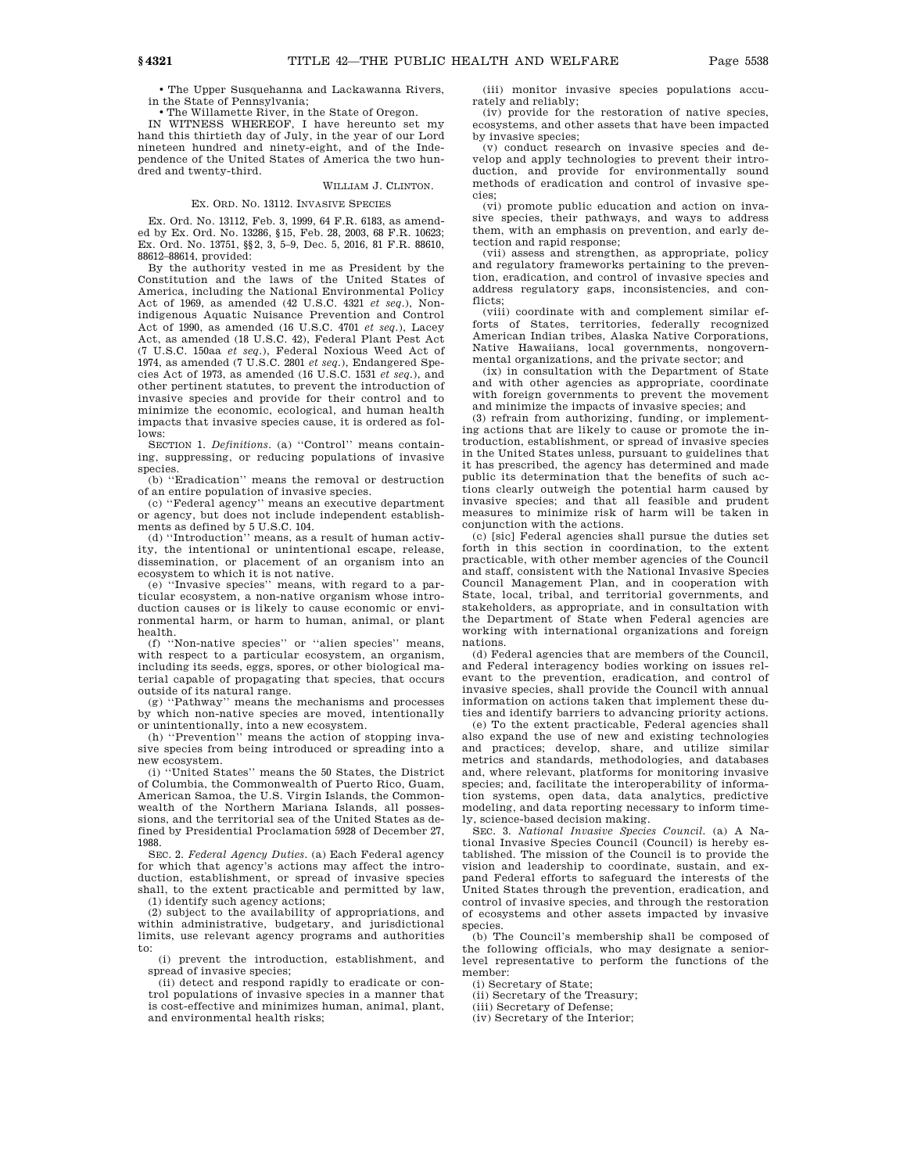• The Upper Susquehanna and Lackawanna Rivers, in the State of Pennsylvania;

The Willamette River, in the State of Oregon.

IN WITNESS WHEREOF, I have hereunto set my hand this thirtieth day of July, in the year of our Lord nineteen hundred and ninety-eight, and of the Independence of the United States of America the two hundred and twenty-third.

### WILLIAM J. CLINTON.

### EX. ORD. NO. 13112. INVASIVE SPECIES

Ex. Ord. No. 13112, Feb. 3, 1999, 64 F.R. 6183, as amended by Ex. Ord. No. 13286, §15, Feb. 28, 2003, 68 F.R. 10623; Ex. Ord. No. 13751, §§2, 3, 5–9, Dec. 5, 2016, 81 F.R. 88610, 88612–88614, provided:

By the authority vested in me as President by the Constitution and the laws of the United States of America, including the National Environmental Policy Act of 1969, as amended (42 U.S.C. 4321 *et seq*.), Nonindigenous Aquatic Nuisance Prevention and Control Act of 1990, as amended (16 U.S.C. 4701 *et seq*.), Lacey Act, as amended (18 U.S.C. 42), Federal Plant Pest Act (7 U.S.C. 150aa *et seq*.), Federal Noxious Weed Act of 1974, as amended (7 U.S.C. 2801 *et seq*.), Endangered Species Act of 1973, as amended (16 U.S.C. 1531 *et seq*.), and other pertinent statutes, to prevent the introduction of invasive species and provide for their control and to minimize the economic, ecological, and human health impacts that invasive species cause, it is ordered as follows:

SECTION 1. *Definitions*. (a) ''Control'' means containing, suppressing, or reducing populations of invasive species.

(b) ''Eradication'' means the removal or destruction of an entire population of invasive species.

(c) ''Federal agency'' means an executive department or agency, but does not include independent establishments as defined by 5 U.S.C. 104. (d) ''Introduction'' means, as a result of human activ-

ity, the intentional or unintentional escape, release, dissemination, or placement of an organism into an ecosystem to which it is not native. (e) ''Invasive species'' means, with regard to a par-

ticular ecosystem, a non-native organism whose introduction causes or is likely to cause economic or environmental harm, or harm to human, animal, or plant health.

(f) ''Non-native species'' or ''alien species'' means, with respect to a particular ecosystem, an organism, including its seeds, eggs, spores, or other biological material capable of propagating that species, that occurs

outside of its natural range. (g) ''Pathway'' means the mechanisms and processes by which non-native species are moved, intentionally or unintentionally, into a new ecosystem. (h) ''Prevention'' means the action of stopping inva-

sive species from being introduced or spreading into a new ecosystem.

(i) ''United States'' means the 50 States, the District of Columbia, the Commonwealth of Puerto Rico, Guam, American Samoa, the U.S. Virgin Islands, the Commonwealth of the Northern Mariana Islands, all possessions, and the territorial sea of the United States as defined by Presidential Proclamation 5928 of December 27, 1988.

SEC. 2. *Federal Agency Duties*. (a) Each Federal agency for which that agency's actions may affect the introduction, establishment, or spread of invasive species shall, to the extent practicable and permitted by law, (1) identify such agency actions;

(2) subject to the availability of appropriations, and within administrative, budgetary, and jurisdictional limits, use relevant agency programs and authorities to:

(i) prevent the introduction, establishment, and spread of invasive species;

(ii) detect and respond rapidly to eradicate or control populations of invasive species in a manner that is cost-effective and minimizes human, animal, plant, and environmental health risks;

(iii) monitor invasive species populations accurately and reliably;

(iv) provide for the restoration of native species, ecosystems, and other assets that have been impacted by invasive species;

(v) conduct research on invasive species and develop and apply technologies to prevent their introduction, and provide for environmentally sound methods of eradication and control of invasive species;

(vi) promote public education and action on invasive species, their pathways, and ways to address them, with an emphasis on prevention, and early detection and rapid response;

(vii) assess and strengthen, as appropriate, policy and regulatory frameworks pertaining to the prevention, eradication, and control of invasive species and address regulatory gaps, inconsistencies, and conflicts;

(viii) coordinate with and complement similar efforts of States, territories, federally recognized American Indian tribes, Alaska Native Corporations, Native Hawaiians, local governments, nongovernmental organizations, and the private sector; and

(ix) in consultation with the Department of State and with other agencies as appropriate, coordinate with foreign governments to prevent the movement and minimize the impacts of invasive species; and

(3) refrain from authorizing, funding, or implementing actions that are likely to cause or promote the introduction, establishment, or spread of invasive species in the United States unless, pursuant to guidelines that it has prescribed, the agency has determined and made public its determination that the benefits of such actions clearly outweigh the potential harm caused by invasive species; and that all feasible and prudent measures to minimize risk of harm will be taken in conjunction with the actions.

(c) [sic] Federal agencies shall pursue the duties set forth in this section in coordination, to the extent practicable, with other member agencies of the Council and staff, consistent with the National Invasive Species Council Management Plan, and in cooperation with State, local, tribal, and territorial governments, and stakeholders, as appropriate, and in consultation with the Department of State when Federal agencies are working with international organizations and foreign nations.

(d) Federal agencies that are members of the Council, and Federal interagency bodies working on issues relevant to the prevention, eradication, and control of invasive species, shall provide the Council with annual information on actions taken that implement these duties and identify barriers to advancing priority actions.

(e) To the extent practicable, Federal agencies shall also expand the use of new and existing technologies and practices; develop, share, and utilize similar metrics and standards, methodologies, and databases and, where relevant, platforms for monitoring invasive species; and, facilitate the interoperability of information systems, open data, data analytics, predictive modeling, and data reporting necessary to inform timely, science-based decision making.

SEC. 3. *National Invasive Species Council*. (a) A National Invasive Species Council (Council) is hereby established. The mission of the Council is to provide the vision and leadership to coordinate, sustain, and expand Federal efforts to safeguard the interests of the United States through the prevention, eradication, and control of invasive species, and through the restoration of ecosystems and other assets impacted by invasive species.

(b) The Council's membership shall be composed of the following officials, who may designate a seniorlevel representative to perform the functions of the member:

(i) Secretary of State;

(ii) Secretary of the Treasury;

(iii) Secretary of Defense;

(iv) Secretary of the Interior;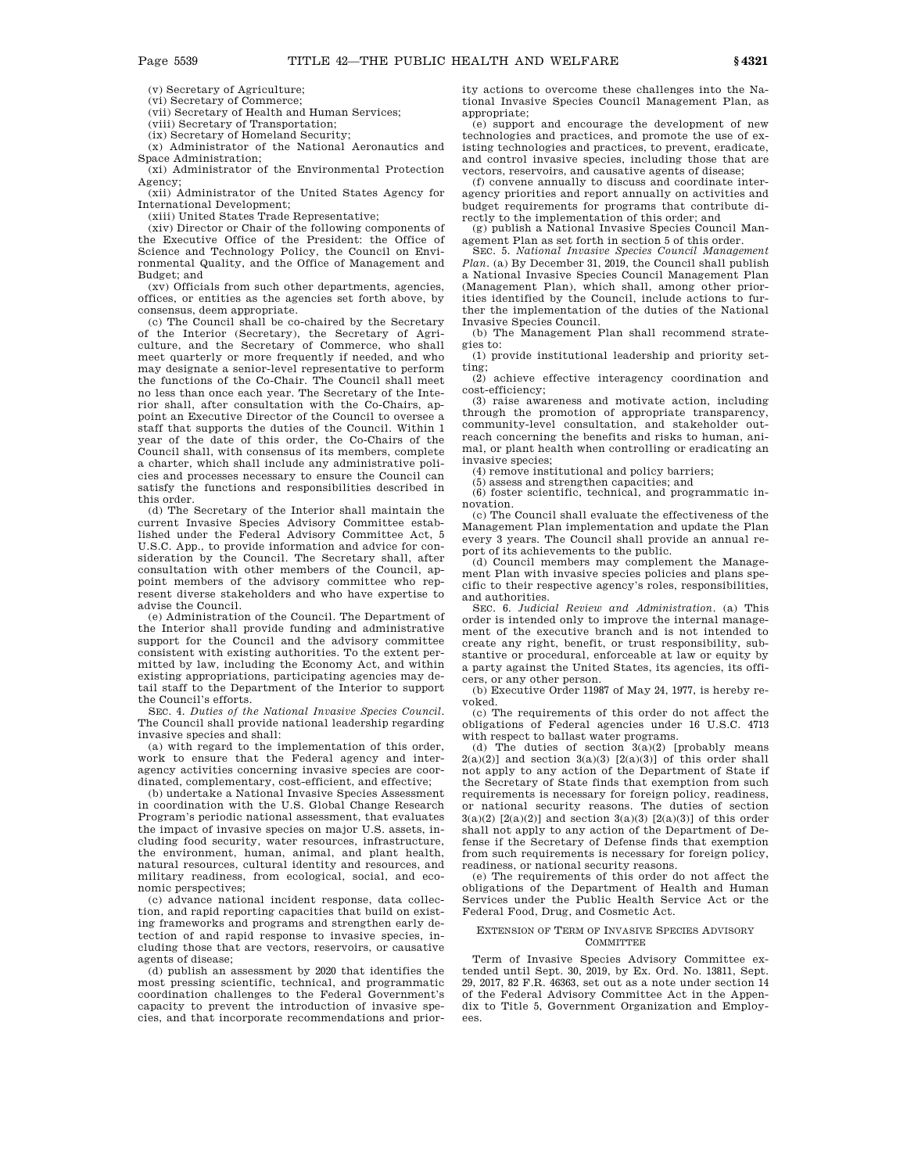(v) Secretary of Agriculture;

(vi) Secretary of Commerce;

(vii) Secretary of Health and Human Services;

(viii) Secretary of Transportation;

(ix) Secretary of Homeland Security;

(x) Administrator of the National Aeronautics and Space Administration;

(xi) Administrator of the Environmental Protection Agency;

(xii) Administrator of the United States Agency for International Development;

(xiii) United States Trade Representative;

(xiv) Director or Chair of the following components of the Executive Office of the President: the Office of Science and Technology Policy, the Council on Environmental Quality, and the Office of Management and Budget; and

(xv) Officials from such other departments, agencies, offices, or entities as the agencies set forth above, by consensus, deem appropriate.

(c) The Council shall be co-chaired by the Secretary of the Interior (Secretary), the Secretary of Agriculture, and the Secretary of Commerce, who shall meet quarterly or more frequently if needed, and who may designate a senior-level representative to perform the functions of the Co-Chair. The Council shall meet no less than once each year. The Secretary of the Interior shall, after consultation with the Co-Chairs, appoint an Executive Director of the Council to oversee a staff that supports the duties of the Council. Within 1 year of the date of this order, the Co-Chairs of the Council shall, with consensus of its members, complete a charter, which shall include any administrative policies and processes necessary to ensure the Council can satisfy the functions and responsibilities described in this order.

(d) The Secretary of the Interior shall maintain the current Invasive Species Advisory Committee established under the Federal Advisory Committee Act, 5 U.S.C. App., to provide information and advice for consideration by the Council. The Secretary shall, after consultation with other members of the Council, appoint members of the advisory committee who represent diverse stakeholders and who have expertise to advise the Council.

(e) Administration of the Council. The Department of the Interior shall provide funding and administrative support for the Council and the advisory committee consistent with existing authorities. To the extent permitted by law, including the Economy Act, and within existing appropriations, participating agencies may detail staff to the Department of the Interior to support the Council's efforts.

SEC. 4. *Duties of the National Invasive Species Council*. The Council shall provide national leadership regarding invasive species and shall:

(a) with regard to the implementation of this order, work to ensure that the Federal agency and interagency activities concerning invasive species are coordinated, complementary, cost-efficient, and effective;

(b) undertake a National Invasive Species Assessment in coordination with the U.S. Global Change Research Program's periodic national assessment, that evaluates the impact of invasive species on major U.S. assets, including food security, water resources, infrastructure, the environment, human, animal, and plant health, natural resources, cultural identity and resources, and military readiness, from ecological, social, and economic perspectives;

(c) advance national incident response, data collection, and rapid reporting capacities that build on existing frameworks and programs and strengthen early detection of and rapid response to invasive species, including those that are vectors, reservoirs, or causative agents of disease;

(d) publish an assessment by 2020 that identifies the most pressing scientific, technical, and programmatic coordination challenges to the Federal Government's capacity to prevent the introduction of invasive species, and that incorporate recommendations and priority actions to overcome these challenges into the National Invasive Species Council Management Plan, as appropriate;

(e) support and encourage the development of new technologies and practices, and promote the use of existing technologies and practices, to prevent, eradicate, and control invasive species, including those that are vectors, reservoirs, and causative agents of disease;

(f) convene annually to discuss and coordinate interagency priorities and report annually on activities and budget requirements for programs that contribute directly to the implementation of this order; and

(g) publish a National Invasive Species Council Management Plan as set forth in section 5 of this order.

SEC. 5. *National Invasive Species Council Management Plan*. (a) By December 31, 2019, the Council shall publish a National Invasive Species Council Management Plan (Management Plan), which shall, among other priorities identified by the Council, include actions to further the implementation of the duties of the National Invasive Species Council.

(b) The Management Plan shall recommend strategies to:

(1) provide institutional leadership and priority setting;

(2) achieve effective interagency coordination and cost-efficiency;

(3) raise awareness and motivate action, including through the promotion of appropriate transparency, community-level consultation, and stakeholder outreach concerning the benefits and risks to human, animal, or plant health when controlling or eradicating an invasive species;

(4) remove institutional and policy barriers;

(5) assess and strengthen capacities; and

(6) foster scientific, technical, and programmatic innovation.

(c) The Council shall evaluate the effectiveness of the Management Plan implementation and update the Plan every 3 years. The Council shall provide an annual report of its achievements to the public.

(d) Council members may complement the Management Plan with invasive species policies and plans specific to their respective agency's roles, responsibilities, and authorities.

SEC. 6. *Judicial Review and Administration*. (a) This order is intended only to improve the internal management of the executive branch and is not intended to create any right, benefit, or trust responsibility, substantive or procedural, enforceable at law or equity by a party against the United States, its agencies, its officers, or any other person.

(b) Executive Order 11987 of May 24, 1977, is hereby revoked.

(c) The requirements of this order do not affect the obligations of Federal agencies under 16 U.S.C. 4713 with respect to ballast water programs.

(d) The duties of section  $3(a)(2)$  [probably means  $2(a)(2)$ ] and section  $3(a)(3)$  [ $2(a)(3)$ ] of this order shall not apply to any action of the Department of State if the Secretary of State finds that exemption from such requirements is necessary for foreign policy, readiness, or national security reasons. The duties of section  $3(a)(2)$  [2(a)(2)] and section  $3(a)(3)$  [2(a)(3)] of this order shall not apply to any action of the Department of Defense if the Secretary of Defense finds that exemption from such requirements is necessary for foreign policy, readiness, or national security reasons.

(e) The requirements of this order do not affect the obligations of the Department of Health and Human Services under the Public Health Service Act or the Federal Food, Drug, and Cosmetic Act.

#### EXTENSION OF TERM OF INVASIVE SPECIES ADVISORY **COMMITTEE**

Term of Invasive Species Advisory Committee extended until Sept. 30, 2019, by Ex. Ord. No. 13811, Sept. 29, 2017, 82 F.R. 46363, set out as a note under section 14 of the Federal Advisory Committee Act in the Appendix to Title 5, Government Organization and Employees.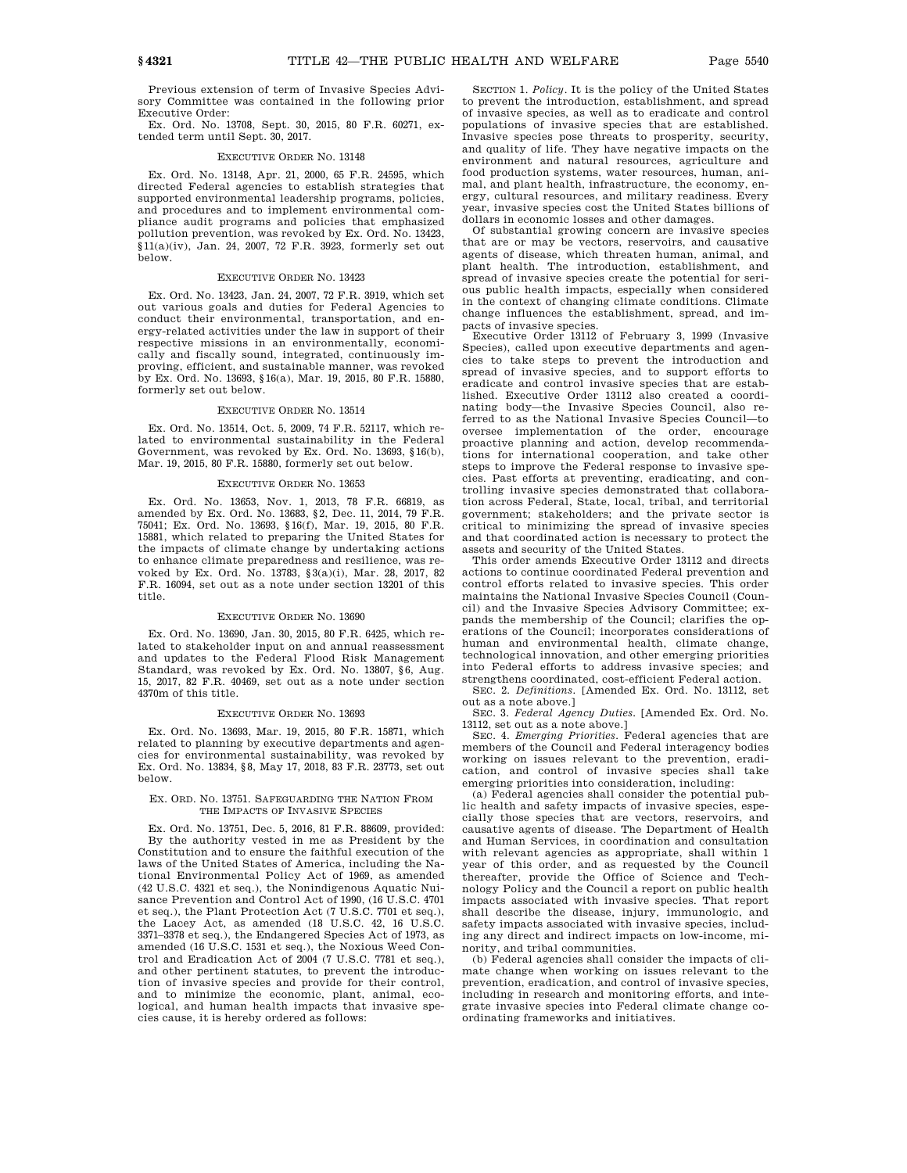Previous extension of term of Invasive Species Advisory Committee was contained in the following prior Executive Order:

Ex. Ord. No. 13708, Sept. 30, 2015, 80 F.R. 60271, extended term until Sept. 30, 2017.

#### EXECUTIVE ORDER NO. 13148

Ex. Ord. No. 13148, Apr. 21, 2000, 65 F.R. 24595, which directed Federal agencies to establish strategies that supported environmental leadership programs, policies, and procedures and to implement environmental compliance audit programs and policies that emphasized pollution prevention, was revoked by Ex. Ord. No. 13423, §11(a)(iv), Jan. 24, 2007, 72 F.R. 3923, formerly set out below.

# EXECUTIVE ORDER NO. 13423

Ex. Ord. No. 13423, Jan. 24, 2007, 72 F.R. 3919, which set out various goals and duties for Federal Agencies to conduct their environmental, transportation, and energy-related activities under the law in support of their respective missions in an environmentally, economically and fiscally sound, integrated, continuously improving, efficient, and sustainable manner, was revoked by Ex. Ord. No. 13693, §16(a), Mar. 19, 2015, 80 F.R. 15880, formerly set out below.

#### EXECUTIVE ORDER NO. 13514

Ex. Ord. No. 13514, Oct. 5, 2009, 74 F.R. 52117, which related to environmental sustainability in the Federal Government, was revoked by Ex. Ord. No. 13693, §16(b), Mar. 19, 2015, 80 F.R. 15880, formerly set out below.

#### EXECUTIVE ORDER NO. 13653

Ex. Ord. No. 13653, Nov. 1, 2013, 78 F.R. 66819, as amended by Ex. Ord. No. 13683, §2, Dec. 11, 2014, 79 F.R. 75041; Ex. Ord. No. 13693, §16(f), Mar. 19, 2015, 80 F.R. 15881, which related to preparing the United States for the impacts of climate change by undertaking actions to enhance climate preparedness and resilience, was revoked by Ex. Ord. No. 13783, §3(a)(i), Mar. 28, 2017, 82 F.R. 16094, set out as a note under section 13201 of this title.

#### EXECUTIVE ORDER NO. 13690

Ex. Ord. No. 13690, Jan. 30, 2015, 80 F.R. 6425, which related to stakeholder input on and annual reassessment and updates to the Federal Flood Risk Management Standard, was revoked by Ex. Ord. No. 13807, §6, Aug. 15, 2017, 82 F.R. 40469, set out as a note under section 4370m of this title.

#### EXECUTIVE ORDER NO. 13693

Ex. Ord. No. 13693, Mar. 19, 2015, 80 F.R. 15871, which related to planning by executive departments and agencies for environmental sustainability, was revoked by Ex. Ord. No. 13834, §8, May 17, 2018, 83 F.R. 23773, set out below.

#### EX. ORD. NO. 13751. SAFEGUARDING THE NATION FROM THE IMPACTS OF INVASIVE SPECIES

Ex. Ord. No. 13751, Dec. 5, 2016, 81 F.R. 88609, provided: By the authority vested in me as President by the Constitution and to ensure the faithful execution of the laws of the United States of America, including the National Environmental Policy Act of 1969, as amended (42 U.S.C. 4321 et seq.), the Nonindigenous Aquatic Nuisance Prevention and Control Act of 1990, (16 U.S.C. 4701 et seq.), the Plant Protection Act (7 U.S.C. 7701 et seq.), the Lacey Act, as amended (18 U.S.C. 42, 16 U.S.C. 3371–3378 et seq.), the Endangered Species Act of 1973, as amended (16 U.S.C. 1531 et seq.), the Noxious Weed Control and Eradication Act of 2004 (7 U.S.C. 7781 et seq.), and other pertinent statutes, to prevent the introduction of invasive species and provide for their control, and to minimize the economic, plant, animal, ecological, and human health impacts that invasive species cause, it is hereby ordered as follows:

SECTION 1. *Policy*. It is the policy of the United States to prevent the introduction, establishment, and spread of invasive species, as well as to eradicate and control populations of invasive species that are established. Invasive species pose threats to prosperity, security, and quality of life. They have negative impacts on the environment and natural resources, agriculture and food production systems, water resources, human, animal, and plant health, infrastructure, the economy, energy, cultural resources, and military readiness. Every year, invasive species cost the United States billions of dollars in economic losses and other damages.

Of substantial growing concern are invasive species that are or may be vectors, reservoirs, and causative agents of disease, which threaten human, animal, and plant health. The introduction, establishment, and spread of invasive species create the potential for serious public health impacts, especially when considered in the context of changing climate conditions. Climate change influences the establishment, spread, and impacts of invasive species.

Executive Order 13112 of February 3, 1999 (Invasive Species), called upon executive departments and agencies to take steps to prevent the introduction and spread of invasive species, and to support efforts to eradicate and control invasive species that are established. Executive Order 13112 also created a coordinating body—the Invasive Species Council, also referred to as the National Invasive Species Council—to oversee implementation of the order, encourage proactive planning and action, develop recommendations for international cooperation, and take other steps to improve the Federal response to invasive species. Past efforts at preventing, eradicating, and controlling invasive species demonstrated that collaboration across Federal, State, local, tribal, and territorial government; stakeholders; and the private sector is critical to minimizing the spread of invasive species and that coordinated action is necessary to protect the assets and security of the United States.

This order amends Executive Order 13112 and directs actions to continue coordinated Federal prevention and control efforts related to invasive species. This order maintains the National Invasive Species Council (Council) and the Invasive Species Advisory Committee; expands the membership of the Council; clarifies the operations of the Council; incorporates considerations of human and environmental health, climate change, technological innovation, and other emerging priorities into Federal efforts to address invasive species; and strengthens coordinated, cost-efficient Federal action.

SEC. 2. *Definitions*. [Amended Ex. Ord. No. 13112, set out as a note above.]

SEC. 3. *Federal Agency Duties*. [Amended Ex. Ord. No. 13112, set out as a note above.] SEC. 4. *Emerging Priorities*. Federal agencies that are

members of the Council and Federal interagency bodies working on issues relevant to the prevention, eradication, and control of invasive species shall take emerging priorities into consideration, including:

(a) Federal agencies shall consider the potential public health and safety impacts of invasive species, especially those species that are vectors, reservoirs, and causative agents of disease. The Department of Health and Human Services, in coordination and consultation with relevant agencies as appropriate, shall within 1 year of this order, and as requested by the Council thereafter, provide the Office of Science and Technology Policy and the Council a report on public health impacts associated with invasive species. That report shall describe the disease, injury, immunologic, and safety impacts associated with invasive species, including any direct and indirect impacts on low-income, minority, and tribal communities.

(b) Federal agencies shall consider the impacts of climate change when working on issues relevant to the prevention, eradication, and control of invasive species, including in research and monitoring efforts, and integrate invasive species into Federal climate change coordinating frameworks and initiatives.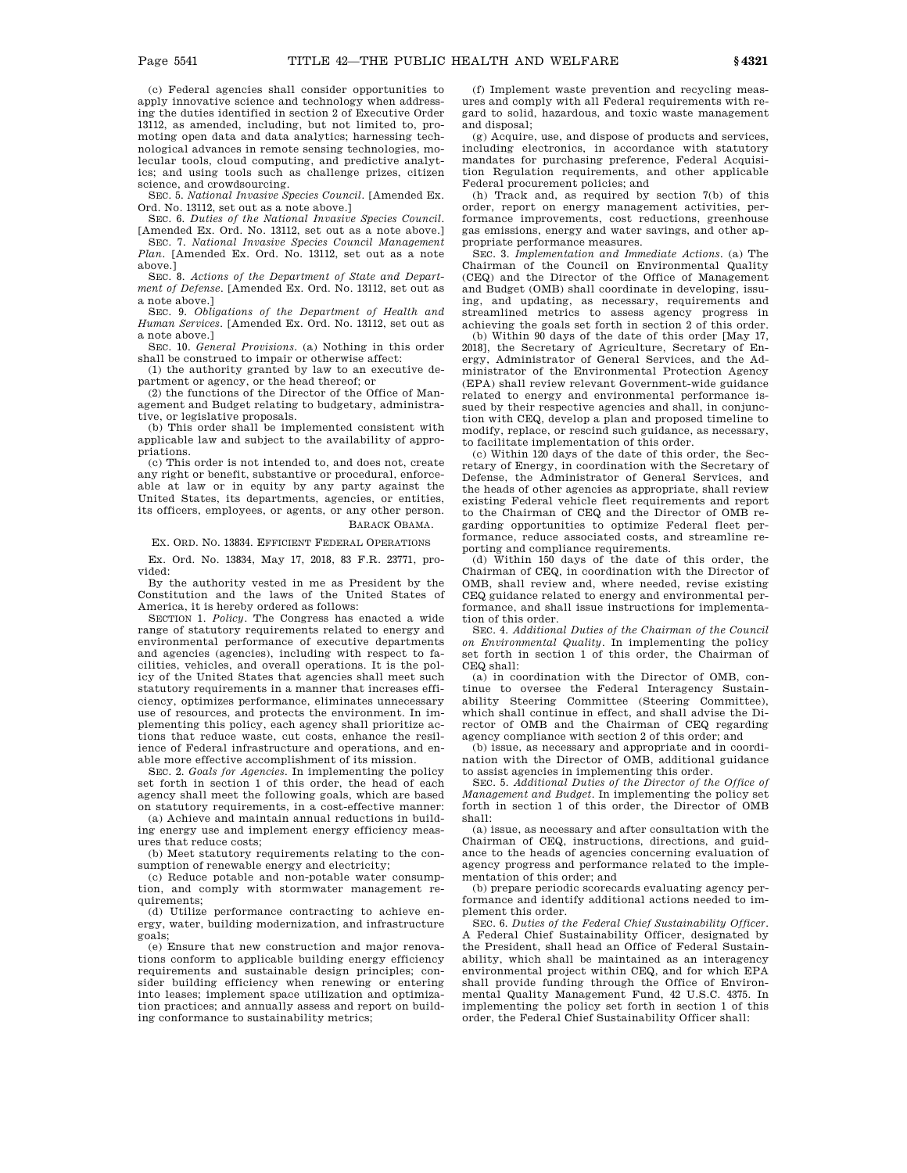(c) Federal agencies shall consider opportunities to apply innovative science and technology when addressing the duties identified in section 2 of Executive Order 13112, as amended, including, but not limited to, promoting open data and data analytics; harnessing technological advances in remote sensing technologies, molecular tools, cloud computing, and predictive analytics; and using tools such as challenge prizes, citizen science, and crowdsourcing.

SEC. 5. *National Invasive Species Council*. [Amended Ex. Ord. No. 13112, set out as a note above.]

SEC. 6. *Duties of the National Invasive Species Council*. [Amended Ex. Ord. No. 13112, set out as a note above.] SEC. 7. *National Invasive Species Council Management Plan*. [Amended Ex. Ord. No. 13112, set out as a note above.]

SEC. 8. *Actions of the Department of State and Department of Defense*. [Amended Ex. Ord. No. 13112, set out as a note above.]

SEC. 9. *Obligations of the Department of Health and Human Services*. [Amended Ex. Ord. No. 13112, set out as a note above.]

SEC. 10. *General Provisions*. (a) Nothing in this order shall be construed to impair or otherwise affect:

(1) the authority granted by law to an executive department or agency, or the head thereof; or

(2) the functions of the Director of the Office of Management and Budget relating to budgetary, administrative, or legislative proposals.

(b) This order shall be implemented consistent with applicable law and subject to the availability of appropriations.

(c) This order is not intended to, and does not, create any right or benefit, substantive or procedural, enforceable at law or in equity by any party against the United States, its departments, agencies, or entities, its officers, employees, or agents, or any other person. BARACK OBAMA.

EX. ORD. NO. 13834. EFFICIENT FEDERAL OPERATIONS

Ex. Ord. No. 13834, May 17, 2018, 83 F.R. 23771, provided: By the authority vested in me as President by the

Constitution and the laws of the United States of America, it is hereby ordered as follows: SECTION 1. *Policy*. The Congress has enacted a wide

range of statutory requirements related to energy and environmental performance of executive departments and agencies (agencies), including with respect to facilities, vehicles, and overall operations. It is the policy of the United States that agencies shall meet such statutory requirements in a manner that increases efficiency, optimizes performance, eliminates unnecessary use of resources, and protects the environment. In implementing this policy, each agency shall prioritize actions that reduce waste, cut costs, enhance the resilience of Federal infrastructure and operations, and enable more effective accomplishment of its mission.

SEC. 2. *Goals for Agencies*. In implementing the policy set forth in section 1 of this order, the head of each agency shall meet the following goals, which are based on statutory requirements, in a cost-effective manner:

(a) Achieve and maintain annual reductions in building energy use and implement energy efficiency meas-

ures that reduce costs; (b) Meet statutory requirements relating to the con-

sumption of renewable energy and electricity; (c) Reduce potable and non-potable water consumption, and comply with stormwater management requirements;

(d) Utilize performance contracting to achieve energy, water, building modernization, and infrastructure goals;

(e) Ensure that new construction and major renovations conform to applicable building energy efficiency requirements and sustainable design principles; consider building efficiency when renewing or entering into leases; implement space utilization and optimization practices; and annually assess and report on building conformance to sustainability metrics;

(f) Implement waste prevention and recycling measures and comply with all Federal requirements with regard to solid, hazardous, and toxic waste management and disposal;

(g) Acquire, use, and dispose of products and services, including electronics, in accordance with statutory mandates for purchasing preference, Federal Acquisition Regulation requirements, and other applicable Federal procurement policies; and

(h) Track and, as required by section 7(b) of this order, report on energy management activities, performance improvements, cost reductions, greenhouse gas emissions, energy and water savings, and other appropriate performance measures.

SEC. 3. *Implementation and Immediate Actions*. (a) The Chairman of the Council on Environmental Quality (CEQ) and the Director of the Office of Management and Budget (OMB) shall coordinate in developing, issuing, and updating, as necessary, requirements and streamlined metrics to assess agency progress in achieving the goals set forth in section 2 of this order.

(b) Within 90 days of the date of this order [May 17, 2018], the Secretary of Agriculture, Secretary of Energy, Administrator of General Services, and the Administrator of the Environmental Protection Agency (EPA) shall review relevant Government-wide guidance related to energy and environmental performance issued by their respective agencies and shall, in conjunction with CEQ, develop a plan and proposed timeline to modify, replace, or rescind such guidance, as necessary, to facilitate implementation of this order.

(c) Within 120 days of the date of this order, the Secretary of Energy, in coordination with the Secretary of Defense, the Administrator of General Services, and the heads of other agencies as appropriate, shall review existing Federal vehicle fleet requirements and report to the Chairman of CEQ and the Director of OMB regarding opportunities to optimize Federal fleet performance, reduce associated costs, and streamline reporting and compliance requirements.

(d) Within 150 days of the date of this order, the Chairman of CEQ, in coordination with the Director of OMB, shall review and, where needed, revise existing CEQ guidance related to energy and environmental performance, and shall issue instructions for implementation of this order.

SEC. 4. *Additional Duties of the Chairman of the Council on Environmental Quality*. In implementing the policy set forth in section 1 of this order, the Chairman of CEQ shall:

(a) in coordination with the Director of OMB, continue to oversee the Federal Interagency Sustainability Steering Committee (Steering Committee), which shall continue in effect, and shall advise the Director of OMB and the Chairman of CEQ regarding agency compliance with section 2 of this order; and

(b) issue, as necessary and appropriate and in coordination with the Director of OMB, additional guidance to assist agencies in implementing this order.

SEC. 5. *Additional Duties of the Director of the Office of Management and Budget*. In implementing the policy set forth in section 1 of this order, the Director of OMB shall:

(a) issue, as necessary and after consultation with the Chairman of CEQ, instructions, directions, and guidance to the heads of agencies concerning evaluation of agency progress and performance related to the implementation of this order; and

(b) prepare periodic scorecards evaluating agency performance and identify additional actions needed to implement this order.

SEC. 6. *Duties of the Federal Chief Sustainability Officer*. A Federal Chief Sustainability Officer, designated by the President, shall head an Office of Federal Sustainability, which shall be maintained as an interagency environmental project within CEQ, and for which EPA shall provide funding through the Office of Environmental Quality Management Fund, 42 U.S.C. 4375. In implementing the policy set forth in section 1 of this order, the Federal Chief Sustainability Officer shall: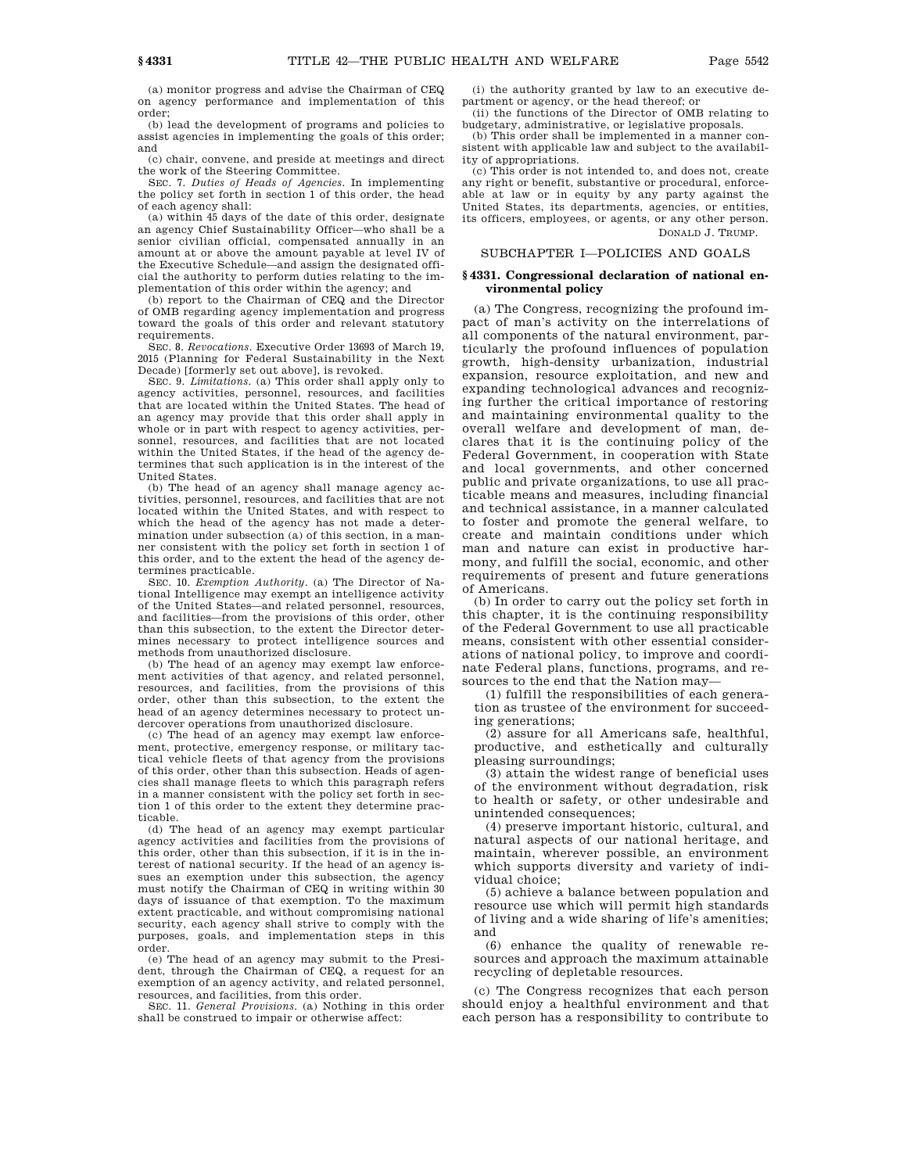(a) monitor progress and advise the Chairman of CEQ on agency performance and implementation of this order;

(b) lead the development of programs and policies to assist agencies in implementing the goals of this order; and

(c) chair, convene, and preside at meetings and direct the work of the Steering Committee.

SEC. 7. *Duties of Heads of Agencies*. In implementing the policy set forth in section 1 of this order, the head of each agency shall:

(a) within 45 days of the date of this order, designate an agency Chief Sustainability Officer—who shall be a senior civilian official, compensated annually in an amount at or above the amount payable at level IV of the Executive Schedule—and assign the designated official the authority to perform duties relating to the implementation of this order within the agency; and

(b) report to the Chairman of CEQ and the Director of OMB regarding agency implementation and progress toward the goals of this order and relevant statutory requirements.

SEC. 8. *Revocations*. Executive Order 13693 of March 19, 2015 (Planning for Federal Sustainability in the Next Decade) [formerly set out above], is revoked.

SEC. 9. *Limitations*. (a) This order shall apply only to agency activities, personnel, resources, and facilities that are located within the United States. The head of an agency may provide that this order shall apply in whole or in part with respect to agency activities, personnel, resources, and facilities that are not located within the United States, if the head of the agency determines that such application is in the interest of the United States.

(b) The head of an agency shall manage agency activities, personnel, resources, and facilities that are not located within the United States, and with respect to which the head of the agency has not made a determination under subsection (a) of this section, in a manner consistent with the policy set forth in section 1 of this order, and to the extent the head of the agency determines practicable.

SEC. 10. *Exemption Authority*. (a) The Director of National Intelligence may exempt an intelligence activity of the United States—and related personnel, resources, and facilities—from the provisions of this order, other than this subsection, to the extent the Director determines necessary to protect intelligence sources and methods from unauthorized disclosure.

(b) The head of an agency may exempt law enforcement activities of that agency, and related personnel, resources, and facilities, from the provisions of this order, other than this subsection, to the extent the head of an agency determines necessary to protect undercover operations from unauthorized disclosure.

(c) The head of an agency may exempt law enforcement, protective, emergency response, or military tactical vehicle fleets of that agency from the provisions of this order, other than this subsection. Heads of agencies shall manage fleets to which this paragraph refers in a manner consistent with the policy set forth in section 1 of this order to the extent they determine practicable.

(d) The head of an agency may exempt particular agency activities and facilities from the provisions of this order, other than this subsection, if it is in the interest of national security. If the head of an agency issues an exemption under this subsection, the agency must notify the Chairman of CEQ in writing within 30 days of issuance of that exemption. To the maximum extent practicable, and without compromising national security, each agency shall strive to comply with the purposes, goals, and implementation steps in this order.

(e) The head of an agency may submit to the President, through the Chairman of CEQ, a request for an exemption of an agency activity, and related personnel, resources, and facilities, from this order.

SEC. 11. *General Provisions*. (a) Nothing in this order shall be construed to impair or otherwise affect:

(i) the authority granted by law to an executive department or agency, or the head thereof; or

(ii) the functions of the Director of OMB relating to budgetary, administrative, or legislative proposals.

(b) This order shall be implemented in a manner consistent with applicable law and subject to the availability of appropriations.

(c) This order is not intended to, and does not, create any right or benefit, substantive or procedural, enforceable at law or in equity by any party against the United States, its departments, agencies, or entities, its officers, employees, or agents, or any other person. DONALD J. TRUMP.

SUBCHAPTER I—POLICIES AND GOALS

# **§ 4331. Congressional declaration of national environmental policy**

(a) The Congress, recognizing the profound impact of man's activity on the interrelations of all components of the natural environment, particularly the profound influences of population growth, high-density urbanization, industrial expansion, resource exploitation, and new and expanding technological advances and recognizing further the critical importance of restoring and maintaining environmental quality to the overall welfare and development of man, declares that it is the continuing policy of the Federal Government, in cooperation with State and local governments, and other concerned public and private organizations, to use all practicable means and measures, including financial and technical assistance, in a manner calculated to foster and promote the general welfare, to create and maintain conditions under which man and nature can exist in productive harmony, and fulfill the social, economic, and other requirements of present and future generations of Americans.

(b) In order to carry out the policy set forth in this chapter, it is the continuing responsibility of the Federal Government to use all practicable means, consistent with other essential considerations of national policy, to improve and coordinate Federal plans, functions, programs, and resources to the end that the Nation may-

(1) fulfill the responsibilities of each generation as trustee of the environment for succeeding generations;

(2) assure for all Americans safe, healthful, productive, and esthetically and culturally pleasing surroundings;

(3) attain the widest range of beneficial uses of the environment without degradation, risk to health or safety, or other undesirable and unintended consequences;

(4) preserve important historic, cultural, and natural aspects of our national heritage, and maintain, wherever possible, an environment which supports diversity and variety of individual choice;

(5) achieve a balance between population and resource use which will permit high standards of living and a wide sharing of life's amenities; and

(6) enhance the quality of renewable resources and approach the maximum attainable recycling of depletable resources.

(c) The Congress recognizes that each person should enjoy a healthful environment and that each person has a responsibility to contribute to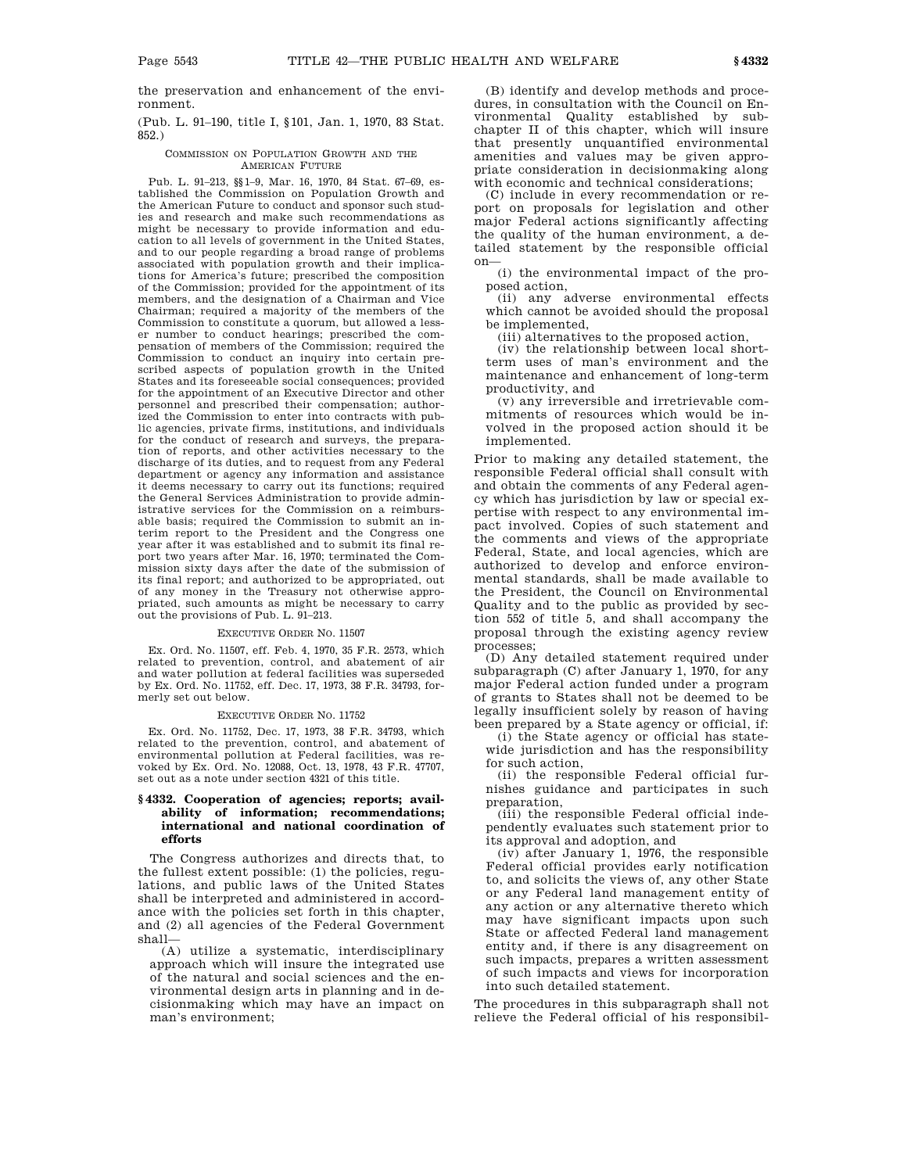the preservation and enhancement of the environment.

(Pub. L. 91–190, title I, §101, Jan. 1, 1970, 83 Stat. 852.)

# COMMISSION ON POPULATION GROWTH AND THE AMERICAN FUTURE

Pub. L. 91–213, §§1–9, Mar. 16, 1970, 84 Stat. 67–69, established the Commission on Population Growth and the American Future to conduct and sponsor such studies and research and make such recommendations as might be necessary to provide information and education to all levels of government in the United States, and to our people regarding a broad range of problems associated with population growth and their implications for America's future; prescribed the composition of the Commission; provided for the appointment of its members, and the designation of a Chairman and Vice Chairman; required a majority of the members of the Commission to constitute a quorum, but allowed a lesser number to conduct hearings; prescribed the compensation of members of the Commission; required the Commission to conduct an inquiry into certain prescribed aspects of population growth in the United States and its foreseeable social consequences; provided for the appointment of an Executive Director and other personnel and prescribed their compensation; authorized the Commission to enter into contracts with public agencies, private firms, institutions, and individuals for the conduct of research and surveys, the preparation of reports, and other activities necessary to the discharge of its duties, and to request from any Federal department or agency any information and assistance it deems necessary to carry out its functions; required the General Services Administration to provide administrative services for the Commission on a reimbursable basis; required the Commission to submit an interim report to the President and the Congress one year after it was established and to submit its final report two years after Mar. 16, 1970; terminated the Commission sixty days after the date of the submission of its final report; and authorized to be appropriated, out of any money in the Treasury not otherwise appropriated, such amounts as might be necessary to carry out the provisions of Pub. L. 91–213.

### EXECUTIVE ORDER NO. 11507

Ex. Ord. No. 11507, eff. Feb. 4, 1970, 35 F.R. 2573, which related to prevention, control, and abatement of air and water pollution at federal facilities was superseded by Ex. Ord. No. 11752, eff. Dec. 17, 1973, 38 F.R. 34793, formerly set out below.

# EXECUTIVE ORDER NO. 11752

Ex. Ord. No. 11752, Dec. 17, 1973, 38 F.R. 34793, which related to the prevention, control, and abatement of environmental pollution at Federal facilities, was revoked by Ex. Ord. No. 12088, Oct. 13, 1978, 43 F.R. 47707, set out as a note under section 4321 of this title.

# **§ 4332. Cooperation of agencies; reports; availability of information; recommendations; international and national coordination of efforts**

The Congress authorizes and directs that, to the fullest extent possible: (1) the policies, regulations, and public laws of the United States shall be interpreted and administered in accordance with the policies set forth in this chapter, and (2) all agencies of the Federal Government shall—

(A) utilize a systematic, interdisciplinary approach which will insure the integrated use of the natural and social sciences and the environmental design arts in planning and in decisionmaking which may have an impact on man's environment;

(B) identify and develop methods and procedures, in consultation with the Council on Environmental Quality established by subchapter II of this chapter, which will insure that presently unquantified environmental amenities and values may be given appropriate consideration in decisionmaking along with economic and technical considerations;

(C) include in every recommendation or report on proposals for legislation and other major Federal actions significantly affecting the quality of the human environment, a detailed statement by the responsible official on—

(i) the environmental impact of the proposed action,

(ii) any adverse environmental effects which cannot be avoided should the proposal be implemented,

(iii) alternatives to the proposed action,

(iv) the relationship between local shortterm uses of man's environment and the maintenance and enhancement of long-term productivity, and

(v) any irreversible and irretrievable commitments of resources which would be involved in the proposed action should it be implemented.

Prior to making any detailed statement, the responsible Federal official shall consult with and obtain the comments of any Federal agency which has jurisdiction by law or special expertise with respect to any environmental impact involved. Copies of such statement and the comments and views of the appropriate Federal, State, and local agencies, which are authorized to develop and enforce environmental standards, shall be made available to the President, the Council on Environmental Quality and to the public as provided by section 552 of title 5, and shall accompany the proposal through the existing agency review processes;

(D) Any detailed statement required under subparagraph (C) after January 1, 1970, for any major Federal action funded under a program of grants to States shall not be deemed to be legally insufficient solely by reason of having been prepared by a State agency or official, if:

(i) the State agency or official has statewide jurisdiction and has the responsibility for such action,

(ii) the responsible Federal official furnishes guidance and participates in such preparation,

(iii) the responsible Federal official independently evaluates such statement prior to its approval and adoption, and

 $(iv)$  after January 1, 1976, the responsible Federal official provides early notification to, and solicits the views of, any other State or any Federal land management entity of any action or any alternative thereto which may have significant impacts upon such State or affected Federal land management entity and, if there is any disagreement on such impacts, prepares a written assessment of such impacts and views for incorporation into such detailed statement.

The procedures in this subparagraph shall not relieve the Federal official of his responsibil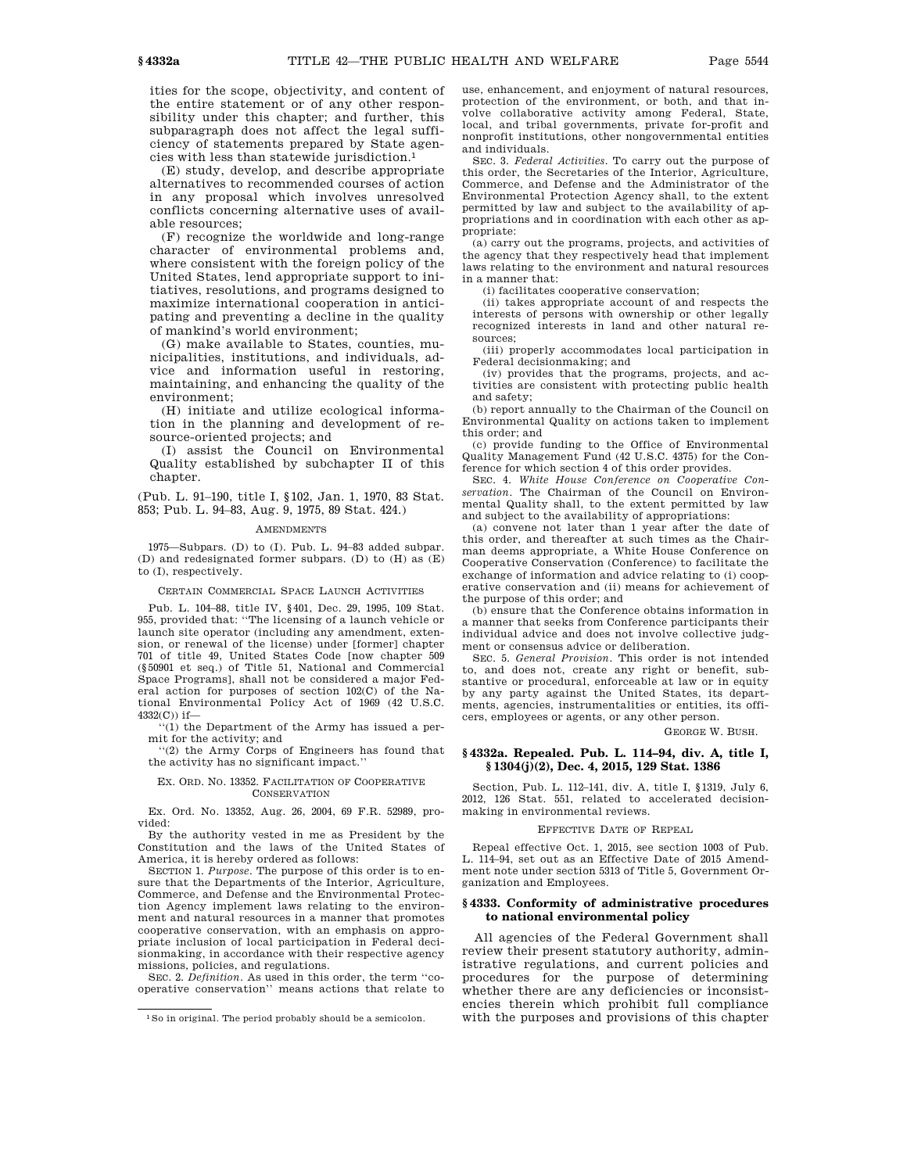ities for the scope, objectivity, and content of the entire statement or of any other responsibility under this chapter; and further, this subparagraph does not affect the legal sufficiency of statements prepared by State agencies with less than statewide jurisdiction.1

(E) study, develop, and describe appropriate alternatives to recommended courses of action in any proposal which involves unresolved conflicts concerning alternative uses of available resources;

(F) recognize the worldwide and long-range character of environmental problems and, where consistent with the foreign policy of the United States, lend appropriate support to initiatives, resolutions, and programs designed to maximize international cooperation in anticipating and preventing a decline in the quality of mankind's world environment;

(G) make available to States, counties, municipalities, institutions, and individuals, advice and information useful in restoring, maintaining, and enhancing the quality of the environment;

(H) initiate and utilize ecological information in the planning and development of resource-oriented projects; and

(I) assist the Council on Environmental Quality established by subchapter II of this chapter.

(Pub. L. 91–190, title I, §102, Jan. 1, 1970, 83 Stat. 853; Pub. L. 94–83, Aug. 9, 1975, 89 Stat. 424.)

#### **AMENDMENTS**

1975—Subpars. (D) to (I). Pub. L. 94–83 added subpar. (D) and redesignated former subpars. (D) to (H) as (E) to (I), respectively.

CERTAIN COMMERCIAL SPACE LAUNCH ACTIVITIES

Pub. L. 104–88, title IV, §401, Dec. 29, 1995, 109 Stat. 955, provided that: ''The licensing of a launch vehicle or launch site operator (including any amendment, extension, or renewal of the license) under [former] chapter 701 of title 49, United States Code [now chapter 509 (§50901 et seq.) of Title 51, National and Commercial Space Programs], shall not be considered a major Federal action for purposes of section 102(C) of the National Environmental Policy Act of 1969 (42 U.S.C. 4332(C)) if—

''(1) the Department of the Army has issued a permit for the activity; and

''(2) the Army Corps of Engineers has found that the activity has no significant impact.''

### EX. ORD. NO. 13352. FACILITATION OF COOPERATIVE CONSERVATION

Ex. Ord. No. 13352, Aug. 26, 2004, 69 F.R. 52989, provided:

By the authority vested in me as President by the Constitution and the laws of the United States of America, it is hereby ordered as follows:

SECTION 1. *Purpose*. The purpose of this order is to ensure that the Departments of the Interior, Agriculture, Commerce, and Defense and the Environmental Protection Agency implement laws relating to the environment and natural resources in a manner that promotes cooperative conservation, with an emphasis on appropriate inclusion of local participation in Federal decisionmaking, in accordance with their respective agency missions, policies, and regulations.

SEC. 2. *Definition*. As used in this order, the term ''cooperative conservation'' means actions that relate to use, enhancement, and enjoyment of natural resources, protection of the environment, or both, and that involve collaborative activity among Federal, State, local, and tribal governments, private for-profit and nonprofit institutions, other nongovernmental entities and individuals.

SEC. 3. *Federal Activities*. To carry out the purpose of this order, the Secretaries of the Interior, Agriculture, Commerce, and Defense and the Administrator of the Environmental Protection Agency shall, to the extent permitted by law and subject to the availability of appropriations and in coordination with each other as appropriate:

(a) carry out the programs, projects, and activities of the agency that they respectively head that implement laws relating to the environment and natural resources in a manner that:

(i) facilitates cooperative conservation;

(ii) takes appropriate account of and respects the interests of persons with ownership or other legally recognized interests in land and other natural resources;

(iii) properly accommodates local participation in Federal decisionmaking; and

(iv) provides that the programs, projects, and activities are consistent with protecting public health and safety;

(b) report annually to the Chairman of the Council on Environmental Quality on actions taken to implement this order; and

(c) provide funding to the Office of Environmental Quality Management Fund (42 U.S.C. 4375) for the Conference for which section 4 of this order provides.

SEC. 4. *White House Conference on Cooperative Conservation*. The Chairman of the Council on Environmental Quality shall, to the extent permitted by law and subject to the availability of appropriations:

(a) convene not later than 1 year after the date of this order, and thereafter at such times as the Chairman deems appropriate, a White House Conference on Cooperative Conservation (Conference) to facilitate the exchange of information and advice relating to (i) cooperative conservation and (ii) means for achievement of the purpose of this order; and

(b) ensure that the Conference obtains information in a manner that seeks from Conference participants their individual advice and does not involve collective judgment or consensus advice or deliberation.

SEC. 5. *General Provision*. This order is not intended to, and does not, create any right or benefit, substantive or procedural, enforceable at law or in equity by any party against the United States, its departments, agencies, instrumentalities or entities, its officers, employees or agents, or any other person.

GEORGE W. BUSH.

# **§ 4332a. Repealed. Pub. L. 114–94, div. A, title I, § 1304(j)(2), Dec. 4, 2015, 129 Stat. 1386**

Section, Pub. L. 112–141, div. A, title I, §1319, July 6, 2012, 126 Stat. 551, related to accelerated decisionmaking in environmental reviews.

### EFFECTIVE DATE OF REPEAL

Repeal effective Oct. 1, 2015, see section 1003 of Pub. L. 114–94, set out as an Effective Date of 2015 Amendment note under section 5313 of Title 5, Government Organization and Employees.

# **§ 4333. Conformity of administrative procedures to national environmental policy**

All agencies of the Federal Government shall review their present statutory authority, administrative regulations, and current policies and procedures for the purpose of determining whether there are any deficiencies or inconsistencies therein which prohibit full compliance with the purposes and provisions of this chapter

<sup>1</sup>So in original. The period probably should be a semicolon.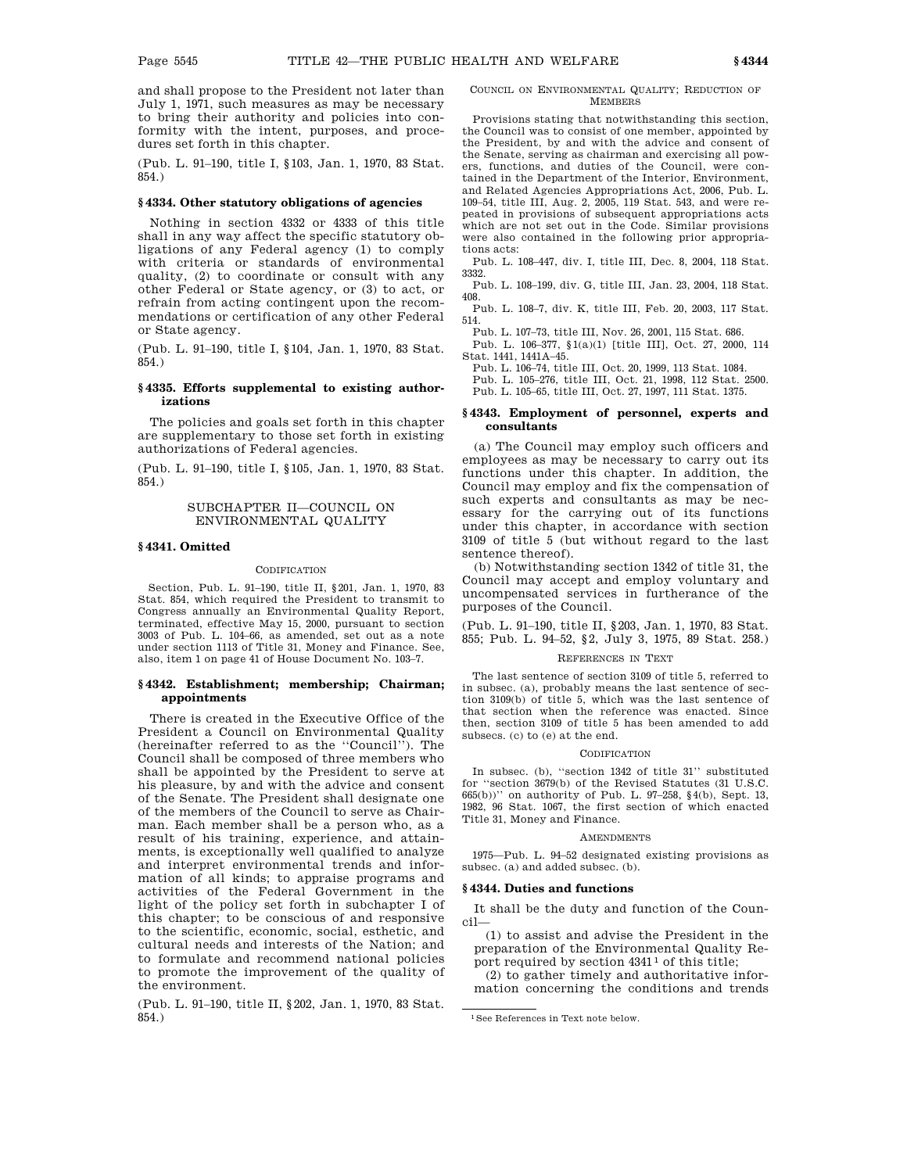and shall propose to the President not later than July 1, 1971, such measures as may be necessary to bring their authority and policies into conformity with the intent, purposes, and procedures set forth in this chapter.

(Pub. L. 91–190, title I, §103, Jan. 1, 1970, 83 Stat. 854.)

# **§ 4334. Other statutory obligations of agencies**

Nothing in section 4332 or 4333 of this title shall in any way affect the specific statutory obligations of any Federal agency (1) to comply with criteria or standards of environmental quality, (2) to coordinate or consult with any other Federal or State agency, or (3) to act, or refrain from acting contingent upon the recommendations or certification of any other Federal or State agency.

(Pub. L. 91–190, title I, §104, Jan. 1, 1970, 83 Stat. 854.)

# **§ 4335. Efforts supplemental to existing authorizations**

The policies and goals set forth in this chapter are supplementary to those set forth in existing authorizations of Federal agencies.

(Pub. L. 91–190, title I, §105, Jan. 1, 1970, 83 Stat. 854.)

# SUBCHAPTER II—COUNCIL ON ENVIRONMENTAL QUALITY

# **§ 4341. Omitted**

#### CODIFICATION

Section, Pub. L. 91–190, title II, §201, Jan. 1, 1970, 83 Stat. 854, which required the President to transmit to Congress annually an Environmental Quality Report, terminated, effective May 15, 2000, pursuant to section 3003 of Pub. L. 104–66, as amended, set out as a note under section 1113 of Title 31, Money and Finance. See, also, item 1 on page 41 of House Document No. 103–7.

# **§ 4342. Establishment; membership; Chairman; appointments**

There is created in the Executive Office of the President a Council on Environmental Quality (hereinafter referred to as the ''Council''). The Council shall be composed of three members who shall be appointed by the President to serve at his pleasure, by and with the advice and consent of the Senate. The President shall designate one of the members of the Council to serve as Chairman. Each member shall be a person who, as a result of his training, experience, and attainments, is exceptionally well qualified to analyze and interpret environmental trends and information of all kinds; to appraise programs and activities of the Federal Government in the light of the policy set forth in subchapter I of this chapter; to be conscious of and responsive to the scientific, economic, social, esthetic, and cultural needs and interests of the Nation; and to formulate and recommend national policies to promote the improvement of the quality of the environment.

(Pub. L. 91–190, title II, §202, Jan. 1, 1970, 83 Stat. 854.)

COUNCIL ON ENVIRONMENTAL QUALITY; REDUCTION OF MEMBERS

Provisions stating that notwithstanding this section, the Council was to consist of one member, appointed by the President, by and with the advice and consent of the Senate, serving as chairman and exercising all powers, functions, and duties of the Council, were contained in the Department of the Interior, Environment, and Related Agencies Appropriations Act, 2006, Pub. L. 109–54, title III, Aug. 2, 2005, 119 Stat. 543, and were repeated in provisions of subsequent appropriations acts which are not set out in the Code. Similar provisions were also contained in the following prior appropriations acts:

Pub. L. 108–447, div. I, title III, Dec. 8, 2004, 118 Stat. 3332.

Pub. L. 108–199, div. G, title III, Jan. 23, 2004, 118 Stat. 408.

Pub. L. 108–7, div. K, title III, Feb. 20, 2003, 117 Stat. 514.

Pub. L. 107–73, title III, Nov. 26, 2001, 115 Stat. 686.

Pub. L. 106–377, §1(a)(1) [title III], Oct. 27, 2000, 114 Stat. 1441, 1441A–45.

Pub. L. 106–74, title III, Oct. 20, 1999, 113 Stat. 1084. Pub. L. 105–276, title III, Oct. 21, 1998, 112 Stat. 2500. Pub. L. 105–65, title III, Oct. 27, 1997, 111 Stat. 1375.

# **§ 4343. Employment of personnel, experts and consultants**

(a) The Council may employ such officers and employees as may be necessary to carry out its functions under this chapter. In addition, the Council may employ and fix the compensation of such experts and consultants as may be necessary for the carrying out of its functions under this chapter, in accordance with section 3109 of title 5 (but without regard to the last sentence thereof).

(b) Notwithstanding section 1342 of title 31, the Council may accept and employ voluntary and uncompensated services in furtherance of the purposes of the Council.

(Pub. L. 91–190, title II, §203, Jan. 1, 1970, 83 Stat. 855; Pub. L. 94–52, §2, July 3, 1975, 89 Stat. 258.)

### REFERENCES IN TEXT

The last sentence of section 3109 of title 5, referred to in subsec. (a), probably means the last sentence of section 3109(b) of title 5, which was the last sentence of that section when the reference was enacted. Since then, section 3109 of title 5 has been amended to add subsecs. (c) to (e) at the end.

#### CODIFICATION

In subsec. (b), ''section 1342 of title 31'' substituted for ''section 3679(b) of the Revised Statutes (31 U.S.C. 665(b))'' on authority of Pub. L. 97–258, §4(b), Sept. 13, 1982, 96 Stat. 1067, the first section of which enacted Title 31, Money and Finance.

#### **AMENDMENTS**

1975—Pub. L. 94–52 designated existing provisions as subsec. (a) and added subsec. (b).

### **§ 4344. Duties and functions**

It shall be the duty and function of the Council—

(1) to assist and advise the President in the preparation of the Environmental Quality Report required by section  $4341<sup>1</sup>$  of this title;

(2) to gather timely and authoritative information concerning the conditions and trends

<sup>1</sup>See References in Text note below.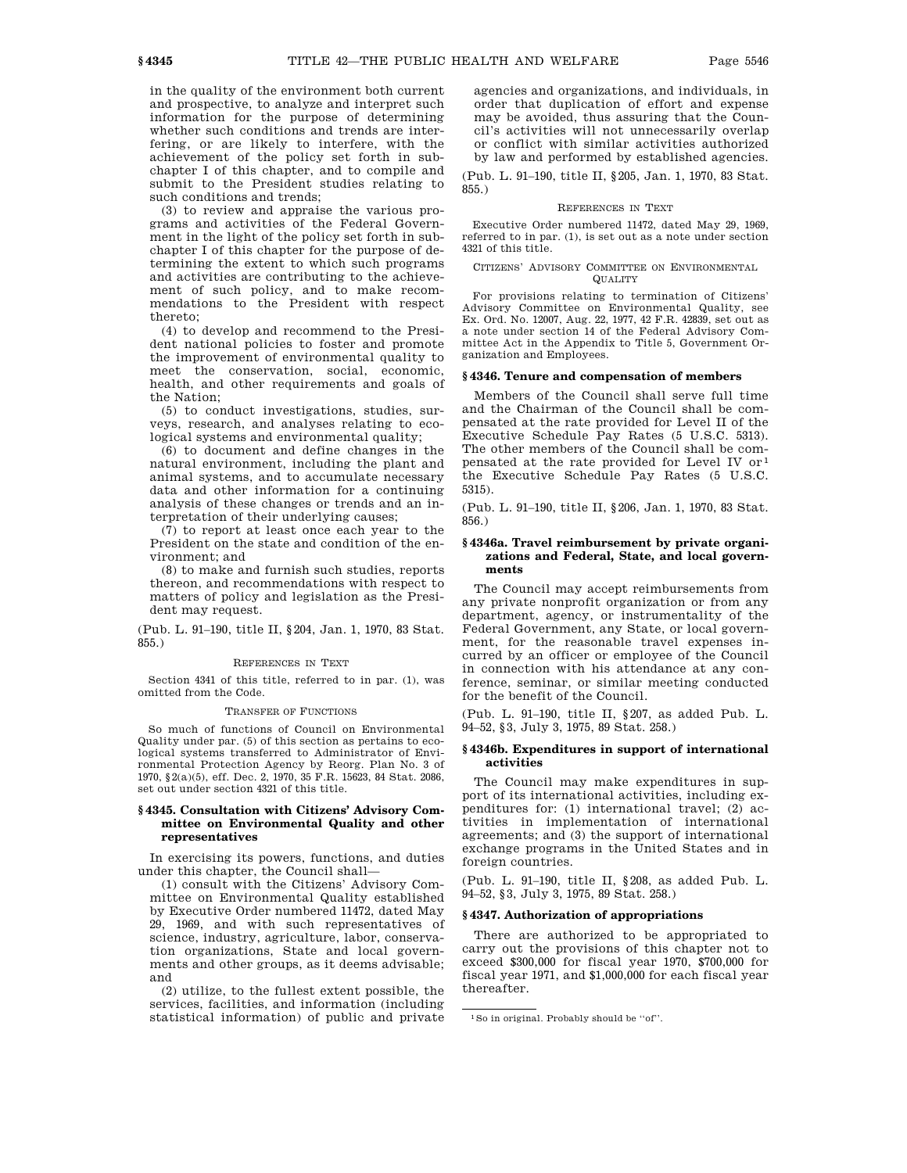in the quality of the environment both current and prospective, to analyze and interpret such information for the purpose of determining whether such conditions and trends are interfering, or are likely to interfere, with the achievement of the policy set forth in subchapter I of this chapter, and to compile and submit to the President studies relating to such conditions and trends;

(3) to review and appraise the various programs and activities of the Federal Government in the light of the policy set forth in subchapter I of this chapter for the purpose of determining the extent to which such programs and activities are contributing to the achievement of such policy, and to make recommendations to the President with respect thereto;

(4) to develop and recommend to the President national policies to foster and promote the improvement of environmental quality to meet the conservation, social, economic, health, and other requirements and goals of the Nation;

(5) to conduct investigations, studies, surveys, research, and analyses relating to ecological systems and environmental quality;

(6) to document and define changes in the natural environment, including the plant and animal systems, and to accumulate necessary data and other information for a continuing analysis of these changes or trends and an interpretation of their underlying causes;

(7) to report at least once each year to the President on the state and condition of the environment; and

(8) to make and furnish such studies, reports thereon, and recommendations with respect to matters of policy and legislation as the President may request.

(Pub. L. 91–190, title II, §204, Jan. 1, 1970, 83 Stat. 855.)

#### REFERENCES IN TEXT

Section 4341 of this title, referred to in par. (1), was omitted from the Code.

#### TRANSFER OF FUNCTIONS

So much of functions of Council on Environmental Quality under par. (5) of this section as pertains to ecological systems transferred to Administrator of Environmental Protection Agency by Reorg. Plan No. 3 of 1970, §2(a)(5), eff. Dec. 2, 1970, 35 F.R. 15623, 84 Stat. 2086, set out under section 4321 of this title.

# **§ 4345. Consultation with Citizens' Advisory Committee on Environmental Quality and other representatives**

In exercising its powers, functions, and duties under this chapter, the Council shall—

(1) consult with the Citizens' Advisory Committee on Environmental Quality established by Executive Order numbered 11472, dated May 29, 1969, and with such representatives of science, industry, agriculture, labor, conservation organizations, State and local governments and other groups, as it deems advisable; and

(2) utilize, to the fullest extent possible, the services, facilities, and information (including statistical information) of public and private agencies and organizations, and individuals, in order that duplication of effort and expense may be avoided, thus assuring that the Council's activities will not unnecessarily overlap or conflict with similar activities authorized by law and performed by established agencies.

(Pub. L. 91–190, title II, §205, Jan. 1, 1970, 83 Stat. 855.)

#### REFERENCES IN TEXT

Executive Order numbered 11472, dated May 29, 1969, referred to in par. (1), is set out as a note under section 4321 of this title.

#### CITIZENS' ADVISORY COMMITTEE ON ENVIRONMENTAL **QUALITY**

For provisions relating to termination of Citizens' Advisory Committee on Environmental Quality, see Ex. Ord. No. 12007, Aug. 22, 1977, 42 F.R. 42839, set out as a note under section 14 of the Federal Advisory Committee Act in the Appendix to Title 5, Government Organization and Employees.

### **§ 4346. Tenure and compensation of members**

Members of the Council shall serve full time and the Chairman of the Council shall be compensated at the rate provided for Level II of the Executive Schedule Pay Rates (5 U.S.C. 5313). The other members of the Council shall be compensated at the rate provided for Level IV or 1 the Executive Schedule Pay Rates (5 U.S.C. 5315).

(Pub. L. 91–190, title II, §206, Jan. 1, 1970, 83 Stat. 856.)

# **§ 4346a. Travel reimbursement by private organizations and Federal, State, and local governments**

The Council may accept reimbursements from any private nonprofit organization or from any department, agency, or instrumentality of the Federal Government, any State, or local government, for the reasonable travel expenses incurred by an officer or employee of the Council in connection with his attendance at any conference, seminar, or similar meeting conducted for the benefit of the Council.

(Pub. L. 91–190, title II, §207, as added Pub. L. 94–52, §3, July 3, 1975, 89 Stat. 258.)

### **§ 4346b. Expenditures in support of international activities**

The Council may make expenditures in support of its international activities, including expenditures for: (1) international travel; (2) activities in implementation of international agreements; and (3) the support of international exchange programs in the United States and in foreign countries.

(Pub. L. 91–190, title II, §208, as added Pub. L. 94–52, §3, July 3, 1975, 89 Stat. 258.)

#### **§ 4347. Authorization of appropriations**

There are authorized to be appropriated to carry out the provisions of this chapter not to exceed \$300,000 for fiscal year 1970, \$700,000 for fiscal year 1971, and \$1,000,000 for each fiscal year thereafter.

<sup>&</sup>lt;sup>1</sup>So in original. Probably should be "of".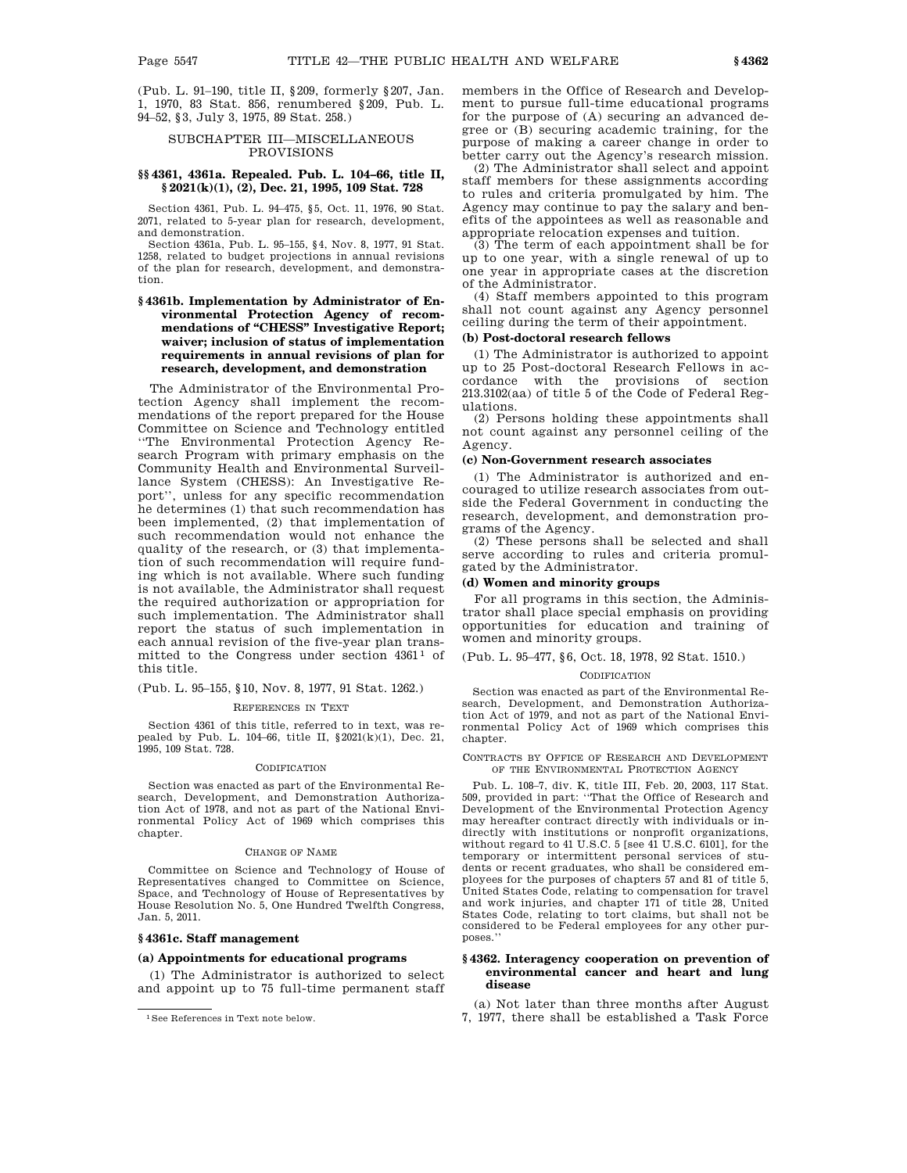(Pub. L. 91–190, title II, §209, formerly §207, Jan. 1, 1970, 83 Stat. 856, renumbered §209, Pub. L. 94–52, §3, July 3, 1975, 89 Stat. 258.)

# SUBCHAPTER III—MISCELLANEOUS PROVISIONS

# **§§ 4361, 4361a. Repealed. Pub. L. 104–66, title II, § 2021(k)(1), (2), Dec. 21, 1995, 109 Stat. 728**

Section 4361, Pub. L. 94–475, §5, Oct. 11, 1976, 90 Stat. 2071, related to 5-year plan for research, development, and demonstration.

Section 4361a, Pub. L. 95–155, §4, Nov. 8, 1977, 91 Stat. 1258, related to budget projections in annual revisions of the plan for research, development, and demonstration.

# **§ 4361b. Implementation by Administrator of Environmental Protection Agency of recommendations of ''CHESS'' Investigative Report; waiver; inclusion of status of implementation requirements in annual revisions of plan for research, development, and demonstration**

The Administrator of the Environmental Protection Agency shall implement the recommendations of the report prepared for the House Committee on Science and Technology entitled ''The Environmental Protection Agency Research Program with primary emphasis on the Community Health and Environmental Surveillance System (CHESS): An Investigative Report'', unless for any specific recommendation he determines (1) that such recommendation has been implemented, (2) that implementation of such recommendation would not enhance the quality of the research, or (3) that implementation of such recommendation will require funding which is not available. Where such funding is not available, the Administrator shall request the required authorization or appropriation for such implementation. The Administrator shall report the status of such implementation in each annual revision of the five-year plan transmitted to the Congress under section  $4361<sup>1</sup>$  of this title.

(Pub. L. 95–155, §10, Nov. 8, 1977, 91 Stat. 1262.)

# REFERENCES IN TEXT

Section 4361 of this title, referred to in text, was repealed by Pub. L. 104–66, title II, §2021(k)(1), Dec. 21, 1995, 109 Stat. 728.

#### CODIFICATION

Section was enacted as part of the Environmental Research, Development, and Demonstration Authorization Act of 1978, and not as part of the National Environmental Policy Act of 1969 which comprises this chapter.

#### CHANGE OF NAME

Committee on Science and Technology of House of Representatives changed to Committee on Science, Space, and Technology of House of Representatives by House Resolution No. 5, One Hundred Twelfth Congress, Jan. 5, 2011.

# **§ 4361c. Staff management**

#### **(a) Appointments for educational programs**

(1) The Administrator is authorized to select and appoint up to 75 full-time permanent staff members in the Office of Research and Development to pursue full-time educational programs for the purpose of (A) securing an advanced degree or (B) securing academic training, for the purpose of making a career change in order to better carry out the Agency's research mission.

(2) The Administrator shall select and appoint staff members for these assignments according to rules and criteria promulgated by him. The Agency may continue to pay the salary and benefits of the appointees as well as reasonable and appropriate relocation expenses and tuition.

(3) The term of each appointment shall be for up to one year, with a single renewal of up to one year in appropriate cases at the discretion of the Administrator.

(4) Staff members appointed to this program shall not count against any Agency personnel ceiling during the term of their appointment.

### **(b) Post-doctoral research fellows**

(1) The Administrator is authorized to appoint up to 25 Post-doctoral Research Fellows in accordance with the provisions of section 213.3102(aa) of title 5 of the Code of Federal Regulations.

(2) Persons holding these appointments shall not count against any personnel ceiling of the Agency.

### **(c) Non-Government research associates**

(1) The Administrator is authorized and encouraged to utilize research associates from outside the Federal Government in conducting the research, development, and demonstration programs of the Agency.

(2) These persons shall be selected and shall serve according to rules and criteria promulgated by the Administrator.

# **(d) Women and minority groups**

For all programs in this section, the Administrator shall place special emphasis on providing opportunities for education and training of women and minority groups.

(Pub. L. 95–477, §6, Oct. 18, 1978, 92 Stat. 1510.)

# **CODIFICATION**

Section was enacted as part of the Environmental Research, Development, and Demonstration Authorization Act of 1979, and not as part of the National Environmental Policy Act of 1969 which comprises this chapter.

CONTRACTS BY OFFICE OF RESEARCH AND DEVELOPMENT OF THE ENVIRONMENTAL PROTECTION AGENCY

Pub. L. 108–7, div. K, title III, Feb. 20, 2003, 117 Stat. 509, provided in part: ''That the Office of Research and Development of the Environmental Protection Agency may hereafter contract directly with individuals or indirectly with institutions or nonprofit organizations, without regard to 41 U.S.C. 5 [see 41 U.S.C. 6101], for the temporary or intermittent personal services of students or recent graduates, who shall be considered employees for the purposes of chapters 57 and 81 of title 5, United States Code, relating to compensation for travel and work injuries, and chapter 171 of title 28, United States Code, relating to tort claims, but shall not be considered to be Federal employees for any other purposes.''

# **§ 4362. Interagency cooperation on prevention of environmental cancer and heart and lung disease**

(a) Not later than three months after August 7, 1977, there shall be established a Task Force

<sup>1</sup>See References in Text note below.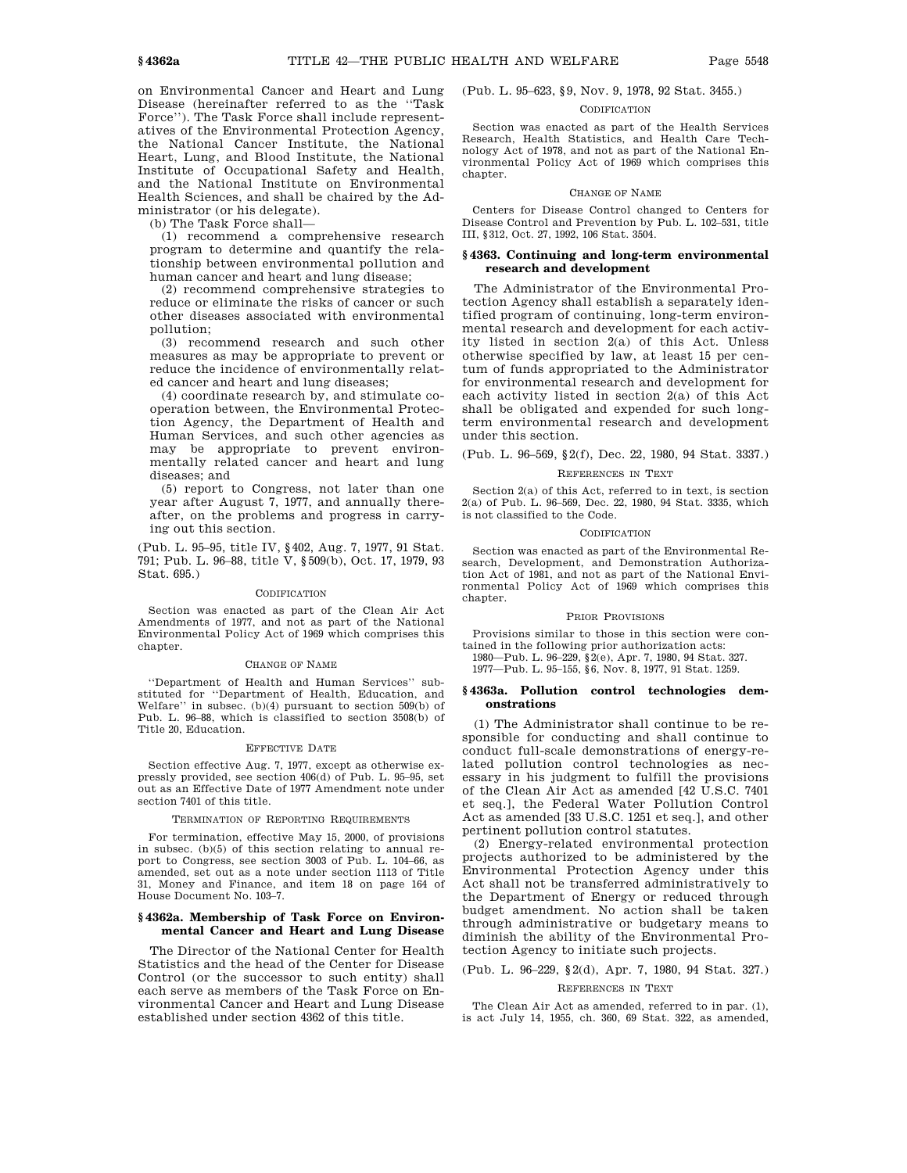on Environmental Cancer and Heart and Lung Disease (hereinafter referred to as the ''Task Force''). The Task Force shall include representatives of the Environmental Protection Agency, the National Cancer Institute, the National Heart, Lung, and Blood Institute, the National Institute of Occupational Safety and Health, and the National Institute on Environmental Health Sciences, and shall be chaired by the Administrator (or his delegate).

(b) The Task Force shall—

(1) recommend a comprehensive research program to determine and quantify the relationship between environmental pollution and human cancer and heart and lung disease;

(2) recommend comprehensive strategies to reduce or eliminate the risks of cancer or such other diseases associated with environmental pollution;

(3) recommend research and such other measures as may be appropriate to prevent or reduce the incidence of environmentally related cancer and heart and lung diseases;

(4) coordinate research by, and stimulate cooperation between, the Environmental Protection Agency, the Department of Health and Human Services, and such other agencies as may be appropriate to prevent environmentally related cancer and heart and lung diseases; and

(5) report to Congress, not later than one year after August 7, 1977, and annually thereafter, on the problems and progress in carrying out this section.

(Pub. L. 95–95, title IV, §402, Aug. 7, 1977, 91 Stat. 791; Pub. L. 96–88, title V, §509(b), Oct. 17, 1979, 93 Stat. 695.)

#### **CODIFICATION**

Section was enacted as part of the Clean Air Act Amendments of 1977, and not as part of the National Environmental Policy Act of 1969 which comprises this chapter.

#### CHANGE OF NAME

''Department of Health and Human Services'' substituted for ''Department of Health, Education, and Welfare'' in subsec. (b)(4) pursuant to section 509(b) of Pub. L. 96–88, which is classified to section 3508(b) of Title 20, Education.

#### EFFECTIVE DATE

Section effective Aug. 7, 1977, except as otherwise expressly provided, see section 406(d) of Pub. L. 95–95, set out as an Effective Date of 1977 Amendment note under section 7401 of this title.

### TERMINATION OF REPORTING REQUIREMENTS

For termination, effective May 15, 2000, of provisions in subsec. (b)(5) of this section relating to annual report to Congress, see section 3003 of Pub. L. 104–66, as amended, set out as a note under section 1113 of Title 31, Money and Finance, and item 18 on page 164 of House Document No. 103–7.

# **§ 4362a. Membership of Task Force on Environmental Cancer and Heart and Lung Disease**

The Director of the National Center for Health Statistics and the head of the Center for Disease Control (or the successor to such entity) shall each serve as members of the Task Force on Environmental Cancer and Heart and Lung Disease established under section 4362 of this title.

(Pub. L. 95–623, §9, Nov. 9, 1978, 92 Stat. 3455.)

#### CODIFICATION

Section was enacted as part of the Health Services Research, Health Statistics, and Health Care Technology Act of 1978, and not as part of the National Environmental Policy Act of 1969 which comprises this chapter.

### CHANGE OF NAME

Centers for Disease Control changed to Centers for Disease Control and Prevention by Pub. L. 102–531, title III, §312, Oct. 27, 1992, 106 Stat. 3504.

# **§ 4363. Continuing and long-term environmental research and development**

The Administrator of the Environmental Protection Agency shall establish a separately identified program of continuing, long-term environmental research and development for each activity listed in section 2(a) of this Act. Unless otherwise specified by law, at least 15 per centum of funds appropriated to the Administrator for environmental research and development for each activity listed in section 2(a) of this Act shall be obligated and expended for such longterm environmental research and development under this section.

(Pub. L. 96–569, §2(f), Dec. 22, 1980, 94 Stat. 3337.)

#### REFERENCES IN TEXT

Section 2(a) of this Act, referred to in text, is section 2(a) of Pub. L. 96–569, Dec. 22, 1980, 94 Stat. 3335, which is not classified to the Code.

#### **CODIFICATION**

Section was enacted as part of the Environmental Research, Development, and Demonstration Authorization Act of 1981, and not as part of the National Environmental Policy Act of 1969 which comprises this chapter.

#### PRIOR PROVISIONS

Provisions similar to those in this section were contained in the following prior authorization acts:

1980—Pub. L. 96–229, §2(e), Apr. 7, 1980, 94 Stat. 327.

1977—Pub. L. 95–155, §6, Nov. 8, 1977, 91 Stat. 1259.

### **§ 4363a. Pollution control technologies demonstrations**

(1) The Administrator shall continue to be responsible for conducting and shall continue to conduct full-scale demonstrations of energy-related pollution control technologies as necessary in his judgment to fulfill the provisions of the Clean Air Act as amended [42 U.S.C. 7401 et seq.], the Federal Water Pollution Control Act as amended [33 U.S.C. 1251 et seq.], and other pertinent pollution control statutes.

(2) Energy-related environmental protection projects authorized to be administered by the Environmental Protection Agency under this Act shall not be transferred administratively to the Department of Energy or reduced through budget amendment. No action shall be taken through administrative or budgetary means to diminish the ability of the Environmental Protection Agency to initiate such projects.

# (Pub. L. 96–229, §2(d), Apr. 7, 1980, 94 Stat. 327.)

# REFERENCES IN TEXT

The Clean Air Act as amended, referred to in par. (1), is act July 14, 1955, ch. 360, 69 Stat. 322, as amended,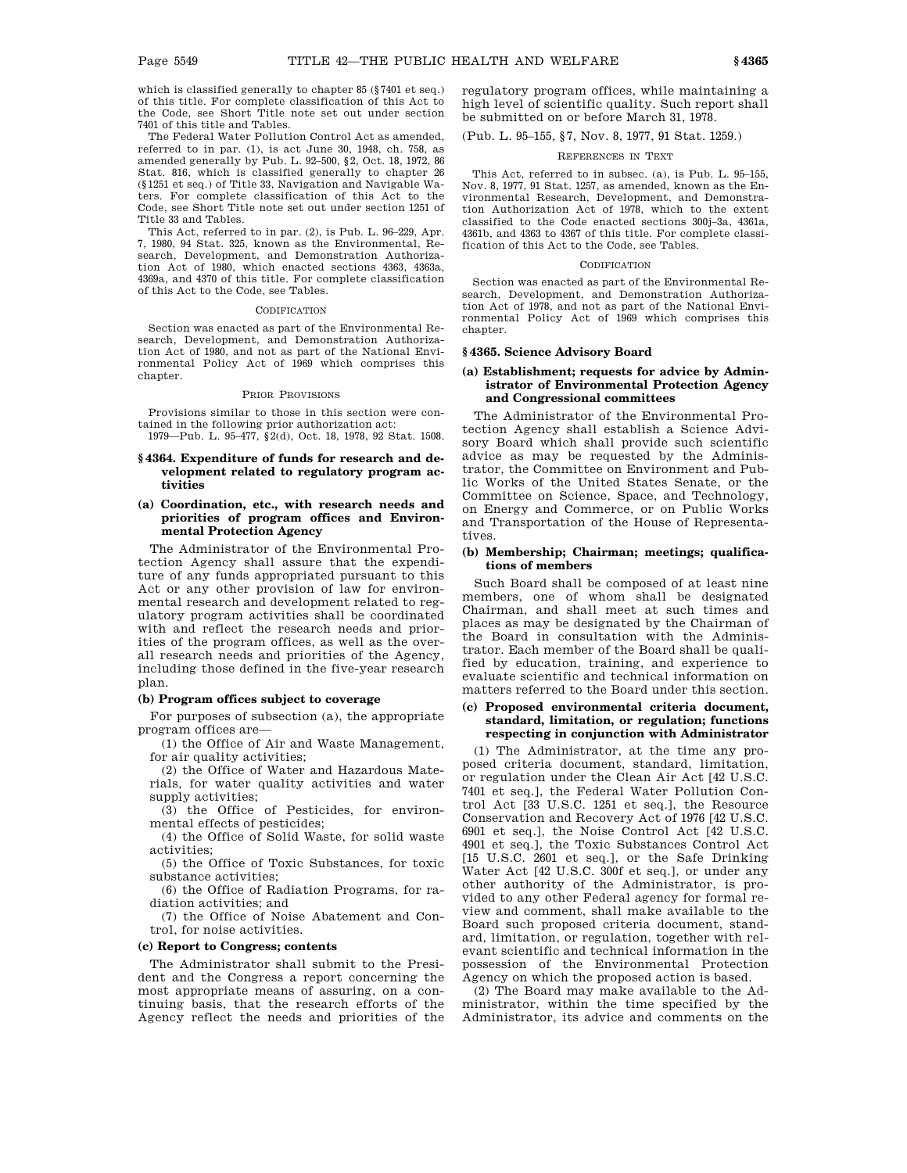which is classified generally to chapter 85 (§7401 et seq.) of this title. For complete classification of this Act to the Code, see Short Title note set out under section 7401 of this title and Tables.

The Federal Water Pollution Control Act as amended, referred to in par. (1), is act June 30, 1948, ch. 758, as amended generally by Pub. L. 92–500, §2, Oct. 18, 1972, 86 Stat. 816, which is classified generally to chapter 26 (§1251 et seq.) of Title 33, Navigation and Navigable Waters. For complete classification of this Act to the Code, see Short Title note set out under section 1251 of Title 33 and Tables.

This Act, referred to in par. (2), is Pub. L. 96–229, Apr. 7, 1980, 94 Stat. 325, known as the Environmental, Research, Development, and Demonstration Authorization Act of 1980, which enacted sections 4363, 4363a, 4369a, and 4370 of this title. For complete classification of this Act to the Code, see Tables.

#### CODIFICATION

Section was enacted as part of the Environmental Research, Development, and Demonstration Authorization Act of 1980, and not as part of the National Environmental Policy Act of 1969 which comprises this chapter.

### PRIOR PROVISIONS

Provisions similar to those in this section were contained in the following prior authorization act: 1979—Pub. L. 95–477, §2(d), Oct. 18, 1978, 92 Stat. 1508.

# **§ 4364. Expenditure of funds for research and development related to regulatory program activities**

# **(a) Coordination, etc., with research needs and priorities of program offices and Environmental Protection Agency**

The Administrator of the Environmental Protection Agency shall assure that the expenditure of any funds appropriated pursuant to this Act or any other provision of law for environmental research and development related to regulatory program activities shall be coordinated with and reflect the research needs and priorities of the program offices, as well as the overall research needs and priorities of the Agency, including those defined in the five-year research plan.

# **(b) Program offices subject to coverage**

For purposes of subsection (a), the appropriate program offices are—

(1) the Office of Air and Waste Management, for air quality activities;

(2) the Office of Water and Hazardous Materials, for water quality activities and water supply activities;

(3) the Office of Pesticides, for environmental effects of pesticides;

(4) the Office of Solid Waste, for solid waste activities;

(5) the Office of Toxic Substances, for toxic substance activities;

(6) the Office of Radiation Programs, for radiation activities; and

(7) the Office of Noise Abatement and Control, for noise activities.

### **(c) Report to Congress; contents**

The Administrator shall submit to the President and the Congress a report concerning the most appropriate means of assuring, on a continuing basis, that the research efforts of the Agency reflect the needs and priorities of the regulatory program offices, while maintaining a high level of scientific quality. Such report shall be submitted on or before March 31, 1978.

# (Pub. L. 95–155, §7, Nov. 8, 1977, 91 Stat. 1259.)

# REFERENCES IN TEXT

This Act, referred to in subsec. (a), is Pub. L. 95–155, Nov. 8, 1977, 91 Stat. 1257, as amended, known as the Environmental Research, Development, and Demonstration Authorization Act of 1978, which to the extent classified to the Code enacted sections 300j–3a, 4361a, 4361b, and 4363 to 4367 of this title. For complete classification of this Act to the Code, see Tables.

#### CODIFICATION

Section was enacted as part of the Environmental Research, Development, and Demonstration Authorization Act of 1978, and not as part of the National Environmental Policy Act of 1969 which comprises this chapter.

#### **§ 4365. Science Advisory Board**

# **(a) Establishment; requests for advice by Administrator of Environmental Protection Agency and Congressional committees**

The Administrator of the Environmental Protection Agency shall establish a Science Advisory Board which shall provide such scientific advice as may be requested by the Administrator, the Committee on Environment and Public Works of the United States Senate, or the Committee on Science, Space, and Technology, on Energy and Commerce, or on Public Works and Transportation of the House of Representatives.

# **(b) Membership; Chairman; meetings; qualifications of members**

Such Board shall be composed of at least nine members, one of whom shall be designated Chairman, and shall meet at such times and places as may be designated by the Chairman of the Board in consultation with the Administrator. Each member of the Board shall be qualified by education, training, and experience to evaluate scientific and technical information on matters referred to the Board under this section.

# **(c) Proposed environmental criteria document, standard, limitation, or regulation; functions respecting in conjunction with Administrator**

(1) The Administrator, at the time any proposed criteria document, standard, limitation, or regulation under the Clean Air Act [42 U.S.C. 7401 et seq.], the Federal Water Pollution Control Act [33 U.S.C. 1251 et seq.], the Resource Conservation and Recovery Act of 1976 [42 U.S.C. 6901 et seq.], the Noise Control Act [42 U.S.C. 4901 et seq.], the Toxic Substances Control Act [15 U.S.C. 2601 et seq.], or the Safe Drinking Water Act [42 U.S.C. 300f et seq.], or under any other authority of the Administrator, is provided to any other Federal agency for formal review and comment, shall make available to the Board such proposed criteria document, standard, limitation, or regulation, together with relevant scientific and technical information in the possession of the Environmental Protection Agency on which the proposed action is based.

(2) The Board may make available to the Administrator, within the time specified by the Administrator, its advice and comments on the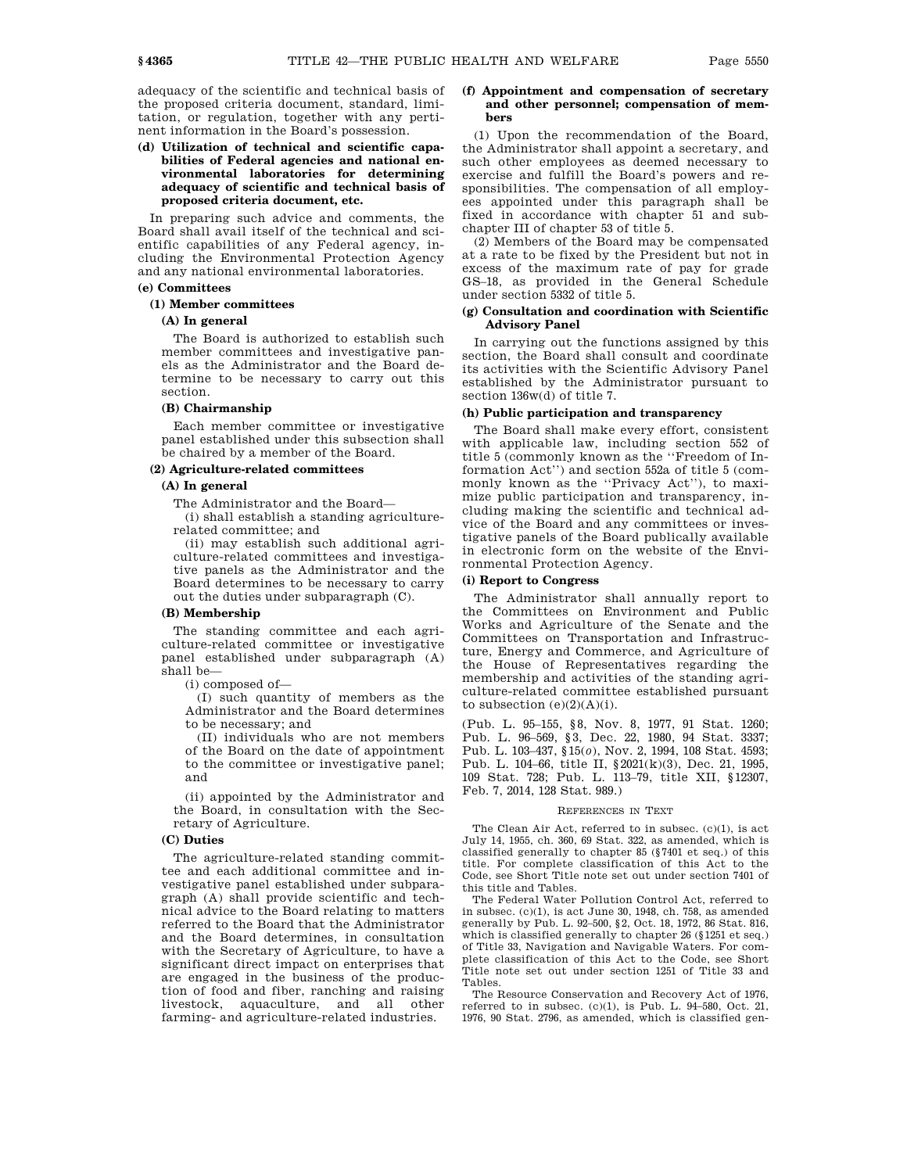adequacy of the scientific and technical basis of the proposed criteria document, standard, limitation, or regulation, together with any pertinent information in the Board's possession.

# **(d) Utilization of technical and scientific capabilities of Federal agencies and national environmental laboratories for determining adequacy of scientific and technical basis of proposed criteria document, etc.**

In preparing such advice and comments, the Board shall avail itself of the technical and scientific capabilities of any Federal agency, including the Environmental Protection Agency and any national environmental laboratories.

# **(e) Committees**

# **(1) Member committees**

# **(A) In general**

The Board is authorized to establish such member committees and investigative panels as the Administrator and the Board determine to be necessary to carry out this section.

# **(B) Chairmanship**

Each member committee or investigative panel established under this subsection shall be chaired by a member of the Board.

### **(2) Agriculture-related committees**

# **(A) In general**

The Administrator and the Board—

(i) shall establish a standing agriculturerelated committee; and

(ii) may establish such additional agriculture-related committees and investigative panels as the Administrator and the Board determines to be necessary to carry out the duties under subparagraph (C).

### **(B) Membership**

The standing committee and each agriculture-related committee or investigative panel established under subparagraph (A) shall be—

# (i) composed of—

(I) such quantity of members as the Administrator and the Board determines to be necessary; and

(II) individuals who are not members of the Board on the date of appointment to the committee or investigative panel; and

(ii) appointed by the Administrator and the Board, in consultation with the Secretary of Agriculture.

### **(C) Duties**

The agriculture-related standing committee and each additional committee and investigative panel established under subparagraph (A) shall provide scientific and technical advice to the Board relating to matters referred to the Board that the Administrator and the Board determines, in consultation with the Secretary of Agriculture, to have a significant direct impact on enterprises that are engaged in the business of the production of food and fiber, ranching and raising livestock, aquaculture, and all other farming- and agriculture-related industries.

# **(f) Appointment and compensation of secretary and other personnel; compensation of members**

(1) Upon the recommendation of the Board, the Administrator shall appoint a secretary, and such other employees as deemed necessary to exercise and fulfill the Board's powers and responsibilities. The compensation of all employees appointed under this paragraph shall be fixed in accordance with chapter 51 and subchapter III of chapter 53 of title 5.

(2) Members of the Board may be compensated at a rate to be fixed by the President but not in excess of the maximum rate of pay for grade GS–18, as provided in the General Schedule under section 5332 of title 5.

# **(g) Consultation and coordination with Scientific Advisory Panel**

In carrying out the functions assigned by this section, the Board shall consult and coordinate its activities with the Scientific Advisory Panel established by the Administrator pursuant to section 136w(d) of title 7.

### **(h) Public participation and transparency**

The Board shall make every effort, consistent with applicable law, including section 552 of title 5 (commonly known as the ''Freedom of Information Act'') and section 552a of title 5 (commonly known as the ''Privacy Act''), to maximize public participation and transparency, including making the scientific and technical advice of the Board and any committees or investigative panels of the Board publically available in electronic form on the website of the Environmental Protection Agency.

### **(i) Report to Congress**

The Administrator shall annually report to the Committees on Environment and Public Works and Agriculture of the Senate and the Committees on Transportation and Infrastructure, Energy and Commerce, and Agriculture of the House of Representatives regarding the membership and activities of the standing agriculture-related committee established pursuant to subsection  $(e)(2)(A)(i)$ .

(Pub. L. 95–155, §8, Nov. 8, 1977, 91 Stat. 1260; Pub. L. 96–569, §3, Dec. 22, 1980, 94 Stat. 3337; Pub. L. 103–437, §15(*o*), Nov. 2, 1994, 108 Stat. 4593; Pub. L. 104–66, title II, §2021(k)(3), Dec. 21, 1995, 109 Stat. 728; Pub. L. 113–79, title XII, §12307, Feb. 7, 2014, 128 Stat. 989.)

#### REFERENCES IN TEXT

The Clean Air Act, referred to in subsec. (c)(1), is act July 14, 1955, ch. 360, 69 Stat. 322, as amended, which is classified generally to chapter 85 (§7401 et seq.) of this title. For complete classification of this Act to the Code, see Short Title note set out under section 7401 of this title and Tables.

The Federal Water Pollution Control Act, referred to in subsec. (c)(1), is act June 30, 1948, ch. 758, as amended generally by Pub. L. 92–500, §2, Oct. 18, 1972, 86 Stat. 816, which is classified generally to chapter 26 (§1251 et seq.) of Title 33, Navigation and Navigable Waters. For complete classification of this Act to the Code, see Short Title note set out under section 1251 of Title 33 and Tables.

The Resource Conservation and Recovery Act of 1976, referred to in subsec.  $(c)(1)$ , is Pub. L. 94-580, Oct. 21. 1976, 90 Stat. 2796, as amended, which is classified gen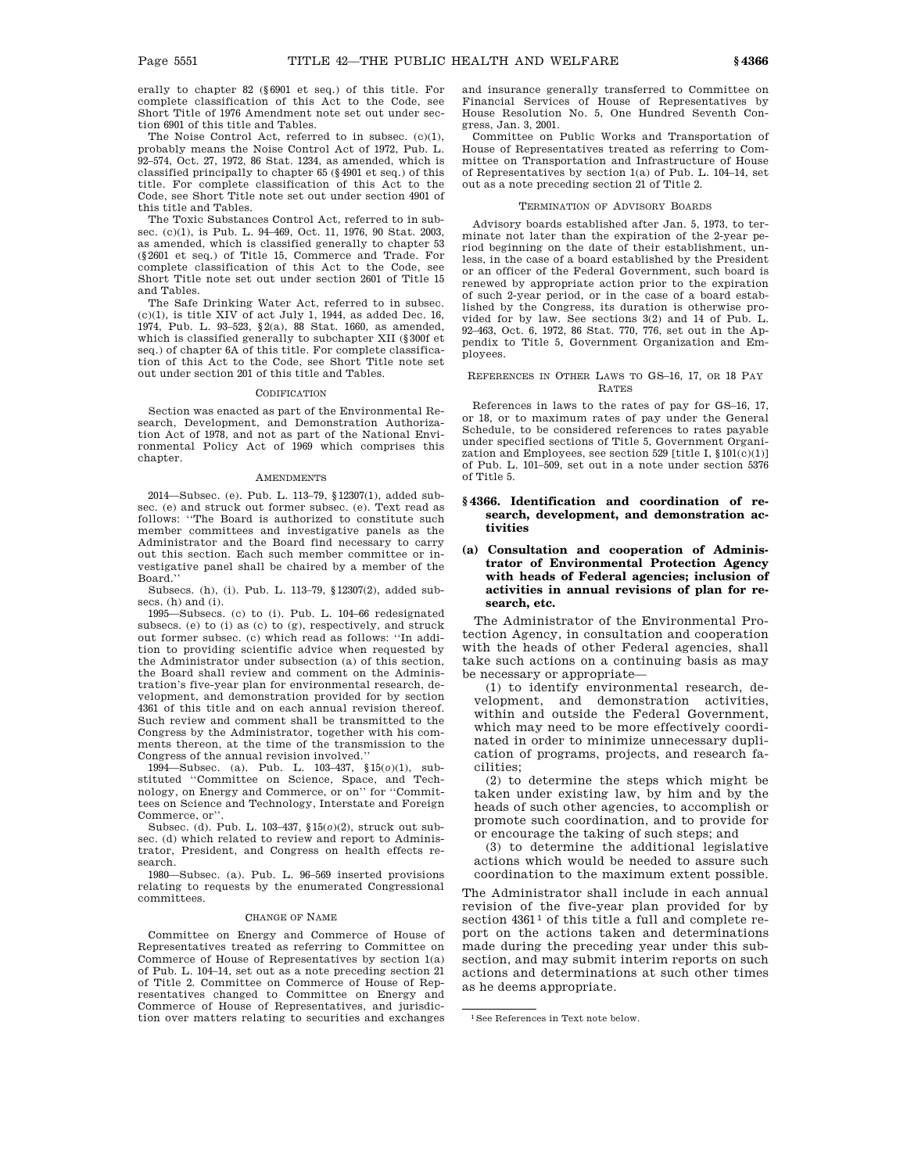erally to chapter 82 (§6901 et seq.) of this title. For complete classification of this Act to the Code, see Short Title of 1976 Amendment note set out under section 6901 of this title and Tables.

The Noise Control Act, referred to in subsec. (c)(1), probably means the Noise Control Act of 1972, Pub. L. 92–574, Oct. 27, 1972, 86 Stat. 1234, as amended, which is classified principally to chapter 65 (§4901 et seq.) of this title. For complete classification of this Act to the Code, see Short Title note set out under section 4901 of this title and Tables.

The Toxic Substances Control Act, referred to in subsec. (c)(1), is Pub. L. 94–469, Oct. 11, 1976, 90 Stat. 2003. as amended, which is classified generally to chapter 53 (§2601 et seq.) of Title 15, Commerce and Trade. For complete classification of this Act to the Code, see Short Title note set out under section 2601 of Title 15 and Tables.

The Safe Drinking Water Act, referred to in subsec.  $(c)(1)$ , is title XIV of act July 1, 1944, as added Dec. 16, 1974, Pub. L. 93–523, §2(a), 88 Stat. 1660, as amended, which is classified generally to subchapter XII (§300f et seq.) of chapter 6A of this title. For complete classification of this Act to the Code, see Short Title note set out under section 201 of this title and Tables.

#### **CODIFICATION**

Section was enacted as part of the Environmental Research, Development, and Demonstration Authorization Act of 1978, and not as part of the National Environmental Policy Act of 1969 which comprises this chapter.

#### AMENDMENTS

2014—Subsec. (e). Pub. L. 113–79, §12307(1), added subsec. (e) and struck out former subsec. (e). Text read as follows: ''The Board is authorized to constitute such member committees and investigative panels as the Administrator and the Board find necessary to carry out this section. Each such member committee or investigative panel shall be chaired by a member of the Board.''

Subsecs. (h), (i). Pub. L. 113–79, §12307(2), added subsecs. (h) and (i).

1995—Subsecs. (c) to (i). Pub. L. 104–66 redesignated subsecs. (e) to (i) as (c) to (g), respectively, and struck out former subsec. (c) which read as follows: ''In addition to providing scientific advice when requested by the Administrator under subsection (a) of this section, the Board shall review and comment on the Administration's five-year plan for environmental research, development, and demonstration provided for by section 4361 of this title and on each annual revision thereof. Such review and comment shall be transmitted to the Congress by the Administrator, together with his comments thereon, at the time of the transmission to the Congress of the annual revision involved.''

1994—Subsec. (a). Pub. L. 103–437, §15(*o*)(1), substituted ''Committee on Science, Space, and Technology, on Energy and Commerce, or on'' for ''Committees on Science and Technology, Interstate and Foreign Commerce, or''.

Subsec. (d). Pub. L. 103–437, §15(*o*)(2), struck out subsec. (d) which related to review and report to Administrator, President, and Congress on health effects research.

1980—Subsec. (a). Pub. L. 96–569 inserted provisions relating to requests by the enumerated Congressional committees.

#### CHANGE OF NAME

Committee on Energy and Commerce of House of Representatives treated as referring to Committee on Commerce of House of Representatives by section 1(a) of Pub. L. 104–14, set out as a note preceding section 21 of Title 2. Committee on Commerce of House of Representatives changed to Committee on Energy and Commerce of House of Representatives, and jurisdiction over matters relating to securities and exchanges

and insurance generally transferred to Committee on Financial Services of House of Representatives by House Resolution No. 5, One Hundred Seventh Congress, Jan. 3, 2001.

Committee on Public Works and Transportation of House of Representatives treated as referring to Committee on Transportation and Infrastructure of House of Representatives by section 1(a) of Pub. L. 104–14, set out as a note preceding section 21 of Title 2.

#### TERMINATION OF ADVISORY BOARDS

Advisory boards established after Jan. 5, 1973, to terminate not later than the expiration of the 2-year period beginning on the date of their establishment, unless, in the case of a board established by the President or an officer of the Federal Government, such board is renewed by appropriate action prior to the expiration of such 2-year period, or in the case of a board established by the Congress, its duration is otherwise provided for by law. See sections 3(2) and 14 of Pub. L. 92–463, Oct. 6, 1972, 86 Stat. 770, 776, set out in the Appendix to Title 5, Government Organization and Employees.

#### REFERENCES IN OTHER LAWS TO GS–16, 17, OR 18 PAY RATES

References in laws to the rates of pay for GS–16, 17, or 18, or to maximum rates of pay under the General Schedule, to be considered references to rates payable under specified sections of Title 5, Government Organization and Employees, see section 529 [title I, §101(c)(1)] of Pub. L. 101–509, set out in a note under section 5376 of Title 5.

# **§ 4366. Identification and coordination of research, development, and demonstration activities**

# **(a) Consultation and cooperation of Administrator of Environmental Protection Agency with heads of Federal agencies; inclusion of activities in annual revisions of plan for research, etc.**

The Administrator of the Environmental Protection Agency, in consultation and cooperation with the heads of other Federal agencies, shall take such actions on a continuing basis as may be necessary or appropriate—

(1) to identify environmental research, development, and demonstration activities, within and outside the Federal Government, which may need to be more effectively coordinated in order to minimize unnecessary duplication of programs, projects, and research facilities;

(2) to determine the steps which might be taken under existing law, by him and by the heads of such other agencies, to accomplish or promote such coordination, and to provide for or encourage the taking of such steps; and

(3) to determine the additional legislative actions which would be needed to assure such coordination to the maximum extent possible.

The Administrator shall include in each annual revision of the five-year plan provided for by section  $4361<sup>1</sup>$  of this title a full and complete report on the actions taken and determinations made during the preceding year under this subsection, and may submit interim reports on such actions and determinations at such other times as he deems appropriate.

<sup>1</sup>See References in Text note below.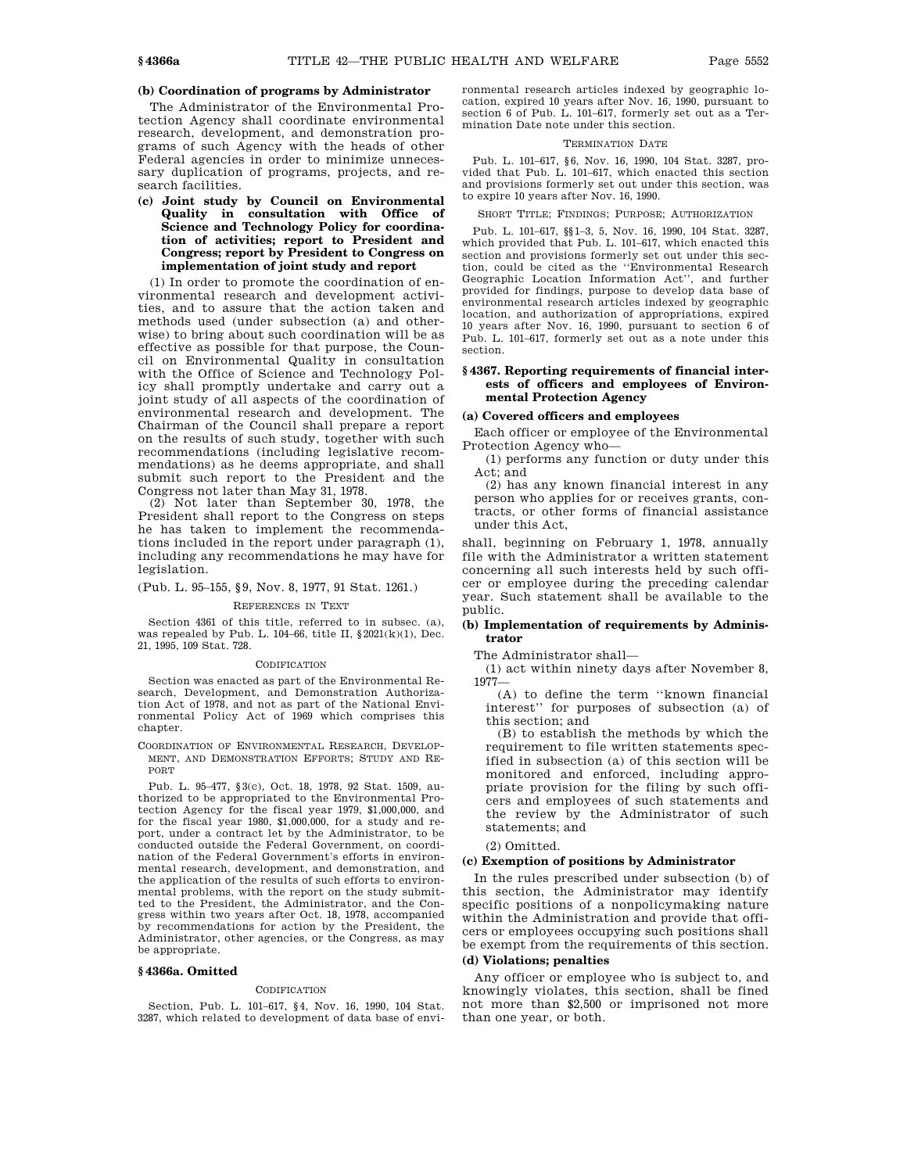# **(b) Coordination of programs by Administrator**

The Administrator of the Environmental Protection Agency shall coordinate environmental research, development, and demonstration programs of such Agency with the heads of other Federal agencies in order to minimize unnecessary duplication of programs, projects, and research facilities.

# **(c) Joint study by Council on Environmental Quality in consultation with Office of Science and Technology Policy for coordination of activities; report to President and Congress; report by President to Congress on implementation of joint study and report**

(1) In order to promote the coordination of environmental research and development activities, and to assure that the action taken and methods used (under subsection (a) and otherwise) to bring about such coordination will be as effective as possible for that purpose, the Council on Environmental Quality in consultation with the Office of Science and Technology Policy shall promptly undertake and carry out a joint study of all aspects of the coordination of environmental research and development. The Chairman of the Council shall prepare a report on the results of such study, together with such recommendations (including legislative recommendations) as he deems appropriate, and shall submit such report to the President and the Congress not later than May 31, 1978.

(2) Not later than September 30, 1978, the President shall report to the Congress on steps he has taken to implement the recommendations included in the report under paragraph (1), including any recommendations he may have for legislation.

(Pub. L. 95–155, §9, Nov. 8, 1977, 91 Stat. 1261.)

#### REFERENCES IN TEXT

Section 4361 of this title, referred to in subsec. (a), was repealed by Pub. L. 104–66, title II,  $\S 2021(k)(1)$ , Dec. 21, 1995, 109 Stat. 728.

#### **CODIFICATION**

Section was enacted as part of the Environmental Research, Development, and Demonstration Authorization Act of 1978, and not as part of the National Environmental Policy Act of 1969 which comprises this chapter.

COORDINATION OF ENVIRONMENTAL RESEARCH, DEVELOP-MENT, AND DEMONSTRATION EFFORTS; STUDY AND RE-PORT

Pub. L. 95–477, §3(c), Oct. 18, 1978, 92 Stat. 1509, authorized to be appropriated to the Environmental Protection Agency for the fiscal year 1979, \$1,000,000, and for the fiscal year 1980, \$1,000,000, for a study and report, under a contract let by the Administrator, to be conducted outside the Federal Government, on coordination of the Federal Government's efforts in environmental research, development, and demonstration, and the application of the results of such efforts to environmental problems, with the report on the study submitted to the President, the Administrator, and the Congress within two years after Oct. 18, 1978, accompanied by recommendations for action by the President, the Administrator, other agencies, or the Congress, as may be appropriate.

### **§ 4366a. Omitted**

#### **CODIFICATION**

Section, Pub. L. 101–617, §4, Nov. 16, 1990, 104 Stat. 3287, which related to development of data base of environmental research articles indexed by geographic location, expired 10 years after Nov. 16, 1990, pursuant to section 6 of Pub. L. 101-617, formerly set out as a Termination Date note under this section.

#### TERMINATION DATE

Pub. L. 101–617, §6, Nov. 16, 1990, 104 Stat. 3287, provided that Pub. L. 101–617, which enacted this section and provisions formerly set out under this section, was to expire 10 years after Nov. 16, 1990.

SHORT TITLE; FINDINGS; PURPOSE; AUTHORIZATION

Pub. L. 101–617, §§1–3, 5, Nov. 16, 1990, 104 Stat. 3287, which provided that Pub. L. 101–617, which enacted this section and provisions formerly set out under this section, could be cited as the ''Environmental Research Geographic Location Information Act'', and further provided for findings, purpose to develop data base of environmental research articles indexed by geographic location, and authorization of appropriations, expired 10 years after Nov. 16, 1990, pursuant to section 6 of Pub. L. 101–617, formerly set out as a note under this section.

# **§ 4367. Reporting requirements of financial interests of officers and employees of Environmental Protection Agency**

### **(a) Covered officers and employees**

Each officer or employee of the Environmental Protection Agency who—

(1) performs any function or duty under this Act; and

(2) has any known financial interest in any person who applies for or receives grants, contracts, or other forms of financial assistance under this Act,

shall, beginning on February 1, 1978, annually file with the Administrator a written statement concerning all such interests held by such officer or employee during the preceding calendar year. Such statement shall be available to the public.

# **(b) Implementation of requirements by Administrator**

The Administrator shall—

(1) act within ninety days after November 8, 1977—

(A) to define the term ''known financial interest'' for purposes of subsection (a) of this section; and

(B) to establish the methods by which the requirement to file written statements specified in subsection (a) of this section will be monitored and enforced, including appropriate provision for the filing by such officers and employees of such statements and the review by the Administrator of such statements; and

(2) Omitted.

# **(c) Exemption of positions by Administrator**

In the rules prescribed under subsection (b) of this section, the Administrator may identify specific positions of a nonpolicymaking nature within the Administration and provide that officers or employees occupying such positions shall be exempt from the requirements of this section.

# **(d) Violations; penalties**

Any officer or employee who is subject to, and knowingly violates, this section, shall be fined not more than \$2,500 or imprisoned not more than one year, or both.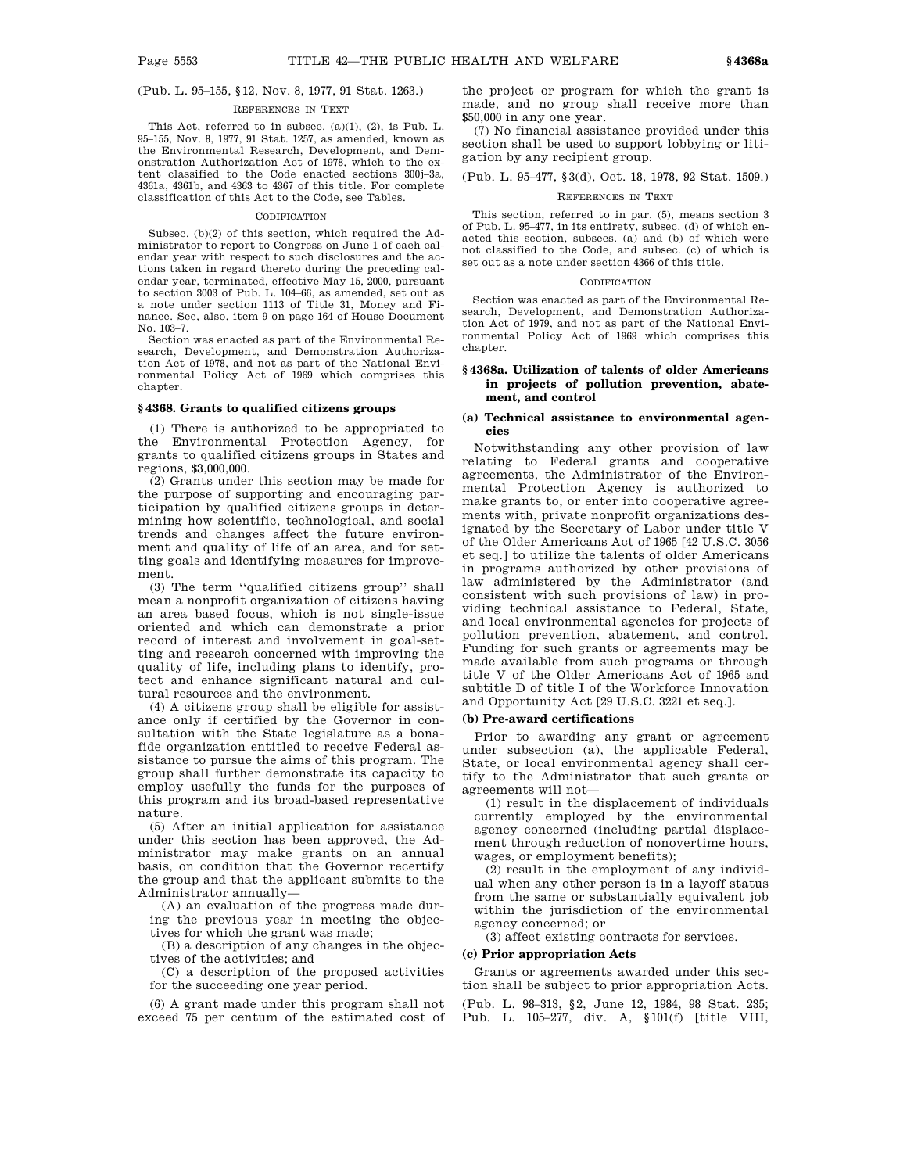# (Pub. L. 95–155, §12, Nov. 8, 1977, 91 Stat. 1263.)

#### REFERENCES IN TEXT

This Act, referred to in subsec. (a)(1), (2), is Pub. L. 95–155, Nov. 8, 1977, 91 Stat. 1257, as amended, known as the Environmental Research, Development, and Demonstration Authorization Act of 1978, which to the extent classified to the Code enacted sections 300j–3a, 4361a, 4361b, and 4363 to 4367 of this title. For complete classification of this Act to the Code, see Tables.

#### CODIFICATION

Subsec. (b)(2) of this section, which required the Administrator to report to Congress on June 1 of each calendar year with respect to such disclosures and the actions taken in regard thereto during the preceding calendar year, terminated, effective May 15, 2000, pursuant to section 3003 of Pub. L. 104–66, as amended, set out as a note under section 1113 of Title 31, Money and Finance. See, also, item 9 on page 164 of House Document No. 103–7.

Section was enacted as part of the Environmental Research, Development, and Demonstration Authorization Act of 1978, and not as part of the National Environmental Policy Act of 1969 which comprises this chapter.

### **§ 4368. Grants to qualified citizens groups**

(1) There is authorized to be appropriated to the Environmental Protection Agency, for grants to qualified citizens groups in States and regions, \$3,000,000.

(2) Grants under this section may be made for the purpose of supporting and encouraging participation by qualified citizens groups in determining how scientific, technological, and social trends and changes affect the future environment and quality of life of an area, and for setting goals and identifying measures for improvement.

(3) The term ''qualified citizens group'' shall mean a nonprofit organization of citizens having an area based focus, which is not single-issue oriented and which can demonstrate a prior record of interest and involvement in goal-setting and research concerned with improving the quality of life, including plans to identify, protect and enhance significant natural and cultural resources and the environment.

(4) A citizens group shall be eligible for assistance only if certified by the Governor in consultation with the State legislature as a bonafide organization entitled to receive Federal assistance to pursue the aims of this program. The group shall further demonstrate its capacity to employ usefully the funds for the purposes of this program and its broad-based representative nature.

(5) After an initial application for assistance under this section has been approved, the Administrator may make grants on an annual basis, on condition that the Governor recertify the group and that the applicant submits to the Administrator annually—

(A) an evaluation of the progress made during the previous year in meeting the objectives for which the grant was made;

(B) a description of any changes in the objectives of the activities; and

(C) a description of the proposed activities for the succeeding one year period.

(6) A grant made under this program shall not exceed 75 per centum of the estimated cost of the project or program for which the grant is made, and no group shall receive more than \$50,000 in any one year.

(7) No financial assistance provided under this section shall be used to support lobbying or litigation by any recipient group.

(Pub. L. 95–477, §3(d), Oct. 18, 1978, 92 Stat. 1509.)

#### REFERENCES IN TEXT

This section, referred to in par. (5), means section 3 of Pub. L. 95–477, in its entirety, subsec. (d) of which enacted this section, subsecs. (a) and (b) of which were not classified to the Code, and subsec. (c) of which is set out as a note under section 4366 of this title.

#### **CODIFICATION**

Section was enacted as part of the Environmental Research, Development, and Demonstration Authorization Act of 1979, and not as part of the National Environmental Policy Act of 1969 which comprises this chapter.

# **§ 4368a. Utilization of talents of older Americans in projects of pollution prevention, abatement, and control**

### **(a) Technical assistance to environmental agencies**

Notwithstanding any other provision of law relating to Federal grants and cooperative agreements, the Administrator of the Environmental Protection Agency is authorized to make grants to, or enter into cooperative agreements with, private nonprofit organizations designated by the Secretary of Labor under title V of the Older Americans Act of 1965 [42 U.S.C. 3056 et seq.] to utilize the talents of older Americans in programs authorized by other provisions of law administered by the Administrator (and consistent with such provisions of law) in providing technical assistance to Federal, State, and local environmental agencies for projects of pollution prevention, abatement, and control. Funding for such grants or agreements may be made available from such programs or through title V of the Older Americans Act of 1965 and subtitle D of title I of the Workforce Innovation and Opportunity Act [29 U.S.C. 3221 et seq.].

#### **(b) Pre-award certifications**

Prior to awarding any grant or agreement under subsection (a), the applicable Federal, State, or local environmental agency shall certify to the Administrator that such grants or agreements will not—

(1) result in the displacement of individuals currently employed by the environmental agency concerned (including partial displacement through reduction of nonovertime hours, wages, or employment benefits);

(2) result in the employment of any individual when any other person is in a layoff status from the same or substantially equivalent job within the jurisdiction of the environmental agency concerned; or

(3) affect existing contracts for services.

# **(c) Prior appropriation Acts**

Grants or agreements awarded under this section shall be subject to prior appropriation Acts.

(Pub. L. 98–313, §2, June 12, 1984, 98 Stat. 235; Pub. L. 105–277, div. A, §101(f) [title VIII,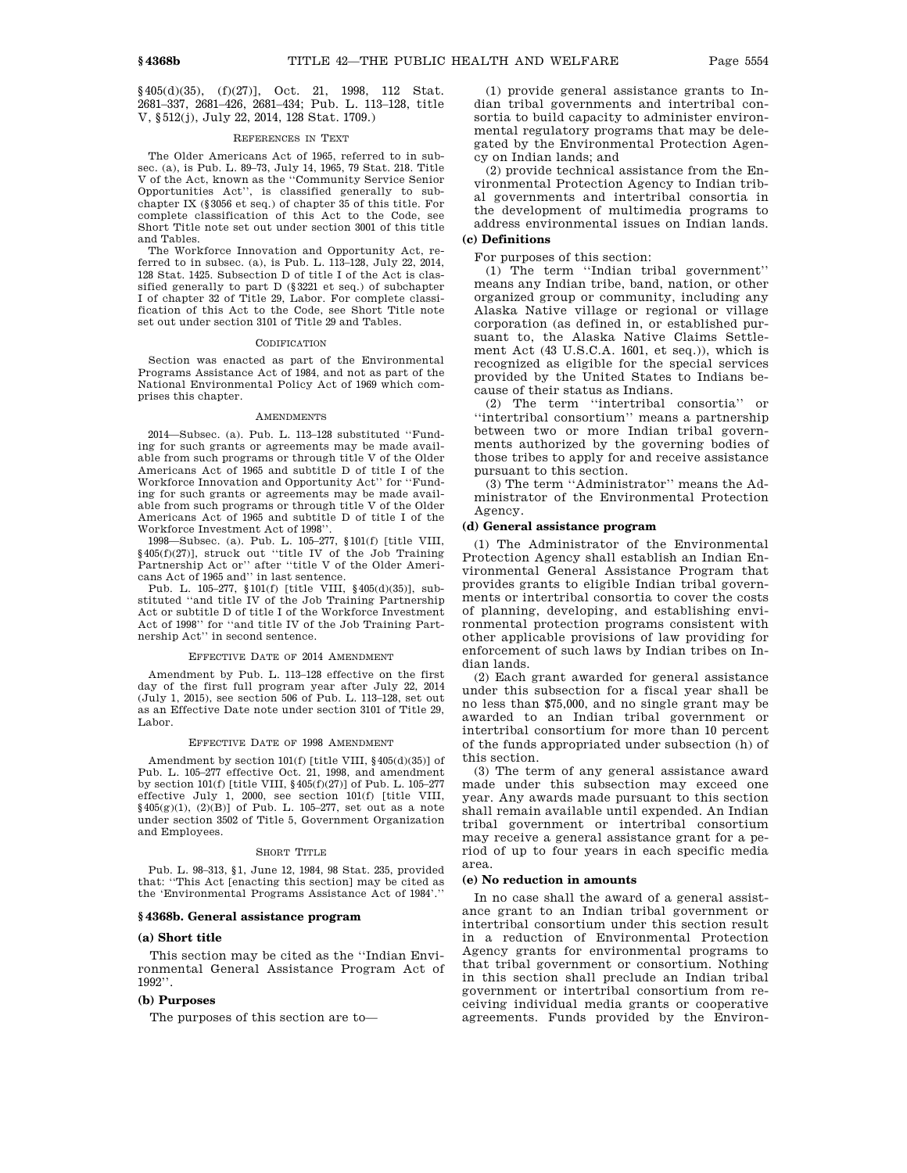§405(d)(35), (f)(27)], Oct. 21, 1998, 112 Stat. 2681–337, 2681–426, 2681–434; Pub. L. 113–128, title V, §512(j), July 22, 2014, 128 Stat. 1709.)

#### REFERENCES IN TEXT

The Older Americans Act of 1965, referred to in subsec. (a), is Pub. L. 89–73, July 14, 1965, 79 Stat. 218. Title V of the Act, known as the ''Community Service Senior Opportunities Act'', is classified generally to subchapter IX (§3056 et seq.) of chapter 35 of this title. For complete classification of this Act to the Code, see Short Title note set out under section 3001 of this title and Tables.

The Workforce Innovation and Opportunity Act, referred to in subsec. (a), is Pub. L.  $113-128$ , July 22, 2014, 128 Stat. 1425. Subsection D of title I of the Act is classified generally to part D (§3221 et seq.) of subchapter I of chapter 32 of Title 29, Labor. For complete classification of this Act to the Code, see Short Title note set out under section 3101 of Title 29 and Tables.

### CODIFICATION

Section was enacted as part of the Environmental Programs Assistance Act of 1984, and not as part of the National Environmental Policy Act of 1969 which comprises this chapter.

#### **AMENDMENTS**

2014—Subsec. (a). Pub. L. 113–128 substituted ''Funding for such grants or agreements may be made available from such programs or through title V of the Older Americans Act of 1965 and subtitle D of title I of the Workforce Innovation and Opportunity Act'' for ''Funding for such grants or agreements may be made available from such programs or through title V of the Older Americans Act of 1965 and subtitle D of title I of the Workforce Investment Act of 1998''.

1998—Subsec. (a). Pub. L. 105–277, §101(f) [title VIII, §405(f)(27)], struck out ''title IV of the Job Training Partnership Act or'' after ''title V of the Older Americans Act of 1965 and'' in last sentence.

Pub. L. 105–277, §101(f) [title VIII, §405(d)(35)], substituted ''and title IV of the Job Training Partnership Act or subtitle D of title I of the Workforce Investment Act of 1998'' for ''and title IV of the Job Training Partnership Act'' in second sentence.

# EFFECTIVE DATE OF 2014 AMENDMENT

Amendment by Pub. L. 113–128 effective on the first day of the first full program year after July 22, 2014 (July 1, 2015), see section 506 of Pub. L. 113–128, set out as an Effective Date note under section 3101 of Title 29, Labor.

#### EFFECTIVE DATE OF 1998 AMENDMENT

Amendment by section 101(f) [title VIII, §405(d)(35)] of Pub. L. 105–277 effective Oct. 21, 1998, and amendment by section  $101(f)$  [title VIII, §405(f)(27)] of Pub. L. 105–277 effective July 1, 2000, see section 101(f) [title VIII, §405(g)(1), (2)(B)] of Pub. L. 105-277, set out as a note under section 3502 of Title 5, Government Organization and Employees.

# SHORT TITLE

Pub. L. 98–313, §1, June 12, 1984, 98 Stat. 235, provided that: ''This Act [enacting this section] may be cited as the 'Environmental Programs Assistance Act of 1984'.''

### **§ 4368b. General assistance program**

#### **(a) Short title**

This section may be cited as the ''Indian Environmental General Assistance Program Act of  $1992$ ''.

# **(b) Purposes**

The purposes of this section are to—

(1) provide general assistance grants to Indian tribal governments and intertribal consortia to build capacity to administer environmental regulatory programs that may be delegated by the Environmental Protection Agency on Indian lands; and

(2) provide technical assistance from the Environmental Protection Agency to Indian tribal governments and intertribal consortia in the development of multimedia programs to address environmental issues on Indian lands.

# **(c) Definitions**

For purposes of this section:

(1) The term ''Indian tribal government'' means any Indian tribe, band, nation, or other organized group or community, including any Alaska Native village or regional or village corporation (as defined in, or established pursuant to, the Alaska Native Claims Settlement Act (43 U.S.C.A. 1601, et seq.)), which is recognized as eligible for the special services provided by the United States to Indians because of their status as Indians.

(2) The term ''intertribal consortia'' or ''intertribal consortium'' means a partnership between two or more Indian tribal governments authorized by the governing bodies of those tribes to apply for and receive assistance pursuant to this section.

(3) The term ''Administrator'' means the Administrator of the Environmental Protection Agency.

# **(d) General assistance program**

(1) The Administrator of the Environmental Protection Agency shall establish an Indian Environmental General Assistance Program that provides grants to eligible Indian tribal governments or intertribal consortia to cover the costs of planning, developing, and establishing environmental protection programs consistent with other applicable provisions of law providing for enforcement of such laws by Indian tribes on Indian lands.

(2) Each grant awarded for general assistance under this subsection for a fiscal year shall be no less than \$75,000, and no single grant may be awarded to an Indian tribal government or intertribal consortium for more than 10 percent of the funds appropriated under subsection (h) of this section.

(3) The term of any general assistance award made under this subsection may exceed one year. Any awards made pursuant to this section shall remain available until expended. An Indian tribal government or intertribal consortium may receive a general assistance grant for a period of up to four years in each specific media area.

# **(e) No reduction in amounts**

In no case shall the award of a general assistance grant to an Indian tribal government or intertribal consortium under this section result in a reduction of Environmental Protection Agency grants for environmental programs to that tribal government or consortium. Nothing in this section shall preclude an Indian tribal government or intertribal consortium from receiving individual media grants or cooperative agreements. Funds provided by the Environ-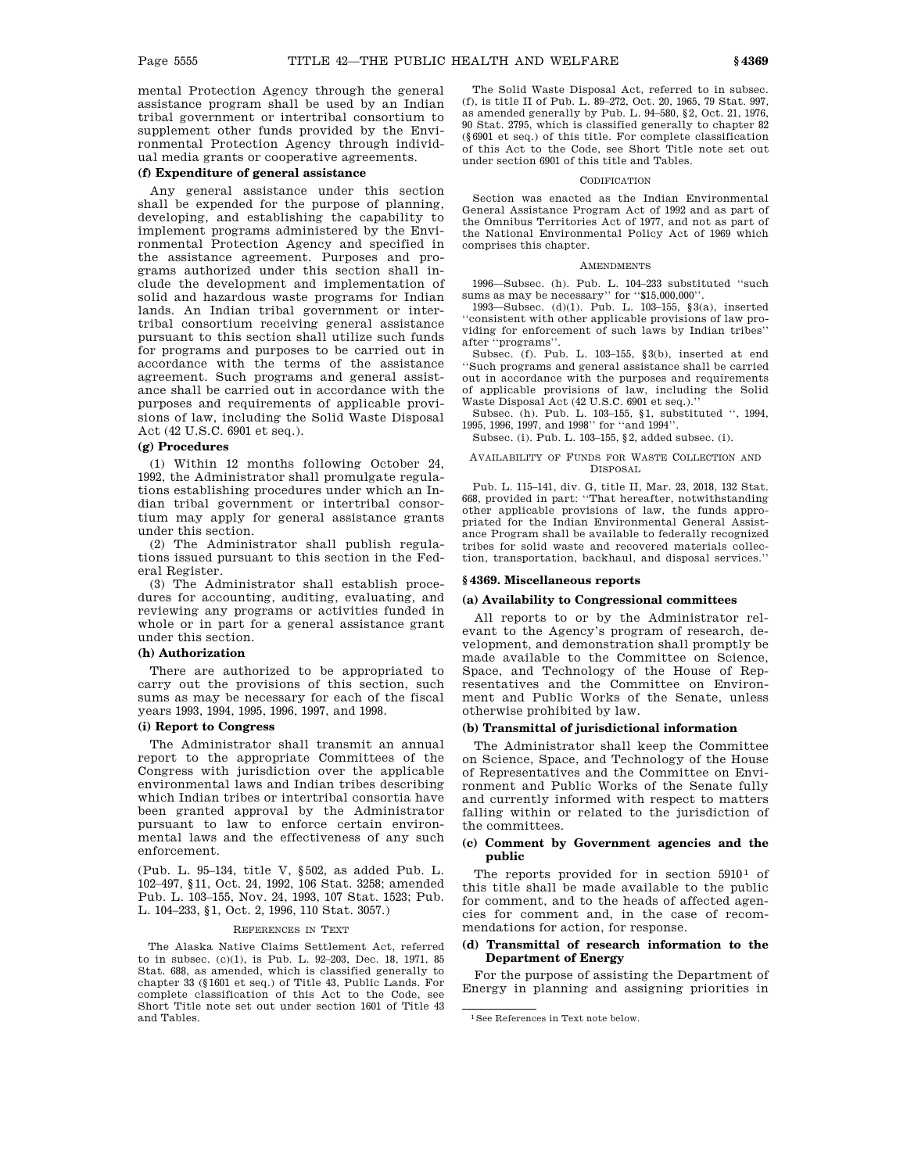mental Protection Agency through the general assistance program shall be used by an Indian tribal government or intertribal consortium to supplement other funds provided by the Environmental Protection Agency through individual media grants or cooperative agreements.

# **(f) Expenditure of general assistance**

Any general assistance under this section shall be expended for the purpose of planning, developing, and establishing the capability to implement programs administered by the Environmental Protection Agency and specified in the assistance agreement. Purposes and programs authorized under this section shall include the development and implementation of solid and hazardous waste programs for Indian lands. An Indian tribal government or intertribal consortium receiving general assistance pursuant to this section shall utilize such funds for programs and purposes to be carried out in accordance with the terms of the assistance agreement. Such programs and general assistance shall be carried out in accordance with the purposes and requirements of applicable provisions of law, including the Solid Waste Disposal Act (42 U.S.C. 6901 et seq.).

### **(g) Procedures**

(1) Within 12 months following October 24, 1992, the Administrator shall promulgate regulations establishing procedures under which an Indian tribal government or intertribal consortium may apply for general assistance grants under this section.

(2) The Administrator shall publish regulations issued pursuant to this section in the Federal Register.

(3) The Administrator shall establish procedures for accounting, auditing, evaluating, and reviewing any programs or activities funded in whole or in part for a general assistance grant under this section.

# **(h) Authorization**

There are authorized to be appropriated to carry out the provisions of this section, such sums as may be necessary for each of the fiscal years 1993, 1994, 1995, 1996, 1997, and 1998.

# **(i) Report to Congress**

The Administrator shall transmit an annual report to the appropriate Committees of the Congress with jurisdiction over the applicable environmental laws and Indian tribes describing which Indian tribes or intertribal consortia have been granted approval by the Administrator pursuant to law to enforce certain environmental laws and the effectiveness of any such enforcement.

(Pub. L. 95–134, title V, §502, as added Pub. L. 102–497, §11, Oct. 24, 1992, 106 Stat. 3258; amended Pub. L. 103–155, Nov. 24, 1993, 107 Stat. 1523; Pub. L. 104–233, §1, Oct. 2, 1996, 110 Stat. 3057.)

#### REFERENCES IN TEXT

The Alaska Native Claims Settlement Act, referred to in subsec. (c)(1), is Pub. L. 92–203, Dec. 18, 1971, 85 Stat. 688, as amended, which is classified generally to chapter 33 (§1601 et seq.) of Title 43, Public Lands. For complete classification of this Act to the Code, see Short Title note set out under section 1601 of Title 43 and Tables.

The Solid Waste Disposal Act, referred to in subsec. (f), is title II of Pub. L. 89–272, Oct. 20, 1965, 79 Stat. 997, as amended generally by Pub. L. 94–580, §2, Oct. 21, 1976, 90 Stat. 2795, which is classified generally to chapter 82 (§6901 et seq.) of this title. For complete classification of this Act to the Code, see Short Title note set out under section 6901 of this title and Tables.

#### CODIFICATION

Section was enacted as the Indian Environmental General Assistance Program Act of 1992 and as part of the Omnibus Territories Act of 1977, and not as part of the National Environmental Policy Act of 1969 which comprises this chapter.

#### AMENDMENTS

1996—Subsec. (h). Pub. L. 104–233 substituted ''such sums as may be necessary" for "\$15,000,000".

1993—Subsec. (d)(1). Pub. L. 103–155, §3(a), inserted 'consistent with other applicable provisions of law providing for enforcement of such laws by Indian tribes'' after ''programs''.

Subsec. (f). Pub. L. 103–155, §3(b), inserted at end ''Such programs and general assistance shall be carried out in accordance with the purposes and requirements of applicable provisions of law, including the Solid Waste Disposal Act (42 U.S.C. 6901 et seq.).''

Subsec. (h). Pub. L. 103–155, §1, substituted '', 1994, 1995, 1996, 1997, and 1998'' for ''and 1994''.

Subsec. (i). Pub. L. 103–155, §2, added subsec. (i).

# AVAILABILITY OF FUNDS FOR WASTE COLLECTION AND DISPOSAL

Pub. L. 115–141, div. G, title II, Mar. 23, 2018, 132 Stat. 668, provided in part: ''That hereafter, notwithstanding other applicable provisions of law, the funds appropriated for the Indian Environmental General Assistance Program shall be available to federally recognized tribes for solid waste and recovered materials collection, transportation, backhaul, and disposal services.''

### **§ 4369. Miscellaneous reports**

### **(a) Availability to Congressional committees**

All reports to or by the Administrator relevant to the Agency's program of research, development, and demonstration shall promptly be made available to the Committee on Science, Space, and Technology of the House of Representatives and the Committee on Environment and Public Works of the Senate, unless otherwise prohibited by law.

# **(b) Transmittal of jurisdictional information**

The Administrator shall keep the Committee on Science, Space, and Technology of the House of Representatives and the Committee on Environment and Public Works of the Senate fully and currently informed with respect to matters falling within or related to the jurisdiction of the committees.

### **(c) Comment by Government agencies and the public**

The reports provided for in section  $5910<sup>1</sup>$  of this title shall be made available to the public for comment, and to the heads of affected agencies for comment and, in the case of recommendations for action, for response.

# **(d) Transmittal of research information to the Department of Energy**

For the purpose of assisting the Department of Energy in planning and assigning priorities in

<sup>1</sup>See References in Text note below.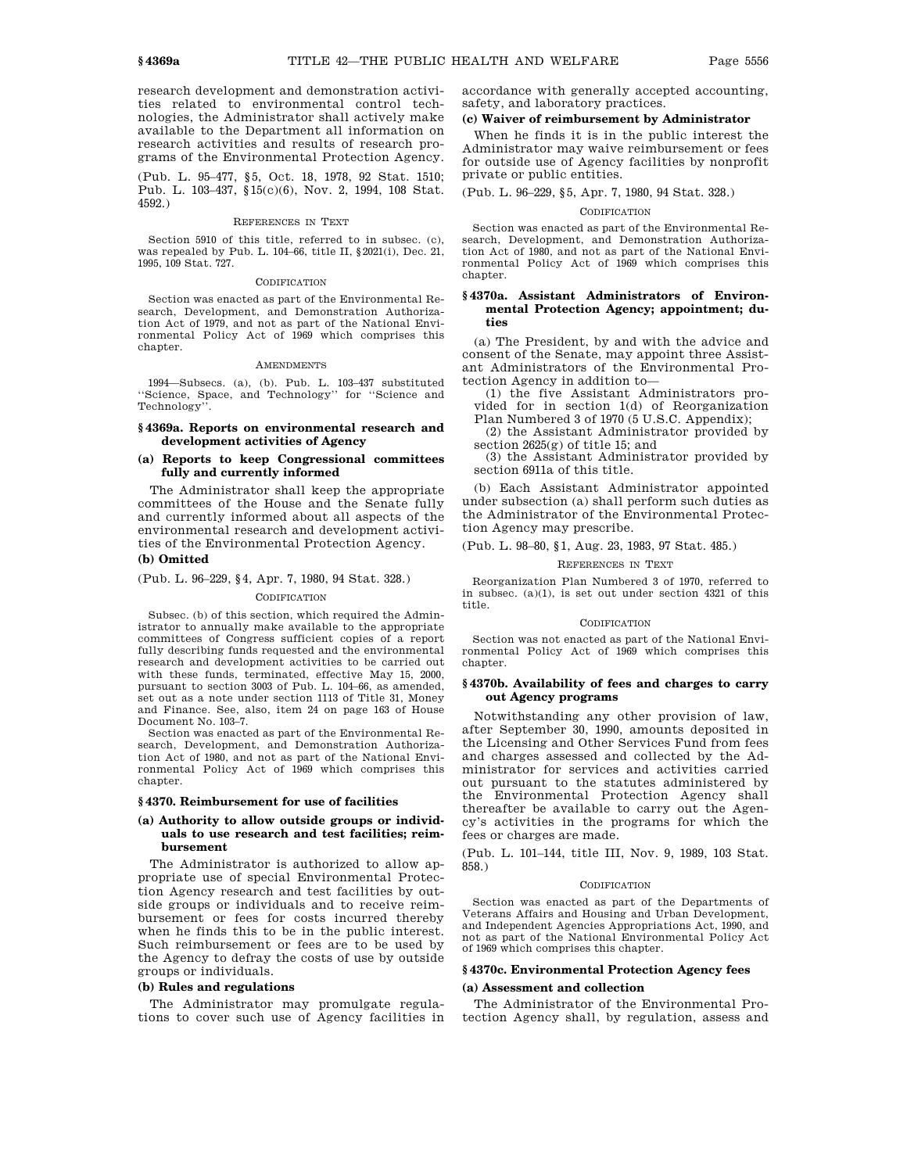research development and demonstration activities related to environmental control technologies, the Administrator shall actively make available to the Department all information on research activities and results of research programs of the Environmental Protection Agency.

(Pub. L. 95–477, §5, Oct. 18, 1978, 92 Stat. 1510; Pub. L. 103–437, §15(c)(6), Nov. 2, 1994, 108 Stat. 4592.)

#### REFERENCES IN TEXT

Section 5910 of this title, referred to in subsec. (c), was repealed by Pub. L. 104–66, title II, §2021(i), Dec. 21, 1995, 109 Stat. 727.

#### **CODIFICATION**

Section was enacted as part of the Environmental Research, Development, and Demonstration Authorization Act of 1979, and not as part of the National Environmental Policy Act of 1969 which comprises this chapter.

#### AMENDMENTS

1994—Subsecs. (a), (b). Pub. L. 103–437 substituted ''Science, Space, and Technology'' for ''Science and Technology''.

# **§ 4369a. Reports on environmental research and development activities of Agency**

# **(a) Reports to keep Congressional committees fully and currently informed**

The Administrator shall keep the appropriate committees of the House and the Senate fully and currently informed about all aspects of the environmental research and development activities of the Environmental Protection Agency.

# **(b) Omitted**

# (Pub. L. 96–229, §4, Apr. 7, 1980, 94 Stat. 328.)

#### CODIFICATION

Subsec. (b) of this section, which required the Administrator to annually make available to the appropriate committees of Congress sufficient copies of a report fully describing funds requested and the environmental research and development activities to be carried out with these funds, terminated, effective May 15, 2000, pursuant to section 3003 of Pub. L. 104–66, as amended, set out as a note under section 1113 of Title 31, Money and Finance. See, also, item 24 on page 163 of House Document No. 103–7.

Section was enacted as part of the Environmental Research, Development, and Demonstration Authorization Act of 1980, and not as part of the National Environmental Policy Act of 1969 which comprises this chapter.

#### **§ 4370. Reimbursement for use of facilities**

# **(a) Authority to allow outside groups or individuals to use research and test facilities; reimbursement**

The Administrator is authorized to allow appropriate use of special Environmental Protection Agency research and test facilities by outside groups or individuals and to receive reimbursement or fees for costs incurred thereby when he finds this to be in the public interest. Such reimbursement or fees are to be used by the Agency to defray the costs of use by outside groups or individuals.

### **(b) Rules and regulations**

The Administrator may promulgate regulations to cover such use of Agency facilities in accordance with generally accepted accounting, safety, and laboratory practices.

### **(c) Waiver of reimbursement by Administrator**

When he finds it is in the public interest the Administrator may waive reimbursement or fees for outside use of Agency facilities by nonprofit private or public entities.

(Pub. L. 96–229, §5, Apr. 7, 1980, 94 Stat. 328.)

### CODIFICATION

Section was enacted as part of the Environmental Re-search, Development, and Demonstration Authorization Act of 1980, and not as part of the National Envi-ronmental Policy Act of 1969 which comprises this chapter.

# **§ 4370a. Assistant Administrators of Environmental Protection Agency; appointment; duties**

(a) The President, by and with the advice and consent of the Senate, may appoint three Assistant Administrators of the Environmental Protection Agency in addition to—

(1) the five Assistant Administrators provided for in section 1(d) of Reorganization Plan Numbered 3 of 1970 (5 U.S.C. Appendix):

(2) the Assistant Administrator provided by section 2625(g) of title 15; and

(3) the Assistant Administrator provided by section 6911a of this title.

(b) Each Assistant Administrator appointed under subsection (a) shall perform such duties as the Administrator of the Environmental Protection Agency may prescribe.

(Pub. L. 98–80, §1, Aug. 23, 1983, 97 Stat. 485.)

#### REFERENCES IN TEXT

Reorganization Plan Numbered 3 of 1970, referred to in subsec. (a)(1), is set out under section 4321 of this title.

#### **CODIFICATION**

Section was not enacted as part of the National Environmental Policy Act of 1969 which comprises this chapter.

# **§ 4370b. Availability of fees and charges to carry out Agency programs**

Notwithstanding any other provision of law, after September 30, 1990, amounts deposited in the Licensing and Other Services Fund from fees and charges assessed and collected by the Administrator for services and activities carried out pursuant to the statutes administered by the Environmental Protection Agency shall thereafter be available to carry out the Agency's activities in the programs for which the fees or charges are made.

(Pub. L. 101–144, title III, Nov. 9, 1989, 103 Stat. 858.)

#### **CODIFICATION**

Section was enacted as part of the Departments of Veterans Affairs and Housing and Urban Development, and Independent Agencies Appropriations Act, 1990, and not as part of the National Environmental Policy Act of 1969 which comprises this chapter.

# **§ 4370c. Environmental Protection Agency fees**

#### **(a) Assessment and collection**

The Administrator of the Environmental Protection Agency shall, by regulation, assess and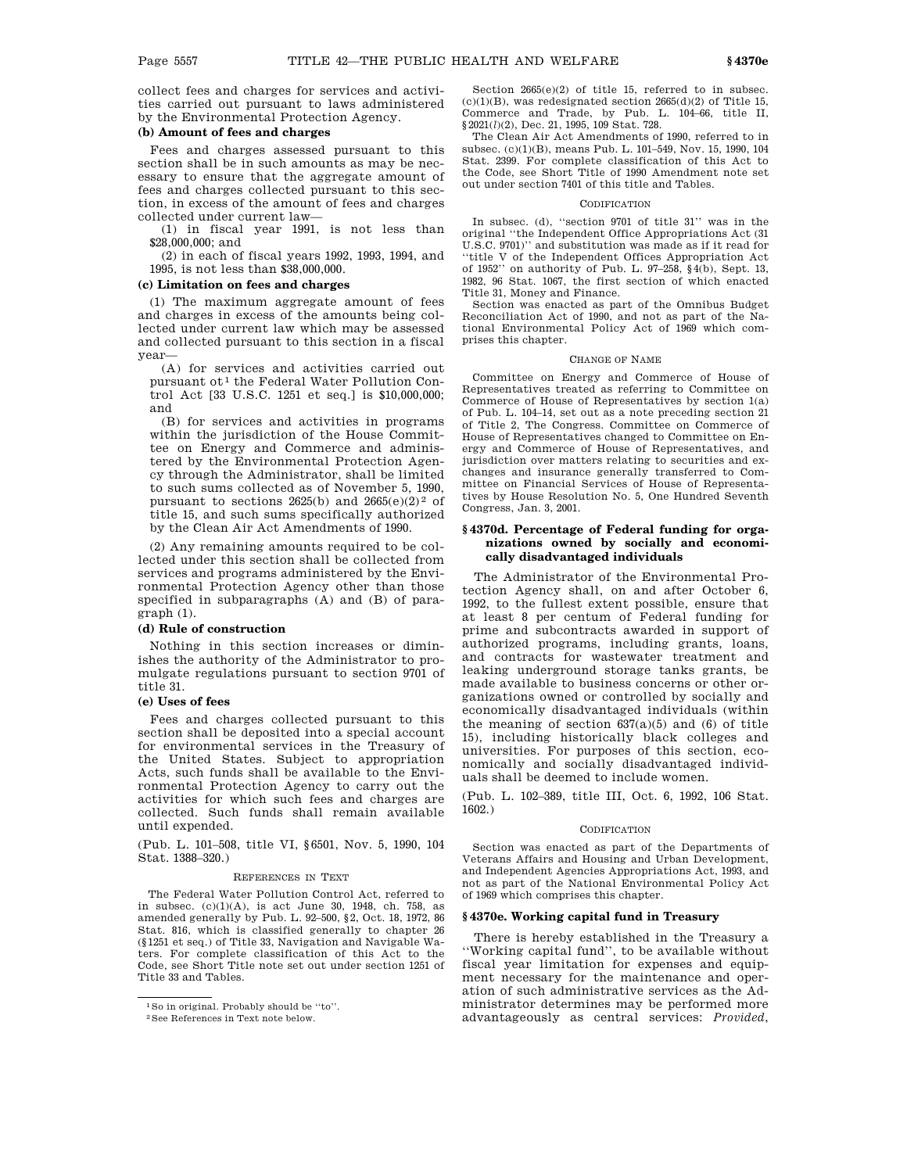collect fees and charges for services and activities carried out pursuant to laws administered by the Environmental Protection Agency.

# **(b) Amount of fees and charges**

Fees and charges assessed pursuant to this section shall be in such amounts as may be necessary to ensure that the aggregate amount of fees and charges collected pursuant to this section, in excess of the amount of fees and charges collected under current law—

(1) in fiscal year 1991, is not less than \$28,000,000; and

(2) in each of fiscal years 1992, 1993, 1994, and 1995, is not less than \$38,000,000.

# **(c) Limitation on fees and charges**

(1) The maximum aggregate amount of fees and charges in excess of the amounts being collected under current law which may be assessed and collected pursuant to this section in a fiscal year—

(A) for services and activities carried out pursuant ot<sup>1</sup> the Federal Water Pollution Control Act [33 U.S.C. 1251 et seq.] is \$10,000,000; and

(B) for services and activities in programs within the jurisdiction of the House Committee on Energy and Commerce and administered by the Environmental Protection Agency through the Administrator, shall be limited to such sums collected as of November 5, 1990, pursuant to sections  $2625(b)$  and  $2665(e)(2)^2$  of title 15, and such sums specifically authorized by the Clean Air Act Amendments of 1990.

(2) Any remaining amounts required to be collected under this section shall be collected from services and programs administered by the Environmental Protection Agency other than those specified in subparagraphs (A) and (B) of paragraph (1).

# **(d) Rule of construction**

Nothing in this section increases or diminishes the authority of the Administrator to promulgate regulations pursuant to section 9701 of title 31.

### **(e) Uses of fees**

Fees and charges collected pursuant to this section shall be deposited into a special account for environmental services in the Treasury of the United States. Subject to appropriation Acts, such funds shall be available to the Environmental Protection Agency to carry out the activities for which such fees and charges are collected. Such funds shall remain available until expended.

(Pub. L. 101–508, title VI, §6501, Nov. 5, 1990, 104 Stat. 1388–320.)

### REFERENCES IN TEXT

The Federal Water Pollution Control Act, referred to in subsec. (c)(1)(A), is act June 30, 1948, ch. 758, as amended generally by Pub. L. 92–500, §2, Oct. 18, 1972, 86 Stat. 816, which is classified generally to chapter 26 (§1251 et seq.) of Title 33, Navigation and Navigable Waters. For complete classification of this Act to the Code, see Short Title note set out under section 1251 of Title 33 and Tables.

Section 2665(e)(2) of title 15, referred to in subsec.  $(c)(1)(B)$ , was redesignated section  $2665(d)(2)$  of Title 15, Commerce and Trade, by Pub. L. 104–66, title II, §2021(*l*)(2), Dec. 21, 1995, 109 Stat. 728.

The Clean Air Act Amendments of 1990, referred to in subsec. (c)(1)(B), means Pub. L. 101–549, Nov. 15, 1990, 104 Stat. 2399. For complete classification of this Act to the Code, see Short Title of 1990 Amendment note set out under section 7401 of this title and Tables.

#### CODIFICATION

In subsec. (d), ''section 9701 of title 31'' was in the original ''the Independent Office Appropriations Act (31 U.S.C. 9701)'' and substitution was made as if it read for ''title V of the Independent Offices Appropriation Act of 1952'' on authority of Pub. L. 97–258, §4(b), Sept. 13, 1982, 96 Stat. 1067, the first section of which enacted Title 31, Money and Finance.

Section was enacted as part of the Omnibus Budget Reconciliation Act of 1990, and not as part of the National Environmental Policy Act of 1969 which comprises this chapter.

#### CHANGE OF NAME

Committee on Energy and Commerce of House of Representatives treated as referring to Committee on Commerce of House of Representatives by section 1(a) of Pub. L. 104–14, set out as a note preceding section 21 of Title 2, The Congress. Committee on Commerce of House of Representatives changed to Committee on Energy and Commerce of House of Representatives, and jurisdiction over matters relating to securities and exchanges and insurance generally transferred to Committee on Financial Services of House of Representatives by House Resolution No. 5, One Hundred Seventh Congress, Jan. 3, 2001.

# **§ 4370d. Percentage of Federal funding for organizations owned by socially and economically disadvantaged individuals**

The Administrator of the Environmental Protection Agency shall, on and after October 6, 1992, to the fullest extent possible, ensure that at least 8 per centum of Federal funding for prime and subcontracts awarded in support of authorized programs, including grants, loans, and contracts for wastewater treatment and leaking underground storage tanks grants, be made available to business concerns or other organizations owned or controlled by socially and economically disadvantaged individuals (within the meaning of section  $637(a)(5)$  and  $(6)$  of title 15), including historically black colleges and universities. For purposes of this section, economically and socially disadvantaged individuals shall be deemed to include women.

(Pub. L. 102–389, title III, Oct. 6, 1992, 106 Stat. 1602.)

### **CODIFICATION**

Section was enacted as part of the Departments of Veterans Affairs and Housing and Urban Development, and Independent Agencies Appropriations Act, 1993, and not as part of the National Environmental Policy Act of 1969 which comprises this chapter.

### **§ 4370e. Working capital fund in Treasury**

There is hereby established in the Treasury a ''Working capital fund'', to be available without fiscal year limitation for expenses and equipment necessary for the maintenance and operation of such administrative services as the Administrator determines may be performed more advantageously as central services: *Provided*,

<sup>1</sup>So in original. Probably should be ''to''.

<sup>2</sup>See References in Text note below.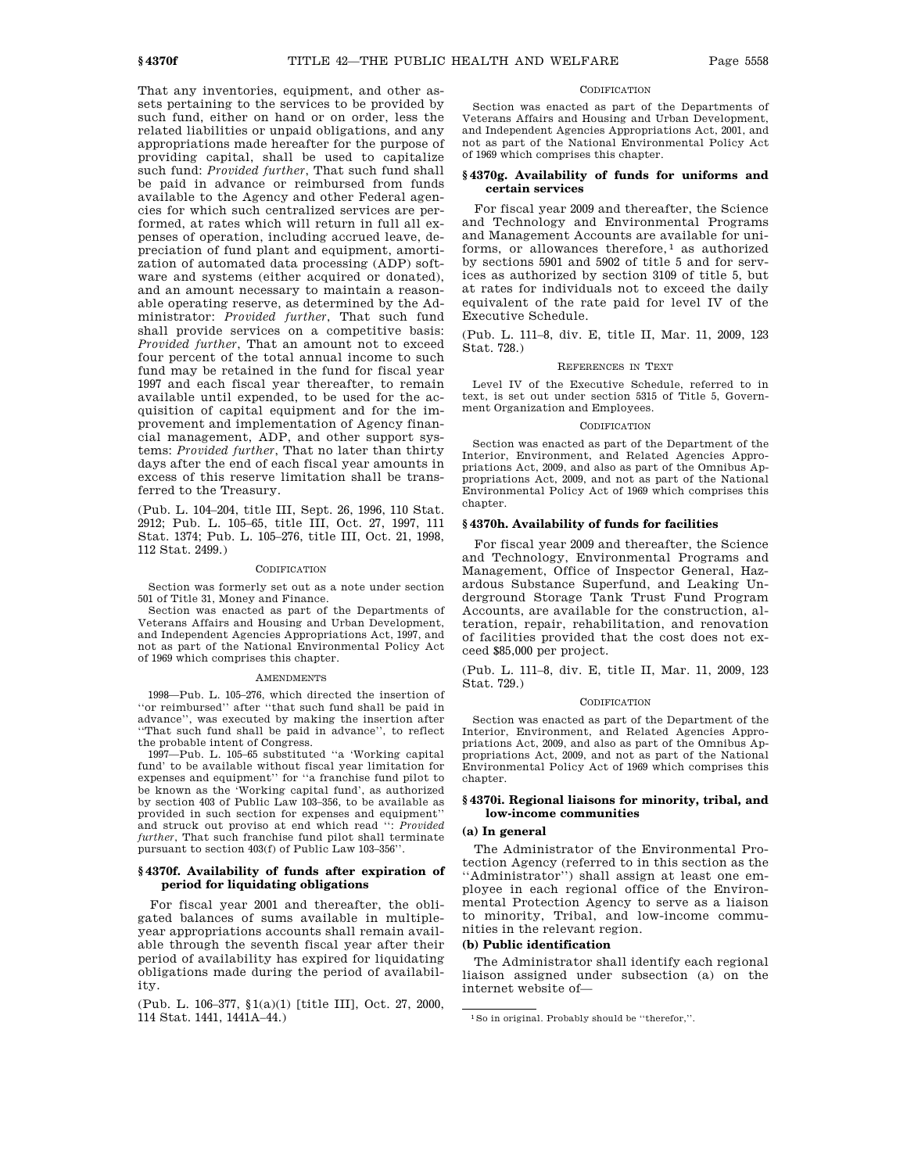That any inventories, equipment, and other assets pertaining to the services to be provided by such fund, either on hand or on order, less the related liabilities or unpaid obligations, and any appropriations made hereafter for the purpose of providing capital, shall be used to capitalize such fund: *Provided further*, That such fund shall be paid in advance or reimbursed from funds available to the Agency and other Federal agencies for which such centralized services are performed, at rates which will return in full all expenses of operation, including accrued leave, depreciation of fund plant and equipment, amortization of automated data processing (ADP) software and systems (either acquired or donated), and an amount necessary to maintain a reasonable operating reserve, as determined by the Administrator: *Provided further*, That such fund shall provide services on a competitive basis: *Provided further*, That an amount not to exceed four percent of the total annual income to such fund may be retained in the fund for fiscal year 1997 and each fiscal year thereafter, to remain available until expended, to be used for the acquisition of capital equipment and for the improvement and implementation of Agency financial management, ADP, and other support systems: *Provided further*, That no later than thirty days after the end of each fiscal year amounts in excess of this reserve limitation shall be transferred to the Treasury.

(Pub. L. 104–204, title III, Sept. 26, 1996, 110 Stat. 2912; Pub. L. 105–65, title III, Oct. 27, 1997, 111 Stat. 1374; Pub. L. 105–276, title III, Oct. 21, 1998, 112 Stat. 2499.)

#### CODIFICATION

Section was formerly set out as a note under section 501 of Title 31, Money and Finance.

Section was enacted as part of the Departments of Veterans Affairs and Housing and Urban Development, and Independent Agencies Appropriations Act, 1997, and not as part of the National Environmental Policy Act of 1969 which comprises this chapter.

#### **AMENDMENTS**

1998—Pub. L. 105–276, which directed the insertion of ''or reimbursed'' after ''that such fund shall be paid in advance'', was executed by making the insertion after ''That such fund shall be paid in advance'', to reflect the probable intent of Congress.

1997—Pub. L. 105–65 substituted ''a 'Working capital fund' to be available without fiscal year limitation for expenses and equipment'' for ''a franchise fund pilot to be known as the 'Working capital fund', as authorized by section 403 of Public Law 103–356, to be available as provided in such section for expenses and equipment'' and struck out proviso at end which read '': *Provided further*, That such franchise fund pilot shall terminate pursuant to section 403(f) of Public Law 103–356''.

# **§ 4370f. Availability of funds after expiration of period for liquidating obligations**

For fiscal year 2001 and thereafter, the obligated balances of sums available in multipleyear appropriations accounts shall remain available through the seventh fiscal year after their period of availability has expired for liquidating obligations made during the period of availability.

(Pub. L. 106–377, §1(a)(1) [title III], Oct. 27, 2000, 114 Stat. 1441, 1441A–44.)

#### CODIFICATION

Section was enacted as part of the Departments of Veterans Affairs and Housing and Urban Development, and Independent Agencies Appropriations Act, 2001, and not as part of the National Environmental Policy Act of 1969 which comprises this chapter.

### **§ 4370g. Availability of funds for uniforms and certain services**

For fiscal year 2009 and thereafter, the Science and Technology and Environmental Programs and Management Accounts are available for uniforms, or allowances therefore, $<sup>1</sup>$  as authorized</sup> by sections 5901 and 5902 of title 5 and for services as authorized by section 3109 of title 5, but at rates for individuals not to exceed the daily equivalent of the rate paid for level IV of the Executive Schedule.

(Pub. L. 111–8, div. E, title II, Mar. 11, 2009, 123 Stat. 728.)

#### REFERENCES IN TEXT

Level IV of the Executive Schedule, referred to in text, is set out under section 5315 of Title 5, Government Organization and Employees.

#### CODIFICATION

Section was enacted as part of the Department of the Interior, Environment, and Related Agencies Appropriations Act, 2009, and also as part of the Omnibus Appropriations Act, 2009, and not as part of the National Environmental Policy Act of 1969 which comprises this chapter.

# **§ 4370h. Availability of funds for facilities**

For fiscal year 2009 and thereafter, the Science and Technology, Environmental Programs and Management, Office of Inspector General, Hazardous Substance Superfund, and Leaking Underground Storage Tank Trust Fund Program Accounts, are available for the construction, alteration, repair, rehabilitation, and renovation of facilities provided that the cost does not exceed \$85,000 per project.

(Pub. L. 111–8, div. E, title II, Mar. 11, 2009, 123 Stat. 729.)

#### CODIFICATION

Section was enacted as part of the Department of the Interior, Environment, and Related Agencies Appropriations Act, 2009, and also as part of the Omnibus Appropriations Act, 2009, and not as part of the National Environmental Policy Act of 1969 which comprises this chapter.

### **§ 4370i. Regional liaisons for minority, tribal, and low-income communities**

# **(a) In general**

The Administrator of the Environmental Protection Agency (referred to in this section as the ''Administrator'') shall assign at least one employee in each regional office of the Environmental Protection Agency to serve as a liaison to minority, Tribal, and low-income communities in the relevant region.

### **(b) Public identification**

The Administrator shall identify each regional liaison assigned under subsection (a) on the internet website of—

<sup>1</sup>So in original. Probably should be ''therefor,''.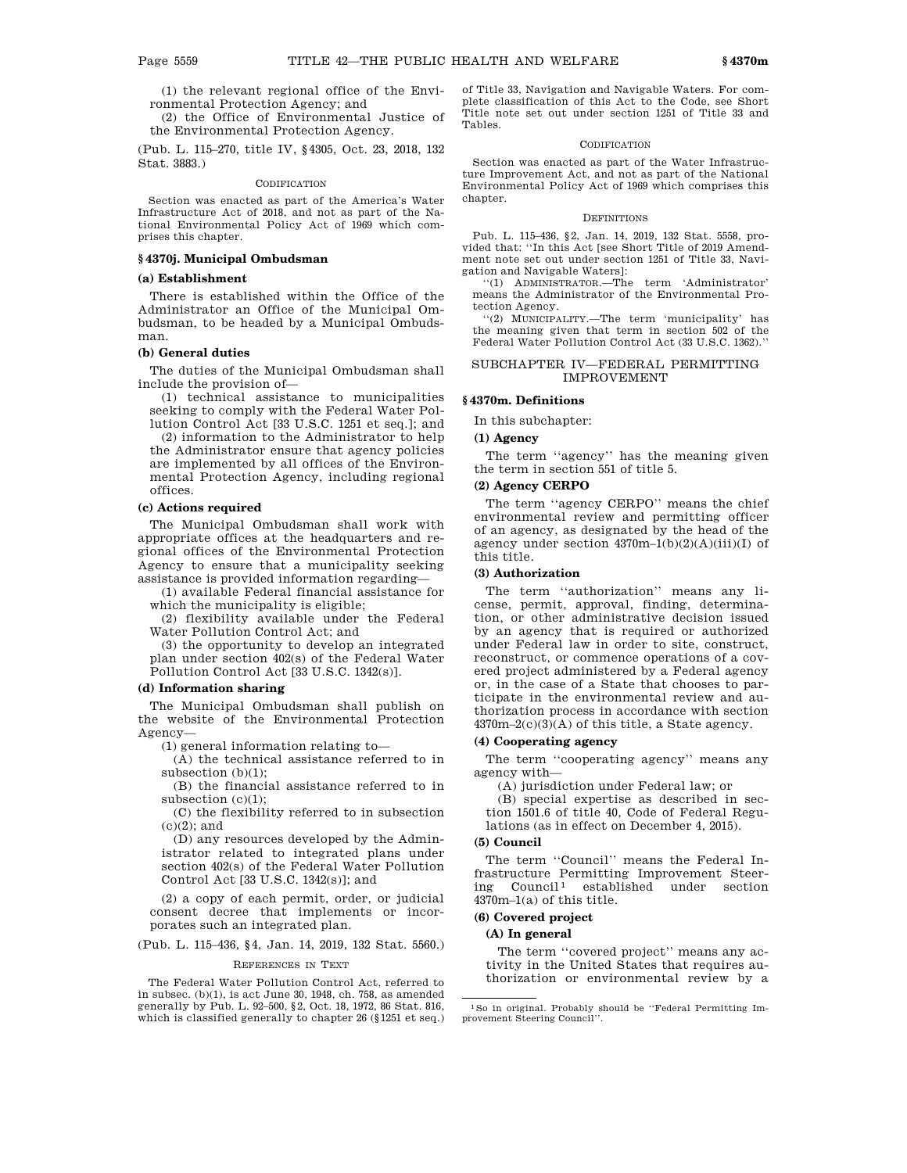(1) the relevant regional office of the Environmental Protection Agency; and

(2) the Office of Environmental Justice of the Environmental Protection Agency.

(Pub. L. 115–270, title IV, §4305, Oct. 23, 2018, 132 Stat. 3883.)

#### **CODIFICATION**

Section was enacted as part of the America's Water Infrastructure Act of 2018, and not as part of the National Environmental Policy Act of 1969 which comprises this chapter.

# **§ 4370j. Municipal Ombudsman**

# **(a) Establishment**

There is established within the Office of the Administrator an Office of the Municipal Ombudsman, to be headed by a Municipal Ombudsman.

# **(b) General duties**

The duties of the Municipal Ombudsman shall include the provision of—

(1) technical assistance to municipalities seeking to comply with the Federal Water Pollution Control Act [33 U.S.C. 1251 et seq.]; and

(2) information to the Administrator to help the Administrator ensure that agency policies are implemented by all offices of the Environmental Protection Agency, including regional offices.

### **(c) Actions required**

The Municipal Ombudsman shall work with appropriate offices at the headquarters and regional offices of the Environmental Protection Agency to ensure that a municipality seeking assistance is provided information regarding—

(1) available Federal financial assistance for which the municipality is eligible;

(2) flexibility available under the Federal Water Pollution Control Act; and

(3) the opportunity to develop an integrated plan under section 402(s) of the Federal Water Pollution Control Act [33 U.S.C. 1342(s)].

# **(d) Information sharing**

The Municipal Ombudsman shall publish on the website of the Environmental Protection Agency—

(1) general information relating to—

(A) the technical assistance referred to in subsection (b)(1);

(B) the financial assistance referred to in subsection  $(c)(1)$ ;

(C) the flexibility referred to in subsection  $(c)(2)$ ; and

(D) any resources developed by the Administrator related to integrated plans under section 402(s) of the Federal Water Pollution Control Act [33 U.S.C. 1342(s)]; and

(2) a copy of each permit, order, or judicial consent decree that implements or incorporates such an integrated plan.

(Pub. L. 115–436, §4, Jan. 14, 2019, 132 Stat. 5560.)

#### REFERENCES IN TEXT

The Federal Water Pollution Control Act, referred to in subsec. (b)(1), is act June 30, 1948, ch. 758, as amended generally by Pub. L. 92–500, §2, Oct. 18, 1972, 86 Stat. 816, which is classified generally to chapter 26 (§1251 et seq.) of Title 33, Navigation and Navigable Waters. For complete classification of this Act to the Code, see Short Title note set out under section 1251 of Title 33 and Tables.

### **CODIFICATION**

Section was enacted as part of the Water Infrastructure Improvement Act, and not as part of the National Environmental Policy Act of 1969 which comprises this chapter.

#### **DEFINITIONS**

Pub. L. 115–436, §2, Jan. 14, 2019, 132 Stat. 5558, provided that: ''In this Act [see Short Title of 2019 Amendment note set out under section 1251 of Title 33, Navigation and Navigable Waters]:

''(1) ADMINISTRATOR.—The term 'Administrator' means the Administrator of the Environmental Protection Agency.

''(2) MUNICIPALITY.—The term 'municipality' has the meaning given that term in section 502 of the Federal Water Pollution Control Act (33 U.S.C. 1362).

# SUBCHAPTER IV—FEDERAL PERMITTING IMPROVEMENT

# **§ 4370m. Definitions**

In this subchapter:

# **(1) Agency**

The term ''agency'' has the meaning given the term in section 551 of title 5.

# **(2) Agency CERPO**

The term ''agency CERPO'' means the chief environmental review and permitting officer of an agency, as designated by the head of the agency under section  $4370m-1(b)(2)(A)(iii)(I)$  of this title.

### **(3) Authorization**

The term ''authorization'' means any license, permit, approval, finding, determination, or other administrative decision issued by an agency that is required or authorized under Federal law in order to site, construct, reconstruct, or commence operations of a covered project administered by a Federal agency or, in the case of a State that chooses to participate in the environmental review and authorization process in accordance with section 4370m–2(c)(3)(A) of this title, a State agency.

### **(4) Cooperating agency**

The term ''cooperating agency'' means any agency with—

(A) jurisdiction under Federal law; or

(B) special expertise as described in section 1501.6 of title 40, Code of Federal Regulations (as in effect on December 4, 2015).

#### **(5) Council**

The term ''Council'' means the Federal Infrastructure Permitting Improvement Steering Council<sup>1</sup> established under section 4370m–1(a) of this title.

### **(6) Covered project**

# **(A) In general**

The term ''covered project'' means any activity in the United States that requires authorization or environmental review by a

<sup>1</sup>So in original. Probably should be ''Federal Permitting Improvement Steering Council''.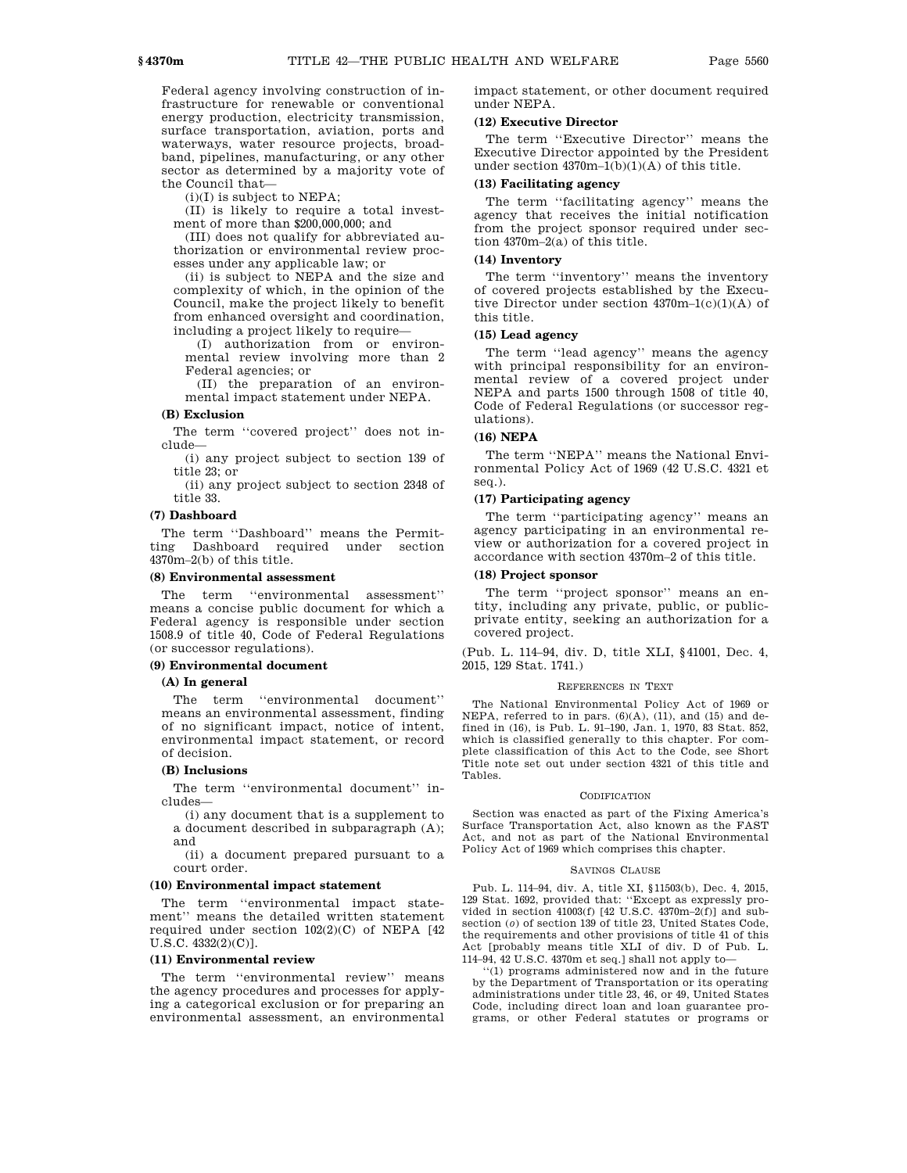Federal agency involving construction of infrastructure for renewable or conventional energy production, electricity transmission, surface transportation, aviation, ports and waterways, water resource projects, broadband, pipelines, manufacturing, or any other sector as determined by a majority vote of the Council that—

 $(i)(I)$  is subject to NEPA;

(II) is likely to require a total investment of more than \$200,000,000; and

(III) does not qualify for abbreviated authorization or environmental review processes under any applicable law; or

(ii) is subject to NEPA and the size and complexity of which, in the opinion of the Council, make the project likely to benefit from enhanced oversight and coordination, including a project likely to require—

(I) authorization from or environmental review involving more than 2 Federal agencies; or

(II) the preparation of an environmental impact statement under NEPA.

# **(B) Exclusion**

The term ''covered project'' does not include—

(i) any project subject to section 139 of title 23; or

(ii) any project subject to section 2348 of title 33.

# **(7) Dashboard**

The term ''Dashboard'' means the Permitting Dashboard required under section 4370m–2(b) of this title.

### **(8) Environmental assessment**

The term ''environmental assessment'' means a concise public document for which a Federal agency is responsible under section 1508.9 of title 40, Code of Federal Regulations (or successor regulations).

# **(9) Environmental document**

### **(A) In general**

The term ''environmental document'' means an environmental assessment, finding of no significant impact, notice of intent, environmental impact statement, or record of decision.

#### **(B) Inclusions**

The term ''environmental document'' includes—

(i) any document that is a supplement to a document described in subparagraph (A); and

(ii) a document prepared pursuant to a court order.

### **(10) Environmental impact statement**

The term ''environmental impact statement'' means the detailed written statement required under section 102(2)(C) of NEPA [42 U.S.C. 4332(2)(C)].

### **(11) Environmental review**

The term ''environmental review'' means the agency procedures and processes for applying a categorical exclusion or for preparing an environmental assessment, an environmental impact statement, or other document required under NEPA.

# **(12) Executive Director**

The term ''Executive Director'' means the Executive Director appointed by the President under section  $4370m-\bar{1(b)}(1)(A)$  of this title.

# **(13) Facilitating agency**

The term ''facilitating agency'' means the agency that receives the initial notification from the project sponsor required under section 4370m–2(a) of this title.

#### **(14) Inventory**

The term ''inventory'' means the inventory of covered projects established by the Executive Director under section  $4370m-1(c)(1)(A)$  of this title.

### **(15) Lead agency**

The term ''lead agency'' means the agency with principal responsibility for an environmental review of a covered project under NEPA and parts 1500 through 1508 of title 40, Code of Federal Regulations (or successor regulations).

# **(16) NEPA**

The term ''NEPA'' means the National Environmental Policy Act of 1969 (42 U.S.C. 4321 et seq.).

### **(17) Participating agency**

The term ''participating agency'' means an agency participating in an environmental review or authorization for a covered project in accordance with section 4370m–2 of this title.

#### **(18) Project sponsor**

The term ''project sponsor'' means an entity, including any private, public, or publicprivate entity, seeking an authorization for a covered project.

(Pub. L. 114–94, div. D, title XLI, §41001, Dec. 4, 2015, 129 Stat. 1741.)

#### REFERENCES IN TEXT

The National Environmental Policy Act of 1969 or NEPA, referred to in pars.  $(6)(A)$ ,  $(11)$ , and  $(15)$  and defined in (16), is Pub. L. 91–190, Jan. 1, 1970, 83 Stat. 852, which is classified generally to this chapter. For complete classification of this Act to the Code, see Short Title note set out under section 4321 of this title and Tables.

#### **CODIFICATION**

Section was enacted as part of the Fixing America's Surface Transportation Act, also known as the FAST Act, and not as part of the National Environmental Policy Act of 1969 which comprises this chapter.

#### SAVINGS CLAUSE

Pub. L. 114–94, div. A, title XI, §11503(b), Dec. 4, 2015, 129 Stat. 1692, provided that: ''Except as expressly provided in section  $41003(f)$  [42 U.S.C.  $4370m-2(f)$ ] and subsection (*o*) of section 139 of title 23, United States Code, the requirements and other provisions of title 41 of this Act [probably means title XLI of div. D of Pub. L. 114–94, 42 U.S.C. 4370m et seq.] shall not apply to—

''(1) programs administered now and in the future by the Department of Transportation or its operating administrations under title 23, 46, or 49, United States Code, including direct loan and loan guarantee programs, or other Federal statutes or programs or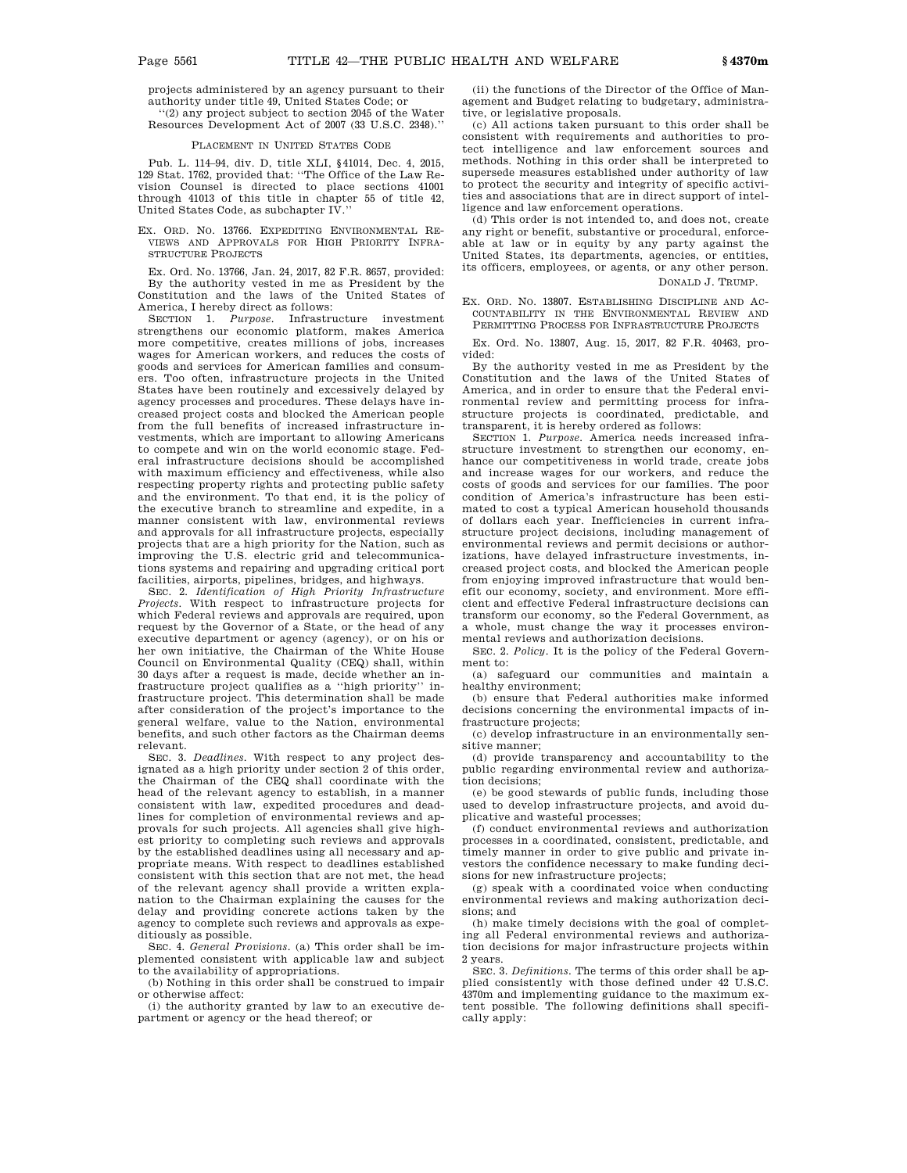projects administered by an agency pursuant to their authority under title 49, United States Code; or

''(2) any project subject to section 2045 of the Water Resources Development Act of 2007 (33 U.S.C. 2348).''

# PLACEMENT IN UNITED STATES CODE

Pub. L. 114–94, div. D, title XLI, §41014, Dec. 4, 2015, 129 Stat. 1762, provided that: ''The Office of the Law Revision Counsel is directed to place sections 41001 through 41013 of this title in chapter 55 of title 42, United States Code, as subchapter IV.''

EX. ORD. NO. 13766. EXPEDITING ENVIRONMENTAL RE-VIEWS AND APPROVALS FOR HIGH PRIORITY INFRA-STRUCTURE PROJECTS

Ex. Ord. No. 13766, Jan. 24, 2017, 82 F.R. 8657, provided: By the authority vested in me as President by the Constitution and the laws of the United States of America, I hereby direct as follows:

SECTION 1. *Purpose*. Infrastructure investment strengthens our economic platform, makes America more competitive, creates millions of jobs, increases wages for American workers, and reduces the costs of goods and services for American families and consumers. Too often, infrastructure projects in the United States have been routinely and excessively delayed by agency processes and procedures. These delays have increased project costs and blocked the American people from the full benefits of increased infrastructure investments, which are important to allowing Americans to compete and win on the world economic stage. Federal infrastructure decisions should be accomplished with maximum efficiency and effectiveness, while also respecting property rights and protecting public safety and the environment. To that end, it is the policy of the executive branch to streamline and expedite, in a manner consistent with law, environmental reviews and approvals for all infrastructure projects, especially projects that are a high priority for the Nation, such as improving the U.S. electric grid and telecommunications systems and repairing and upgrading critical port facilities, airports, pipelines, bridges, and highways.

SEC. 2. *Identification of High Priority Infrastructure Projects*. With respect to infrastructure projects for which Federal reviews and approvals are required, upon request by the Governor of a State, or the head of any executive department or agency (agency), or on his or her own initiative, the Chairman of the White House Council on Environmental Quality (CEQ) shall, within 30 days after a request is made, decide whether an infrastructure project qualifies as a ''high priority'' infrastructure project. This determination shall be made after consideration of the project's importance to the general welfare, value to the Nation, environmental benefits, and such other factors as the Chairman deems relevant.

SEC. 3. *Deadlines*. With respect to any project designated as a high priority under section 2 of this order, the Chairman of the CEQ shall coordinate with the head of the relevant agency to establish, in a manner consistent with law, expedited procedures and deadlines for completion of environmental reviews and approvals for such projects. All agencies shall give highest priority to completing such reviews and approvals by the established deadlines using all necessary and appropriate means. With respect to deadlines established consistent with this section that are not met, the head of the relevant agency shall provide a written explanation to the Chairman explaining the causes for the delay and providing concrete actions taken by the agency to complete such reviews and approvals as expeditiously as possible.

SEC. 4. *General Provisions*. (a) This order shall be implemented consistent with applicable law and subject to the availability of appropriations.

(b) Nothing in this order shall be construed to impair or otherwise affect:

(i) the authority granted by law to an executive department or agency or the head thereof; or

(ii) the functions of the Director of the Office of Management and Budget relating to budgetary, administrative, or legislative proposals.

(c) All actions taken pursuant to this order shall be consistent with requirements and authorities to protect intelligence and law enforcement sources and methods. Nothing in this order shall be interpreted to supersede measures established under authority of law to protect the security and integrity of specific activities and associations that are in direct support of intelligence and law enforcement operations.

 $(d)$  This order is not intended to, and does not, create any right or benefit, substantive or procedural, enforceable at law or in equity by any party against the United States, its departments, agencies, or entities, its officers, employees, or agents, or any other person.

#### DONALD J. TRUMP.

EX. ORD. NO. 13807. ESTABLISHING DISCIPLINE AND AC-COUNTABILITY IN THE ENVIRONMENTAL REVIEW AND PERMITTING PROCESS FOR INFRASTRUCTURE PROJECTS

Ex. Ord. No. 13807, Aug. 15, 2017, 82 F.R. 40463, provided:

By the authority vested in me as President by the Constitution and the laws of the United States of America, and in order to ensure that the Federal environmental review and permitting process for infrastructure projects is coordinated, predictable, and transparent, it is hereby ordered as follows:

SECTION 1. *Purpose*. America needs increased infrastructure investment to strengthen our economy, enhance our competitiveness in world trade, create jobs and increase wages for our workers, and reduce the costs of goods and services for our families. The poor condition of America's infrastructure has been estimated to cost a typical American household thousands of dollars each year. Inefficiencies in current infrastructure project decisions, including management of environmental reviews and permit decisions or authorizations, have delayed infrastructure investments, increased project costs, and blocked the American people from enjoying improved infrastructure that would benefit our economy, society, and environment. More efficient and effective Federal infrastructure decisions can transform our economy, so the Federal Government, as a whole, must change the way it processes environmental reviews and authorization decisions.

SEC. 2. *Policy*. It is the policy of the Federal Government to:

(a) safeguard our communities and maintain a healthy environment;

(b) ensure that Federal authorities make informed decisions concerning the environmental impacts of infrastructure projects;

(c) develop infrastructure in an environmentally sensitive manner;

(d) provide transparency and accountability to the public regarding environmental review and authorization decisions;

(e) be good stewards of public funds, including those used to develop infrastructure projects, and avoid duplicative and wasteful processes;

(f) conduct environmental reviews and authorization processes in a coordinated, consistent, predictable, and timely manner in order to give public and private investors the confidence necessary to make funding decisions for new infrastructure projects;

(g) speak with a coordinated voice when conducting environmental reviews and making authorization decisions; and

(h) make timely decisions with the goal of completing all Federal environmental reviews and authorization decisions for major infrastructure projects within 2 years.

SEC. 3. *Definitions*. The terms of this order shall be applied consistently with those defined under 42 U.S.C. 4370m and implementing guidance to the maximum extent possible. The following definitions shall specifically apply: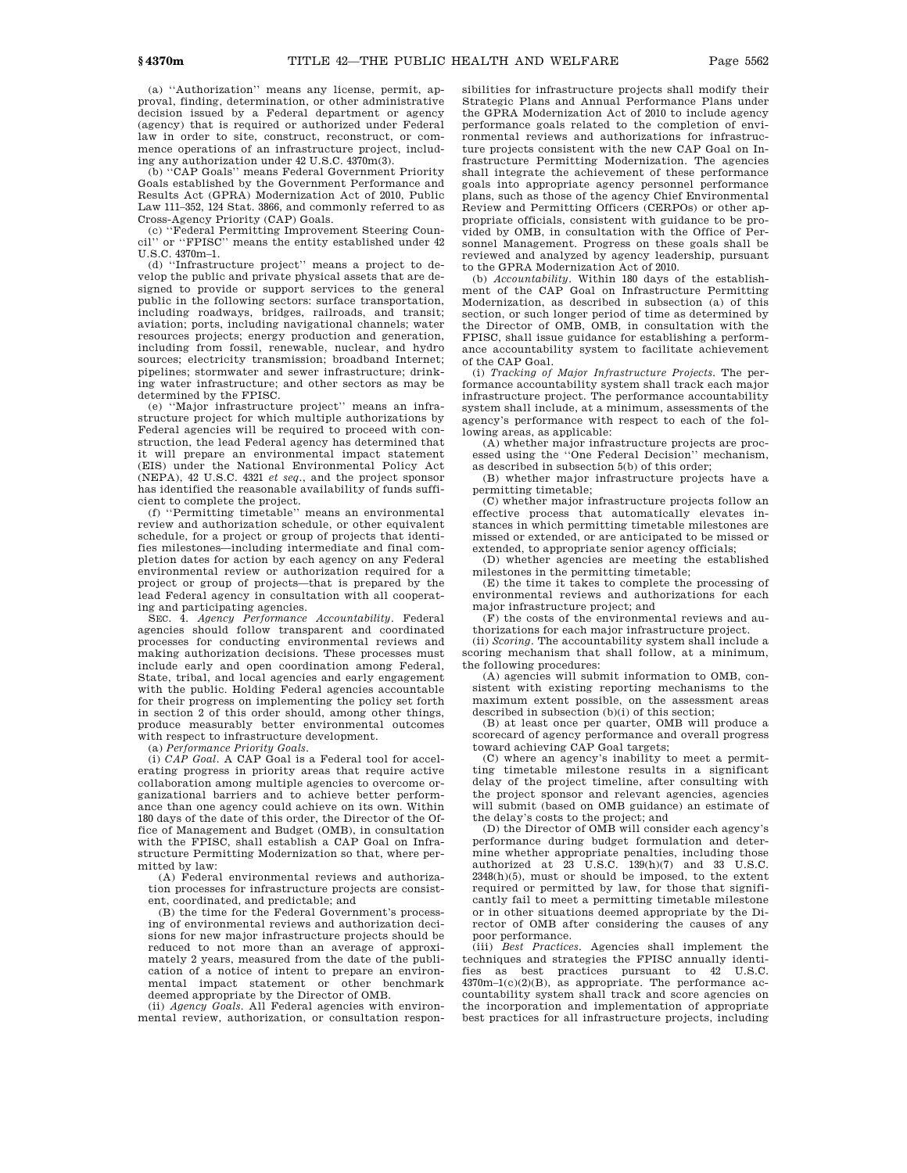(a) ''Authorization'' means any license, permit, approval, finding, determination, or other administrative decision issued by a Federal department or agency (agency) that is required or authorized under Federal law in order to site, construct, reconstruct, or commence operations of an infrastructure project, including any authorization under 42 U.S.C. 4370m(3).

(b) ''CAP Goals'' means Federal Government Priority Goals established by the Government Performance and Results Act (GPRA) Modernization Act of 2010, Public Law 111–352, 124 Stat. 3866, and commonly referred to as Cross-Agency Priority (CAP) Goals.

(c) ''Federal Permitting Improvement Steering Council'' or ''FPISC'' means the entity established under 42 U.S.C. 4370m–1.

(d) ''Infrastructure project'' means a project to develop the public and private physical assets that are designed to provide or support services to the general public in the following sectors: surface transportation, including roadways, bridges, railroads, and transit; aviation; ports, including navigational channels; water resources projects; energy production and generation, including from fossil, renewable, nuclear, and hydro sources; electricity transmission; broadband Internet; pipelines; stormwater and sewer infrastructure; drinking water infrastructure; and other sectors as may be determined by the FPISC.

(e) ''Major infrastructure project'' means an infrastructure project for which multiple authorizations by Federal agencies will be required to proceed with construction, the lead Federal agency has determined that it will prepare an environmental impact statement (EIS) under the National Environmental Policy Act (NEPA), 42 U.S.C. 4321 *et seq*., and the project sponsor has identified the reasonable availability of funds sufficient to complete the project.

(f) ''Permitting timetable'' means an environmental review and authorization schedule, or other equivalent schedule, for a project or group of projects that identifies milestones—including intermediate and final completion dates for action by each agency on any Federal environmental review or authorization required for a project or group of projects—that is prepared by the lead Federal agency in consultation with all cooperating and participating agencies.

SEC. 4. *Agency Performance Accountability*. Federal agencies should follow transparent and coordinated processes for conducting environmental reviews and making authorization decisions. These processes must include early and open coordination among Federal, State, tribal, and local agencies and early engagement with the public. Holding Federal agencies accountable for their progress on implementing the policy set forth in section 2 of this order should, among other things, produce measurably better environmental outcomes with respect to infrastructure development.

(a) *Performance Priority Goals.*

(i) *CAP Goal*. A CAP Goal is a Federal tool for accelerating progress in priority areas that require active collaboration among multiple agencies to overcome organizational barriers and to achieve better performance than one agency could achieve on its own. Within 180 days of the date of this order, the Director of the Office of Management and Budget (OMB), in consultation with the FPISC, shall establish a CAP Goal on Infrastructure Permitting Modernization so that, where permitted by law:

(A) Federal environmental reviews and authorization processes for infrastructure projects are consistent, coordinated, and predictable; and

(B) the time for the Federal Government's processing of environmental reviews and authorization decisions for new major infrastructure projects should be reduced to not more than an average of approximately 2 years, measured from the date of the publication of a notice of intent to prepare an environmental impact statement or other benchmark deemed appropriate by the Director of OMB. (ii) *Agency Goals*. All Federal agencies with environ-

mental review, authorization, or consultation respon-

sibilities for infrastructure projects shall modify their Strategic Plans and Annual Performance Plans under the GPRA Modernization Act of 2010 to include agency performance goals related to the completion of environmental reviews and authorizations for infrastructure projects consistent with the new CAP Goal on Infrastructure Permitting Modernization. The agencies shall integrate the achievement of these performance goals into appropriate agency personnel performance plans, such as those of the agency Chief Environmental Review and Permitting Officers (CERPOs) or other appropriate officials, consistent with guidance to be provided by OMB, in consultation with the Office of Personnel Management. Progress on these goals shall be reviewed and analyzed by agency leadership, pursuant to the GPRA Modernization Act of 2010.

(b) *Accountability*. Within 180 days of the establishment of the CAP Goal on Infrastructure Permitting Modernization, as described in subsection (a) of this section, or such longer period of time as determined by the Director of OMB, OMB, in consultation with the FPISC, shall issue guidance for establishing a performance accountability system to facilitate achievement of the CAP Goal.

(i) *Tracking of Major Infrastructure Projects*. The performance accountability system shall track each major infrastructure project. The performance accountability system shall include, at a minimum, assessments of the agency's performance with respect to each of the following areas, as applicable:

(A) whether major infrastructure projects are processed using the ''One Federal Decision'' mechanism, as described in subsection 5(b) of this order;

(B) whether major infrastructure projects have a permitting timetable;

(C) whether major infrastructure projects follow an effective process that automatically elevates instances in which permitting timetable milestones are missed or extended, or are anticipated to be missed or extended, to appropriate senior agency officials;

(D) whether agencies are meeting the established milestones in the permitting timetable;

(E) the time it takes to complete the processing of environmental reviews and authorizations for each major infrastructure project; and

(F) the costs of the environmental reviews and authorizations for each major infrastructure project.

(ii) *Scoring*. The accountability system shall include a scoring mechanism that shall follow, at a minimum, the following procedures:

(A) agencies will submit information to OMB, consistent with existing reporting mechanisms to the maximum extent possible, on the assessment areas described in subsection (b)(i) of this section;

(B) at least once per quarter, OMB will produce a scorecard of agency performance and overall progress toward achieving CAP Goal targets;

(C) where an agency's inability to meet a permitting timetable milestone results in a significant delay of the project timeline, after consulting with the project sponsor and relevant agencies, agencies will submit (based on OMB guidance) an estimate of the delay's costs to the project; and

(D) the Director of OMB will consider each agency's performance during budget formulation and determine whether appropriate penalties, including those authorized at 23 U.S.C. 139(h)(7) and 33 U.S.C.  $2348(h)(5)$ , must or should be imposed, to the extent required or permitted by law, for those that significantly fail to meet a permitting timetable milestone or in other situations deemed appropriate by the Director of OMB after considering the causes of any poor performance.

(iii) *Best Practices*. Agencies shall implement the techniques and strategies the FPISC annually identifies as best practices pursuant to 42 U.S.C. 4370m–1(c)(2)(B), as appropriate. The performance accountability system shall track and score agencies on the incorporation and implementation of appropriate best practices for all infrastructure projects, including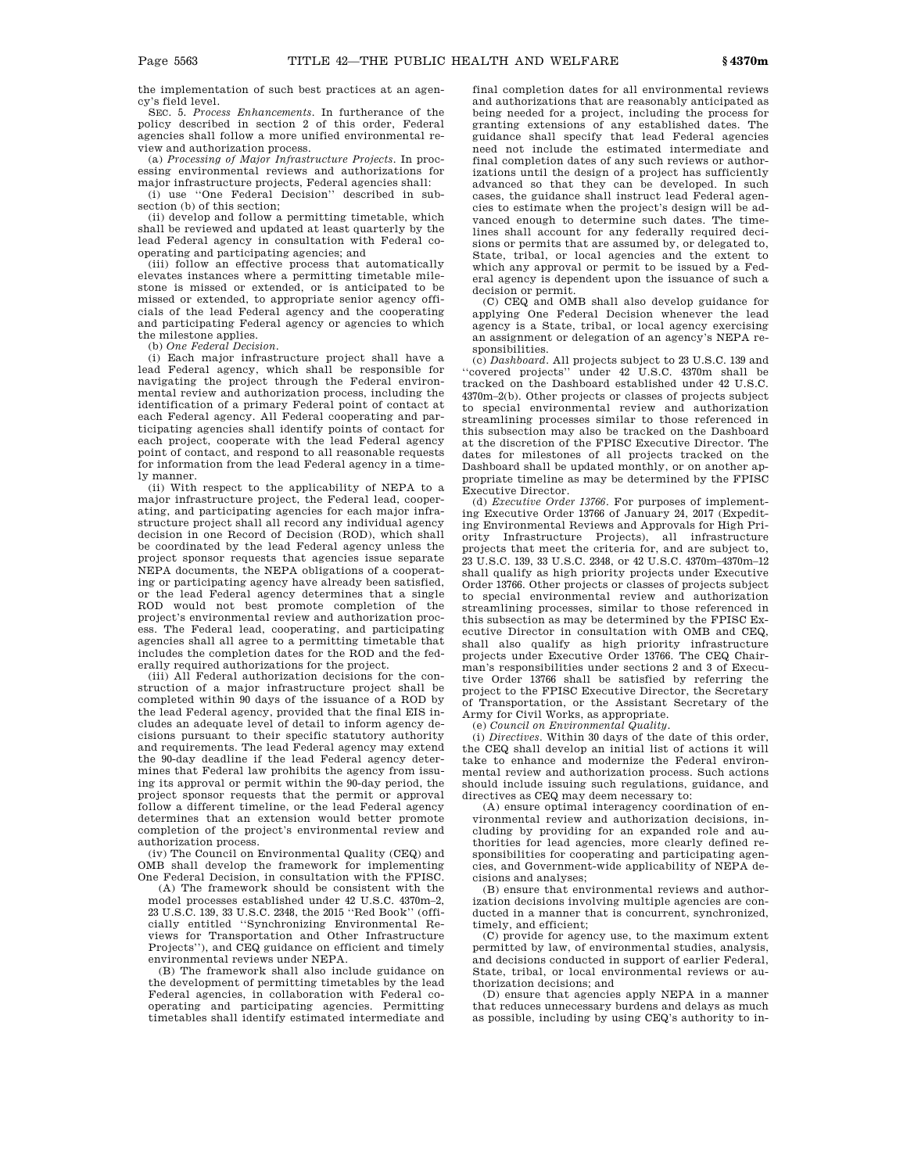the implementation of such best practices at an agency's field level.

SEC. 5. *Process Enhancements*. In furtherance of the policy described in section 2 of this order, Federal agencies shall follow a more unified environmental review and authorization process.

(a) *Processing of Major Infrastructure Projects*. In processing environmental reviews and authorizations for major infrastructure projects, Federal agencies shall:

(i) use ''One Federal Decision'' described in subsection (b) of this section;

(ii) develop and follow a permitting timetable, which shall be reviewed and updated at least quarterly by the lead Federal agency in consultation with Federal cooperating and participating agencies; and

(iii) follow an effective process that automatically elevates instances where a permitting timetable milestone is missed or extended, or is anticipated to be missed or extended, to appropriate senior agency officials of the lead Federal agency and the cooperating and participating Federal agency or agencies to which the milestone applies.

(b) *One Federal Decision.*

(i) Each major infrastructure project shall have a lead Federal agency, which shall be responsible for navigating the project through the Federal environmental review and authorization process, including the identification of a primary Federal point of contact at each Federal agency. All Federal cooperating and participating agencies shall identify points of contact for each project, cooperate with the lead Federal agency point of contact, and respond to all reasonable requests for information from the lead Federal agency in a timely manner.

(ii) With respect to the applicability of NEPA to a major infrastructure project, the Federal lead, cooperating, and participating agencies for each major infrastructure project shall all record any individual agency decision in one Record of Decision (ROD), which shall be coordinated by the lead Federal agency unless the project sponsor requests that agencies issue separate NEPA documents, the NEPA obligations of a cooperating or participating agency have already been satisfied, or the lead Federal agency determines that a single ROD would not best promote completion of the project's environmental review and authorization process. The Federal lead, cooperating, and participating agencies shall all agree to a permitting timetable that includes the completion dates for the ROD and the federally required authorizations for the project.

(iii) All Federal authorization decisions for the construction of a major infrastructure project shall be completed within 90 days of the issuance of a ROD by the lead Federal agency, provided that the final EIS includes an adequate level of detail to inform agency decisions pursuant to their specific statutory authority and requirements. The lead Federal agency may extend the 90-day deadline if the lead Federal agency determines that Federal law prohibits the agency from issuing its approval or permit within the 90-day period, the project sponsor requests that the permit or approval follow a different timeline, or the lead Federal agency determines that an extension would better promote completion of the project's environmental review and authorization process.

(iv) The Council on Environmental Quality (CEQ) and OMB shall develop the framework for implementing One Federal Decision, in consultation with the FPISC.

(A) The framework should be consistent with the model processes established under 42 U.S.C. 4370m–2, 23 U.S.C. 139, 33 U.S.C. 2348, the 2015 ''Red Book'' (officially entitled ''Synchronizing Environmental Reviews for Transportation and Other Infrastructure Projects''), and CEQ guidance on efficient and timely environmental reviews under NEPA.

(B) The framework shall also include guidance on the development of permitting timetables by the lead Federal agencies, in collaboration with Federal cooperating and participating agencies. Permitting timetables shall identify estimated intermediate and final completion dates for all environmental reviews and authorizations that are reasonably anticipated as being needed for a project, including the process for granting extensions of any established dates. The guidance shall specify that lead Federal agencies need not include the estimated intermediate and final completion dates of any such reviews or authorizations until the design of a project has sufficiently advanced so that they can be developed. In such cases, the guidance shall instruct lead Federal agencies to estimate when the project's design will be advanced enough to determine such dates. The timelines shall account for any federally required decisions or permits that are assumed by, or delegated to, State, tribal, or local agencies and the extent to which any approval or permit to be issued by a Federal agency is dependent upon the issuance of such a decision or permit.

(C) CEQ and OMB shall also develop guidance for applying One Federal Decision whenever the lead agency is a State, tribal, or local agency exercising an assignment or delegation of an agency's NEPA responsibilities.

(c) *Dashboard*. All projects subject to 23 U.S.C. 139 and ''covered projects'' under 42 U.S.C. 4370m shall be tracked on the Dashboard established under 42 U.S.C. 4370m–2(b). Other projects or classes of projects subject to special environmental review and authorization streamlining processes similar to those referenced in this subsection may also be tracked on the Dashboard at the discretion of the FPISC Executive Director. The dates for milestones of all projects tracked on the Dashboard shall be updated monthly, or on another appropriate timeline as may be determined by the FPISC Executive Director.

(d) *Executive Order 13766*. For purposes of implementing Executive Order 13766 of January 24, 2017 (Expediting Environmental Reviews and Approvals for High Priority Infrastructure Projects), all infrastructure projects that meet the criteria for, and are subject to, 23 U.S.C. 139, 33 U.S.C. 2348, or 42 U.S.C. 4370m–4370m–12 shall qualify as high priority projects under Executive Order 13766. Other projects or classes of projects subject to special environmental review and authorization streamlining processes, similar to those referenced in this subsection as may be determined by the FPISC Executive Director in consultation with OMB and CEQ, shall also qualify as high priority infrastructure projects under Executive Order 13766. The CEQ Chairman's responsibilities under sections 2 and 3 of Executive Order 13766 shall be satisfied by referring the project to the FPISC Executive Director, the Secretary of Transportation, or the Assistant Secretary of the Army for Civil Works, as appropriate.

(e) *Council on Environmental Quality.*

(i) *Directives*. Within 30 days of the date of this order, the CEQ shall develop an initial list of actions it will take to enhance and modernize the Federal environmental review and authorization process. Such actions should include issuing such regulations, guidance, and directives as CEQ may deem necessary to:

(A) ensure optimal interagency coordination of environmental review and authorization decisions, including by providing for an expanded role and authorities for lead agencies, more clearly defined responsibilities for cooperating and participating agencies, and Government-wide applicability of NEPA decisions and analyses;

(B) ensure that environmental reviews and authorization decisions involving multiple agencies are conducted in a manner that is concurrent, synchronized, timely, and efficient;

(C) provide for agency use, to the maximum extent permitted by law, of environmental studies, analysis, and decisions conducted in support of earlier Federal, State, tribal, or local environmental reviews or authorization decisions; and

(D) ensure that agencies apply NEPA in a manner that reduces unnecessary burdens and delays as much as possible, including by using CEQ's authority to in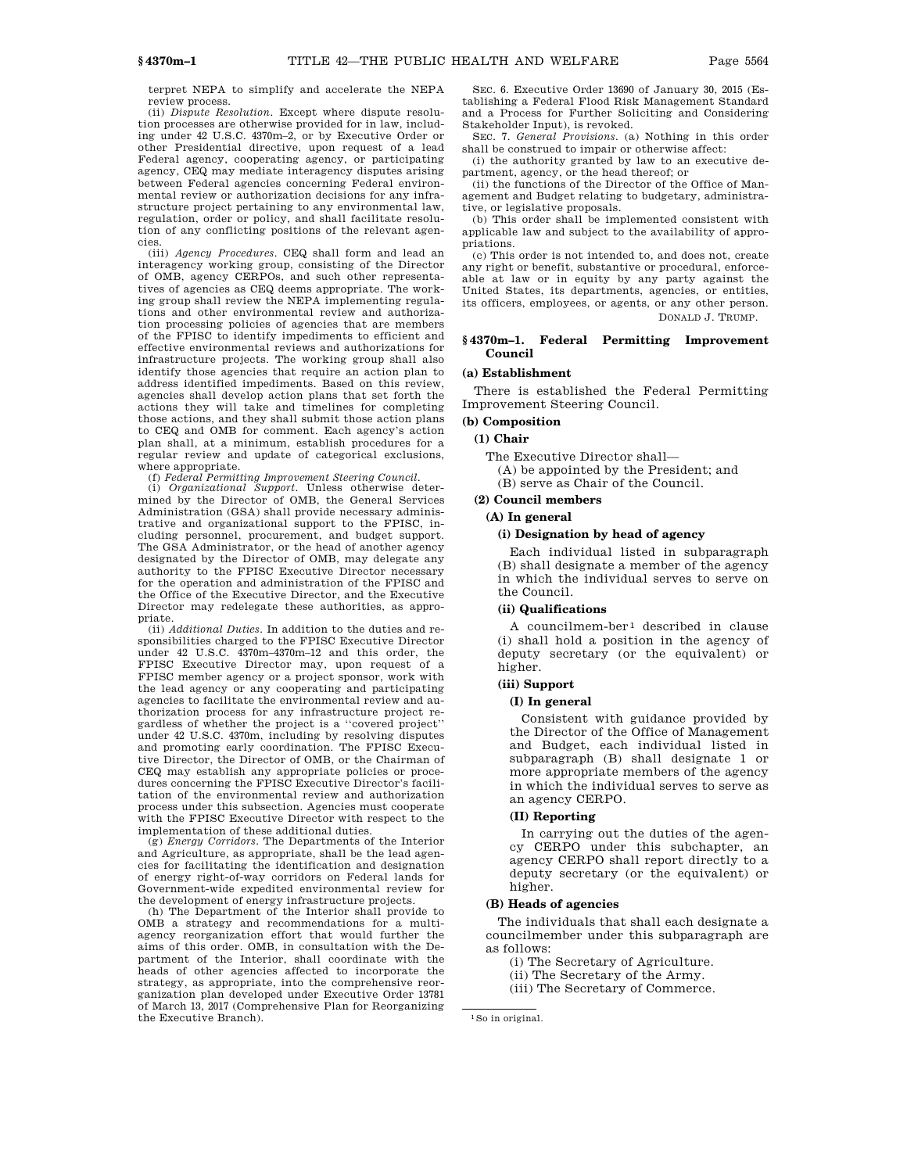terpret NEPA to simplify and accelerate the NEPA

review process. (ii) *Dispute Resolution*. Except where dispute resolution processes are otherwise provided for in law, including under 42 U.S.C. 4370m–2, or by Executive Order or other Presidential directive, upon request of a lead Federal agency, cooperating agency, or participating agency, CEQ may mediate interagency disputes arising between Federal agencies concerning Federal environmental review or authorization decisions for any infrastructure project pertaining to any environmental law, regulation, order or policy, and shall facilitate resolution of any conflicting positions of the relevant agencies.

(iii) *Agency Procedures*. CEQ shall form and lead an interagency working group, consisting of the Director of OMB, agency CERPOs, and such other representatives of agencies as CEQ deems appropriate. The working group shall review the NEPA implementing regulations and other environmental review and authorization processing policies of agencies that are members of the FPISC to identify impediments to efficient and effective environmental reviews and authorizations for infrastructure projects. The working group shall also identify those agencies that require an action plan to address identified impediments. Based on this review, agencies shall develop action plans that set forth the actions they will take and timelines for completing those actions, and they shall submit those action plans to CEQ and OMB for comment. Each agency's action plan shall, at a minimum, establish procedures for a regular review and update of categorical exclusions, where appropriate.

(f) *Federal Permitting Improvement Steering Council.*

(i) *Organizational Support*. Unless otherwise determined by the Director of OMB, the General Services Administration (GSA) shall provide necessary administrative and organizational support to the FPISC, including personnel, procurement, and budget support. The GSA Administrator, or the head of another agency designated by the Director of OMB, may delegate any authority to the FPISC Executive Director necessary for the operation and administration of the FPISC and the Office of the Executive Director, and the Executive Director may redelegate these authorities, as appropriate.

(ii) *Additional Duties*. In addition to the duties and responsibilities charged to the FPISC Executive Director under 42 U.S.C. 4370m–4370m–12 and this order, the FPISC Executive Director may, upon request of a FPISC member agency or a project sponsor, work with the lead agency or any cooperating and participating agencies to facilitate the environmental review and authorization process for any infrastructure project regardless of whether the project is a ''covered project'' under 42 U.S.C. 4370m, including by resolving disputes and promoting early coordination. The FPISC Executive Director, the Director of OMB, or the Chairman of CEQ may establish any appropriate policies or procedures concerning the FPISC Executive Director's facilitation of the environmental review and authorization process under this subsection. Agencies must cooperate with the FPISC Executive Director with respect to the implementation of these additional duties.

(g) *Energy Corridors*. The Departments of the Interior and Agriculture, as appropriate, shall be the lead agencies for facilitating the identification and designation of energy right-of-way corridors on Federal lands for Government-wide expedited environmental review for

the development of energy infrastructure projects. (h) The Department of the Interior shall provide to OMB a strategy and recommendations for a multiagency reorganization effort that would further the aims of this order. OMB, in consultation with the Department of the Interior, shall coordinate with the heads of other agencies affected to incorporate the strategy, as appropriate, into the comprehensive reorganization plan developed under Executive Order 13781 of March 13, 2017 (Comprehensive Plan for Reorganizing the Executive Branch).

SEC. 6. Executive Order 13690 of January 30, 2015 (Establishing a Federal Flood Risk Management Standard and a Process for Further Soliciting and Considering Stakeholder Input), is revoked.

SEC. 7. *General Provisions*. (a) Nothing in this order shall be construed to impair or otherwise affect:

(i) the authority granted by law to an executive department, agency, or the head thereof; or

(ii) the functions of the Director of the Office of Management and Budget relating to budgetary, administrative, or legislative proposals.

(b) This order shall be implemented consistent with applicable law and subject to the availability of appropriations.

(c) This order is not intended to, and does not, create any right or benefit, substantive or procedural, enforceable at law or in equity by any party against the United States, its departments, agencies, or entities, its officers, employees, or agents, or any other person. DONALD J. TRUMP.

# **§ 4370m–1. Federal Permitting Improvement Council**

#### **(a) Establishment**

There is established the Federal Permitting Improvement Steering Council.

# **(b) Composition**

# **(1) Chair**

The Executive Director shall—

(A) be appointed by the President; and

(B) serve as Chair of the Council.

### **(2) Council members**

### **(A) In general**

# **(i) Designation by head of agency**

Each individual listed in subparagraph (B) shall designate a member of the agency in which the individual serves to serve on the Council.

# **(ii) Qualifications**

A councilmem-ber<sup>1</sup> described in clause (i) shall hold a position in the agency of deputy secretary (or the equivalent) or higher.

# **(iii) Support**

# **(I) In general**

Consistent with guidance provided by the Director of the Office of Management and Budget, each individual listed in subparagraph (B) shall designate 1 or more appropriate members of the agency in which the individual serves to serve as an agency CERPO.

# **(II) Reporting**

In carrying out the duties of the agency CERPO under this subchapter, an agency CERPO shall report directly to a deputy secretary (or the equivalent) or higher.

# **(B) Heads of agencies**

The individuals that shall each designate a councilmember under this subparagraph are as follows:

- (i) The Secretary of Agriculture.
- (ii) The Secretary of the Army.
- (iii) The Secretary of Commerce.

<sup>1</sup>So in original.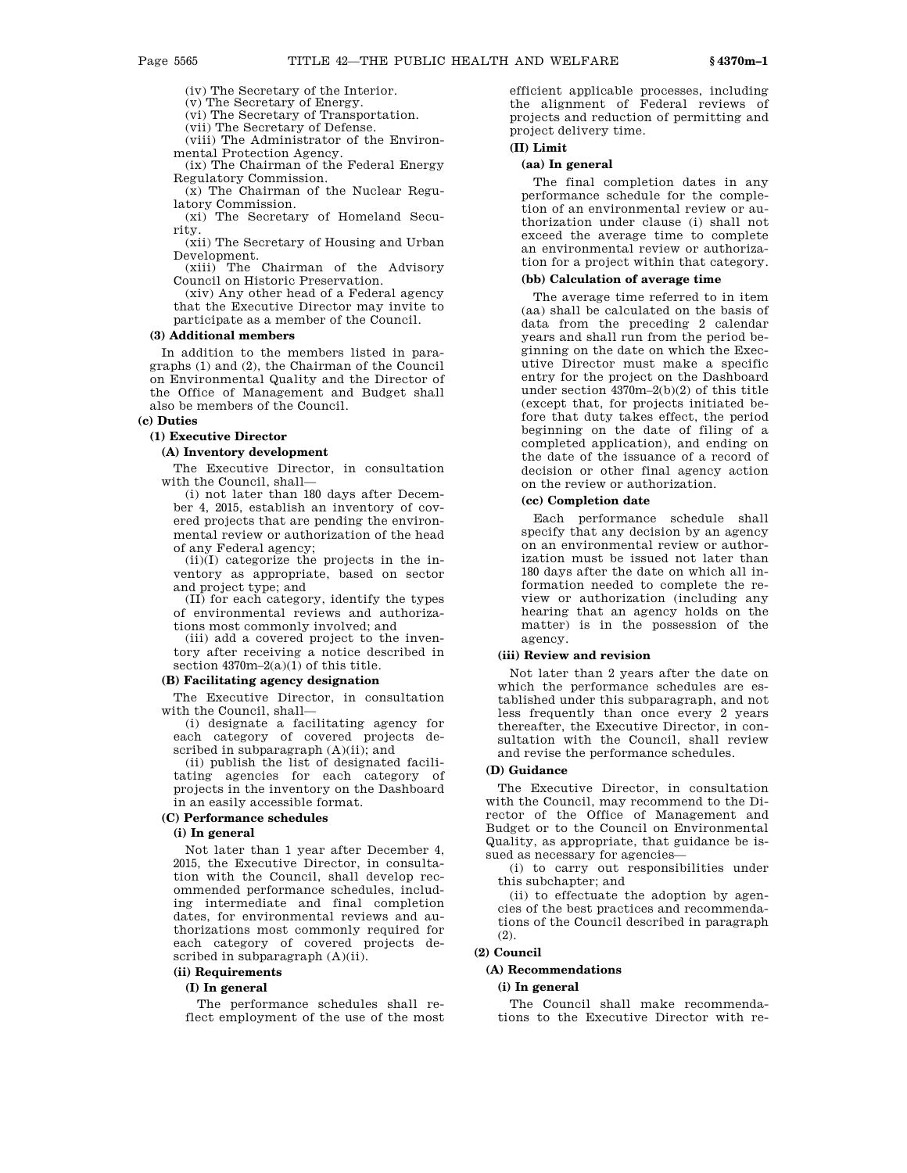(iv) The Secretary of the Interior.

(v) The Secretary of Energy.

(vi) The Secretary of Transportation.

(vii) The Secretary of Defense.

(viii) The Administrator of the Environmental Protection Agency.

(ix) The Chairman of the Federal Energy

Regulatory Commission. (x) The Chairman of the Nuclear Regulatory Commission.

(xi) The Secretary of Homeland Security.

(xii) The Secretary of Housing and Urban Development.

(xiii) The Chairman of the Advisory Council on Historic Preservation.

(xiv) Any other head of a Federal agency that the Executive Director may invite to participate as a member of the Council.

#### **(3) Additional members**

In addition to the members listed in paragraphs (1) and (2), the Chairman of the Council on Environmental Quality and the Director of the Office of Management and Budget shall also be members of the Council.

# **(c) Duties**

# **(1) Executive Director**

#### **(A) Inventory development**

The Executive Director, in consultation with the Council, shall—

(i) not later than 180 days after December 4, 2015, establish an inventory of covered projects that are pending the environmental review or authorization of the head of any Federal agency;

 $(ii)(I)$  categorize the projects in the inventory as appropriate, based on sector and project type; and

(II) for each category, identify the types of environmental reviews and authorizations most commonly involved; and

(iii) add a covered project to the inventory after receiving a notice described in section  $4370m-2(a)(1)$  of this title.

# **(B) Facilitating agency designation**

The Executive Director, in consultation with the Council, shall—

(i) designate a facilitating agency for each category of covered projects described in subparagraph (A)(ii); and

(ii) publish the list of designated facilitating agencies for each category of projects in the inventory on the Dashboard in an easily accessible format.

# **(C) Performance schedules**

# **(i) In general**

Not later than 1 year after December 4, 2015, the Executive Director, in consultation with the Council, shall develop recommended performance schedules, including intermediate and final completion dates, for environmental reviews and authorizations most commonly required for each category of covered projects described in subparagraph (A)(ii).

### **(ii) Requirements**

# **(I) In general**

The performance schedules shall reflect employment of the use of the most

efficient applicable processes, including the alignment of Federal reviews of projects and reduction of permitting and project delivery time.

# **(II) Limit**

# **(aa) In general**

The final completion dates in any performance schedule for the completion of an environmental review or authorization under clause (i) shall not exceed the average time to complete an environmental review or authorization for a project within that category.

# **(bb) Calculation of average time**

The average time referred to in item (aa) shall be calculated on the basis of data from the preceding 2 calendar years and shall run from the period beginning on the date on which the Executive Director must make a specific entry for the project on the Dashboard under section 4370m–2(b)(2) of this title (except that, for projects initiated before that duty takes effect, the period beginning on the date of filing of a completed application), and ending on the date of the issuance of a record of decision or other final agency action on the review or authorization.

### **(cc) Completion date**

Each performance schedule shall specify that any decision by an agency on an environmental review or authorization must be issued not later than 180 days after the date on which all information needed to complete the review or authorization (including any hearing that an agency holds on the matter) is in the possession of the agency.

#### **(iii) Review and revision**

Not later than 2 years after the date on which the performance schedules are established under this subparagraph, and not less frequently than once every 2 years thereafter, the Executive Director, in consultation with the Council, shall review and revise the performance schedules.

# **(D) Guidance**

The Executive Director, in consultation with the Council, may recommend to the Director of the Office of Management and Budget or to the Council on Environmental Quality, as appropriate, that guidance be issued as necessary for agencies—

(i) to carry out responsibilities under this subchapter; and

(ii) to effectuate the adoption by agencies of the best practices and recommendations of the Council described in paragraph (2).

# **(2) Council**

### **(A) Recommendations**

# **(i) In general**

The Council shall make recommendations to the Executive Director with re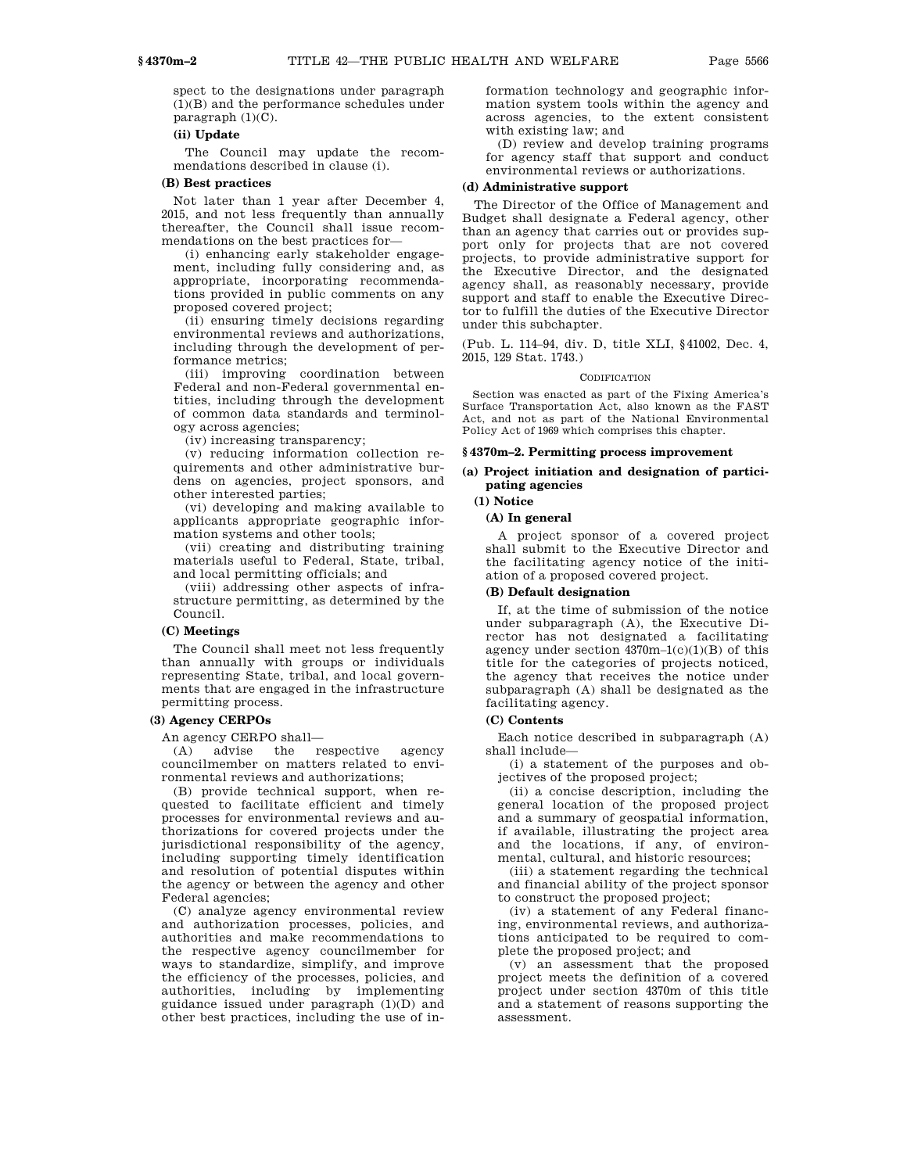spect to the designations under paragraph  $(1)(B)$  and the performance schedules under paragraph  $(1)(C)$ .

# **(ii) Update**

The Council may update the recommendations described in clause (i).

### **(B) Best practices**

Not later than 1 year after December 4, 2015, and not less frequently than annually thereafter, the Council shall issue recommendations on the best practices for—

(i) enhancing early stakeholder engagement, including fully considering and, as appropriate, incorporating recommendations provided in public comments on any proposed covered project;

(ii) ensuring timely decisions regarding environmental reviews and authorizations, including through the development of performance metrics;

(iii) improving coordination between Federal and non-Federal governmental entities, including through the development of common data standards and terminology across agencies;

(iv) increasing transparency;

(v) reducing information collection requirements and other administrative burdens on agencies, project sponsors, and other interested parties;

(vi) developing and making available to applicants appropriate geographic information systems and other tools;

(vii) creating and distributing training materials useful to Federal, State, tribal, and local permitting officials; and

(viii) addressing other aspects of infrastructure permitting, as determined by the Council.

### **(C) Meetings**

The Council shall meet not less frequently than annually with groups or individuals representing State, tribal, and local governments that are engaged in the infrastructure permitting process.

# **(3) Agency CERPOs**

An agency CERPO shall—

(A) advise the respective agency councilmember on matters related to environmental reviews and authorizations;

(B) provide technical support, when requested to facilitate efficient and timely processes for environmental reviews and authorizations for covered projects under the jurisdictional responsibility of the agency, including supporting timely identification and resolution of potential disputes within the agency or between the agency and other Federal agencies;

(C) analyze agency environmental review and authorization processes, policies, and authorities and make recommendations to the respective agency councilmember for ways to standardize, simplify, and improve the efficiency of the processes, policies, and authorities, including by implementing guidance issued under paragraph (1)(D) and other best practices, including the use of information technology and geographic information system tools within the agency and across agencies, to the extent consistent with existing law; and

(D) review and develop training programs for agency staff that support and conduct environmental reviews or authorizations.

### **(d) Administrative support**

The Director of the Office of Management and Budget shall designate a Federal agency, other than an agency that carries out or provides support only for projects that are not covered projects, to provide administrative support for the Executive Director, and the designated agency shall, as reasonably necessary, provide support and staff to enable the Executive Director to fulfill the duties of the Executive Director under this subchapter.

(Pub. L. 114–94, div. D, title XLI, §41002, Dec. 4, 2015, 129 Stat. 1743.)

#### **CODIFICATION**

Section was enacted as part of the Fixing America's Surface Transportation Act, also known as the FAST Act, and not as part of the National Environmental Policy Act of 1969 which comprises this chapter.

### **§ 4370m–2. Permitting process improvement**

# **(a) Project initiation and designation of participating agencies**

# **(1) Notice**

# **(A) In general**

A project sponsor of a covered project shall submit to the Executive Director and the facilitating agency notice of the initiation of a proposed covered project.

# **(B) Default designation**

If, at the time of submission of the notice under subparagraph (A), the Executive Director has not designated a facilitating agency under section  $\overline{4370m-1(c)(1)(B)}$  of this title for the categories of projects noticed, the agency that receives the notice under subparagraph (A) shall be designated as the facilitating agency.

# **(C) Contents**

Each notice described in subparagraph (A) shall include—

(i) a statement of the purposes and objectives of the proposed project;

(ii) a concise description, including the general location of the proposed project and a summary of geospatial information, if available, illustrating the project area and the locations, if any, of environmental, cultural, and historic resources;

(iii) a statement regarding the technical and financial ability of the project sponsor to construct the proposed project;

(iv) a statement of any Federal financing, environmental reviews, and authorizations anticipated to be required to complete the proposed project; and

(v) an assessment that the proposed project meets the definition of a covered project under section 4370m of this title and a statement of reasons supporting the assessment.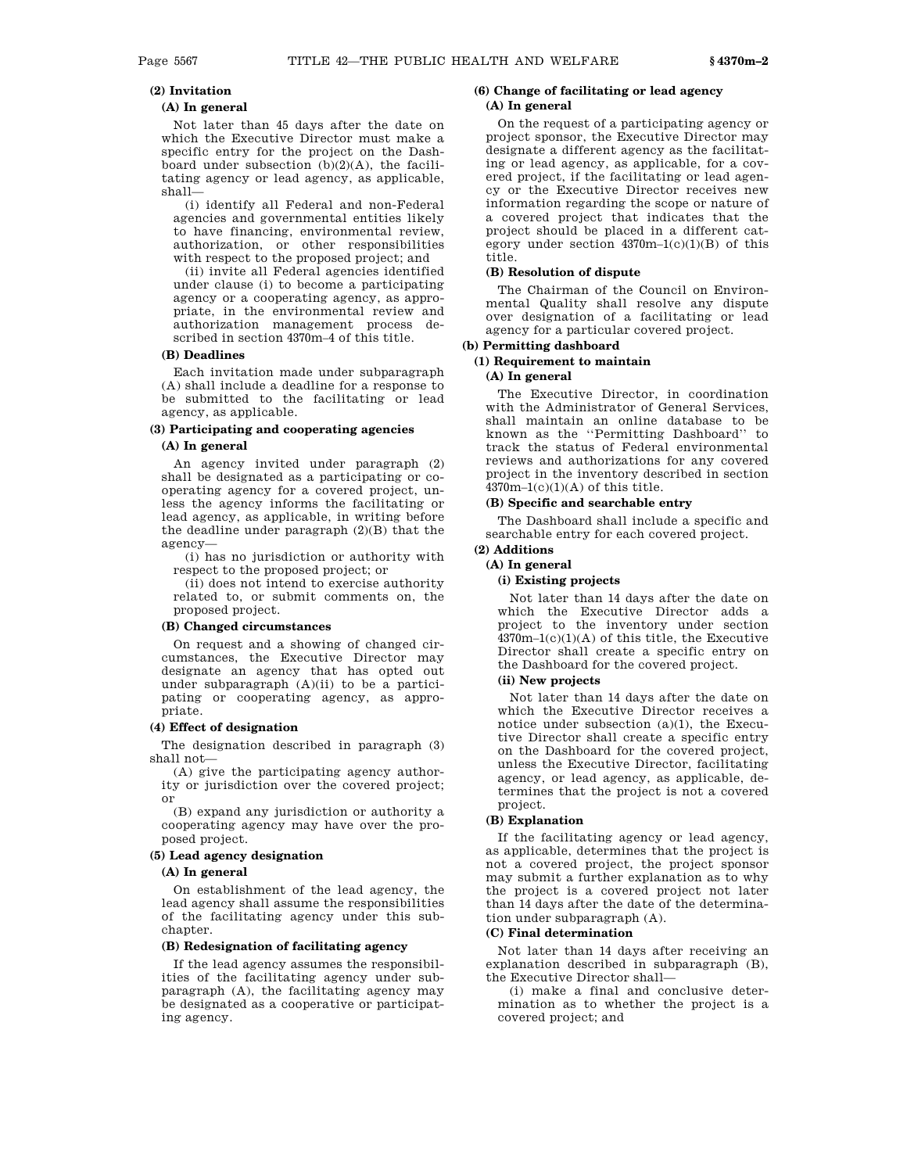# **(2) Invitation**

# **(A) In general**

Not later than 45 days after the date on which the Executive Director must make a specific entry for the project on the Dashboard under subsection  $(b)(2)(A)$ , the facilitating agency or lead agency, as applicable, shall—

(i) identify all Federal and non-Federal agencies and governmental entities likely to have financing, environmental review, authorization, or other responsibilities with respect to the proposed project; and

(ii) invite all Federal agencies identified under clause (i) to become a participating agency or a cooperating agency, as appropriate, in the environmental review and authorization management process described in section 4370m–4 of this title.

### **(B) Deadlines**

Each invitation made under subparagraph (A) shall include a deadline for a response to be submitted to the facilitating or lead agency, as applicable.

# **(3) Participating and cooperating agencies**

# **(A) In general**

An agency invited under paragraph (2) shall be designated as a participating or cooperating agency for a covered project, unless the agency informs the facilitating or lead agency, as applicable, in writing before the deadline under paragraph (2)(B) that the agency—

(i) has no jurisdiction or authority with respect to the proposed project; or

(ii) does not intend to exercise authority related to, or submit comments on, the proposed project.

# **(B) Changed circumstances**

On request and a showing of changed circumstances, the Executive Director may designate an agency that has opted out under subparagraph  $(A)(ii)$  to be a participating or cooperating agency, as appropriate.

# **(4) Effect of designation**

The designation described in paragraph (3) shall not—

(A) give the participating agency authority or jurisdiction over the covered project; or

(B) expand any jurisdiction or authority a cooperating agency may have over the proposed project.

# **(5) Lead agency designation**

# **(A) In general**

On establishment of the lead agency, the lead agency shall assume the responsibilities of the facilitating agency under this subchapter.

# **(B) Redesignation of facilitating agency**

If the lead agency assumes the responsibilities of the facilitating agency under subparagraph (A), the facilitating agency may be designated as a cooperative or participating agency.

# **(6) Change of facilitating or lead agency (A) In general**

On the request of a participating agency or project sponsor, the Executive Director may designate a different agency as the facilitating or lead agency, as applicable, for a covered project, if the facilitating or lead agency or the Executive Director receives new information regarding the scope or nature of a covered project that indicates that the project should be placed in a different category under section 4370m–1(c)(1)(B) of this title.

# **(B) Resolution of dispute**

The Chairman of the Council on Environmental Quality shall resolve any dispute over designation of a facilitating or lead agency for a particular covered project.

# **(b) Permitting dashboard**

# **(1) Requirement to maintain (A) In general**

The Executive Director, in coordination with the Administrator of General Services, shall maintain an online database to be known as the ''Permitting Dashboard'' to track the status of Federal environmental reviews and authorizations for any covered project in the inventory described in section  $4370m-1(c)(1)(A)$  of this title.

# **(B) Specific and searchable entry**

The Dashboard shall include a specific and searchable entry for each covered project.

# **(2) Additions**

# **(A) In general**

# **(i) Existing projects**

Not later than 14 days after the date on which the Executive Director adds a project to the inventory under section  $4370m-1(c)(1)(A)$  of this title, the Executive Director shall create a specific entry on the Dashboard for the covered project.

#### **(ii) New projects**

Not later than 14 days after the date on which the Executive Director receives a notice under subsection (a)(1), the Executive Director shall create a specific entry on the Dashboard for the covered project, unless the Executive Director, facilitating agency, or lead agency, as applicable, determines that the project is not a covered project.

# **(B) Explanation**

If the facilitating agency or lead agency, as applicable, determines that the project is not a covered project, the project sponsor may submit a further explanation as to why the project is a covered project not later than 14 days after the date of the determination under subparagraph (A).

# **(C) Final determination**

Not later than 14 days after receiving an explanation described in subparagraph (B), the Executive Director shall—

(i) make a final and conclusive determination as to whether the project is a covered project; and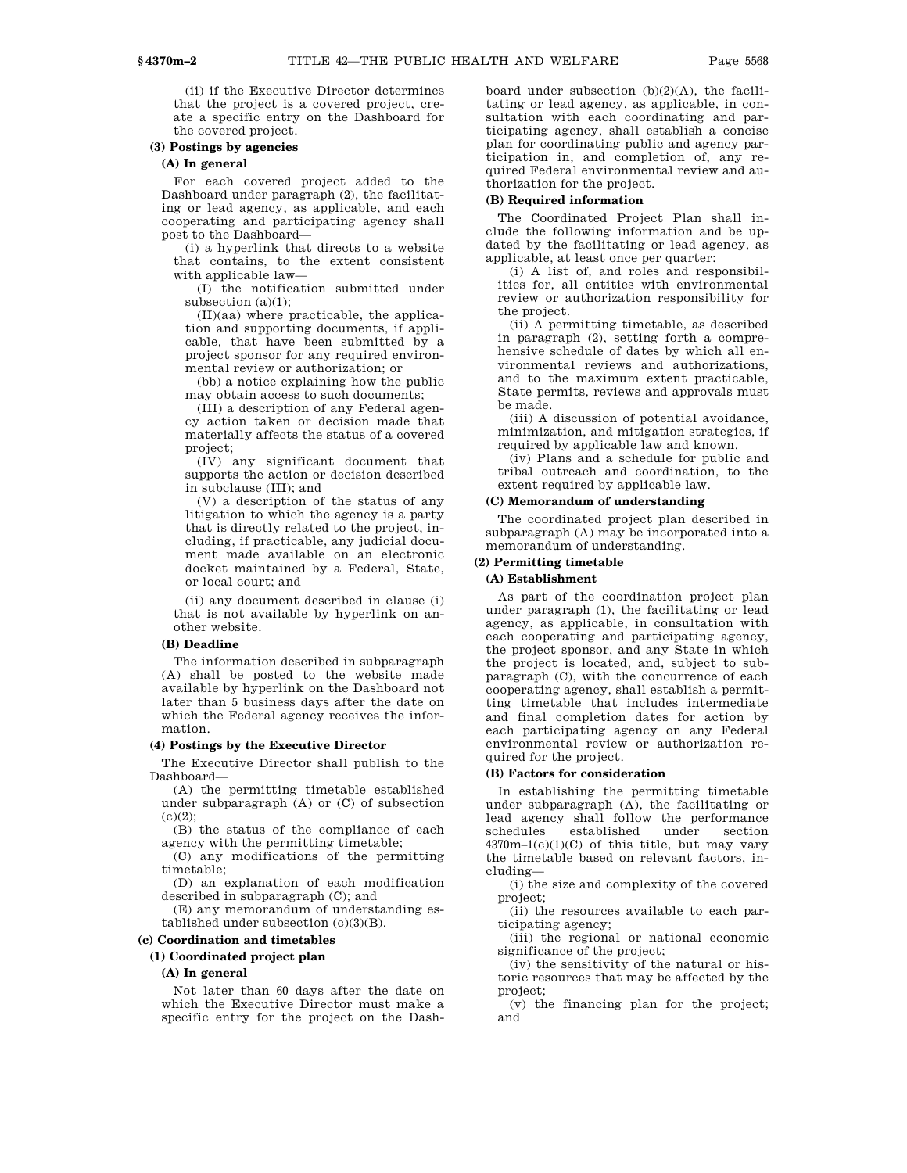(ii) if the Executive Director determines that the project is a covered project, create a specific entry on the Dashboard for the covered project.

### **(3) Postings by agencies**

# **(A) In general**

For each covered project added to the Dashboard under paragraph (2), the facilitating or lead agency, as applicable, and each cooperating and participating agency shall post to the Dashboard—

(i) a hyperlink that directs to a website that contains, to the extent consistent with applicable law—

(I) the notification submitted under subsection (a)(1);

(II)(aa) where practicable, the application and supporting documents, if applicable, that have been submitted by a project sponsor for any required environmental review or authorization; or

(bb) a notice explaining how the public may obtain access to such documents;

(III) a description of any Federal agency action taken or decision made that materially affects the status of a covered project;

(IV) any significant document that supports the action or decision described in subclause (III); and

 $(V)$  a description of the status of any litigation to which the agency is a party that is directly related to the project, including, if practicable, any judicial document made available on an electronic docket maintained by a Federal, State, or local court; and

(ii) any document described in clause (i) that is not available by hyperlink on another website.

# **(B) Deadline**

The information described in subparagraph (A) shall be posted to the website made available by hyperlink on the Dashboard not later than 5 business days after the date on which the Federal agency receives the information.

#### **(4) Postings by the Executive Director**

The Executive Director shall publish to the Dashboard—

(A) the permitting timetable established under subparagraph (A) or (C) of subsection  $(c)(2)$ ;

(B) the status of the compliance of each agency with the permitting timetable;

(C) any modifications of the permitting timetable;

(D) an explanation of each modification described in subparagraph (C); and

(E) any memorandum of understanding established under subsection (c)(3)(B).

### **(c) Coordination and timetables**

# **(1) Coordinated project plan**

# **(A) In general**

Not later than 60 days after the date on which the Executive Director must make a specific entry for the project on the Dashboard under subsection  $(b)(2)(A)$ , the facilitating or lead agency, as applicable, in consultation with each coordinating and participating agency, shall establish a concise plan for coordinating public and agency participation in, and completion of, any required Federal environmental review and authorization for the project.

# **(B) Required information**

The Coordinated Project Plan shall include the following information and be updated by the facilitating or lead agency, as applicable, at least once per quarter:

(i) A list of, and roles and responsibilities for, all entities with environmental review or authorization responsibility for the project.

(ii) A permitting timetable, as described in paragraph (2), setting forth a comprehensive schedule of dates by which all environmental reviews and authorizations, and to the maximum extent practicable, State permits, reviews and approvals must be made.

(iii) A discussion of potential avoidance, minimization, and mitigation strategies, if required by applicable law and known.

(iv) Plans and a schedule for public and tribal outreach and coordination, to the extent required by applicable law.

# **(C) Memorandum of understanding**

The coordinated project plan described in subparagraph (A) may be incorporated into a memorandum of understanding.

# **(2) Permitting timetable**

# **(A) Establishment**

As part of the coordination project plan under paragraph (1), the facilitating or lead agency, as applicable, in consultation with each cooperating and participating agency, the project sponsor, and any State in which the project is located, and, subject to subparagraph (C), with the concurrence of each cooperating agency, shall establish a permitting timetable that includes intermediate and final completion dates for action by each participating agency on any Federal environmental review or authorization required for the project.

#### **(B) Factors for consideration**

In establishing the permitting timetable under subparagraph (A), the facilitating or lead agency shall follow the performance schedules established under section  $4370m-1(c)(1)(C)$  of this title, but may vary the timetable based on relevant factors, including—

(i) the size and complexity of the covered project;

(ii) the resources available to each participating agency;

(iii) the regional or national economic significance of the project;

(iv) the sensitivity of the natural or historic resources that may be affected by the project;

(v) the financing plan for the project; and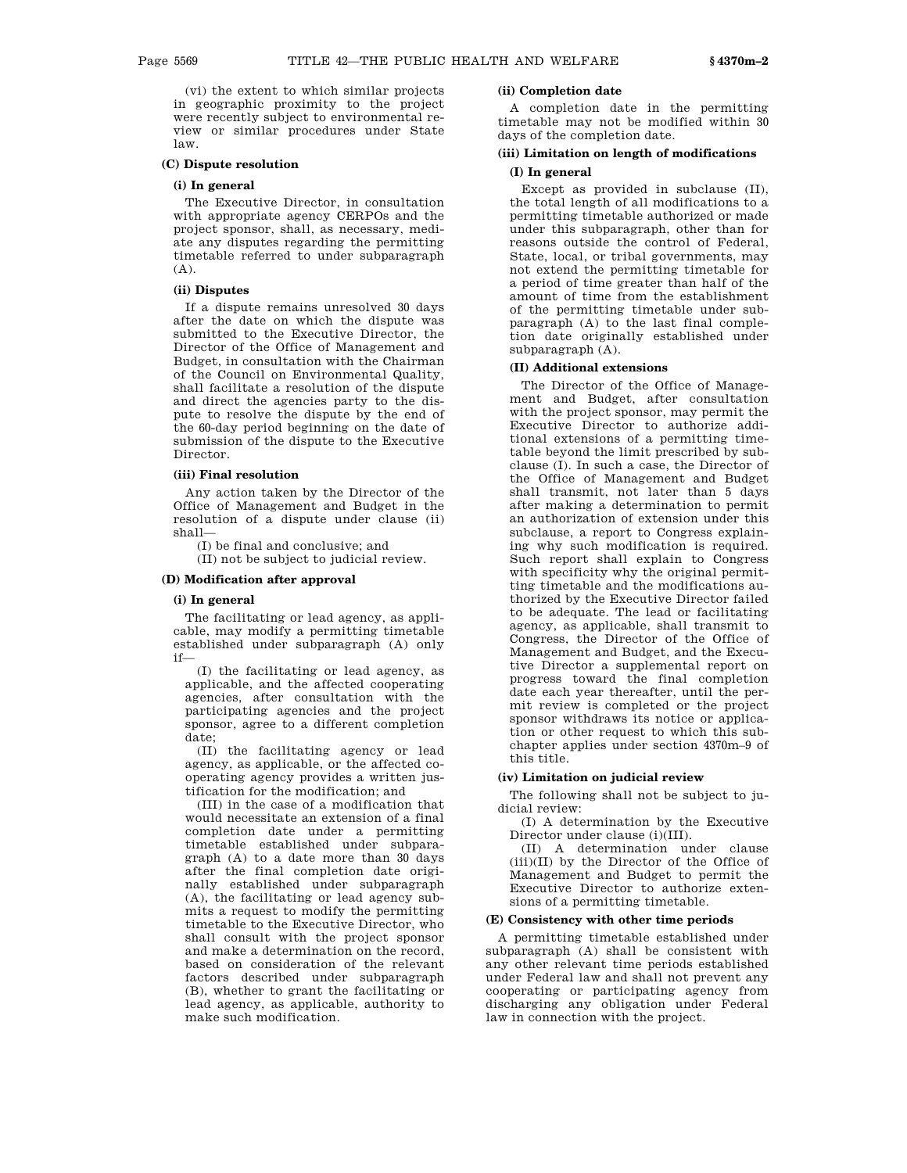(vi) the extent to which similar projects in geographic proximity to the project were recently subject to environmental review or similar procedures under State law.

# **(C) Dispute resolution**

# **(i) In general**

The Executive Director, in consultation with appropriate agency CERPOs and the project sponsor, shall, as necessary, mediate any disputes regarding the permitting timetable referred to under subparagraph  $(A)$ .

# **(ii) Disputes**

If a dispute remains unresolved 30 days after the date on which the dispute was submitted to the Executive Director, the Director of the Office of Management and Budget, in consultation with the Chairman of the Council on Environmental Quality, shall facilitate a resolution of the dispute and direct the agencies party to the dispute to resolve the dispute by the end of the 60-day period beginning on the date of submission of the dispute to the Executive Director.

# **(iii) Final resolution**

Any action taken by the Director of the Office of Management and Budget in the resolution of a dispute under clause (ii) shall—

(I) be final and conclusive; and

(II) not be subject to judicial review.

# **(D) Modification after approval**

### **(i) In general**

The facilitating or lead agency, as applicable, may modify a permitting timetable established under subparagraph (A) only if—

(I) the facilitating or lead agency, as applicable, and the affected cooperating agencies, after consultation with the participating agencies and the project sponsor, agree to a different completion date;

(II) the facilitating agency or lead agency, as applicable, or the affected cooperating agency provides a written justification for the modification; and

(III) in the case of a modification that would necessitate an extension of a final completion date under a permitting timetable established under subparagraph (A) to a date more than 30 days after the final completion date originally established under subparagraph (A), the facilitating or lead agency submits a request to modify the permitting timetable to the Executive Director, who shall consult with the project sponsor and make a determination on the record, based on consideration of the relevant factors described under subparagraph (B), whether to grant the facilitating or lead agency, as applicable, authority to make such modification.

# **(ii) Completion date**

A completion date in the permitting timetable may not be modified within 30 days of the completion date.

# **(iii) Limitation on length of modifications**

# **(I) In general**

Except as provided in subclause (II), the total length of all modifications to a permitting timetable authorized or made under this subparagraph, other than for reasons outside the control of Federal, State, local, or tribal governments, may not extend the permitting timetable for a period of time greater than half of the amount of time from the establishment of the permitting timetable under subparagraph (A) to the last final completion date originally established under subparagraph (A).

# **(II) Additional extensions**

The Director of the Office of Management and Budget, after consultation with the project sponsor, may permit the Executive Director to authorize additional extensions of a permitting timetable beyond the limit prescribed by subclause (I). In such a case, the Director of the Office of Management and Budget shall transmit, not later than 5 days after making a determination to permit an authorization of extension under this subclause, a report to Congress explaining why such modification is required. Such report shall explain to Congress with specificity why the original permitting timetable and the modifications authorized by the Executive Director failed to be adequate. The lead or facilitating agency, as applicable, shall transmit to Congress, the Director of the Office of Management and Budget, and the Executive Director a supplemental report on progress toward the final completion date each year thereafter, until the permit review is completed or the project sponsor withdraws its notice or application or other request to which this subchapter applies under section 4370m–9 of this title.

# **(iv) Limitation on judicial review**

The following shall not be subject to judicial review:

(I) A determination by the Executive Director under clause (i)(III).

(II) A determination under clause (iii)(II) by the Director of the Office of Management and Budget to permit the Executive Director to authorize extensions of a permitting timetable.

### **(E) Consistency with other time periods**

A permitting timetable established under subparagraph (A) shall be consistent with any other relevant time periods established under Federal law and shall not prevent any cooperating or participating agency from discharging any obligation under Federal law in connection with the project.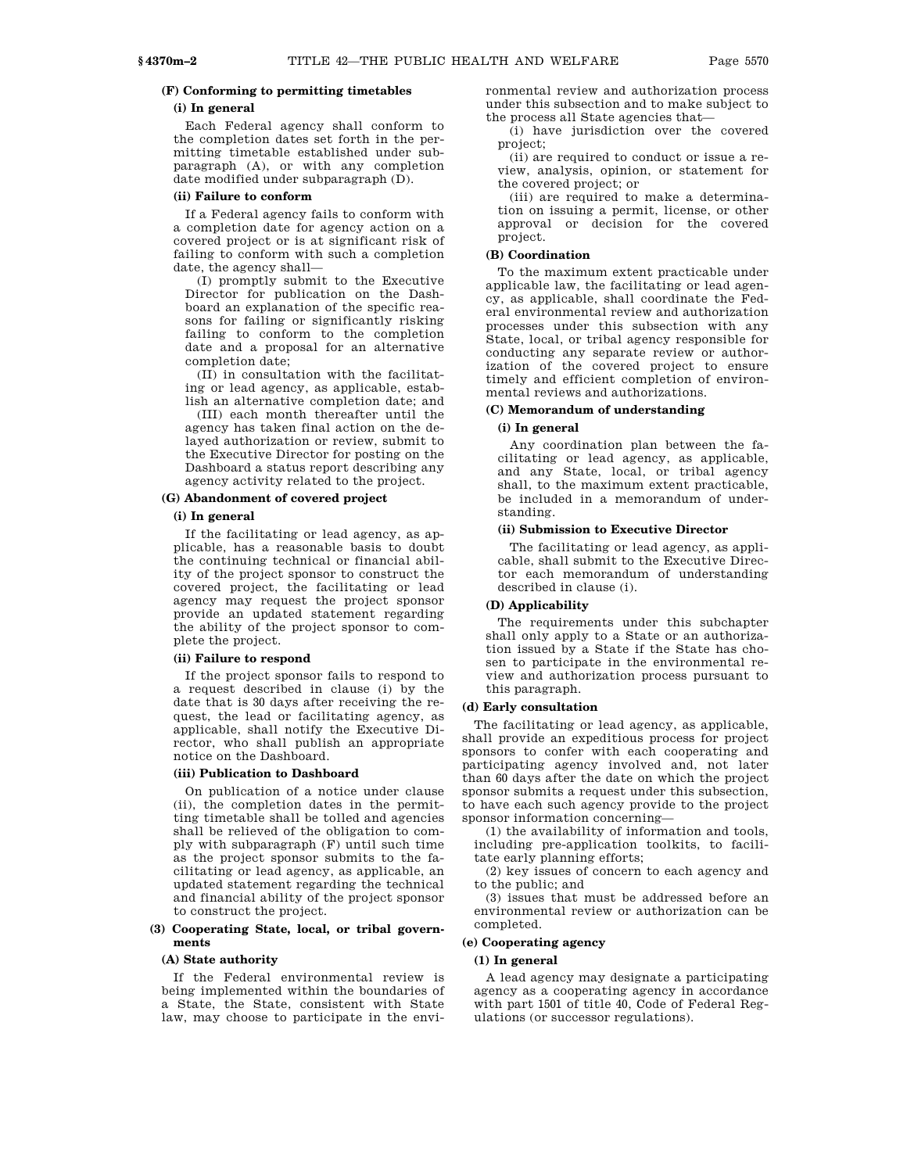# **(F) Conforming to permitting timetables**

# **(i) In general**

Each Federal agency shall conform to the completion dates set forth in the permitting timetable established under subparagraph (A), or with any completion date modified under subparagraph (D).

### **(ii) Failure to conform**

If a Federal agency fails to conform with a completion date for agency action on a covered project or is at significant risk of failing to conform with such a completion date, the agency shall—

(I) promptly submit to the Executive Director for publication on the Dashboard an explanation of the specific reasons for failing or significantly risking failing to conform to the completion date and a proposal for an alternative completion date;

(II) in consultation with the facilitating or lead agency, as applicable, establish an alternative completion date; and

(III) each month thereafter until the agency has taken final action on the delayed authorization or review, submit to the Executive Director for posting on the Dashboard a status report describing any agency activity related to the project.

### **(G) Abandonment of covered project**

### **(i) In general**

If the facilitating or lead agency, as applicable, has a reasonable basis to doubt the continuing technical or financial ability of the project sponsor to construct the covered project, the facilitating or lead agency may request the project sponsor provide an updated statement regarding the ability of the project sponsor to complete the project.

# **(ii) Failure to respond**

If the project sponsor fails to respond to a request described in clause (i) by the date that is 30 days after receiving the request, the lead or facilitating agency, as applicable, shall notify the Executive Director, who shall publish an appropriate notice on the Dashboard.

# **(iii) Publication to Dashboard**

On publication of a notice under clause (ii), the completion dates in the permitting timetable shall be tolled and agencies shall be relieved of the obligation to comply with subparagraph (F) until such time as the project sponsor submits to the facilitating or lead agency, as applicable, an updated statement regarding the technical and financial ability of the project sponsor to construct the project.

# **(3) Cooperating State, local, or tribal governments**

### **(A) State authority**

If the Federal environmental review is being implemented within the boundaries of a State, the State, consistent with State law, may choose to participate in the environmental review and authorization process under this subsection and to make subject to the process all State agencies that—

(i) have jurisdiction over the covered project;

(ii) are required to conduct or issue a review, analysis, opinion, or statement for the covered project; or

(iii) are required to make a determination on issuing a permit, license, or other approval or decision for the covered project.

# **(B) Coordination**

To the maximum extent practicable under applicable law, the facilitating or lead agency, as applicable, shall coordinate the Federal environmental review and authorization processes under this subsection with any State, local, or tribal agency responsible for conducting any separate review or authorization of the covered project to ensure timely and efficient completion of environmental reviews and authorizations.

# **(C) Memorandum of understanding**

# **(i) In general**

Any coordination plan between the facilitating or lead agency, as applicable, and any State, local, or tribal agency shall, to the maximum extent practicable, be included in a memorandum of understanding.

### **(ii) Submission to Executive Director**

The facilitating or lead agency, as applicable, shall submit to the Executive Director each memorandum of understanding described in clause (i).

### **(D) Applicability**

The requirements under this subchapter shall only apply to a State or an authorization issued by a State if the State has chosen to participate in the environmental review and authorization process pursuant to this paragraph.

# **(d) Early consultation**

The facilitating or lead agency, as applicable, shall provide an expeditious process for project sponsors to confer with each cooperating and participating agency involved and, not later than 60 days after the date on which the project sponsor submits a request under this subsection, to have each such agency provide to the project sponsor information concerning—

(1) the availability of information and tools, including pre-application toolkits, to facilitate early planning efforts;

(2) key issues of concern to each agency and to the public; and

(3) issues that must be addressed before an environmental review or authorization can be completed.

# **(e) Cooperating agency**

# **(1) In general**

A lead agency may designate a participating agency as a cooperating agency in accordance with part 1501 of title 40, Code of Federal Regulations (or successor regulations).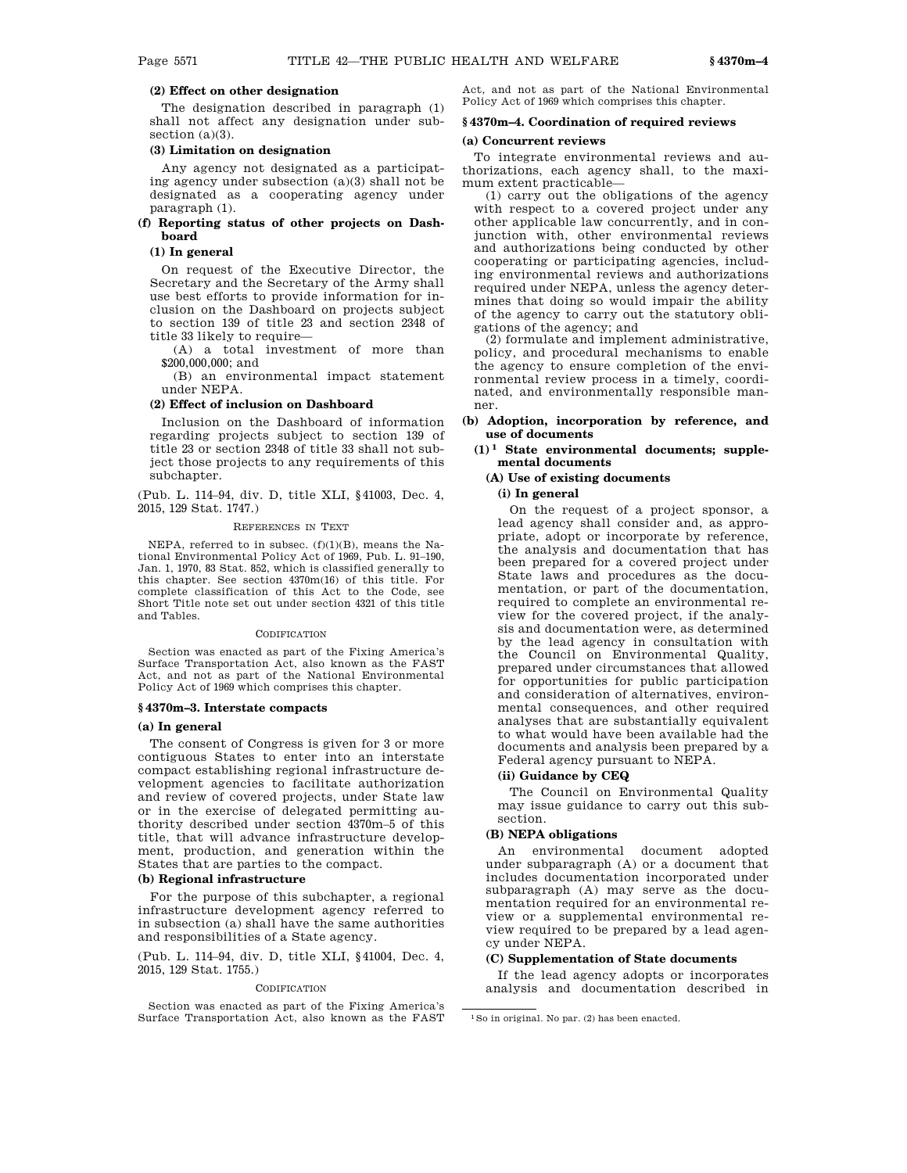# **(2) Effect on other designation**

The designation described in paragraph (1) shall not affect any designation under subsection (a)(3).

# **(3) Limitation on designation**

Any agency not designated as a participating agency under subsection (a)(3) shall not be designated as a cooperating agency under paragraph (1).

# **(f) Reporting status of other projects on Dashboard**

# **(1) In general**

On request of the Executive Director, the Secretary and the Secretary of the Army shall use best efforts to provide information for inclusion on the Dashboard on projects subject to section 139 of title 23 and section 2348 of title 33 likely to require—

(A) a total investment of more than \$200,000,000; and

(B) an environmental impact statement under NEPA.

# **(2) Effect of inclusion on Dashboard**

Inclusion on the Dashboard of information regarding projects subject to section 139 of title 23 or section 2348 of title 33 shall not subject those projects to any requirements of this subchapter.

(Pub. L. 114–94, div. D, title XLI, §41003, Dec. 4, 2015, 129 Stat. 1747.)

# REFERENCES IN TEXT

NEPA, referred to in subsec. (f)(1)(B), means the National Environmental Policy Act of 1969, Pub. L. 91–190, Jan. 1, 1970, 83 Stat. 852, which is classified generally to this chapter. See section 4370m(16) of this title. For complete classification of this Act to the Code, see Short Title note set out under section 4321 of this title and Tables.

# **CODIFICATION**

Section was enacted as part of the Fixing America's Surface Transportation Act, also known as the FAST Act, and not as part of the National Environmental Policy Act of 1969 which comprises this chapter.

# **§ 4370m–3. Interstate compacts**

### **(a) In general**

The consent of Congress is given for 3 or more contiguous States to enter into an interstate compact establishing regional infrastructure development agencies to facilitate authorization and review of covered projects, under State law or in the exercise of delegated permitting authority described under section 4370m–5 of this title, that will advance infrastructure development, production, and generation within the States that are parties to the compact.

# **(b) Regional infrastructure**

For the purpose of this subchapter, a regional infrastructure development agency referred to in subsection (a) shall have the same authorities and responsibilities of a State agency.

(Pub. L. 114–94, div. D, title XLI, §41004, Dec. 4, 2015, 129 Stat. 1755.)

#### **CODIFICATION**

Section was enacted as part of the Fixing America's Surface Transportation Act, also known as the FAST

Act, and not as part of the National Environmental Policy Act of 1969 which comprises this chapter.

# **§ 4370m–4. Coordination of required reviews**

### **(a) Concurrent reviews**

To integrate environmental reviews and authorizations, each agency shall, to the maximum extent practicable—

(1) carry out the obligations of the agency with respect to a covered project under any other applicable law concurrently, and in conjunction with, other environmental reviews and authorizations being conducted by other cooperating or participating agencies, including environmental reviews and authorizations required under NEPA, unless the agency determines that doing so would impair the ability of the agency to carry out the statutory obligations of the agency; and

(2) formulate and implement administrative, policy, and procedural mechanisms to enable the agency to ensure completion of the environmental review process in a timely, coordinated, and environmentally responsible manner.

- **(b) Adoption, incorporation by reference, and use of documents**
	- **(1) 1 State environmental documents; supplemental documents**

# **(A) Use of existing documents**

# **(i) In general**

On the request of a project sponsor, a lead agency shall consider and, as appropriate, adopt or incorporate by reference, the analysis and documentation that has been prepared for a covered project under State laws and procedures as the documentation, or part of the documentation, required to complete an environmental review for the covered project, if the analysis and documentation were, as determined by the lead agency in consultation with the Council on Environmental Quality, prepared under circumstances that allowed for opportunities for public participation and consideration of alternatives, environmental consequences, and other required analyses that are substantially equivalent to what would have been available had the documents and analysis been prepared by a Federal agency pursuant to NEPA.

# **(ii) Guidance by CEQ**

The Council on Environmental Quality may issue guidance to carry out this subsection.

# **(B) NEPA obligations**

An environmental document adopted under subparagraph (A) or a document that includes documentation incorporated under subparagraph (A) may serve as the documentation required for an environmental review or a supplemental environmental review required to be prepared by a lead agency under NEPA.

# **(C) Supplementation of State documents**

If the lead agency adopts or incorporates analysis and documentation described in

<sup>1</sup>So in original. No par. (2) has been enacted.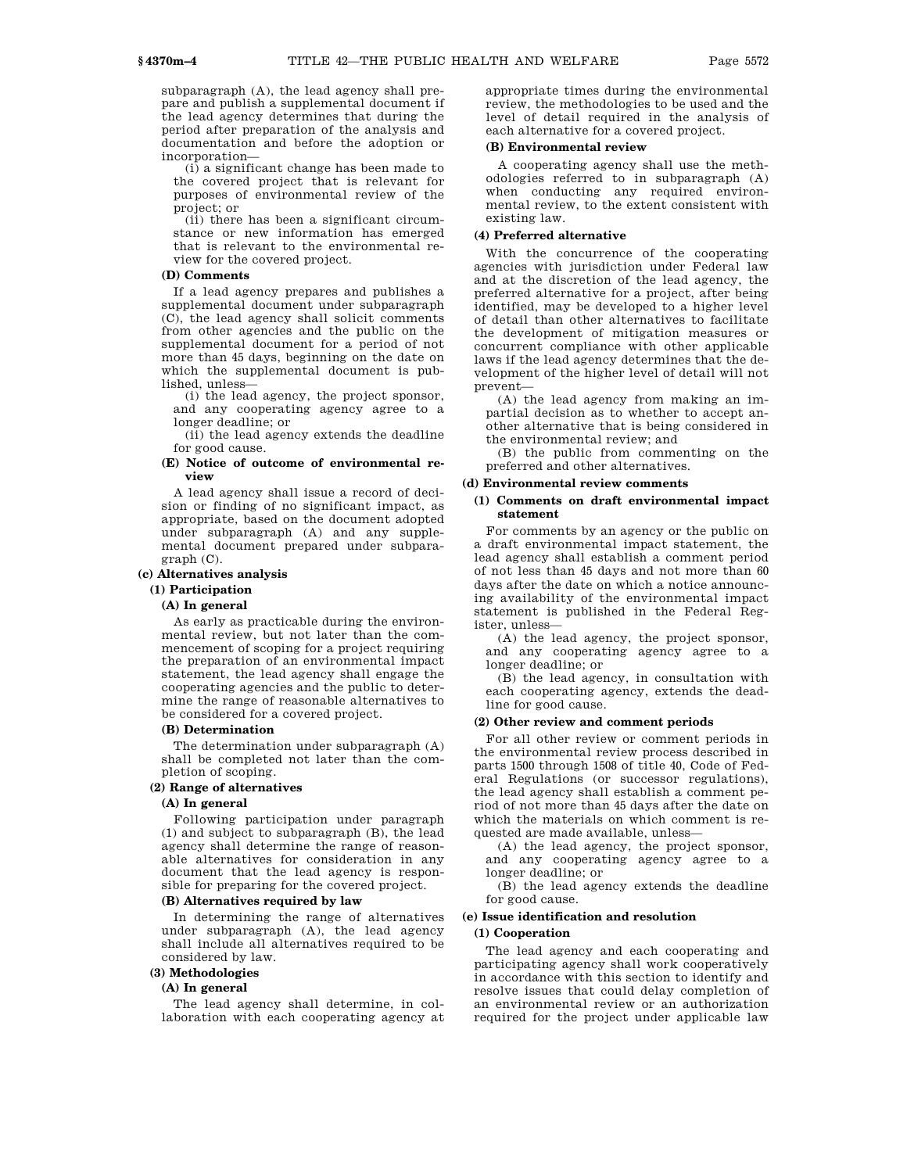subparagraph (A), the lead agency shall prepare and publish a supplemental document if the lead agency determines that during the period after preparation of the analysis and documentation and before the adoption or incorporation—

(i) a significant change has been made to the covered project that is relevant for purposes of environmental review of the project; or

(ii) there has been a significant circumstance or new information has emerged that is relevant to the environmental review for the covered project.

# **(D) Comments**

If a lead agency prepares and publishes a supplemental document under subparagraph (C), the lead agency shall solicit comments from other agencies and the public on the supplemental document for a period of not more than 45 days, beginning on the date on which the supplemental document is published, unless—

(i) the lead agency, the project sponsor, and any cooperating agency agree to a longer deadline; or

(ii) the lead agency extends the deadline for good cause.

# **(E) Notice of outcome of environmental review**

A lead agency shall issue a record of decision or finding of no significant impact, as appropriate, based on the document adopted under subparagraph (A) and any supplemental document prepared under subparagraph (C).

#### **(c) Alternatives analysis**

# **(1) Participation**

#### **(A) In general**

As early as practicable during the environmental review, but not later than the commencement of scoping for a project requiring the preparation of an environmental impact statement, the lead agency shall engage the cooperating agencies and the public to determine the range of reasonable alternatives to be considered for a covered project.

### **(B) Determination**

The determination under subparagraph (A) shall be completed not later than the completion of scoping.

# **(2) Range of alternatives**

# **(A) In general**

Following participation under paragraph (1) and subject to subparagraph (B), the lead agency shall determine the range of reasonable alternatives for consideration in any document that the lead agency is responsible for preparing for the covered project.

# **(B) Alternatives required by law**

In determining the range of alternatives under subparagraph (A), the lead agency shall include all alternatives required to be considered by law.

# **(3) Methodologies**

# **(A) In general**

The lead agency shall determine, in collaboration with each cooperating agency at appropriate times during the environmental review, the methodologies to be used and the level of detail required in the analysis of each alternative for a covered project.

#### **(B) Environmental review**

A cooperating agency shall use the methodologies referred to in subparagraph (A) when conducting any required environmental review, to the extent consistent with existing law.

# **(4) Preferred alternative**

With the concurrence of the cooperating agencies with jurisdiction under Federal law and at the discretion of the lead agency, the preferred alternative for a project, after being identified, may be developed to a higher level of detail than other alternatives to facilitate the development of mitigation measures or concurrent compliance with other applicable laws if the lead agency determines that the development of the higher level of detail will not prevent—

(A) the lead agency from making an impartial decision as to whether to accept another alternative that is being considered in the environmental review; and

(B) the public from commenting on the preferred and other alternatives.

### **(d) Environmental review comments**

# **(1) Comments on draft environmental impact statement**

For comments by an agency or the public on a draft environmental impact statement, the lead agency shall establish a comment period of not less than 45 days and not more than 60 days after the date on which a notice announcing availability of the environmental impact statement is published in the Federal Register, unless—

(A) the lead agency, the project sponsor, and any cooperating agency agree to a longer deadline; or

(B) the lead agency, in consultation with each cooperating agency, extends the deadline for good cause.

### **(2) Other review and comment periods**

For all other review or comment periods in the environmental review process described in parts 1500 through 1508 of title 40, Code of Federal Regulations (or successor regulations), the lead agency shall establish a comment period of not more than 45 days after the date on which the materials on which comment is requested are made available, unless—

(A) the lead agency, the project sponsor, and any cooperating agency agree to a longer deadline; or

(B) the lead agency extends the deadline for good cause.

### **(e) Issue identification and resolution**

### **(1) Cooperation**

The lead agency and each cooperating and participating agency shall work cooperatively in accordance with this section to identify and resolve issues that could delay completion of an environmental review or an authorization required for the project under applicable law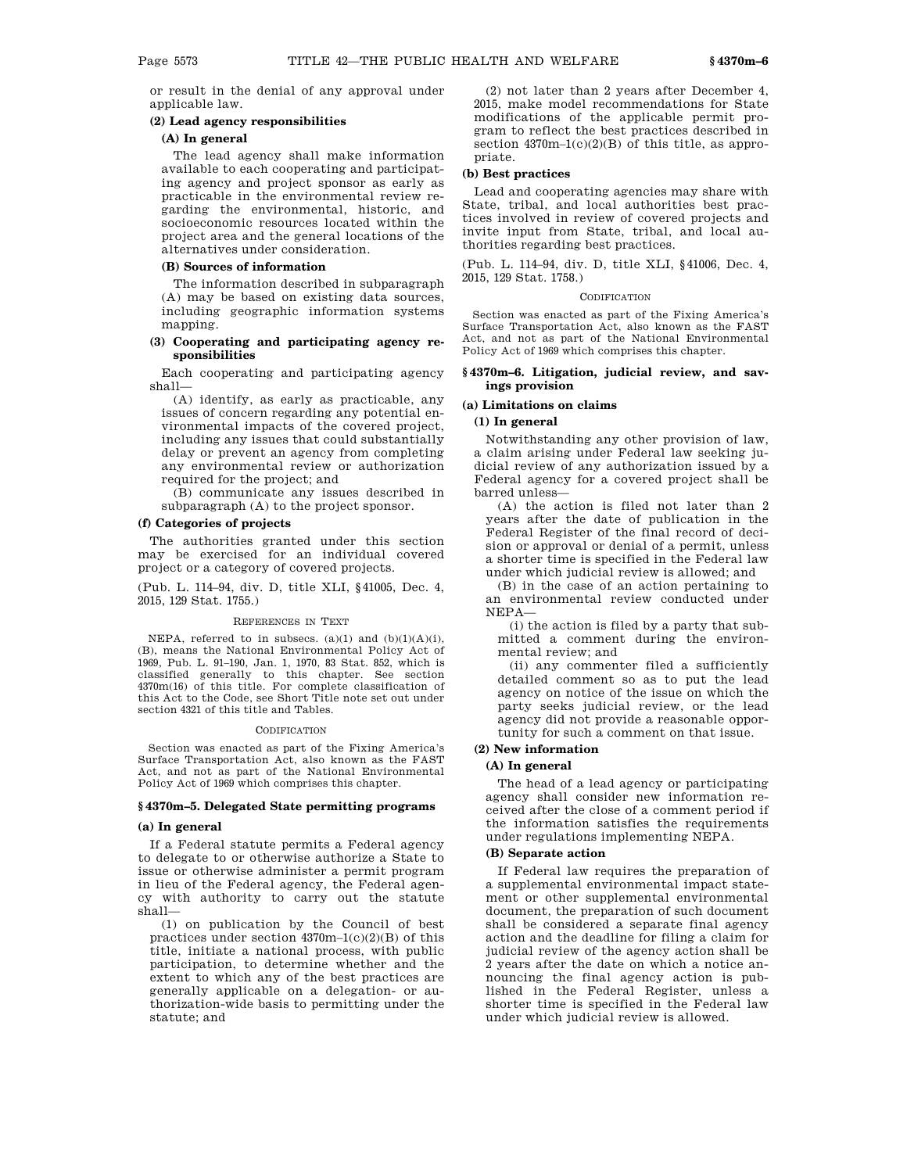or result in the denial of any approval under applicable law.

# **(2) Lead agency responsibilities**

# **(A) In general**

The lead agency shall make information available to each cooperating and participating agency and project sponsor as early as practicable in the environmental review regarding the environmental, historic, and socioeconomic resources located within the project area and the general locations of the alternatives under consideration.

# **(B) Sources of information**

The information described in subparagraph (A) may be based on existing data sources, including geographic information systems mapping.

# **(3) Cooperating and participating agency responsibilities**

Each cooperating and participating agency shall—

(A) identify, as early as practicable, any issues of concern regarding any potential environmental impacts of the covered project, including any issues that could substantially delay or prevent an agency from completing any environmental review or authorization required for the project; and

(B) communicate any issues described in subparagraph (A) to the project sponsor.

# **(f) Categories of projects**

The authorities granted under this section may be exercised for an individual covered project or a category of covered projects.

(Pub. L. 114–94, div. D, title XLI, §41005, Dec. 4, 2015, 129 Stat. 1755.)

#### REFERENCES IN TEXT

NEPA, referred to in subsecs.  $(a)(1)$  and  $(b)(1)(A)(i)$ , (B), means the National Environmental Policy Act of 1969, Pub. L. 91–190, Jan. 1, 1970, 83 Stat. 852, which is classified generally to this chapter. See section 4370m(16) of this title. For complete classification of this Act to the Code, see Short Title note set out under section 4321 of this title and Tables.

### CODIFICATION

Section was enacted as part of the Fixing America's Surface Transportation Act, also known as the FAST Act, and not as part of the National Environmental Policy Act of 1969 which comprises this chapter.

# **§ 4370m–5. Delegated State permitting programs**

### **(a) In general**

If a Federal statute permits a Federal agency to delegate to or otherwise authorize a State to issue or otherwise administer a permit program in lieu of the Federal agency, the Federal agency with authority to carry out the statute shall—

(1) on publication by the Council of best practices under section 4370m–1(c)(2)(B) of this title, initiate a national process, with public participation, to determine whether and the extent to which any of the best practices are generally applicable on a delegation- or authorization-wide basis to permitting under the statute; and

(2) not later than 2 years after December 4, 2015, make model recommendations for State modifications of the applicable permit program to reflect the best practices described in section  $4370m-1(c)(2)(B)$  of this title, as appropriate.

# **(b) Best practices**

Lead and cooperating agencies may share with State, tribal, and local authorities best practices involved in review of covered projects and invite input from State, tribal, and local authorities regarding best practices.

(Pub. L. 114–94, div. D, title XLI, §41006, Dec. 4, 2015, 129 Stat. 1758.)

#### CODIFICATION

Section was enacted as part of the Fixing America's Surface Transportation Act, also known as the FAST Act, and not as part of the National Environmental Policy Act of 1969 which comprises this chapter.

# **§ 4370m–6. Litigation, judicial review, and savings provision**

# **(a) Limitations on claims**

# **(1) In general**

Notwithstanding any other provision of law, a claim arising under Federal law seeking judicial review of any authorization issued by a Federal agency for a covered project shall be barred unless—

(A) the action is filed not later than 2 years after the date of publication in the Federal Register of the final record of decision or approval or denial of a permit, unless a shorter time is specified in the Federal law under which judicial review is allowed; and

(B) in the case of an action pertaining to an environmental review conducted under NEPA—

(i) the action is filed by a party that submitted a comment during the environmental review; and

(ii) any commenter filed a sufficiently detailed comment so as to put the lead agency on notice of the issue on which the party seeks judicial review, or the lead agency did not provide a reasonable opportunity for such a comment on that issue.

# **(2) New information**

# **(A) In general**

The head of a lead agency or participating agency shall consider new information received after the close of a comment period if the information satisfies the requirements under regulations implementing NEPA.

# **(B) Separate action**

If Federal law requires the preparation of a supplemental environmental impact statement or other supplemental environmental document, the preparation of such document shall be considered a separate final agency action and the deadline for filing a claim for judicial review of the agency action shall be 2 years after the date on which a notice announcing the final agency action is published in the Federal Register, unless a shorter time is specified in the Federal law under which judicial review is allowed.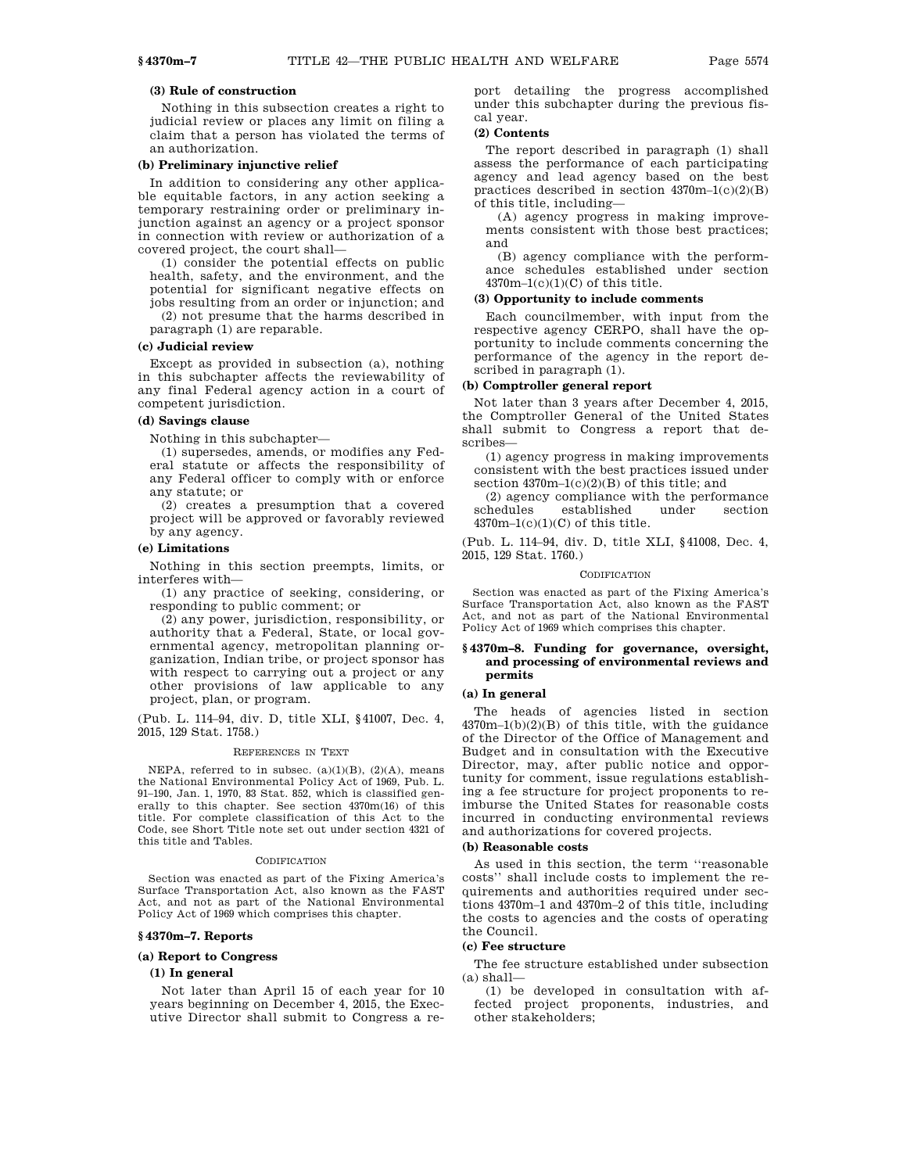# **(3) Rule of construction**

Nothing in this subsection creates a right to judicial review or places any limit on filing a claim that a person has violated the terms of an authorization.

# **(b) Preliminary injunctive relief**

In addition to considering any other applicable equitable factors, in any action seeking a temporary restraining order or preliminary injunction against an agency or a project sponsor in connection with review or authorization of a covered project, the court shall—

(1) consider the potential effects on public health, safety, and the environment, and the potential for significant negative effects on jobs resulting from an order or injunction; and (2) not presume that the harms described in

paragraph (1) are reparable.

#### **(c) Judicial review**

Except as provided in subsection (a), nothing in this subchapter affects the reviewability of any final Federal agency action in a court of competent jurisdiction.

# **(d) Savings clause**

Nothing in this subchapter—

(1) supersedes, amends, or modifies any Federal statute or affects the responsibility of any Federal officer to comply with or enforce any statute; or

(2) creates a presumption that a covered project will be approved or favorably reviewed by any agency.

#### **(e) Limitations**

Nothing in this section preempts, limits, or interferes with—

(1) any practice of seeking, considering, or responding to public comment; or

(2) any power, jurisdiction, responsibility, or authority that a Federal, State, or local governmental agency, metropolitan planning organization, Indian tribe, or project sponsor has with respect to carrying out a project or any other provisions of law applicable to any project, plan, or program.

(Pub. L. 114–94, div. D, title XLI, §41007, Dec. 4, 2015, 129 Stat. 1758.)

#### REFERENCES IN TEXT

NEPA, referred to in subsec.  $(a)(1)(B)$ ,  $(2)(A)$ , means the National Environmental Policy Act of 1969, Pub. L. 91–190, Jan. 1, 1970, 83 Stat. 852, which is classified generally to this chapter. See section 4370m(16) of this title. For complete classification of this Act to the Code, see Short Title note set out under section 4321 of this title and Tables.

#### **CODIFICATION**

Section was enacted as part of the Fixing America's Surface Transportation Act, also known as the FAST Act, and not as part of the National Environmental Policy Act of 1969 which comprises this chapter.

# **§ 4370m–7. Reports**

#### **(a) Report to Congress**

#### **(1) In general**

Not later than April 15 of each year for 10 years beginning on December 4, 2015, the Executive Director shall submit to Congress a report detailing the progress accomplished under this subchapter during the previous fiscal year.

#### **(2) Contents**

The report described in paragraph (1) shall assess the performance of each participating agency and lead agency based on the best practices described in section  $4370m-1(c)(2)(B)$ of this title, including—

(A) agency progress in making improvements consistent with those best practices; and

(B) agency compliance with the performance schedules established under section  $4370m-1(c)(1)(C)$  of this title.

### **(3) Opportunity to include comments**

Each councilmember, with input from the respective agency CERPO, shall have the opportunity to include comments concerning the performance of the agency in the report described in paragraph (1).

#### **(b) Comptroller general report**

Not later than 3 years after December 4, 2015, the Comptroller General of the United States shall submit to Congress a report that describes—

(1) agency progress in making improvements consistent with the best practices issued under section  $4370m-1(c)(2)(B)$  of this title; and

(2) agency compliance with the performance schedules established under section  $4370m-1(c)(1)(C)$  of this title.

(Pub. L. 114–94, div. D, title XLI, §41008, Dec. 4, 2015, 129 Stat. 1760.)

#### CODIFICATION

Section was enacted as part of the Fixing America's Surface Transportation Act, also known as the FAST Act, and not as part of the National Environmental Policy Act of 1969 which comprises this chapter.

# **§ 4370m–8. Funding for governance, oversight, and processing of environmental reviews and permits**

### **(a) In general**

The heads of agencies listed in section  $4370m-1(b)(2)(B)$  of this title, with the guidance of the Director of the Office of Management and Budget and in consultation with the Executive Director, may, after public notice and opportunity for comment, issue regulations establishing a fee structure for project proponents to reimburse the United States for reasonable costs incurred in conducting environmental reviews and authorizations for covered projects.

#### **(b) Reasonable costs**

As used in this section, the term ''reasonable costs'' shall include costs to implement the requirements and authorities required under sections 4370m–1 and 4370m–2 of this title, including the costs to agencies and the costs of operating the Council.

# **(c) Fee structure**

The fee structure established under subsection (a) shall—

(1) be developed in consultation with affected project proponents, industries, and other stakeholders;